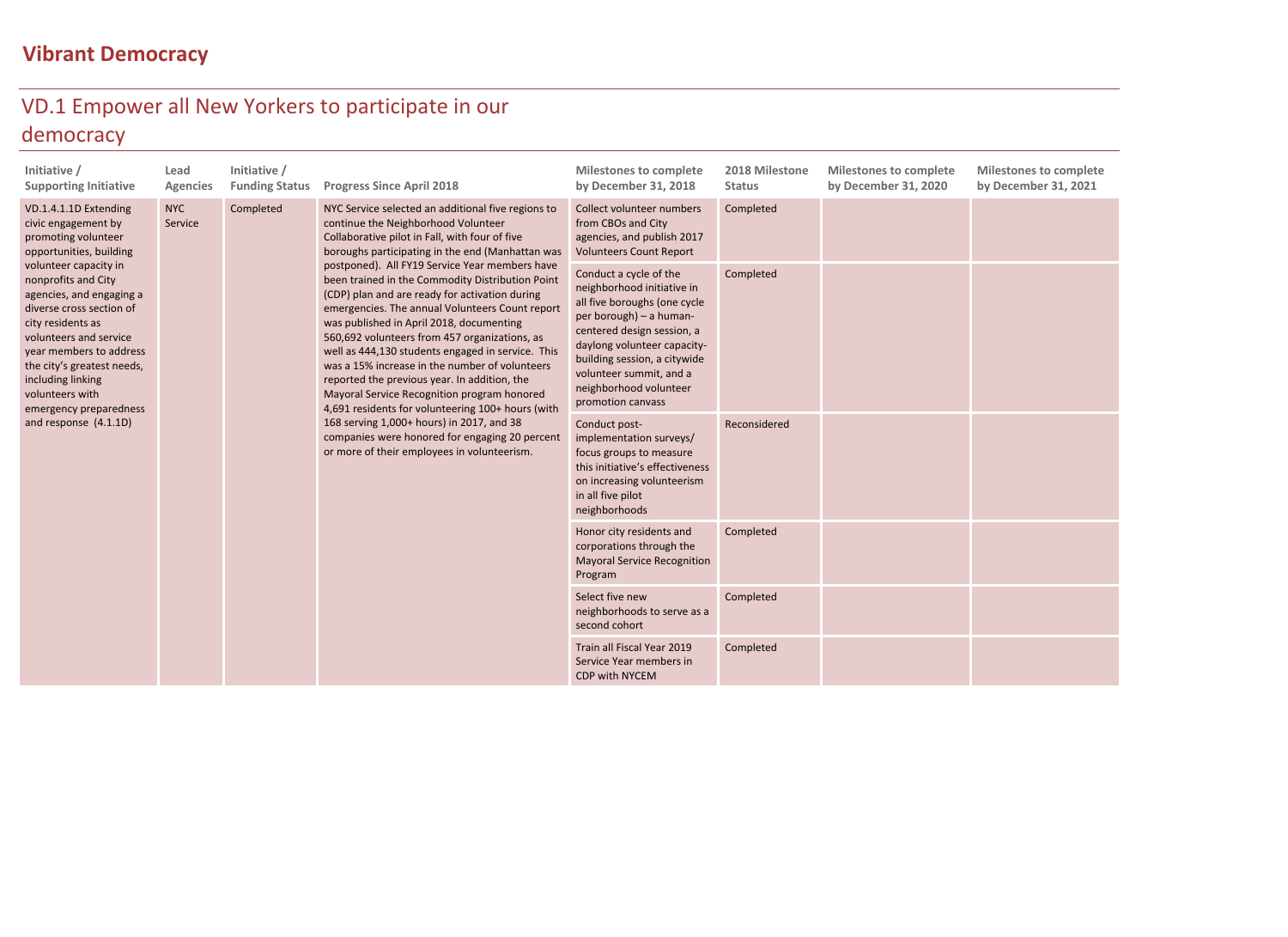#### **Vibrant Democracy**

# VD.1 Empower all New Yorkers to participate in our democracy

| Initiative /<br><b>Supporting Initiative</b>                                                                                                                                                                                                                                                                                                                                                              | Lead<br><b>Agencies</b> | Initiative /<br><b>Funding Status</b> | <b>Progress Since April 2018</b>                                                                                                                                                                                                                                                                                                                                                                                                                                                                                                                                                                                                                                                                                                                                                                                                                                                                                 | <b>Milestones to complete</b><br>by December 31, 2018                                                                                                                                                                                                                                  | 2018 Milestone<br><b>Status</b> | <b>Milestones to complete</b><br>by December 31, 2020 | <b>Milestones to complete</b><br>by December 31, 2021 |
|-----------------------------------------------------------------------------------------------------------------------------------------------------------------------------------------------------------------------------------------------------------------------------------------------------------------------------------------------------------------------------------------------------------|-------------------------|---------------------------------------|------------------------------------------------------------------------------------------------------------------------------------------------------------------------------------------------------------------------------------------------------------------------------------------------------------------------------------------------------------------------------------------------------------------------------------------------------------------------------------------------------------------------------------------------------------------------------------------------------------------------------------------------------------------------------------------------------------------------------------------------------------------------------------------------------------------------------------------------------------------------------------------------------------------|----------------------------------------------------------------------------------------------------------------------------------------------------------------------------------------------------------------------------------------------------------------------------------------|---------------------------------|-------------------------------------------------------|-------------------------------------------------------|
| VD.1.4.1.1D Extending<br>civic engagement by<br>promoting volunteer<br>opportunities, building<br>volunteer capacity in<br>nonprofits and City<br>agencies, and engaging a<br>diverse cross section of<br>city residents as<br>volunteers and service<br>year members to address<br>the city's greatest needs,<br>including linking<br>volunteers with<br>emergency preparedness<br>and response (4.1.1D) | <b>NYC</b><br>Service   | Completed                             | NYC Service selected an additional five regions to<br>continue the Neighborhood Volunteer<br>Collaborative pilot in Fall, with four of five<br>boroughs participating in the end (Manhattan was<br>postponed). All FY19 Service Year members have<br>been trained in the Commodity Distribution Point<br>(CDP) plan and are ready for activation during<br>emergencies. The annual Volunteers Count report<br>was published in April 2018, documenting<br>560,692 volunteers from 457 organizations, as<br>well as 444,130 students engaged in service. This<br>was a 15% increase in the number of volunteers<br>reported the previous year. In addition, the<br>Mayoral Service Recognition program honored<br>4,691 residents for volunteering 100+ hours (with<br>168 serving 1,000+ hours) in 2017, and 38<br>companies were honored for engaging 20 percent<br>or more of their employees in volunteerism. | Collect volunteer numbers<br>from CBOs and City<br>agencies, and publish 2017<br><b>Volunteers Count Report</b>                                                                                                                                                                        | Completed                       |                                                       |                                                       |
|                                                                                                                                                                                                                                                                                                                                                                                                           |                         |                                       |                                                                                                                                                                                                                                                                                                                                                                                                                                                                                                                                                                                                                                                                                                                                                                                                                                                                                                                  | Conduct a cycle of the<br>neighborhood initiative in<br>all five boroughs (one cycle<br>per borough) - a human-<br>centered design session, a<br>daylong volunteer capacity-<br>building session, a citywide<br>volunteer summit, and a<br>neighborhood volunteer<br>promotion canvass | Completed                       |                                                       |                                                       |
|                                                                                                                                                                                                                                                                                                                                                                                                           |                         |                                       |                                                                                                                                                                                                                                                                                                                                                                                                                                                                                                                                                                                                                                                                                                                                                                                                                                                                                                                  | Conduct post-<br>implementation surveys/<br>focus groups to measure<br>this initiative's effectiveness<br>on increasing volunteerism<br>in all five pilot<br>neighborhoods                                                                                                             | Reconsidered                    |                                                       |                                                       |
|                                                                                                                                                                                                                                                                                                                                                                                                           |                         |                                       |                                                                                                                                                                                                                                                                                                                                                                                                                                                                                                                                                                                                                                                                                                                                                                                                                                                                                                                  | Honor city residents and<br>corporations through the<br><b>Mayoral Service Recognition</b><br>Program                                                                                                                                                                                  | Completed                       |                                                       |                                                       |
|                                                                                                                                                                                                                                                                                                                                                                                                           |                         |                                       |                                                                                                                                                                                                                                                                                                                                                                                                                                                                                                                                                                                                                                                                                                                                                                                                                                                                                                                  | Select five new<br>neighborhoods to serve as a<br>second cohort                                                                                                                                                                                                                        | Completed                       |                                                       |                                                       |
|                                                                                                                                                                                                                                                                                                                                                                                                           |                         |                                       |                                                                                                                                                                                                                                                                                                                                                                                                                                                                                                                                                                                                                                                                                                                                                                                                                                                                                                                  | Train all Fiscal Year 2019<br>Service Year members in<br>CDP with NYCEM                                                                                                                                                                                                                | Completed                       |                                                       |                                                       |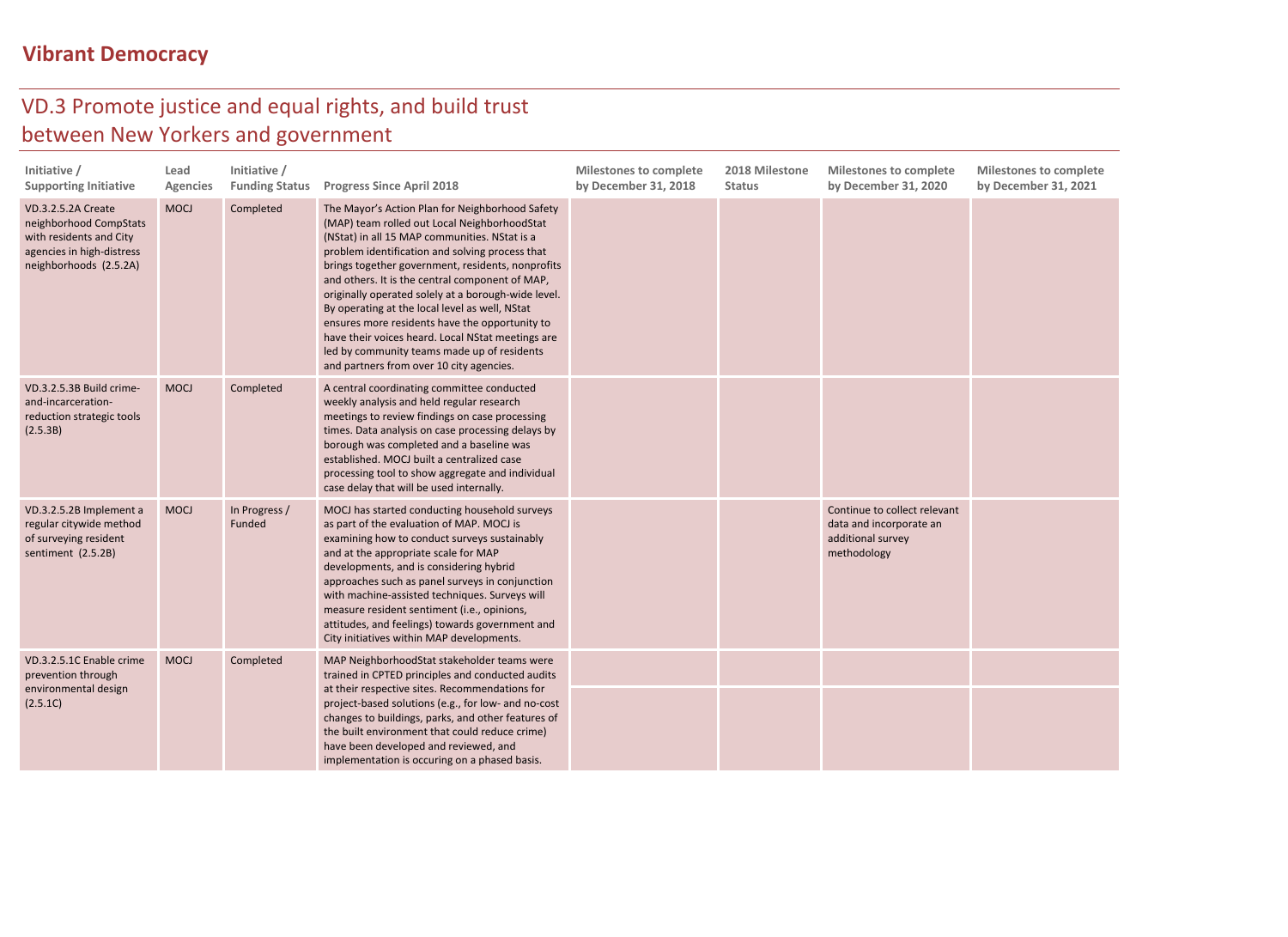#### **Vibrant Democracy**

# VD.3 Promote justice and equal rights, and build trust between New Yorkers and government

| Initiative /<br><b>Supporting Initiative</b>                                                                                          | Lead<br><b>Agencies</b> | Initiative /<br><b>Funding Status</b> | <b>Progress Since April 2018</b>                                                                                                                                                                                                                                                                                                                                                                                                                                                                                                                                                                                       | <b>Milestones to complete</b><br>by December 31, 2018 | 2018 Milestone<br><b>Status</b> | <b>Milestones to complete</b><br>by December 31, 2020                                       | <b>Milestones to complete</b><br>by December 31, 2021 |
|---------------------------------------------------------------------------------------------------------------------------------------|-------------------------|---------------------------------------|------------------------------------------------------------------------------------------------------------------------------------------------------------------------------------------------------------------------------------------------------------------------------------------------------------------------------------------------------------------------------------------------------------------------------------------------------------------------------------------------------------------------------------------------------------------------------------------------------------------------|-------------------------------------------------------|---------------------------------|---------------------------------------------------------------------------------------------|-------------------------------------------------------|
| <b>VD.3.2.5.2A Create</b><br>neighborhood CompStats<br>with residents and City<br>agencies in high-distress<br>neighborhoods (2.5.2A) | <b>MOCJ</b>             | Completed                             | The Mayor's Action Plan for Neighborhood Safety<br>(MAP) team rolled out Local NeighborhoodStat<br>(NStat) in all 15 MAP communities. NStat is a<br>problem identification and solving process that<br>brings together government, residents, nonprofits<br>and others. It is the central component of MAP,<br>originally operated solely at a borough-wide level.<br>By operating at the local level as well, NStat<br>ensures more residents have the opportunity to<br>have their voices heard. Local NStat meetings are<br>led by community teams made up of residents<br>and partners from over 10 city agencies. |                                                       |                                 |                                                                                             |                                                       |
| VD.3.2.5.3B Build crime-<br>and-incarceration-<br>reduction strategic tools<br>(2.5.3B)                                               | <b>MOCJ</b>             | Completed                             | A central coordinating committee conducted<br>weekly analysis and held regular research<br>meetings to review findings on case processing<br>times. Data analysis on case processing delays by<br>borough was completed and a baseline was<br>established. MOCJ built a centralized case<br>processing tool to show aggregate and individual<br>case delay that will be used internally.                                                                                                                                                                                                                               |                                                       |                                 |                                                                                             |                                                       |
| VD.3.2.5.2B Implement a<br>regular citywide method<br>of surveying resident<br>sentiment (2.5.2B)                                     | <b>MOCJ</b>             | In Progress /<br>Funded               | MOCJ has started conducting household surveys<br>as part of the evaluation of MAP. MOCJ is<br>examining how to conduct surveys sustainably<br>and at the appropriate scale for MAP<br>developments, and is considering hybrid<br>approaches such as panel surveys in conjunction<br>with machine-assisted techniques. Surveys will<br>measure resident sentiment (i.e., opinions,<br>attitudes, and feelings) towards government and<br>City initiatives within MAP developments.                                                                                                                                      |                                                       |                                 | Continue to collect relevant<br>data and incorporate an<br>additional survey<br>methodology |                                                       |
| VD.3.2.5.1C Enable crime<br>prevention through<br>environmental design<br>(2.5.1C)                                                    | <b>MOCJ</b>             | Completed                             | MAP NeighborhoodStat stakeholder teams were<br>trained in CPTED principles and conducted audits                                                                                                                                                                                                                                                                                                                                                                                                                                                                                                                        |                                                       |                                 |                                                                                             |                                                       |
|                                                                                                                                       |                         |                                       | at their respective sites. Recommendations for<br>project-based solutions (e.g., for low- and no-cost<br>changes to buildings, parks, and other features of<br>the built environment that could reduce crime)<br>have been developed and reviewed, and<br>implementation is occuring on a phased basis.                                                                                                                                                                                                                                                                                                                |                                                       |                                 |                                                                                             |                                                       |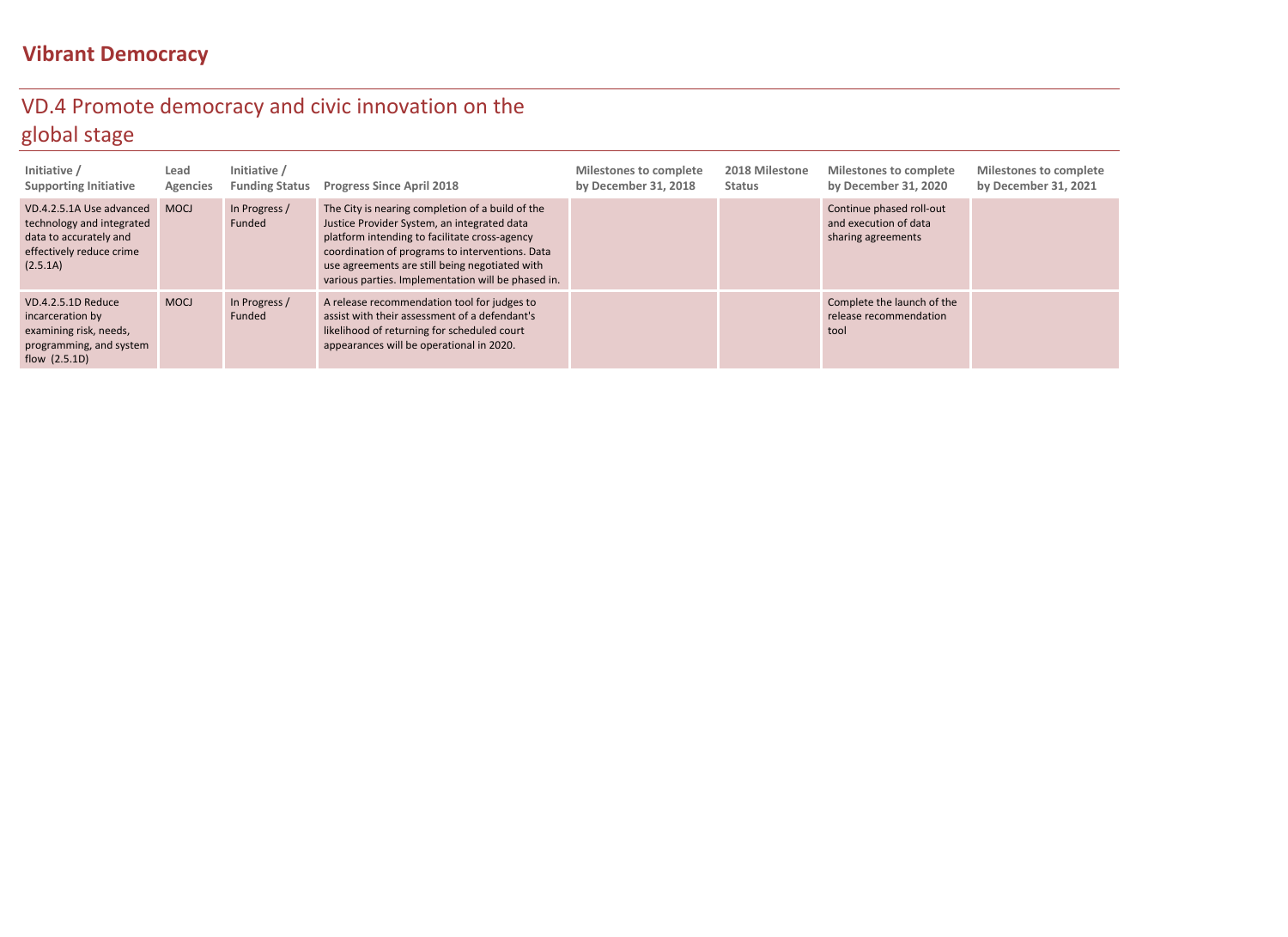#### **Vibrant Democracy**

# VD.4 Promote democracy and civic innovation on the global stage

| Initiative /<br><b>Supporting Initiative</b>                                                                            | Lead<br><b>Agencies</b> | Initiative /<br><b>Funding Status</b> | <b>Progress Since April 2018</b>                                                                                                                                                                                                                                                                            | <b>Milestones to complete</b><br>by December 31, 2018 | 2018 Milestone<br><b>Status</b> | <b>Milestones to complete</b><br>by December 31, 2020                   | <b>Milestones to complete</b><br>by December 31, 2021 |
|-------------------------------------------------------------------------------------------------------------------------|-------------------------|---------------------------------------|-------------------------------------------------------------------------------------------------------------------------------------------------------------------------------------------------------------------------------------------------------------------------------------------------------------|-------------------------------------------------------|---------------------------------|-------------------------------------------------------------------------|-------------------------------------------------------|
| VD.4.2.5.1A Use advanced<br>technology and integrated<br>data to accurately and<br>effectively reduce crime<br>(2.5.1A) | <b>MOCJ</b>             | In Progress /<br>Funded               | The City is nearing completion of a build of the<br>Justice Provider System, an integrated data<br>platform intending to facilitate cross-agency<br>coordination of programs to interventions. Data<br>use agreements are still being negotiated with<br>various parties. Implementation will be phased in. |                                                       |                                 | Continue phased roll-out<br>and execution of data<br>sharing agreements |                                                       |
| VD.4.2.5.1D Reduce<br>incarceration by<br>examining risk, needs,<br>programming, and system<br>flow $(2.5.1D)$          | <b>MOCJ</b>             | In Progress /<br>Funded               | A release recommendation tool for judges to<br>assist with their assessment of a defendant's<br>likelihood of returning for scheduled court<br>appearances will be operational in 2020.                                                                                                                     |                                                       |                                 | Complete the launch of the<br>release recommendation<br>tool            |                                                       |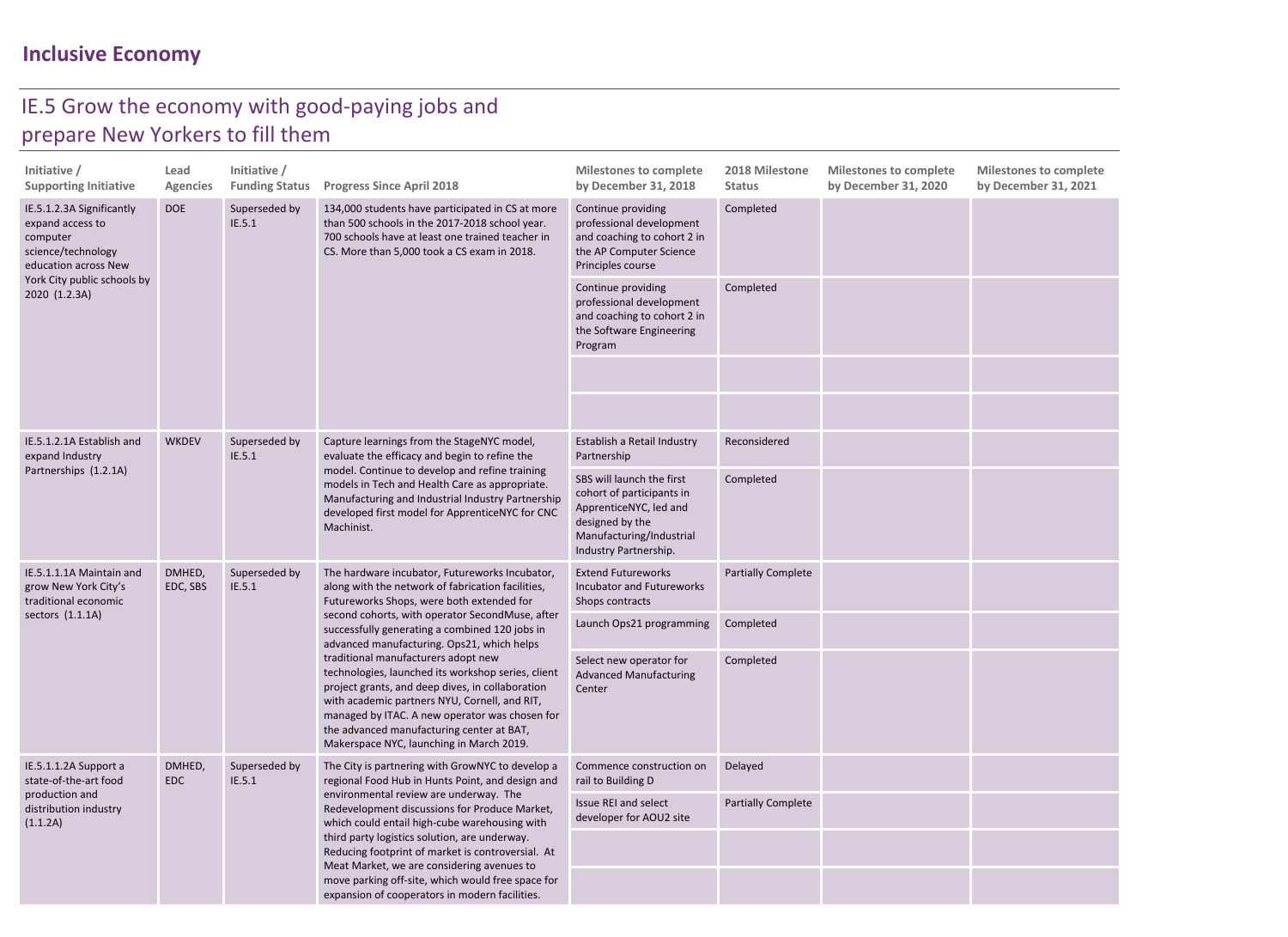| Initiative $/$<br><b>Supporting Initiative</b>                                                          | Lead<br><b>Agencies</b> | Initiative /<br><b>Funding Status</b> | <b>Progress Since April 2018</b>                                                                                                                                                                                                                                                                                                                                                                                                                                                                                                                                                                                                                 | <b>Milestones to complete</b><br>by December 31, 2018                                                                                                    | 2018 Milestone<br><b>Status</b> | <b>Milestones to complete</b><br>by December 31, 2020 | <b>Milestones to complete</b><br>by December 31, 2021 |
|---------------------------------------------------------------------------------------------------------|-------------------------|---------------------------------------|--------------------------------------------------------------------------------------------------------------------------------------------------------------------------------------------------------------------------------------------------------------------------------------------------------------------------------------------------------------------------------------------------------------------------------------------------------------------------------------------------------------------------------------------------------------------------------------------------------------------------------------------------|----------------------------------------------------------------------------------------------------------------------------------------------------------|---------------------------------|-------------------------------------------------------|-------------------------------------------------------|
| IE.5.1.2.3A Significantly<br>expand access to<br>computer<br>science/technology<br>education across New | <b>DOE</b>              | Superseded by<br>IE.5.1               | 134,000 students have participated in CS at more<br>than 500 schools in the 2017-2018 school year.<br>700 schools have at least one trained teacher in<br>CS. More than 5,000 took a CS exam in 2018.                                                                                                                                                                                                                                                                                                                                                                                                                                            | Continue providing<br>professional development<br>and coaching to cohort 2 in<br>the AP Computer Science<br>Principles course                            | Completed                       |                                                       |                                                       |
| York City public schools by<br>2020 (1.2.3A)                                                            |                         |                                       |                                                                                                                                                                                                                                                                                                                                                                                                                                                                                                                                                                                                                                                  | Continue providing<br>professional development<br>and coaching to cohort 2 in<br>the Software Engineering<br>Program                                     | Completed                       |                                                       |                                                       |
|                                                                                                         |                         |                                       |                                                                                                                                                                                                                                                                                                                                                                                                                                                                                                                                                                                                                                                  |                                                                                                                                                          |                                 |                                                       |                                                       |
|                                                                                                         |                         |                                       |                                                                                                                                                                                                                                                                                                                                                                                                                                                                                                                                                                                                                                                  |                                                                                                                                                          |                                 |                                                       |                                                       |
| IE.5.1.2.1A Establish and<br>expand Industry<br>Partnerships (1.2.1A)                                   | <b>WKDEV</b>            | Superseded by<br>IE.5.1               | Capture learnings from the StageNYC model,<br>evaluate the efficacy and begin to refine the<br>model. Continue to develop and refine training<br>models in Tech and Health Care as appropriate.<br>Manufacturing and Industrial Industry Partnership<br>developed first model for ApprenticeNYC for CNC<br>Machinist.                                                                                                                                                                                                                                                                                                                            | Establish a Retail Industry<br>Partnership                                                                                                               | Reconsidered                    |                                                       |                                                       |
|                                                                                                         |                         |                                       |                                                                                                                                                                                                                                                                                                                                                                                                                                                                                                                                                                                                                                                  | SBS will launch the first<br>cohort of participants in<br>ApprenticeNYC, led and<br>designed by the<br>Manufacturing/Industrial<br>Industry Partnership. | Completed                       |                                                       |                                                       |
| IE.5.1.1.1A Maintain and<br>grow New York City's<br>traditional economic                                | DMHED,<br>EDC, SBS      | Superseded by<br>IE.5.1               | The hardware incubator, Futureworks Incubator,<br>along with the network of fabrication facilities,<br>Futureworks Shops, were both extended for<br>second cohorts, with operator SecondMuse, after<br>successfully generating a combined 120 jobs in<br>advanced manufacturing. Ops21, which helps<br>traditional manufacturers adopt new<br>technologies, launched its workshop series, client<br>project grants, and deep dives, in collaboration<br>with academic partners NYU, Cornell, and RIT,<br>managed by ITAC. A new operator was chosen for<br>the advanced manufacturing center at BAT,<br>Makerspace NYC, launching in March 2019. | <b>Extend Futureworks</b><br>Incubator and Futureworks<br>Shops contracts                                                                                | <b>Partially Complete</b>       |                                                       |                                                       |
| sectors $(1.1.1A)$                                                                                      |                         |                                       |                                                                                                                                                                                                                                                                                                                                                                                                                                                                                                                                                                                                                                                  | Launch Ops21 programming                                                                                                                                 | Completed                       |                                                       |                                                       |
|                                                                                                         |                         |                                       |                                                                                                                                                                                                                                                                                                                                                                                                                                                                                                                                                                                                                                                  | Select new operator for<br><b>Advanced Manufacturing</b><br>Center                                                                                       | Completed                       |                                                       |                                                       |
| IE.5.1.1.2A Support a<br>state-of-the-art food                                                          | DMHED,<br>EDC           | Superseded by<br>IE.5.1               | The City is partnering with GrowNYC to develop a<br>regional Food Hub in Hunts Point, and design and                                                                                                                                                                                                                                                                                                                                                                                                                                                                                                                                             | Commence construction on<br>rail to Building D                                                                                                           | Delayed                         |                                                       |                                                       |
| production and<br>distribution industry<br>(1.1.2A)                                                     |                         |                                       | environmental review are underway. The<br>Redevelopment discussions for Produce Market,<br>which could entail high-cube warehousing with                                                                                                                                                                                                                                                                                                                                                                                                                                                                                                         | Issue REI and select<br>developer for AOU2 site                                                                                                          | <b>Partially Complete</b>       |                                                       |                                                       |
|                                                                                                         |                         |                                       | third party logistics solution, are underway.<br>Reducing footprint of market is controversial. At                                                                                                                                                                                                                                                                                                                                                                                                                                                                                                                                               |                                                                                                                                                          |                                 |                                                       |                                                       |
|                                                                                                         |                         |                                       | Meat Market, we are considering avenues to<br>move parking off-site, which would free space for<br>expansion of cooperators in modern facilities.                                                                                                                                                                                                                                                                                                                                                                                                                                                                                                |                                                                                                                                                          |                                 |                                                       |                                                       |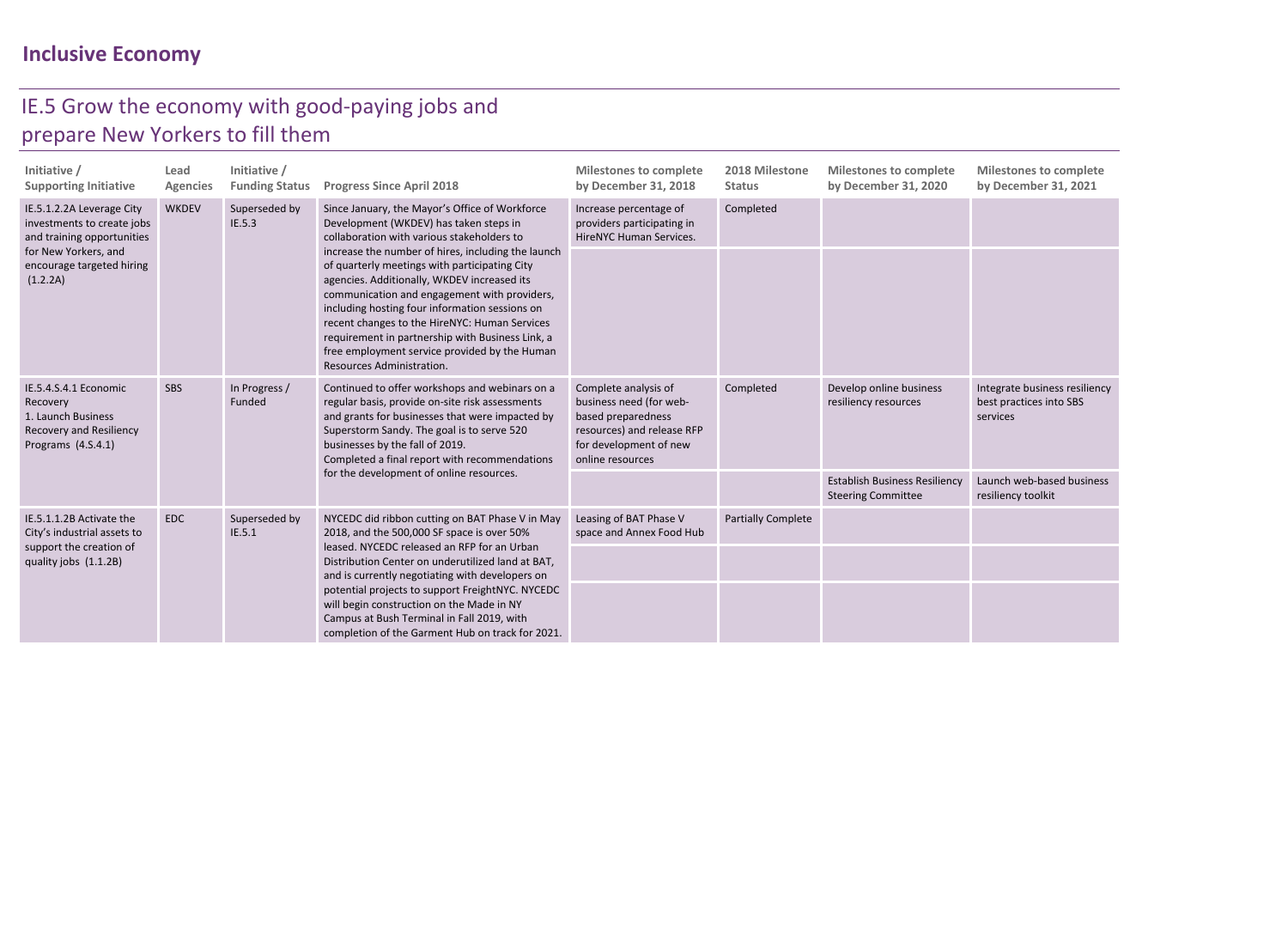| Initiative /<br><b>Supporting Initiative</b>                                                                                                           | Lead<br><b>Agencies</b> | Initiative /<br><b>Funding Status</b> | <b>Progress Since April 2018</b>                                                                                                                                                                                                                                                                                                                                                                                                                                                                                                                                                  | <b>Milestones to complete</b><br>by December 31, 2018                                                                                             | 2018 Milestone<br><b>Status</b> | <b>Milestones to complete</b><br>by December 31, 2020             | <b>Milestones to complete</b><br>by December 31, 2021                |
|--------------------------------------------------------------------------------------------------------------------------------------------------------|-------------------------|---------------------------------------|-----------------------------------------------------------------------------------------------------------------------------------------------------------------------------------------------------------------------------------------------------------------------------------------------------------------------------------------------------------------------------------------------------------------------------------------------------------------------------------------------------------------------------------------------------------------------------------|---------------------------------------------------------------------------------------------------------------------------------------------------|---------------------------------|-------------------------------------------------------------------|----------------------------------------------------------------------|
| IE.5.1.2.2A Leverage City<br>investments to create jobs<br>and training opportunities<br>for New Yorkers, and<br>encourage targeted hiring<br>(1.2.2A) | <b>WKDEV</b>            | Superseded by<br>IE.5.3               | Since January, the Mayor's Office of Workforce<br>Development (WKDEV) has taken steps in<br>collaboration with various stakeholders to<br>increase the number of hires, including the launch<br>of quarterly meetings with participating City<br>agencies. Additionally, WKDEV increased its<br>communication and engagement with providers,<br>including hosting four information sessions on<br>recent changes to the HireNYC: Human Services<br>requirement in partnership with Business Link, a<br>free employment service provided by the Human<br>Resources Administration. | Increase percentage of<br>providers participating in<br><b>HireNYC Human Services.</b>                                                            | Completed                       |                                                                   |                                                                      |
|                                                                                                                                                        |                         |                                       |                                                                                                                                                                                                                                                                                                                                                                                                                                                                                                                                                                                   |                                                                                                                                                   |                                 |                                                                   |                                                                      |
| IE.5.4.S.4.1 Economic<br>Recovery<br>1. Launch Business<br><b>Recovery and Resiliency</b><br>Programs (4.S.4.1)                                        | SBS                     | In Progress /<br>Funded               | Continued to offer workshops and webinars on a<br>regular basis, provide on-site risk assessments<br>and grants for businesses that were impacted by<br>Superstorm Sandy. The goal is to serve 520<br>businesses by the fall of 2019.<br>Completed a final report with recommendations<br>for the development of online resources.                                                                                                                                                                                                                                                | Complete analysis of<br>business need (for web-<br>based preparedness<br>resources) and release RFP<br>for development of new<br>online resources | Completed                       | Develop online business<br>resiliency resources                   | Integrate business resiliency<br>best practices into SBS<br>services |
|                                                                                                                                                        |                         |                                       |                                                                                                                                                                                                                                                                                                                                                                                                                                                                                                                                                                                   |                                                                                                                                                   |                                 | <b>Establish Business Resiliency</b><br><b>Steering Committee</b> | Launch web-based business<br>resiliency toolkit                      |
| IE.5.1.1.2B Activate the<br>City's industrial assets to                                                                                                | EDC                     | Superseded by<br>IE.5.1               | NYCEDC did ribbon cutting on BAT Phase V in May<br>2018, and the 500,000 SF space is over 50%                                                                                                                                                                                                                                                                                                                                                                                                                                                                                     | Leasing of BAT Phase V<br>space and Annex Food Hub                                                                                                | <b>Partially Complete</b>       |                                                                   |                                                                      |
| support the creation of<br>quality jobs (1.1.2B)                                                                                                       |                         |                                       | leased. NYCEDC released an RFP for an Urban<br>Distribution Center on underutilized land at BAT,<br>and is currently negotiating with developers on                                                                                                                                                                                                                                                                                                                                                                                                                               |                                                                                                                                                   |                                 |                                                                   |                                                                      |
|                                                                                                                                                        |                         |                                       | potential projects to support FreightNYC. NYCEDC<br>will begin construction on the Made in NY<br>Campus at Bush Terminal in Fall 2019, with<br>completion of the Garment Hub on track for 2021.                                                                                                                                                                                                                                                                                                                                                                                   |                                                                                                                                                   |                                 |                                                                   |                                                                      |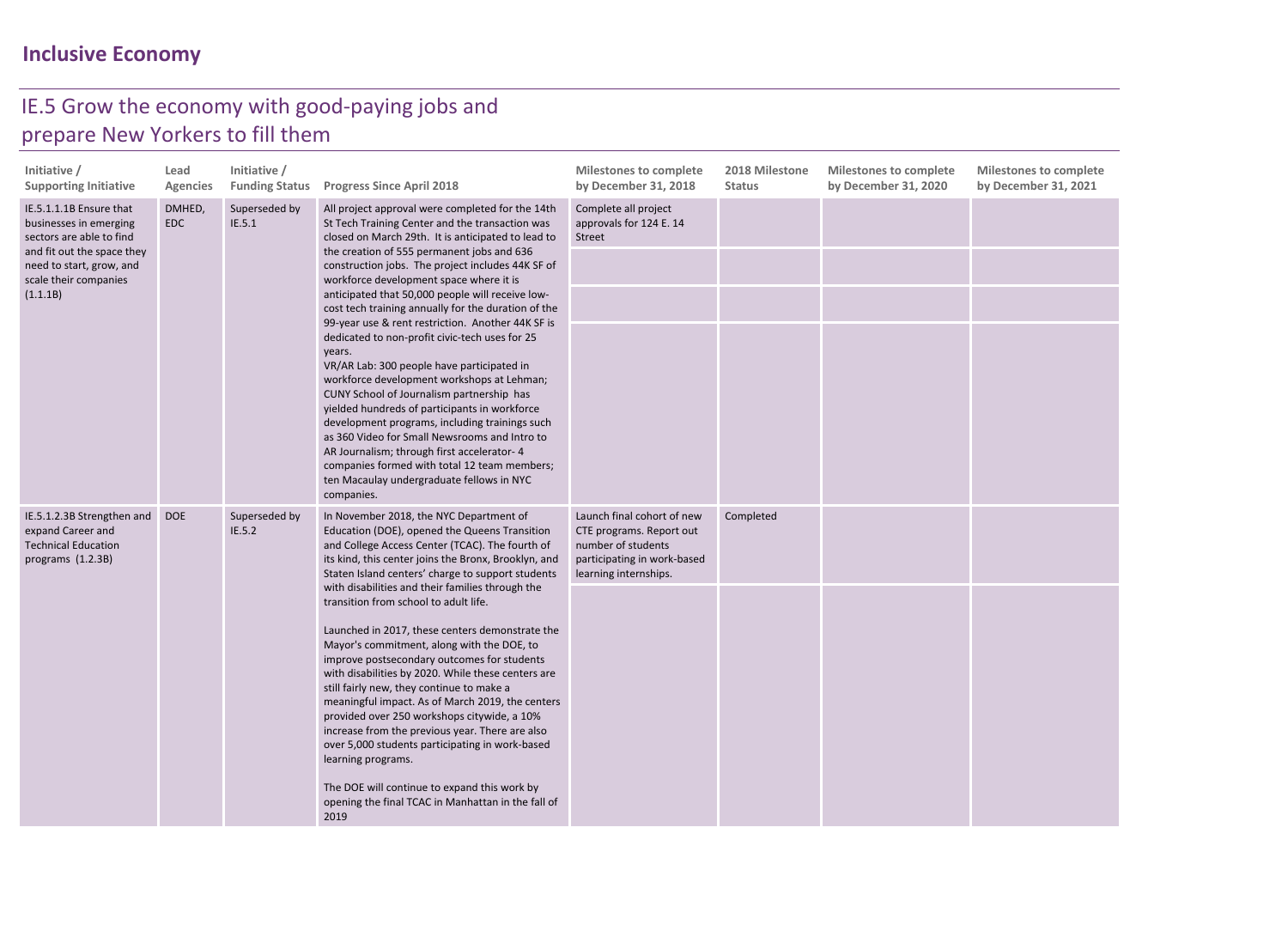| Initiative /<br><b>Supporting Initiative</b>                                                                                                                                 | Lead<br><b>Agencies</b> | Initiative /<br><b>Funding Status</b> | <b>Progress Since April 2018</b>                                                                                                                                                                                                                                                                                                                                                                                                                         | <b>Milestones to complete</b><br>by December 31, 2018                                                  | 2018 Milestone<br><b>Status</b> | <b>Milestones to complete</b><br>by December 31, 2020 | <b>Milestones to complete</b><br>by December 31, 2021 |
|------------------------------------------------------------------------------------------------------------------------------------------------------------------------------|-------------------------|---------------------------------------|----------------------------------------------------------------------------------------------------------------------------------------------------------------------------------------------------------------------------------------------------------------------------------------------------------------------------------------------------------------------------------------------------------------------------------------------------------|--------------------------------------------------------------------------------------------------------|---------------------------------|-------------------------------------------------------|-------------------------------------------------------|
| IE.5.1.1.1B Ensure that<br>businesses in emerging<br>sectors are able to find<br>and fit out the space they<br>need to start, grow, and<br>scale their companies<br>(1.1.1B) | DMHED,<br>EDC           | Superseded by<br>IE.5.1               | All project approval were completed for the 14th<br>St Tech Training Center and the transaction was<br>closed on March 29th. It is anticipated to lead to<br>the creation of 555 permanent jobs and 636<br>construction jobs. The project includes 44K SF of<br>workforce development space where it is                                                                                                                                                  | Complete all project<br>approvals for 124 E. 14<br>Street                                              |                                 |                                                       |                                                       |
|                                                                                                                                                                              |                         |                                       | anticipated that 50,000 people will receive low-<br>cost tech training annually for the duration of the<br>99-year use & rent restriction. Another 44K SF is                                                                                                                                                                                                                                                                                             |                                                                                                        |                                 |                                                       |                                                       |
|                                                                                                                                                                              |                         |                                       | dedicated to non-profit civic-tech uses for 25<br>years.<br>VR/AR Lab: 300 people have participated in                                                                                                                                                                                                                                                                                                                                                   |                                                                                                        |                                 |                                                       |                                                       |
|                                                                                                                                                                              |                         |                                       | workforce development workshops at Lehman;<br>CUNY School of Journalism partnership has<br>yielded hundreds of participants in workforce                                                                                                                                                                                                                                                                                                                 |                                                                                                        |                                 |                                                       |                                                       |
|                                                                                                                                                                              |                         |                                       | development programs, including trainings such<br>as 360 Video for Small Newsrooms and Intro to<br>AR Journalism; through first accelerator-4<br>companies formed with total 12 team members;<br>ten Macaulay undergraduate fellows in NYC                                                                                                                                                                                                               |                                                                                                        |                                 |                                                       |                                                       |
| IE.5.1.2.3B Strengthen and                                                                                                                                                   | <b>DOE</b>              | Superseded by                         | companies.<br>In November 2018, the NYC Department of<br>Education (DOE), opened the Queens Transition<br>and College Access Center (TCAC). The fourth of<br>its kind, this center joins the Bronx, Brooklyn, and<br>Staten Island centers' charge to support students                                                                                                                                                                                   | Launch final cohort of new                                                                             | Completed                       |                                                       |                                                       |
| expand Career and<br><b>Technical Education</b><br>programs (1.2.3B)                                                                                                         |                         | IE.5.2                                |                                                                                                                                                                                                                                                                                                                                                                                                                                                          | CTE programs. Report out<br>number of students<br>participating in work-based<br>learning internships. |                                 |                                                       |                                                       |
|                                                                                                                                                                              |                         |                                       | with disabilities and their families through the<br>transition from school to adult life.                                                                                                                                                                                                                                                                                                                                                                |                                                                                                        |                                 |                                                       |                                                       |
|                                                                                                                                                                              |                         |                                       | Launched in 2017, these centers demonstrate the<br>Mayor's commitment, along with the DOE, to<br>improve postsecondary outcomes for students<br>with disabilities by 2020. While these centers are<br>still fairly new, they continue to make a<br>meaningful impact. As of March 2019, the centers<br>provided over 250 workshops citywide, a 10%<br>increase from the previous year. There are also<br>over 5,000 students participating in work-based |                                                                                                        |                                 |                                                       |                                                       |
|                                                                                                                                                                              |                         |                                       |                                                                                                                                                                                                                                                                                                                                                                                                                                                          |                                                                                                        |                                 |                                                       |                                                       |
|                                                                                                                                                                              |                         |                                       | learning programs.<br>The DOE will continue to expand this work by<br>opening the final TCAC in Manhattan in the fall of<br>2019                                                                                                                                                                                                                                                                                                                         |                                                                                                        |                                 |                                                       |                                                       |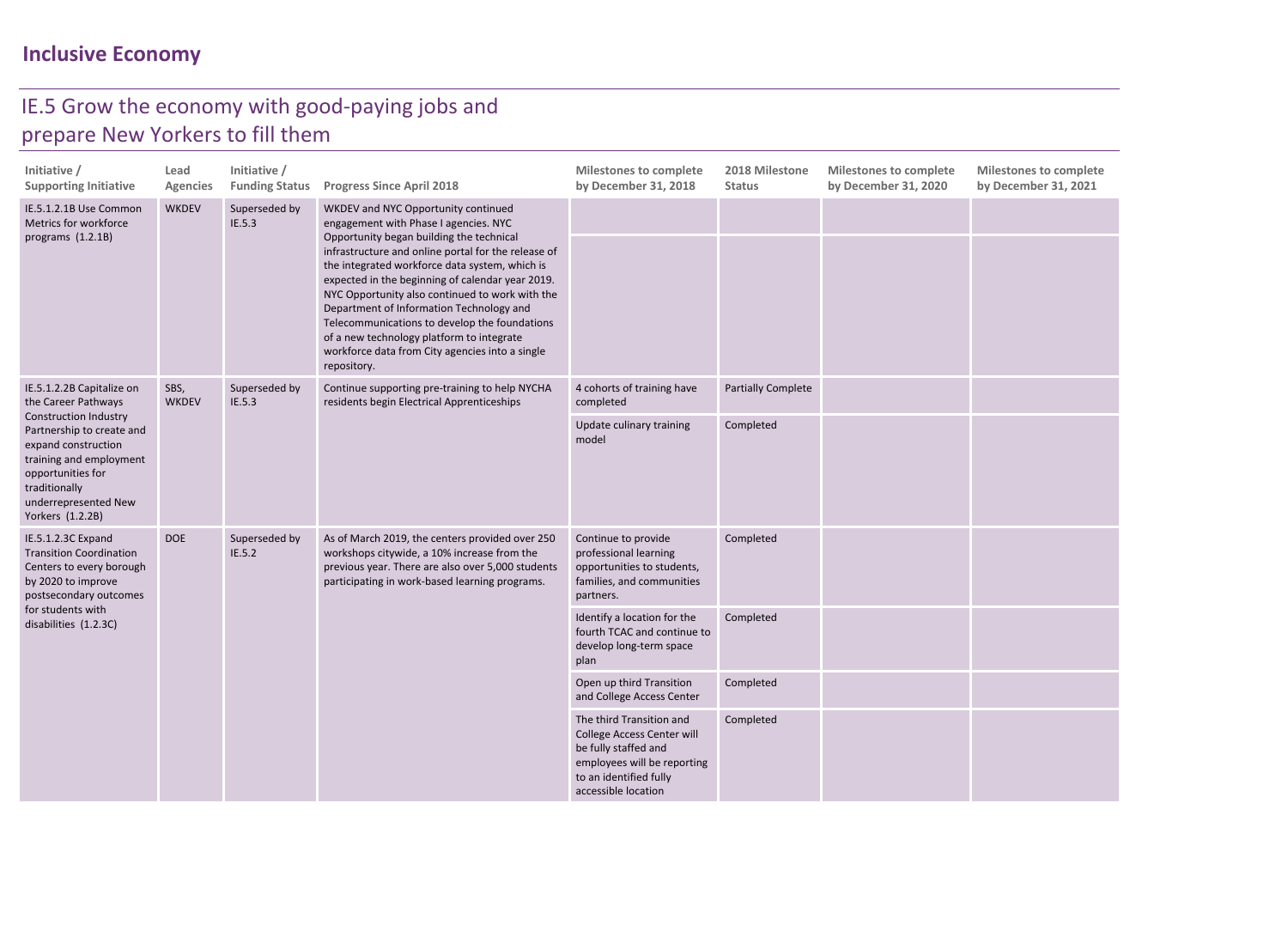| Initiative /<br><b>Supporting Initiative</b>                                                                                                                                                  | Lead<br><b>Agencies</b>                  | Initiative /<br><b>Funding Status</b>                                                        | <b>Progress Since April 2018</b>                                                                                                                                                                                                                                                                                                                                                                                                                                                                                                                     | <b>Milestones to complete</b><br>by December 31, 2018                                                                                                          | 2018 Milestone<br><b>Status</b> | <b>Milestones to complete</b><br>by December 31, 2020 | <b>Milestones to complete</b><br>by December 31, 2021 |
|-----------------------------------------------------------------------------------------------------------------------------------------------------------------------------------------------|------------------------------------------|----------------------------------------------------------------------------------------------|------------------------------------------------------------------------------------------------------------------------------------------------------------------------------------------------------------------------------------------------------------------------------------------------------------------------------------------------------------------------------------------------------------------------------------------------------------------------------------------------------------------------------------------------------|----------------------------------------------------------------------------------------------------------------------------------------------------------------|---------------------------------|-------------------------------------------------------|-------------------------------------------------------|
| IE.5.1.2.1B Use Common<br>Metrics for workforce<br>programs (1.2.1B)                                                                                                                          | WKDEV                                    | Superseded by<br>IE.5.3                                                                      | WKDEV and NYC Opportunity continued<br>engagement with Phase I agencies. NYC<br>Opportunity began building the technical<br>infrastructure and online portal for the release of<br>the integrated workforce data system, which is<br>expected in the beginning of calendar year 2019.<br>NYC Opportunity also continued to work with the<br>Department of Information Technology and<br>Telecommunications to develop the foundations<br>of a new technology platform to integrate<br>workforce data from City agencies into a single<br>repository. |                                                                                                                                                                |                                 |                                                       |                                                       |
| IE.5.1.2.2B Capitalize on<br>the Career Pathways                                                                                                                                              | SBS,<br>Superseded by<br>WKDEV<br>IE.5.3 | Continue supporting pre-training to help NYCHA<br>residents begin Electrical Apprenticeships | 4 cohorts of training have<br>completed                                                                                                                                                                                                                                                                                                                                                                                                                                                                                                              | <b>Partially Complete</b>                                                                                                                                      |                                 |                                                       |                                                       |
| <b>Construction Industry</b><br>Partnership to create and<br>expand construction<br>training and employment<br>opportunities for<br>traditionally<br>underrepresented New<br>Yorkers (1.2.2B) |                                          |                                                                                              |                                                                                                                                                                                                                                                                                                                                                                                                                                                                                                                                                      | Update culinary training<br>model                                                                                                                              | Completed                       |                                                       |                                                       |
| IE.5.1.2.3C Expand<br><b>Transition Coordination</b><br>Centers to every borough<br>by 2020 to improve<br>postsecondary outcomes<br>for students with<br>disabilities (1.2.3C)                | <b>DOE</b>                               | Superseded by<br>IE.5.2                                                                      | As of March 2019, the centers provided over 250<br>workshops citywide, a 10% increase from the<br>previous year. There are also over 5,000 students<br>participating in work-based learning programs.                                                                                                                                                                                                                                                                                                                                                | Continue to provide<br>professional learning<br>opportunities to students,<br>families, and communities<br>partners.                                           | Completed                       |                                                       |                                                       |
|                                                                                                                                                                                               |                                          |                                                                                              |                                                                                                                                                                                                                                                                                                                                                                                                                                                                                                                                                      | Identify a location for the<br>fourth TCAC and continue to<br>develop long-term space<br>plan                                                                  | Completed                       |                                                       |                                                       |
|                                                                                                                                                                                               |                                          |                                                                                              |                                                                                                                                                                                                                                                                                                                                                                                                                                                                                                                                                      | Open up third Transition<br>and College Access Center                                                                                                          | Completed                       |                                                       |                                                       |
|                                                                                                                                                                                               |                                          |                                                                                              |                                                                                                                                                                                                                                                                                                                                                                                                                                                                                                                                                      | The third Transition and<br>College Access Center will<br>be fully staffed and<br>employees will be reporting<br>to an identified fully<br>accessible location | Completed                       |                                                       |                                                       |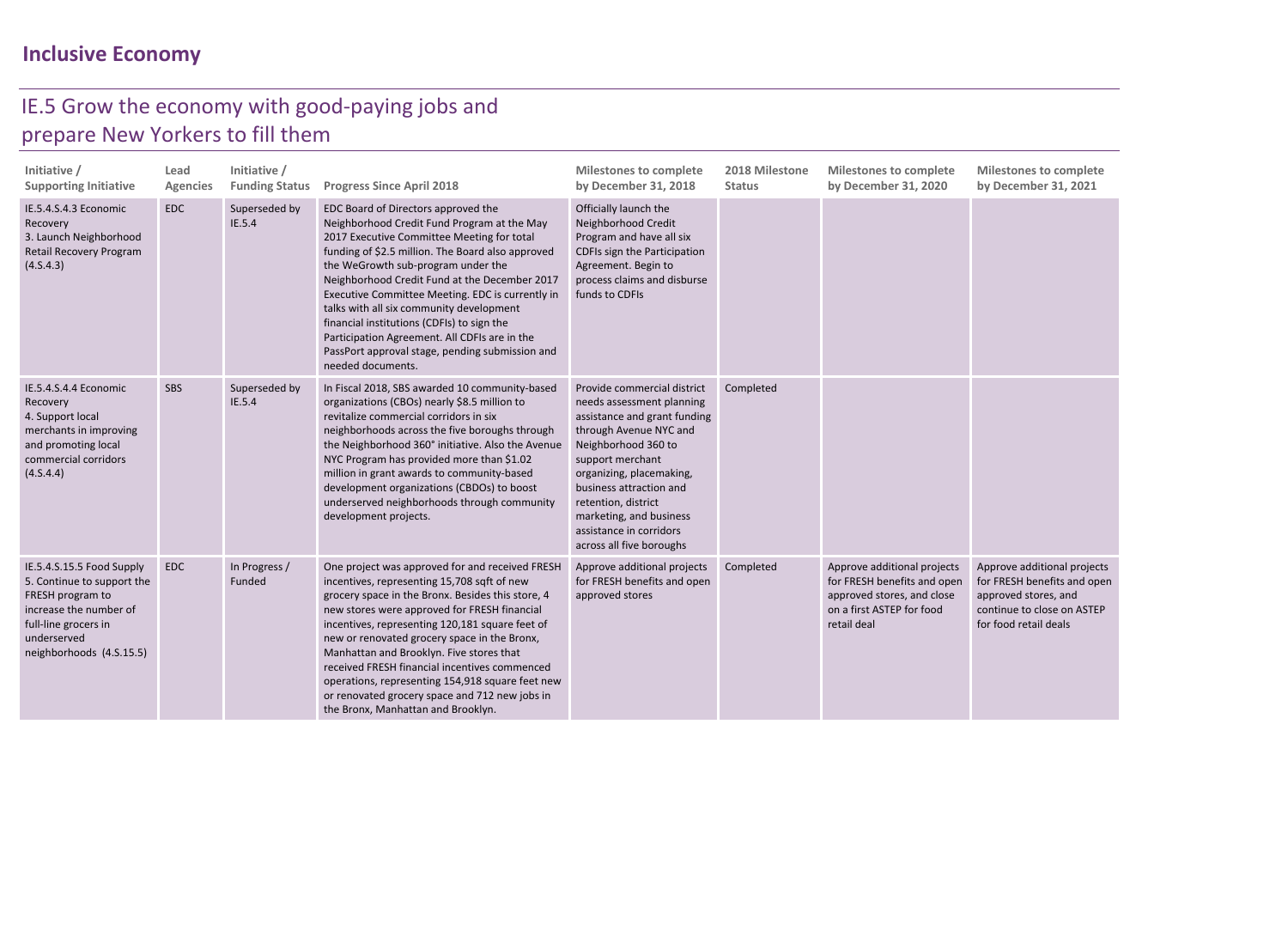| Initiative /<br><b>Supporting Initiative</b>                                                                                                                             | Lead<br><b>Agencies</b> | Initiative /<br><b>Funding Status</b> | <b>Progress Since April 2018</b>                                                                                                                                                                                                                                                                                                                                                                                                                                                                                                                    | <b>Milestones to complete</b><br>by December 31, 2018                                                                                                                                                                                                                                                                         | 2018 Milestone<br><b>Status</b> | <b>Milestones to complete</b><br>by December 31, 2020                                                                                | <b>Milestones to complete</b><br>by December 31, 2021                                                                                     |
|--------------------------------------------------------------------------------------------------------------------------------------------------------------------------|-------------------------|---------------------------------------|-----------------------------------------------------------------------------------------------------------------------------------------------------------------------------------------------------------------------------------------------------------------------------------------------------------------------------------------------------------------------------------------------------------------------------------------------------------------------------------------------------------------------------------------------------|-------------------------------------------------------------------------------------------------------------------------------------------------------------------------------------------------------------------------------------------------------------------------------------------------------------------------------|---------------------------------|--------------------------------------------------------------------------------------------------------------------------------------|-------------------------------------------------------------------------------------------------------------------------------------------|
| IE.5.4.S.4.3 Economic<br>Recovery<br>3. Launch Neighborhood<br>Retail Recovery Program<br>(4.5.4.3)                                                                      | EDC                     | Superseded by<br>IE.5.4               | EDC Board of Directors approved the<br>Neighborhood Credit Fund Program at the May<br>2017 Executive Committee Meeting for total<br>funding of \$2.5 million. The Board also approved<br>the WeGrowth sub-program under the<br>Neighborhood Credit Fund at the December 2017<br>Executive Committee Meeting. EDC is currently in<br>talks with all six community development<br>financial institutions (CDFIs) to sign the<br>Participation Agreement. All CDFIs are in the<br>PassPort approval stage, pending submission and<br>needed documents. | Officially launch the<br>Neighborhood Credit<br>Program and have all six<br>CDFIs sign the Participation<br>Agreement. Begin to<br>process claims and disburse<br>funds to CDFIs                                                                                                                                              |                                 |                                                                                                                                      |                                                                                                                                           |
| IE.5.4.S.4.4 Economic<br>Recovery<br>4. Support local<br>merchants in improving<br>and promoting local<br>commercial corridors<br>(4.5.4.4)                              | SBS                     | Superseded by<br>IE.5.4               | In Fiscal 2018, SBS awarded 10 community-based<br>organizations (CBOs) nearly \$8.5 million to<br>revitalize commercial corridors in six<br>neighborhoods across the five boroughs through<br>the Neighborhood 360° initiative. Also the Avenue<br>NYC Program has provided more than \$1.02<br>million in grant awards to community-based<br>development organizations (CBDOs) to boost<br>underserved neighborhoods through community<br>development projects.                                                                                    | Provide commercial district<br>needs assessment planning<br>assistance and grant funding<br>through Avenue NYC and<br>Neighborhood 360 to<br>support merchant<br>organizing, placemaking,<br>business attraction and<br>retention, district<br>marketing, and business<br>assistance in corridors<br>across all five boroughs | Completed                       |                                                                                                                                      |                                                                                                                                           |
| IE.5.4.S.15.5 Food Supply<br>5. Continue to support the<br>FRESH program to<br>increase the number of<br>full-line grocers in<br>underserved<br>neighborhoods (4.S.15.5) | <b>EDC</b>              | In Progress /<br>Funded               | One project was approved for and received FRESH<br>incentives, representing 15,708 sqft of new<br>grocery space in the Bronx. Besides this store, 4<br>new stores were approved for FRESH financial<br>incentives, representing 120,181 square feet of<br>new or renovated grocery space in the Bronx,<br>Manhattan and Brooklyn. Five stores that<br>received FRESH financial incentives commenced<br>operations, representing 154,918 square feet new<br>or renovated grocery space and 712 new jobs in<br>the Bronx, Manhattan and Brooklyn.     | Approve additional projects<br>for FRESH benefits and open<br>approved stores                                                                                                                                                                                                                                                 | Completed                       | Approve additional projects<br>for FRESH benefits and open<br>approved stores, and close<br>on a first ASTEP for food<br>retail deal | Approve additional projects<br>for FRESH benefits and open<br>approved stores, and<br>continue to close on ASTEP<br>for food retail deals |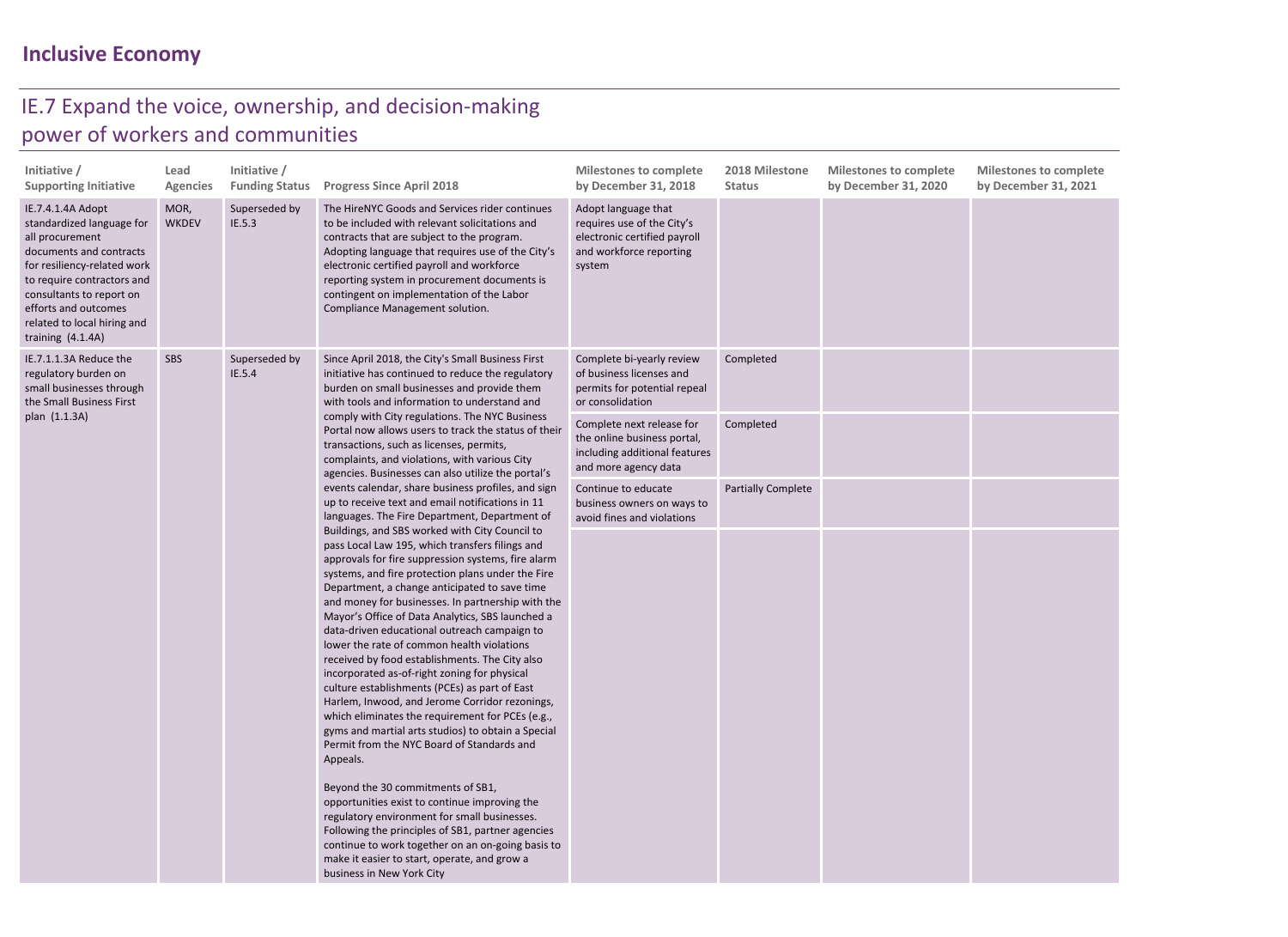### IE.7 Expand the voice, ownership, and decision-making power of workers and communities

| Initiative /<br><b>Supporting Initiative</b>                                                                                                                                                                                                                        | Lead<br><b>Agencies</b> | Initiative /<br><b>Funding Status</b> | <b>Progress Since April 2018</b>                                                                                                                                                                                                                                                                                                                                                                                                                                                                                                                                                                                                                                                                                                                                                                                                                                                                                                                                                                                                                                                                                                                                           | <b>Milestones to complete</b><br>by December 31, 2018                                                                  | 2018 Milestone<br><b>Status</b> | <b>Milestones to complete</b><br>by December 31, 2020 | <b>Milestones to complete</b><br>by December 31, 2021 |
|---------------------------------------------------------------------------------------------------------------------------------------------------------------------------------------------------------------------------------------------------------------------|-------------------------|---------------------------------------|----------------------------------------------------------------------------------------------------------------------------------------------------------------------------------------------------------------------------------------------------------------------------------------------------------------------------------------------------------------------------------------------------------------------------------------------------------------------------------------------------------------------------------------------------------------------------------------------------------------------------------------------------------------------------------------------------------------------------------------------------------------------------------------------------------------------------------------------------------------------------------------------------------------------------------------------------------------------------------------------------------------------------------------------------------------------------------------------------------------------------------------------------------------------------|------------------------------------------------------------------------------------------------------------------------|---------------------------------|-------------------------------------------------------|-------------------------------------------------------|
| IE.7.4.1.4A Adopt<br>standardized language for<br>all procurement<br>documents and contracts<br>for resiliency-related work<br>to require contractors and<br>consultants to report on<br>efforts and outcomes<br>related to local hiring and<br>training $(4.1.4A)$ | MOR,<br><b>WKDEV</b>    | Superseded by<br>IE.5.3               | The HireNYC Goods and Services rider continues<br>to be included with relevant solicitations and<br>contracts that are subject to the program.<br>Adopting language that requires use of the City's<br>electronic certified payroll and workforce<br>reporting system in procurement documents is<br>contingent on implementation of the Labor<br>Compliance Management solution.                                                                                                                                                                                                                                                                                                                                                                                                                                                                                                                                                                                                                                                                                                                                                                                          | Adopt language that<br>requires use of the City's<br>electronic certified payroll<br>and workforce reporting<br>system |                                 |                                                       |                                                       |
| SBS<br>IE.7.1.1.3A Reduce the<br>regulatory burden on<br>small businesses through<br>the Small Business First<br>plan (1.1.3A)                                                                                                                                      |                         | Superseded by<br>IE.5.4               | Since April 2018, the City's Small Business First<br>initiative has continued to reduce the regulatory<br>burden on small businesses and provide them<br>with tools and information to understand and<br>comply with City regulations. The NYC Business<br>Portal now allows users to track the status of their<br>transactions, such as licenses, permits,<br>complaints, and violations, with various City<br>agencies. Businesses can also utilize the portal's<br>events calendar, share business profiles, and sign<br>up to receive text and email notifications in 11<br>languages. The Fire Department, Department of                                                                                                                                                                                                                                                                                                                                                                                                                                                                                                                                              | Complete bi-yearly review<br>of business licenses and<br>permits for potential repeal<br>or consolidation              | Completed                       |                                                       |                                                       |
|                                                                                                                                                                                                                                                                     |                         |                                       |                                                                                                                                                                                                                                                                                                                                                                                                                                                                                                                                                                                                                                                                                                                                                                                                                                                                                                                                                                                                                                                                                                                                                                            | Complete next release for<br>the online business portal,<br>including additional features<br>and more agency data      | Completed                       |                                                       |                                                       |
|                                                                                                                                                                                                                                                                     |                         |                                       |                                                                                                                                                                                                                                                                                                                                                                                                                                                                                                                                                                                                                                                                                                                                                                                                                                                                                                                                                                                                                                                                                                                                                                            | Continue to educate<br>business owners on ways to<br>avoid fines and violations                                        | <b>Partially Complete</b>       |                                                       |                                                       |
|                                                                                                                                                                                                                                                                     |                         |                                       | Buildings, and SBS worked with City Council to<br>pass Local Law 195, which transfers filings and<br>approvals for fire suppression systems, fire alarm<br>systems, and fire protection plans under the Fire<br>Department, a change anticipated to save time<br>and money for businesses. In partnership with the<br>Mayor's Office of Data Analytics, SBS launched a<br>data-driven educational outreach campaign to<br>lower the rate of common health violations<br>received by food establishments. The City also<br>incorporated as-of-right zoning for physical<br>culture establishments (PCEs) as part of East<br>Harlem, Inwood, and Jerome Corridor rezonings,<br>which eliminates the requirement for PCEs (e.g.,<br>gyms and martial arts studios) to obtain a Special<br>Permit from the NYC Board of Standards and<br>Appeals.<br>Beyond the 30 commitments of SB1,<br>opportunities exist to continue improving the<br>regulatory environment for small businesses.<br>Following the principles of SB1, partner agencies<br>continue to work together on an on-going basis to<br>make it easier to start, operate, and grow a<br>business in New York City |                                                                                                                        |                                 |                                                       |                                                       |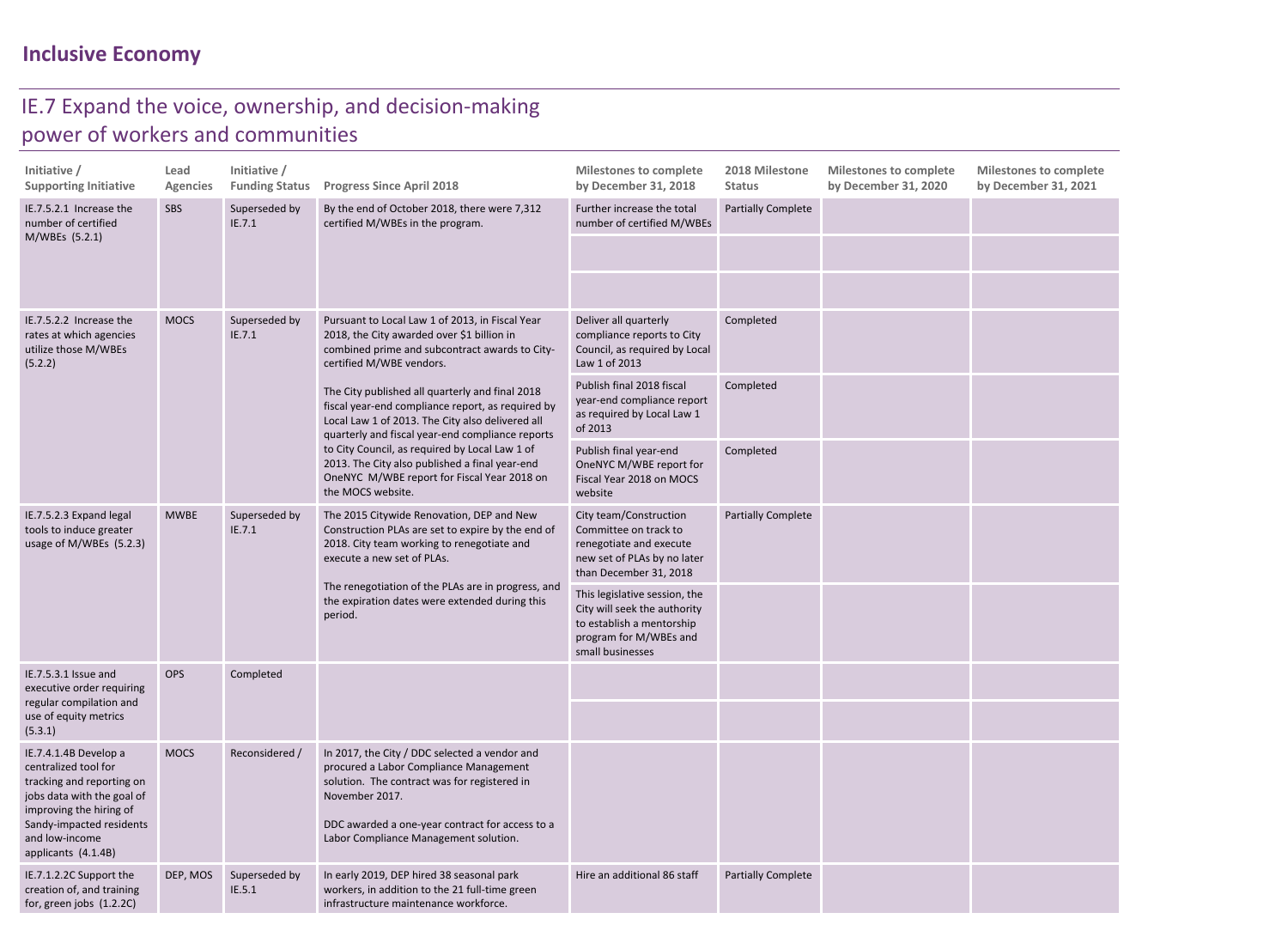### IE.7 Expand the voice, ownership, and decision-making power of workers and communities

| Initiative /<br><b>Supporting Initiative</b>                                                                                                                                                             | Lead<br><b>Agencies</b> | Initiative /<br><b>Funding Status</b> | <b>Progress Since April 2018</b>                                                                                                                                                                                                                                                                                                                                                                                                                                                                                                                                    | <b>Milestones to complete</b><br>by December 31, 2018                                                                                    | 2018 Milestone<br><b>Status</b> | <b>Milestones to complete</b><br>by December 31, 2020 | <b>Milestones to complete</b><br>by December 31, 2021 |
|----------------------------------------------------------------------------------------------------------------------------------------------------------------------------------------------------------|-------------------------|---------------------------------------|---------------------------------------------------------------------------------------------------------------------------------------------------------------------------------------------------------------------------------------------------------------------------------------------------------------------------------------------------------------------------------------------------------------------------------------------------------------------------------------------------------------------------------------------------------------------|------------------------------------------------------------------------------------------------------------------------------------------|---------------------------------|-------------------------------------------------------|-------------------------------------------------------|
| IE.7.5.2.1 Increase the<br>number of certified<br>M/WBEs (5.2.1)                                                                                                                                         | SBS                     | Superseded by<br>IE.7.1               | By the end of October 2018, there were 7,312<br>certified M/WBEs in the program.                                                                                                                                                                                                                                                                                                                                                                                                                                                                                    | Further increase the total<br>number of certified M/WBEs                                                                                 | <b>Partially Complete</b>       |                                                       |                                                       |
|                                                                                                                                                                                                          |                         |                                       |                                                                                                                                                                                                                                                                                                                                                                                                                                                                                                                                                                     |                                                                                                                                          |                                 |                                                       |                                                       |
|                                                                                                                                                                                                          |                         |                                       |                                                                                                                                                                                                                                                                                                                                                                                                                                                                                                                                                                     |                                                                                                                                          |                                 |                                                       |                                                       |
| <b>MOCS</b><br>IE.7.5.2.2 Increase the<br>rates at which agencies<br>utilize those M/WBEs<br>(5.2.2)                                                                                                     |                         | Superseded by<br>IE.7.1               | Pursuant to Local Law 1 of 2013, in Fiscal Year<br>2018, the City awarded over \$1 billion in<br>combined prime and subcontract awards to City-<br>certified M/WBE vendors.<br>The City published all quarterly and final 2018<br>fiscal year-end compliance report, as required by<br>Local Law 1 of 2013. The City also delivered all<br>quarterly and fiscal year-end compliance reports<br>to City Council, as required by Local Law 1 of<br>2013. The City also published a final year-end<br>OneNYC M/WBE report for Fiscal Year 2018 on<br>the MOCS website. | Deliver all quarterly<br>compliance reports to City<br>Council, as required by Local<br>Law 1 of 2013                                    | Completed                       |                                                       |                                                       |
|                                                                                                                                                                                                          |                         |                                       |                                                                                                                                                                                                                                                                                                                                                                                                                                                                                                                                                                     | Publish final 2018 fiscal<br>year-end compliance report<br>as required by Local Law 1<br>of 2013                                         | Completed                       |                                                       |                                                       |
|                                                                                                                                                                                                          |                         |                                       |                                                                                                                                                                                                                                                                                                                                                                                                                                                                                                                                                                     | Publish final year-end<br>OneNYC M/WBE report for<br>Fiscal Year 2018 on MOCS<br>website                                                 | Completed                       |                                                       |                                                       |
| IE.7.5.2.3 Expand legal<br>tools to induce greater<br>usage of M/WBEs (5.2.3)                                                                                                                            | <b>MWBE</b><br>IE.7.1   | Superseded by                         | The 2015 Citywide Renovation, DEP and New<br>Construction PLAs are set to expire by the end of<br>2018. City team working to renegotiate and<br>execute a new set of PLAs.<br>The renegotiation of the PLAs are in progress, and<br>the expiration dates were extended during this<br>period.                                                                                                                                                                                                                                                                       | City team/Construction<br>Committee on track to<br>renegotiate and execute<br>new set of PLAs by no later<br>than December 31, 2018      | Partially Complete              |                                                       |                                                       |
|                                                                                                                                                                                                          |                         |                                       |                                                                                                                                                                                                                                                                                                                                                                                                                                                                                                                                                                     | This legislative session, the<br>City will seek the authority<br>to establish a mentorship<br>program for M/WBEs and<br>small businesses |                                 |                                                       |                                                       |
| IE.7.5.3.1 Issue and<br>executive order requiring<br>regular compilation and                                                                                                                             | OPS                     | Completed                             |                                                                                                                                                                                                                                                                                                                                                                                                                                                                                                                                                                     |                                                                                                                                          |                                 |                                                       |                                                       |
| use of equity metrics<br>(5.3.1)                                                                                                                                                                         |                         |                                       |                                                                                                                                                                                                                                                                                                                                                                                                                                                                                                                                                                     |                                                                                                                                          |                                 |                                                       |                                                       |
| IE.7.4.1.4B Develop a<br>centralized tool for<br>tracking and reporting on<br>jobs data with the goal of<br>improving the hiring of<br>Sandy-impacted residents<br>and low-income<br>applicants (4.1.4B) | <b>MOCS</b>             | Reconsidered /                        | In 2017, the City / DDC selected a vendor and<br>procured a Labor Compliance Management<br>solution. The contract was for registered in<br>November 2017.<br>DDC awarded a one-year contract for access to a<br>Labor Compliance Management solution.                                                                                                                                                                                                                                                                                                               |                                                                                                                                          |                                 |                                                       |                                                       |
| IE.7.1.2.2C Support the<br>creation of, and training<br>for, green jobs (1.2.2C)                                                                                                                         | DEP, MOS                | Superseded by<br>IE.5.1               | In early 2019, DEP hired 38 seasonal park<br>workers, in addition to the 21 full-time green<br>infrastructure maintenance workforce.                                                                                                                                                                                                                                                                                                                                                                                                                                | Hire an additional 86 staff                                                                                                              | <b>Partially Complete</b>       |                                                       |                                                       |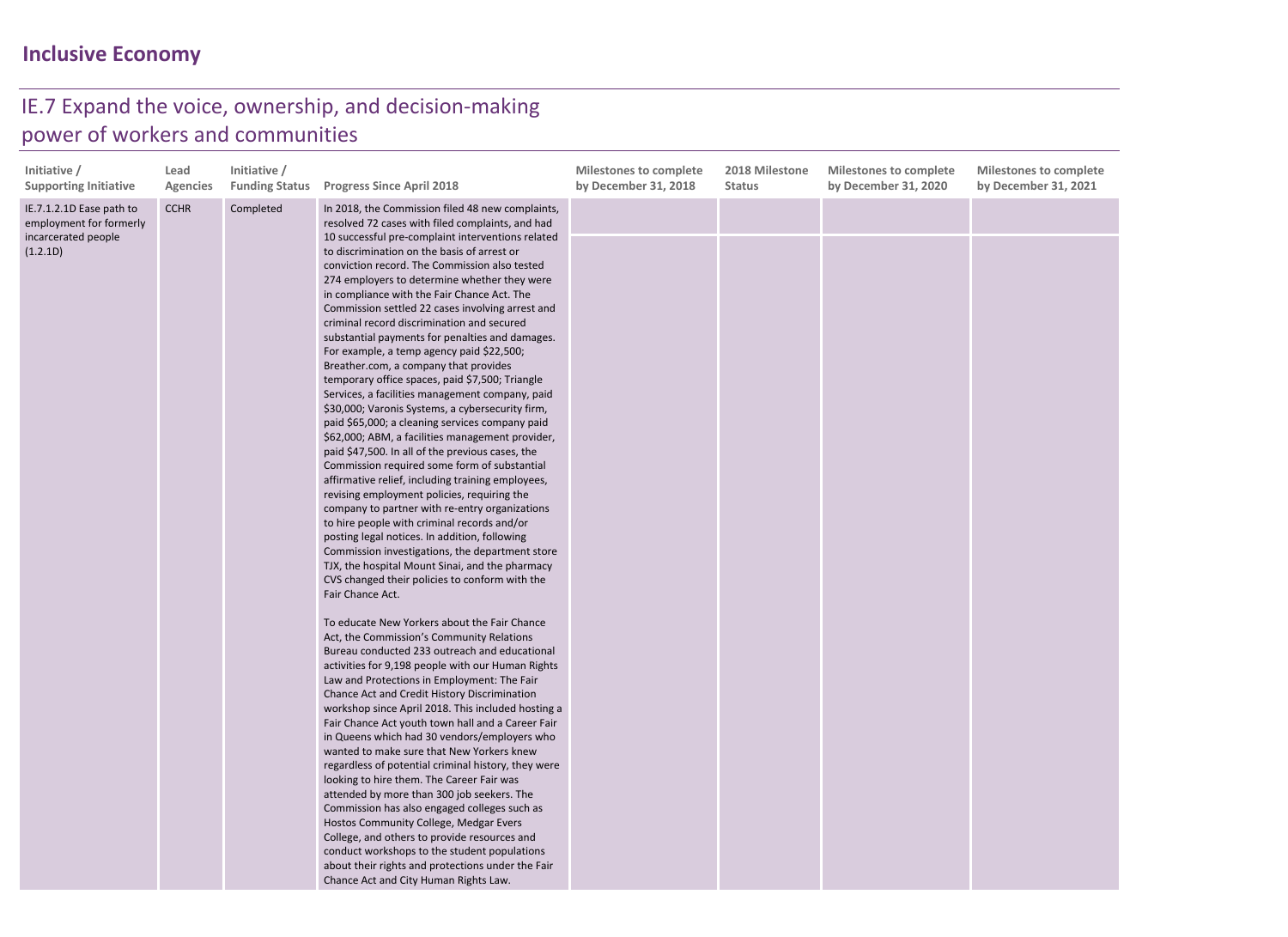#### IE.7 Expand the voice, ownership, and decision-making power of workers and communities

| Initiative /                                                                           | Lead            | Initiative /          | <b>Progress Since April 2018</b>                                                                                                                                                                                                                                                                                                                                                                                                                                                                                                                                                                                                                                                                                                                                                                                                                                                                                                                                                                                                                                                                                                                                                                                                                                                                                                                                                                                                                                                                                                                                                                                                                                                                                                                                                                                                                                                                                                                                                                                                                                                                                                                                                                                                                                                                                                                               | <b>Milestones to complete</b> | 2018 Milestone | <b>Milestones to complete</b> | <b>Milestones to complete</b> |
|----------------------------------------------------------------------------------------|-----------------|-----------------------|----------------------------------------------------------------------------------------------------------------------------------------------------------------------------------------------------------------------------------------------------------------------------------------------------------------------------------------------------------------------------------------------------------------------------------------------------------------------------------------------------------------------------------------------------------------------------------------------------------------------------------------------------------------------------------------------------------------------------------------------------------------------------------------------------------------------------------------------------------------------------------------------------------------------------------------------------------------------------------------------------------------------------------------------------------------------------------------------------------------------------------------------------------------------------------------------------------------------------------------------------------------------------------------------------------------------------------------------------------------------------------------------------------------------------------------------------------------------------------------------------------------------------------------------------------------------------------------------------------------------------------------------------------------------------------------------------------------------------------------------------------------------------------------------------------------------------------------------------------------------------------------------------------------------------------------------------------------------------------------------------------------------------------------------------------------------------------------------------------------------------------------------------------------------------------------------------------------------------------------------------------------------------------------------------------------------------------------------------------------|-------------------------------|----------------|-------------------------------|-------------------------------|
| <b>Supporting Initiative</b>                                                           | <b>Agencies</b> | <b>Funding Status</b> |                                                                                                                                                                                                                                                                                                                                                                                                                                                                                                                                                                                                                                                                                                                                                                                                                                                                                                                                                                                                                                                                                                                                                                                                                                                                                                                                                                                                                                                                                                                                                                                                                                                                                                                                                                                                                                                                                                                                                                                                                                                                                                                                                                                                                                                                                                                                                                | by December 31, 2018          | <b>Status</b>  | by December 31, 2020          | by December 31, 2021          |
| IE.7.1.2.1D Ease path to<br>employment for formerly<br>incarcerated people<br>(1.2.1D) | <b>CCHR</b>     | Completed             | In 2018, the Commission filed 48 new complaints,<br>resolved 72 cases with filed complaints, and had<br>10 successful pre-complaint interventions related<br>to discrimination on the basis of arrest or<br>conviction record. The Commission also tested<br>274 employers to determine whether they were<br>in compliance with the Fair Chance Act. The<br>Commission settled 22 cases involving arrest and<br>criminal record discrimination and secured<br>substantial payments for penalties and damages.<br>For example, a temp agency paid \$22,500;<br>Breather.com, a company that provides<br>temporary office spaces, paid \$7,500; Triangle<br>Services, a facilities management company, paid<br>\$30,000; Varonis Systems, a cybersecurity firm,<br>paid \$65,000; a cleaning services company paid<br>\$62,000; ABM, a facilities management provider,<br>paid \$47,500. In all of the previous cases, the<br>Commission required some form of substantial<br>affirmative relief, including training employees,<br>revising employment policies, requiring the<br>company to partner with re-entry organizations<br>to hire people with criminal records and/or<br>posting legal notices. In addition, following<br>Commission investigations, the department store<br>TJX, the hospital Mount Sinai, and the pharmacy<br>CVS changed their policies to conform with the<br>Fair Chance Act.<br>To educate New Yorkers about the Fair Chance<br>Act, the Commission's Community Relations<br>Bureau conducted 233 outreach and educational<br>activities for 9,198 people with our Human Rights<br>Law and Protections in Employment: The Fair<br>Chance Act and Credit History Discrimination<br>workshop since April 2018. This included hosting a<br>Fair Chance Act youth town hall and a Career Fair<br>in Queens which had 30 vendors/employers who<br>wanted to make sure that New Yorkers knew<br>regardless of potential criminal history, they were<br>looking to hire them. The Career Fair was<br>attended by more than 300 job seekers. The<br>Commission has also engaged colleges such as<br>Hostos Community College, Medgar Evers<br>College, and others to provide resources and<br>conduct workshops to the student populations<br>about their rights and protections under the Fair<br>Chance Act and City Human Rights Law. |                               |                |                               |                               |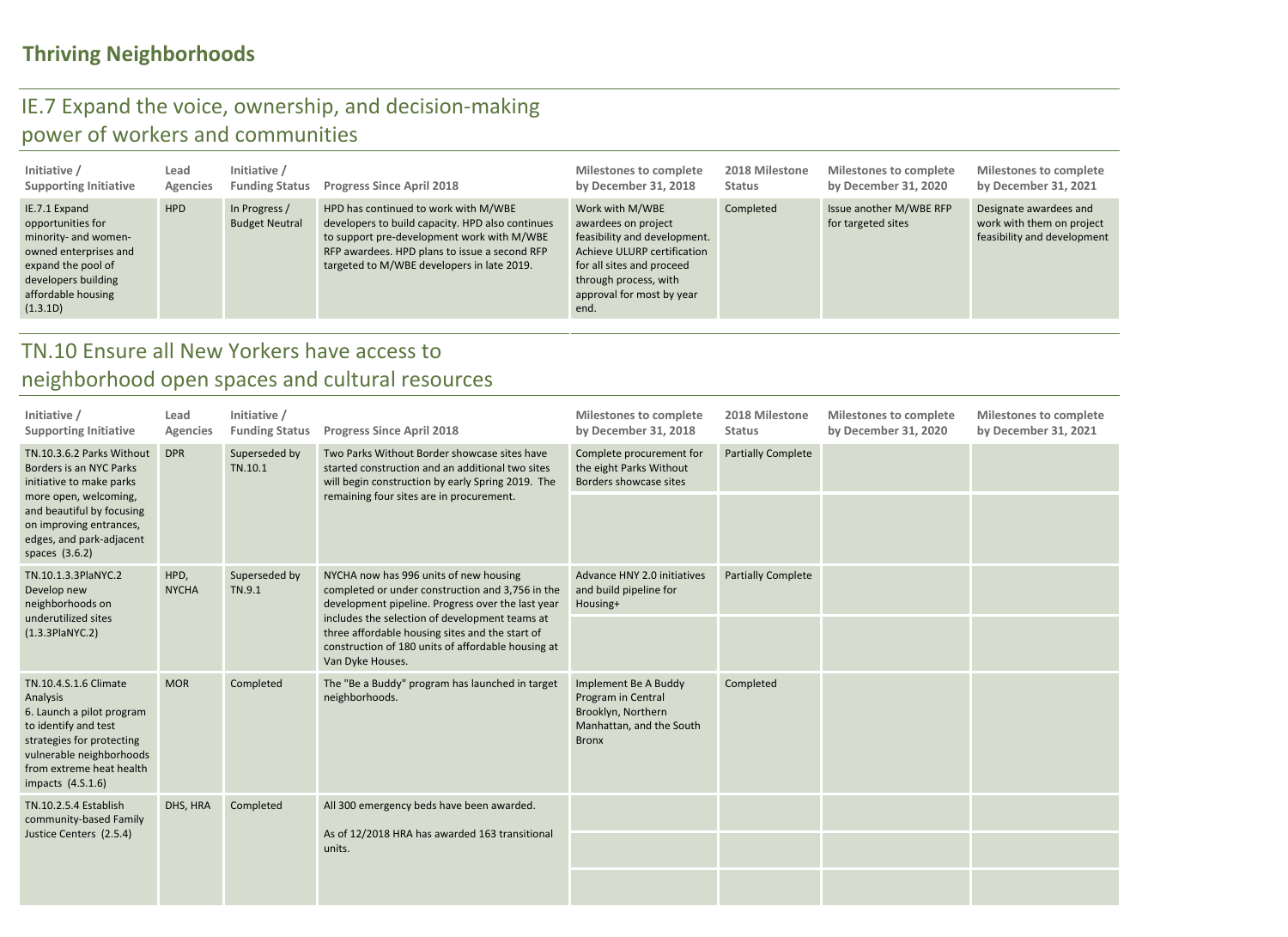#### IE.7 Expand the voice, ownership, and decision-making power of workers and communities

| Initiative /                                                                                                                                                       | Lead       | Initiative /                           | <b>Progress Since April 2018</b>                                                                                                                                                                                                      | <b>Milestones to complete</b>                                                                                                                                                                    | 2018 Milestone | <b>Milestones to complete</b>                 | <b>Milestones to complete</b>                                                      |
|--------------------------------------------------------------------------------------------------------------------------------------------------------------------|------------|----------------------------------------|---------------------------------------------------------------------------------------------------------------------------------------------------------------------------------------------------------------------------------------|--------------------------------------------------------------------------------------------------------------------------------------------------------------------------------------------------|----------------|-----------------------------------------------|------------------------------------------------------------------------------------|
| <b>Supporting Initiative</b>                                                                                                                                       | Agencies   | <b>Funding Status</b>                  |                                                                                                                                                                                                                                       | by December 31, 2018                                                                                                                                                                             | <b>Status</b>  | by December 31, 2020                          | by December 31, 2021                                                               |
| IE.7.1 Expand<br>opportunities for<br>minority- and women-<br>owned enterprises and<br>expand the pool of<br>developers building<br>affordable housing<br>(1.3.1D) | <b>HPD</b> | In Progress /<br><b>Budget Neutral</b> | HPD has continued to work with M/WBE<br>developers to build capacity. HPD also continues<br>to support pre-development work with M/WBE<br>RFP awardees. HPD plans to issue a second RFP<br>targeted to M/WBE developers in late 2019. | Work with M/WBE<br>awardees on project<br>feasibility and development.<br>Achieve ULURP certification<br>for all sites and proceed<br>through process, with<br>approval for most by year<br>end. | Completed      | Issue another M/WBE RFP<br>for targeted sites | Designate awardees and<br>work with them on project<br>feasibility and development |

| Initiative /<br><b>Supporting Initiative</b>                                                                                                                                                                                    | Lead<br><b>Agencies</b> | Initiative /<br><b>Funding Status</b>                                                                                                           | <b>Progress Since April 2018</b>                                                                                                                                                                  | <b>Milestones to complete</b><br>by December 31, 2018                                                        | 2018 Milestone<br><b>Status</b> | <b>Milestones to complete</b><br>by December 31, 2020 | <b>Milestones to complete</b><br>by December 31, 2021 |
|---------------------------------------------------------------------------------------------------------------------------------------------------------------------------------------------------------------------------------|-------------------------|-------------------------------------------------------------------------------------------------------------------------------------------------|---------------------------------------------------------------------------------------------------------------------------------------------------------------------------------------------------|--------------------------------------------------------------------------------------------------------------|---------------------------------|-------------------------------------------------------|-------------------------------------------------------|
| <b>DPR</b><br>TN.10.3.6.2 Parks Without<br>Borders is an NYC Parks<br>initiative to make parks<br>more open, welcoming,<br>and beautiful by focusing<br>on improving entrances,<br>edges, and park-adjacent<br>spaces $(3.6.2)$ |                         | Superseded by<br>TN.10.1                                                                                                                        | Two Parks Without Border showcase sites have<br>started construction and an additional two sites<br>will begin construction by early Spring 2019. The<br>remaining four sites are in procurement. | Complete procurement for<br>the eight Parks Without<br>Borders showcase sites                                | <b>Partially Complete</b>       |                                                       |                                                       |
|                                                                                                                                                                                                                                 |                         |                                                                                                                                                 |                                                                                                                                                                                                   |                                                                                                              |                                 |                                                       |                                                       |
| TN.10.1.3.3PlaNYC.2<br>HPD,<br>Develop new<br><b>NYCHA</b><br>neighborhoods on<br>underutilized sites<br>$(1.3.3P$ laNYC.2)                                                                                                     | Superseded by<br>TN.9.1 | NYCHA now has 996 units of new housing<br>completed or under construction and 3,756 in the<br>development pipeline. Progress over the last year | Advance HNY 2.0 initiatives<br>and build pipeline for<br>Housing+                                                                                                                                 | <b>Partially Complete</b>                                                                                    |                                 |                                                       |                                                       |
|                                                                                                                                                                                                                                 |                         |                                                                                                                                                 | includes the selection of development teams at<br>three affordable housing sites and the start of<br>construction of 180 units of affordable housing at<br>Van Dyke Houses.                       |                                                                                                              |                                 |                                                       |                                                       |
| TN.10.4.S.1.6 Climate<br>Analysis<br>6. Launch a pilot program<br>to identify and test<br>strategies for protecting<br>vulnerable neighborhoods<br>from extreme heat health<br>impacts (4.S.1.6)                                | <b>MOR</b>              | Completed                                                                                                                                       | The "Be a Buddy" program has launched in target<br>neighborhoods.                                                                                                                                 | Implement Be A Buddy<br>Program in Central<br>Brooklyn, Northern<br>Manhattan, and the South<br><b>Bronx</b> | Completed                       |                                                       |                                                       |
| TN.10.2.5.4 Establish<br>community-based Family                                                                                                                                                                                 | DHS, HRA                | Completed                                                                                                                                       | All 300 emergency beds have been awarded.                                                                                                                                                         |                                                                                                              |                                 |                                                       |                                                       |
| Justice Centers (2.5.4)                                                                                                                                                                                                         |                         |                                                                                                                                                 | As of 12/2018 HRA has awarded 163 transitional<br>units.                                                                                                                                          |                                                                                                              |                                 |                                                       |                                                       |
|                                                                                                                                                                                                                                 |                         |                                                                                                                                                 |                                                                                                                                                                                                   |                                                                                                              |                                 |                                                       |                                                       |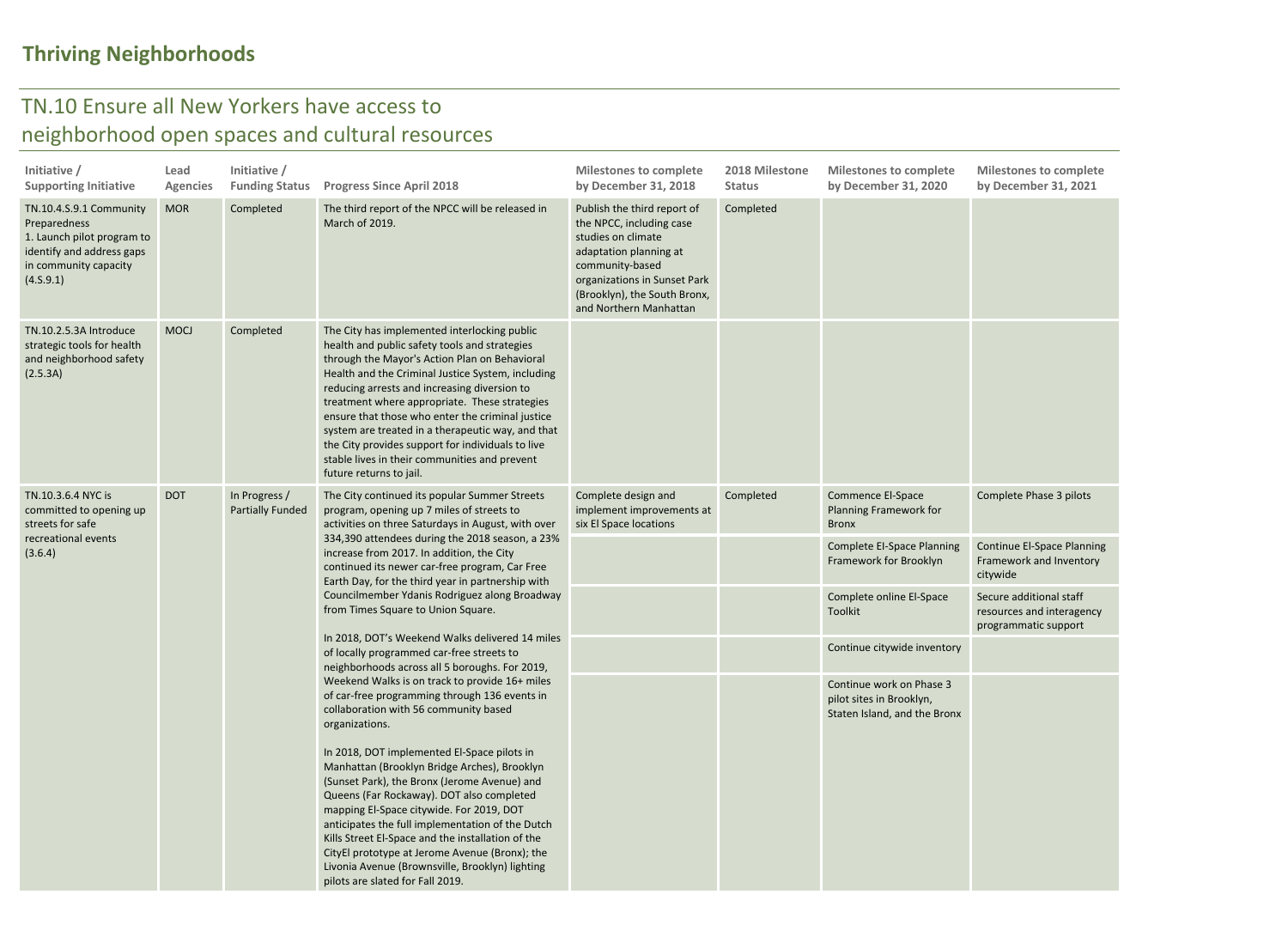| Initiative $/$<br><b>Supporting Initiative</b>                                                                                           | Lead<br><b>Agencies</b> | Initiative /<br><b>Funding Status</b>    | <b>Progress Since April 2018</b>                                                                                                                                                                                                                                                                                                                                                                                                                                                                                                               | <b>Milestones to complete</b><br>by December 31, 2018                                                                                                                                                                | 2018 Milestone<br><b>Status</b> | <b>Milestones to complete</b><br>by December 31, 2020                                | <b>Milestones to complete</b><br>by December 31, 2021                        |
|------------------------------------------------------------------------------------------------------------------------------------------|-------------------------|------------------------------------------|------------------------------------------------------------------------------------------------------------------------------------------------------------------------------------------------------------------------------------------------------------------------------------------------------------------------------------------------------------------------------------------------------------------------------------------------------------------------------------------------------------------------------------------------|----------------------------------------------------------------------------------------------------------------------------------------------------------------------------------------------------------------------|---------------------------------|--------------------------------------------------------------------------------------|------------------------------------------------------------------------------|
| TN.10.4.S.9.1 Community<br>Preparedness<br>1. Launch pilot program to<br>identify and address gaps<br>in community capacity<br>(4.5.9.1) | <b>MOR</b>              | Completed                                | The third report of the NPCC will be released in<br>March of 2019.                                                                                                                                                                                                                                                                                                                                                                                                                                                                             | Publish the third report of<br>the NPCC, including case<br>studies on climate<br>adaptation planning at<br>community-based<br>organizations in Sunset Park<br>(Brooklyn), the South Bronx,<br>and Northern Manhattan | Completed                       |                                                                                      |                                                                              |
| TN.10.2.5.3A Introduce<br>strategic tools for health<br>and neighborhood safety<br>(2.5.3A)                                              | <b>MOCJ</b>             | Completed                                | The City has implemented interlocking public<br>health and public safety tools and strategies<br>through the Mayor's Action Plan on Behavioral<br>Health and the Criminal Justice System, including<br>reducing arrests and increasing diversion to<br>treatment where appropriate. These strategies<br>ensure that those who enter the criminal justice<br>system are treated in a therapeutic way, and that<br>the City provides support for individuals to live<br>stable lives in their communities and prevent<br>future returns to jail. |                                                                                                                                                                                                                      |                                 |                                                                                      |                                                                              |
| TN.10.3.6.4 NYC is<br>committed to opening up<br>streets for safe                                                                        | <b>DOT</b>              | In Progress /<br><b>Partially Funded</b> | The City continued its popular Summer Streets<br>program, opening up 7 miles of streets to<br>activities on three Saturdays in August, with over<br>334,390 attendees during the 2018 season, a 23%<br>increase from 2017. In addition, the City<br>continued its newer car-free program, Car Free<br>Earth Day, for the third year in partnership with<br>Councilmember Ydanis Rodriguez along Broadway<br>from Times Square to Union Square.                                                                                                 | Complete design and<br>implement improvements at<br>six El Space locations                                                                                                                                           | Completed                       | Commence El-Space<br>Planning Framework for<br><b>Bronx</b>                          | Complete Phase 3 pilots                                                      |
| recreational events<br>(3.6.4)                                                                                                           |                         |                                          |                                                                                                                                                                                                                                                                                                                                                                                                                                                                                                                                                |                                                                                                                                                                                                                      |                                 | <b>Complete EI-Space Planning</b><br>Framework for Brooklyn                          | <b>Continue El-Space Planning</b><br>Framework and Inventory<br>citywide     |
|                                                                                                                                          |                         |                                          |                                                                                                                                                                                                                                                                                                                                                                                                                                                                                                                                                |                                                                                                                                                                                                                      |                                 | Complete online El-Space<br>Toolkit                                                  | Secure additional staff<br>resources and interagency<br>programmatic support |
|                                                                                                                                          |                         |                                          | In 2018, DOT's Weekend Walks delivered 14 miles<br>of locally programmed car-free streets to<br>neighborhoods across all 5 boroughs. For 2019,                                                                                                                                                                                                                                                                                                                                                                                                 |                                                                                                                                                                                                                      |                                 | Continue citywide inventory                                                          |                                                                              |
|                                                                                                                                          |                         |                                          | Weekend Walks is on track to provide 16+ miles<br>of car-free programming through 136 events in<br>collaboration with 56 community based<br>organizations.                                                                                                                                                                                                                                                                                                                                                                                     |                                                                                                                                                                                                                      |                                 | Continue work on Phase 3<br>pilot sites in Brooklyn,<br>Staten Island, and the Bronx |                                                                              |
|                                                                                                                                          |                         |                                          | In 2018, DOT implemented El-Space pilots in<br>Manhattan (Brooklyn Bridge Arches), Brooklyn<br>(Sunset Park), the Bronx (Jerome Avenue) and<br>Queens (Far Rockaway). DOT also completed<br>mapping El-Space citywide. For 2019, DOT<br>anticipates the full implementation of the Dutch<br>Kills Street El-Space and the installation of the<br>CityEl prototype at Jerome Avenue (Bronx); the<br>Livonia Avenue (Brownsville, Brooklyn) lighting<br>pilots are slated for Fall 2019.                                                         |                                                                                                                                                                                                                      |                                 |                                                                                      |                                                                              |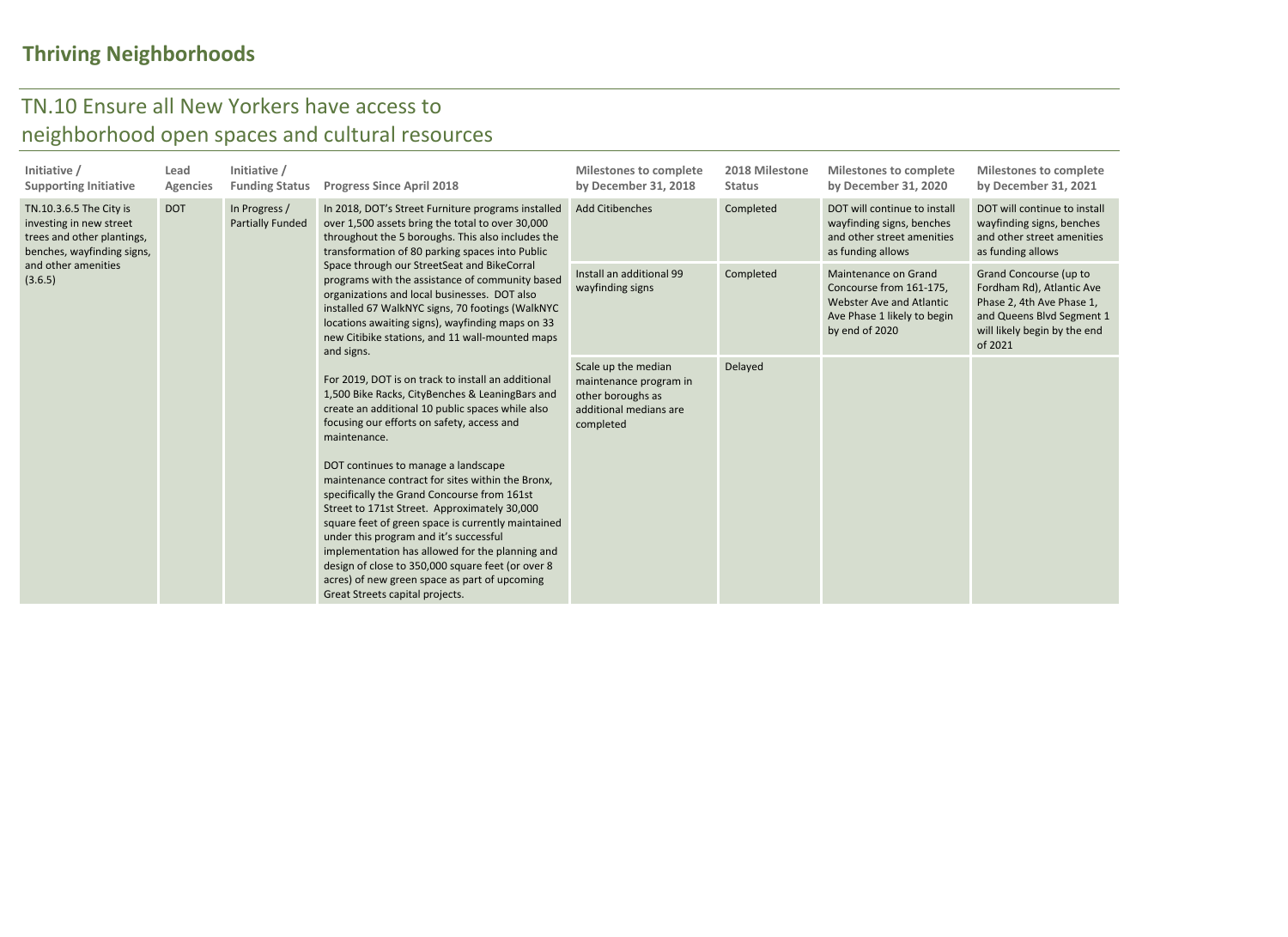| Initiative /<br><b>Supporting Initiative</b>                                                                                                     | Lead<br><b>Agencies</b> | Initiative /<br><b>Funding Status</b>                                                                                                                                                                                                                      | <b>Progress Since April 2018</b>                                                                                                                                                                                                                                                                                                                                                                                                                                                   | <b>Milestones to complete</b><br>by December 31, 2018                                                     | 2018 Milestone<br><b>Status</b>                                                                              | <b>Milestones to complete</b><br>by December 31, 2020                                                                        | <b>Milestones to complete</b><br>by December 31, 2021                                                                                                    |
|--------------------------------------------------------------------------------------------------------------------------------------------------|-------------------------|------------------------------------------------------------------------------------------------------------------------------------------------------------------------------------------------------------------------------------------------------------|------------------------------------------------------------------------------------------------------------------------------------------------------------------------------------------------------------------------------------------------------------------------------------------------------------------------------------------------------------------------------------------------------------------------------------------------------------------------------------|-----------------------------------------------------------------------------------------------------------|--------------------------------------------------------------------------------------------------------------|------------------------------------------------------------------------------------------------------------------------------|----------------------------------------------------------------------------------------------------------------------------------------------------------|
| TN.10.3.6.5 The City is<br>investing in new street<br>trees and other plantings,<br>benches, wayfinding signs,<br>and other amenities<br>(3.6.5) | <b>DOT</b>              | In Progress /<br>In 2018, DOT's Street Furniture programs installed<br><b>Partially Funded</b><br>over 1,500 assets bring the total to over 30,000<br>throughout the 5 boroughs. This also includes the<br>transformation of 80 parking spaces into Public | <b>Add Citibenches</b>                                                                                                                                                                                                                                                                                                                                                                                                                                                             | Completed                                                                                                 | DOT will continue to install<br>wayfinding signs, benches<br>and other street amenities<br>as funding allows | DOT will continue to install<br>wayfinding signs, benches<br>and other street amenities<br>as funding allows                 |                                                                                                                                                          |
|                                                                                                                                                  |                         |                                                                                                                                                                                                                                                            | Space through our StreetSeat and BikeCorral<br>programs with the assistance of community based<br>organizations and local businesses. DOT also<br>installed 67 WalkNYC signs, 70 footings (WalkNYC<br>locations awaiting signs), wayfinding maps on 33<br>new Citibike stations, and 11 wall-mounted maps<br>and signs.                                                                                                                                                            | Install an additional 99<br>wayfinding signs                                                              | Completed                                                                                                    | Maintenance on Grand<br>Concourse from 161-175,<br>Webster Ave and Atlantic<br>Ave Phase 1 likely to begin<br>by end of 2020 | Grand Concourse (up to<br>Fordham Rd), Atlantic Ave<br>Phase 2, 4th Ave Phase 1,<br>and Queens Blvd Segment 1<br>will likely begin by the end<br>of 2021 |
|                                                                                                                                                  |                         |                                                                                                                                                                                                                                                            | For 2019, DOT is on track to install an additional<br>1,500 Bike Racks, CityBenches & LeaningBars and<br>create an additional 10 public spaces while also<br>focusing our efforts on safety, access and<br>maintenance.                                                                                                                                                                                                                                                            | Scale up the median<br>maintenance program in<br>other boroughs as<br>additional medians are<br>completed | Delayed                                                                                                      |                                                                                                                              |                                                                                                                                                          |
|                                                                                                                                                  |                         |                                                                                                                                                                                                                                                            | DOT continues to manage a landscape<br>maintenance contract for sites within the Bronx,<br>specifically the Grand Concourse from 161st<br>Street to 171st Street. Approximately 30,000<br>square feet of green space is currently maintained<br>under this program and it's successful<br>implementation has allowed for the planning and<br>design of close to 350,000 square feet (or over 8<br>acres) of new green space as part of upcoming<br>Great Streets capital projects. |                                                                                                           |                                                                                                              |                                                                                                                              |                                                                                                                                                          |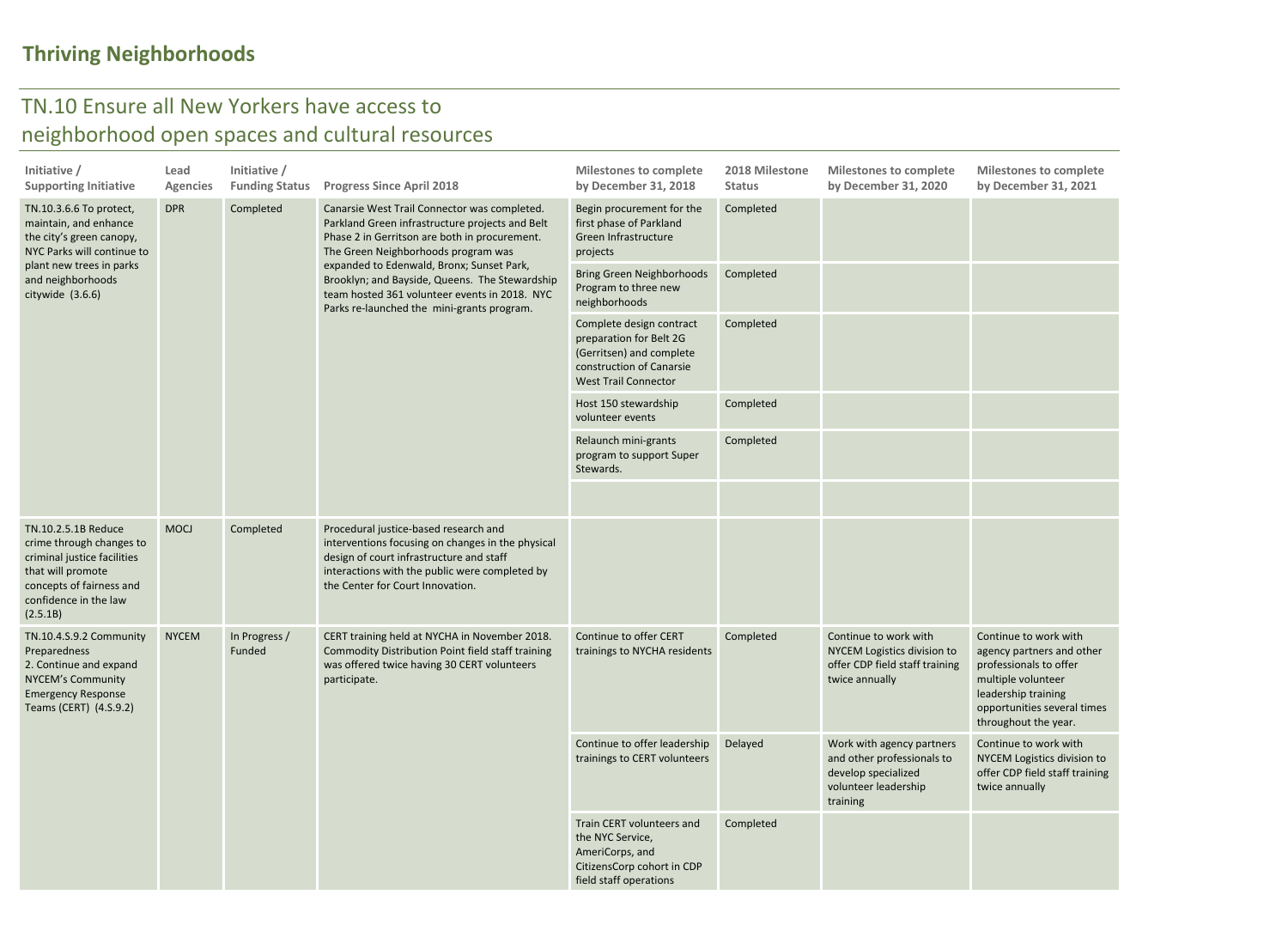| Initiative /<br><b>Supporting Initiative</b>                                                                                                                         | Lead<br><b>Agencies</b> | Initiative /<br><b>Funding Status</b> | <b>Progress Since April 2018</b>                                                                                                                                                                                             | <b>Milestones to complete</b><br>by December 31, 2018                                                                                      | 2018 Milestone<br><b>Status</b> | <b>Milestones to complete</b><br>by December 31, 2020                                                              | <b>Milestones to complete</b><br>by December 31, 2021                                                                                                                            |
|----------------------------------------------------------------------------------------------------------------------------------------------------------------------|-------------------------|---------------------------------------|------------------------------------------------------------------------------------------------------------------------------------------------------------------------------------------------------------------------------|--------------------------------------------------------------------------------------------------------------------------------------------|---------------------------------|--------------------------------------------------------------------------------------------------------------------|----------------------------------------------------------------------------------------------------------------------------------------------------------------------------------|
| TN.10.3.6.6 To protect,<br>maintain, and enhance<br>the city's green canopy,<br>NYC Parks will continue to                                                           | <b>DPR</b>              | Completed                             | Canarsie West Trail Connector was completed.<br>Parkland Green infrastructure projects and Belt<br>Phase 2 in Gerritson are both in procurement.<br>The Green Neighborhoods program was                                      | Begin procurement for the<br>first phase of Parkland<br>Green Infrastructure<br>projects                                                   | Completed                       |                                                                                                                    |                                                                                                                                                                                  |
| plant new trees in parks<br>and neighborhoods<br>citywide (3.6.6)                                                                                                    |                         |                                       | expanded to Edenwald, Bronx; Sunset Park,<br>Brooklyn; and Bayside, Queens. The Stewardship<br>team hosted 361 volunteer events in 2018. NYC<br>Parks re-launched the mini-grants program.                                   | <b>Bring Green Neighborhoods</b><br>Program to three new<br>neighborhoods                                                                  | Completed                       |                                                                                                                    |                                                                                                                                                                                  |
|                                                                                                                                                                      |                         |                                       |                                                                                                                                                                                                                              | Complete design contract<br>preparation for Belt 2G<br>(Gerritsen) and complete<br>construction of Canarsie<br><b>West Trail Connector</b> | Completed                       |                                                                                                                    |                                                                                                                                                                                  |
|                                                                                                                                                                      |                         |                                       |                                                                                                                                                                                                                              | Host 150 stewardship<br>volunteer events                                                                                                   | Completed                       |                                                                                                                    |                                                                                                                                                                                  |
|                                                                                                                                                                      |                         |                                       |                                                                                                                                                                                                                              | Relaunch mini-grants<br>program to support Super<br>Stewards.                                                                              | Completed                       |                                                                                                                    |                                                                                                                                                                                  |
|                                                                                                                                                                      |                         |                                       |                                                                                                                                                                                                                              |                                                                                                                                            |                                 |                                                                                                                    |                                                                                                                                                                                  |
| TN.10.2.5.1B Reduce<br>crime through changes to<br>criminal justice facilities<br>that will promote<br>concepts of fairness and<br>confidence in the law<br>(2.5.1B) | <b>MOCJ</b>             | Completed                             | Procedural justice-based research and<br>interventions focusing on changes in the physical<br>design of court infrastructure and staff<br>interactions with the public were completed by<br>the Center for Court Innovation. |                                                                                                                                            |                                 |                                                                                                                    |                                                                                                                                                                                  |
| TN.10.4.S.9.2 Community<br>Preparedness<br>2. Continue and expand<br><b>NYCEM's Community</b><br><b>Emergency Response</b><br>Teams (CERT) (4.S.9.2)                 | <b>NYCEM</b>            | In Progress /<br>Funded               | CERT training held at NYCHA in November 2018.<br>Commodity Distribution Point field staff training<br>was offered twice having 30 CERT volunteers<br>participate.                                                            | Continue to offer CERT<br>trainings to NYCHA residents                                                                                     | Completed                       | Continue to work with<br>NYCEM Logistics division to<br>offer CDP field staff training<br>twice annually           | Continue to work with<br>agency partners and other<br>professionals to offer<br>multiple volunteer<br>leadership training<br>opportunities several times<br>throughout the year. |
|                                                                                                                                                                      |                         |                                       |                                                                                                                                                                                                                              | Continue to offer leadership  Delayed<br>trainings to CERT volunteers                                                                      |                                 | Work with agency partners<br>and other professionals to<br>develop specialized<br>volunteer leadership<br>training | Continue to work with<br>NYCEM Logistics division to<br>offer CDP field staff training<br>twice annually                                                                         |
|                                                                                                                                                                      |                         |                                       |                                                                                                                                                                                                                              | Train CERT volunteers and<br>the NYC Service,<br>AmeriCorps, and<br>CitizensCorp cohort in CDP<br>field staff operations                   | Completed                       |                                                                                                                    |                                                                                                                                                                                  |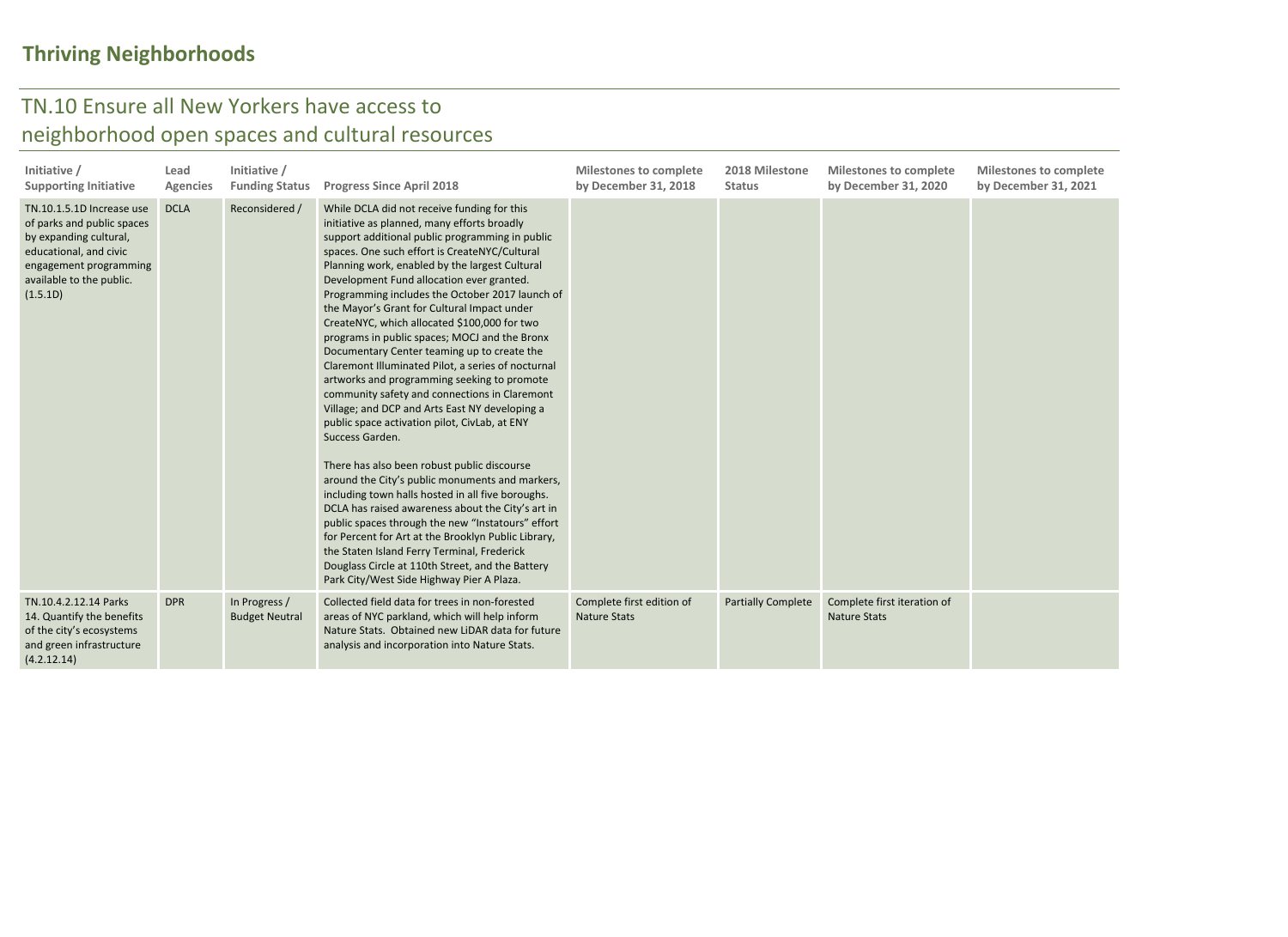| Initiative /<br><b>Supporting Initiative</b>                                                                                                                                  | Lead<br><b>Agencies</b> | Initiative /<br><b>Funding Status</b>  | <b>Progress Since April 2018</b>                                                                                                                                                                                                                                                                                                                                                                                                                                                                                                                                                                                                                                                                                                                                                                                                                                                                                                                                                                                                                                                                                                                                                                                                                                                                    | <b>Milestones to complete</b><br>by December 31, 2018 | 2018 Milestone<br><b>Status</b> | <b>Milestones to complete</b><br>by December 31, 2020 | <b>Milestones to complete</b><br>by December 31, 2021 |
|-------------------------------------------------------------------------------------------------------------------------------------------------------------------------------|-------------------------|----------------------------------------|-----------------------------------------------------------------------------------------------------------------------------------------------------------------------------------------------------------------------------------------------------------------------------------------------------------------------------------------------------------------------------------------------------------------------------------------------------------------------------------------------------------------------------------------------------------------------------------------------------------------------------------------------------------------------------------------------------------------------------------------------------------------------------------------------------------------------------------------------------------------------------------------------------------------------------------------------------------------------------------------------------------------------------------------------------------------------------------------------------------------------------------------------------------------------------------------------------------------------------------------------------------------------------------------------------|-------------------------------------------------------|---------------------------------|-------------------------------------------------------|-------------------------------------------------------|
| TN.10.1.5.1D Increase use<br>of parks and public spaces<br>by expanding cultural,<br>educational, and civic<br>engagement programming<br>available to the public.<br>(1.5.1D) | <b>DCLA</b>             | Reconsidered /                         | While DCLA did not receive funding for this<br>initiative as planned, many efforts broadly<br>support additional public programming in public<br>spaces. One such effort is CreateNYC/Cultural<br>Planning work, enabled by the largest Cultural<br>Development Fund allocation ever granted.<br>Programming includes the October 2017 launch of<br>the Mayor's Grant for Cultural Impact under<br>CreateNYC, which allocated \$100,000 for two<br>programs in public spaces; MOCJ and the Bronx<br>Documentary Center teaming up to create the<br>Claremont Illuminated Pilot, a series of nocturnal<br>artworks and programming seeking to promote<br>community safety and connections in Claremont<br>Village; and DCP and Arts East NY developing a<br>public space activation pilot, CivLab, at ENY<br>Success Garden.<br>There has also been robust public discourse<br>around the City's public monuments and markers,<br>including town halls hosted in all five boroughs.<br>DCLA has raised awareness about the City's art in<br>public spaces through the new "Instatours" effort<br>for Percent for Art at the Brooklyn Public Library,<br>the Staten Island Ferry Terminal, Frederick<br>Douglass Circle at 110th Street, and the Battery<br>Park City/West Side Highway Pier A Plaza. |                                                       |                                 |                                                       |                                                       |
| TN.10.4.2.12.14 Parks<br>14. Quantify the benefits<br>of the city's ecosystems<br>and green infrastructure<br>(4.2.12.14)                                                     | <b>DPR</b>              | In Progress /<br><b>Budget Neutral</b> | Collected field data for trees in non-forested<br>areas of NYC parkland, which will help inform<br>Nature Stats. Obtained new LiDAR data for future<br>analysis and incorporation into Nature Stats.                                                                                                                                                                                                                                                                                                                                                                                                                                                                                                                                                                                                                                                                                                                                                                                                                                                                                                                                                                                                                                                                                                | Complete first edition of<br><b>Nature Stats</b>      | <b>Partially Complete</b>       | Complete first iteration of<br><b>Nature Stats</b>    |                                                       |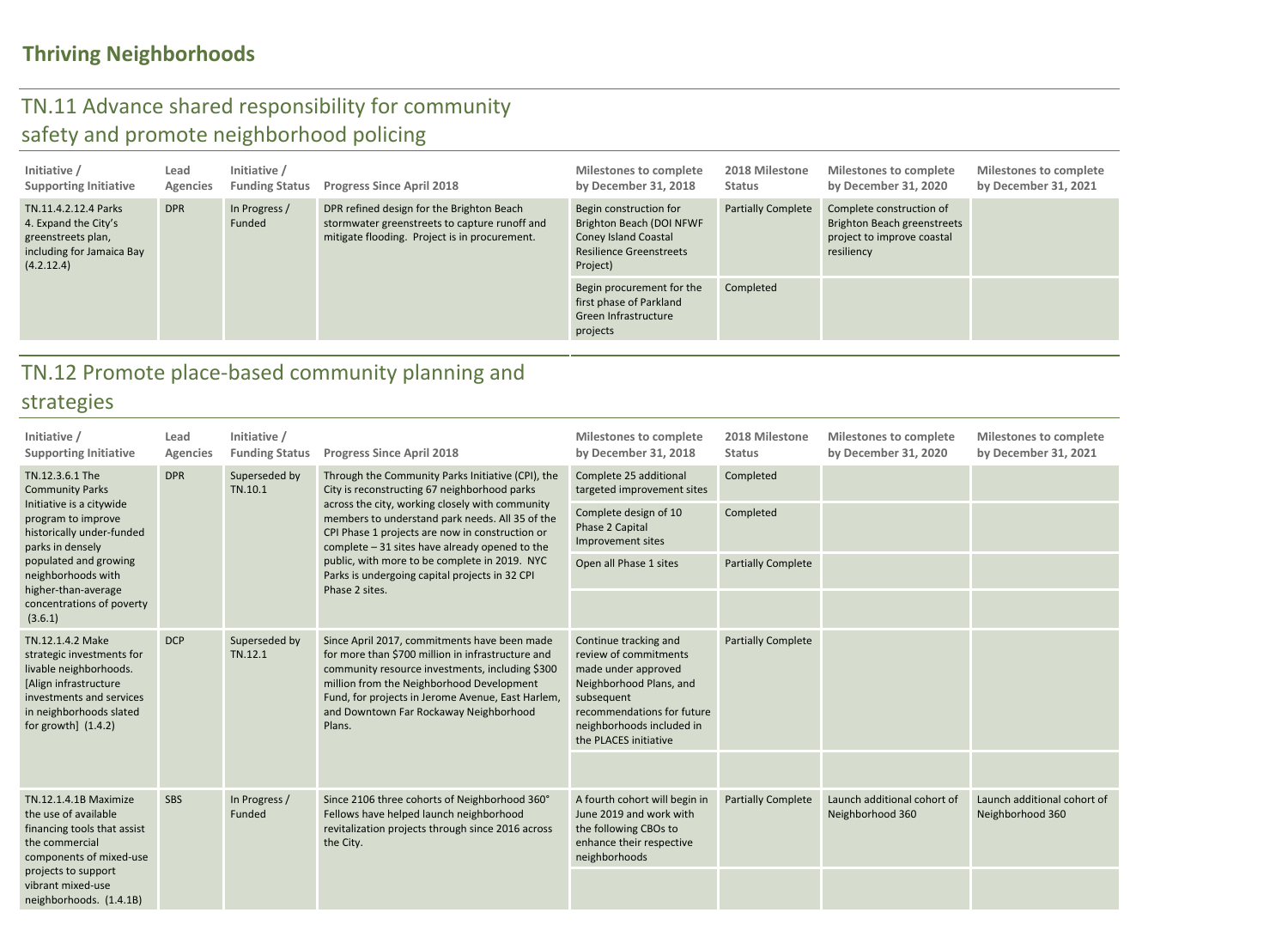#### TN.11 Advance shared responsibility for community safety and promote neighborhood policing

| Initiative /<br><b>Supporting Initiative</b>                                                                  | Lead<br>Agencies | Initiative /<br><b>Funding Status</b> | <b>Progress Since April 2018</b>                                                                                                            | Milestones to complete<br>by December 31, 2018                                                                                  | 2018 Milestone<br><b>Status</b> | <b>Milestones to complete</b><br>by December 31, 2020                                               | Milestones to complete<br>by December 31, 2021 |
|---------------------------------------------------------------------------------------------------------------|------------------|---------------------------------------|---------------------------------------------------------------------------------------------------------------------------------------------|---------------------------------------------------------------------------------------------------------------------------------|---------------------------------|-----------------------------------------------------------------------------------------------------|------------------------------------------------|
| TN.11.4.2.12.4 Parks<br>4. Expand the City's<br>greenstreets plan,<br>including for Jamaica Bay<br>(4.2.12.4) | <b>DPR</b>       | In Progress /<br>Funded               | DPR refined design for the Brighton Beach<br>stormwater greenstreets to capture runoff and<br>mitigate flooding. Project is in procurement. | Begin construction for<br>Brighton Beach (DOI NFWF<br><b>Coney Island Coastal</b><br><b>Resilience Greenstreets</b><br>Project) | <b>Partially Complete</b>       | Complete construction of<br>Brighton Beach greenstreets<br>project to improve coastal<br>resiliency |                                                |
|                                                                                                               |                  |                                       |                                                                                                                                             | Begin procurement for the<br>first phase of Parkland<br>Green Infrastructure<br>projects                                        | Completed                       |                                                                                                     |                                                |

### TN.12 Promote place-based community planning and strategies

| Initiative /<br><b>Supporting Initiative</b>                                                                                                                                   | Lead<br><b>Agencies</b> | Initiative /<br><b>Funding Status</b> | <b>Progress Since April 2018</b>                                                                                                                                                                                                                                                                           | <b>Milestones to complete</b><br>by December 31, 2018                                                                                                                                              | 2018 Milestone<br><b>Status</b> | <b>Milestones to complete</b><br>by December 31, 2020 | <b>Milestones to complete</b><br>by December 31, 2021 |
|--------------------------------------------------------------------------------------------------------------------------------------------------------------------------------|-------------------------|---------------------------------------|------------------------------------------------------------------------------------------------------------------------------------------------------------------------------------------------------------------------------------------------------------------------------------------------------------|----------------------------------------------------------------------------------------------------------------------------------------------------------------------------------------------------|---------------------------------|-------------------------------------------------------|-------------------------------------------------------|
| TN.12.3.6.1 The<br><b>Community Parks</b>                                                                                                                                      | <b>DPR</b>              | Superseded by<br>TN.10.1              | Through the Community Parks Initiative (CPI), the<br>City is reconstructing 67 neighborhood parks                                                                                                                                                                                                          | Complete 25 additional<br>targeted improvement sites                                                                                                                                               | Completed                       |                                                       |                                                       |
| Initiative is a citywide<br>program to improve<br>historically under-funded<br>parks in densely                                                                                |                         |                                       | across the city, working closely with community<br>members to understand park needs. All 35 of the<br>CPI Phase 1 projects are now in construction or<br>complete $-31$ sites have already opened to the                                                                                                   | Complete design of 10<br>Phase 2 Capital<br>Improvement sites                                                                                                                                      | Completed                       |                                                       |                                                       |
| populated and growing<br>neighborhoods with<br>higher-than-average                                                                                                             |                         |                                       | public, with more to be complete in 2019. NYC<br>Parks is undergoing capital projects in 32 CPI<br>Phase 2 sites.                                                                                                                                                                                          | Open all Phase 1 sites                                                                                                                                                                             | <b>Partially Complete</b>       |                                                       |                                                       |
| concentrations of poverty<br>(3.6.1)                                                                                                                                           |                         |                                       |                                                                                                                                                                                                                                                                                                            |                                                                                                                                                                                                    |                                 |                                                       |                                                       |
| TN.12.1.4.2 Make<br>strategic investments for<br>livable neighborhoods.<br>[Align infrastructure<br>investments and services<br>in neighborhoods slated<br>for growth] (1.4.2) | <b>DCP</b>              | Superseded by<br>TN.12.1              | Since April 2017, commitments have been made<br>for more than \$700 million in infrastructure and<br>community resource investments, including \$300<br>million from the Neighborhood Development<br>Fund, for projects in Jerome Avenue, East Harlem,<br>and Downtown Far Rockaway Neighborhood<br>Plans. | Continue tracking and<br>review of commitments<br>made under approved<br>Neighborhood Plans, and<br>subsequent<br>recommendations for future<br>neighborhoods included in<br>the PLACES initiative | <b>Partially Complete</b>       |                                                       |                                                       |
|                                                                                                                                                                                |                         |                                       |                                                                                                                                                                                                                                                                                                            |                                                                                                                                                                                                    |                                 |                                                       |                                                       |
| <b>TN.12.1.4.1B Maximize</b><br>the use of available<br>financing tools that assist<br>the commercial<br>components of mixed-use                                               | <b>SBS</b>              | In Progress /<br>Funded               | Since 2106 three cohorts of Neighborhood 360°<br>Fellows have helped launch neighborhood<br>revitalization projects through since 2016 across<br>the City.                                                                                                                                                 | A fourth cohort will begin in<br>June 2019 and work with<br>the following CBOs to<br>enhance their respective<br>neighborhoods                                                                     | <b>Partially Complete</b>       | Launch additional cohort of<br>Neighborhood 360       | Launch additional cohort of<br>Neighborhood 360       |
| projects to support<br>vibrant mixed-use<br>neighborhoods. (1.4.1B)                                                                                                            |                         |                                       |                                                                                                                                                                                                                                                                                                            |                                                                                                                                                                                                    |                                 |                                                       |                                                       |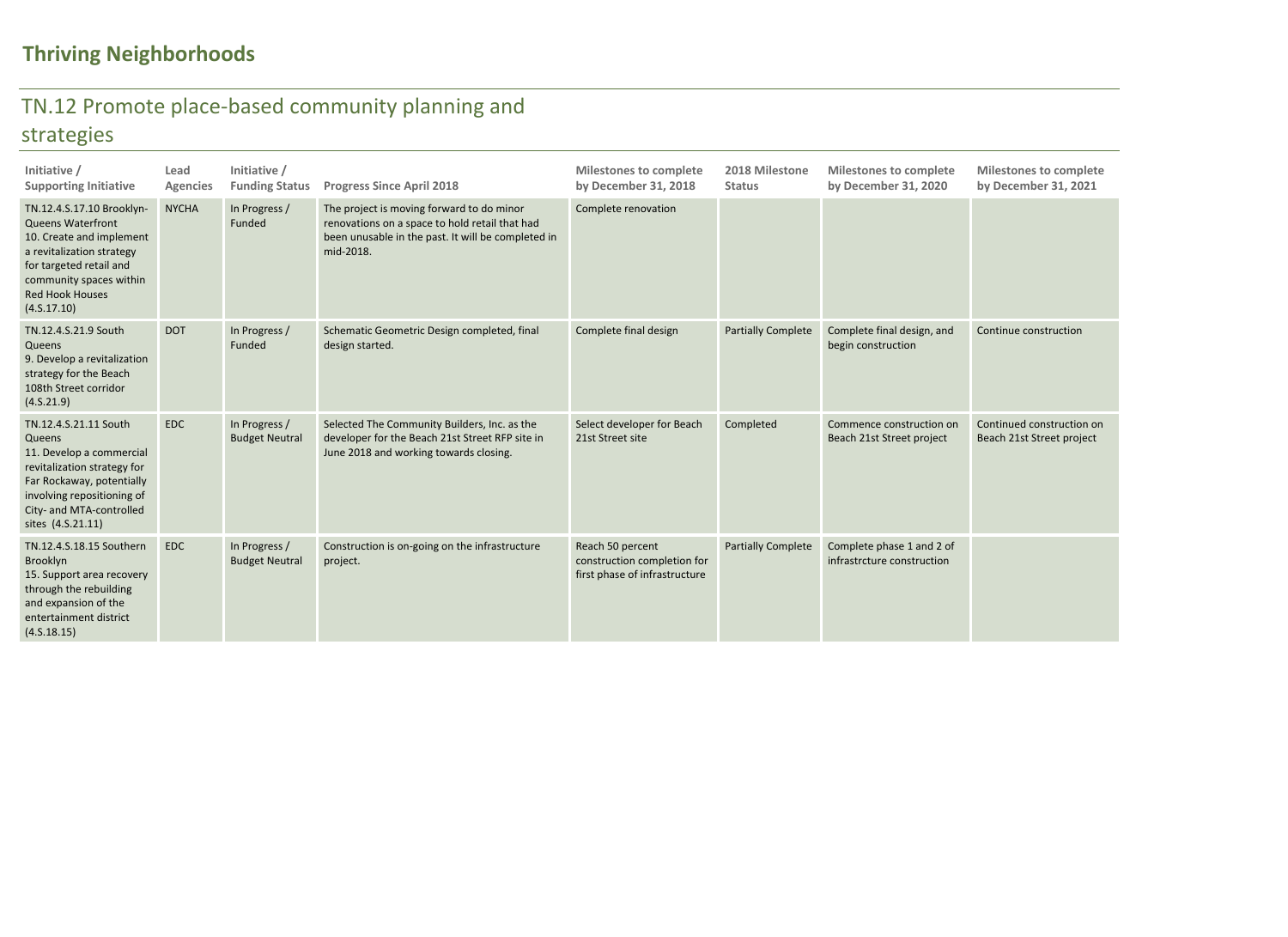# TN.12 Promote place-based community planning and strategies

| Initiative /<br><b>Supporting Initiative</b>                                                                                                                                                                  | Lead<br><b>Agencies</b> | Initiative /<br><b>Funding Status</b>  | <b>Progress Since April 2018</b>                                                                                                                               | <b>Milestones to complete</b><br>by December 31, 2018                            | 2018 Milestone<br><b>Status</b> | <b>Milestones to complete</b><br>by December 31, 2020   | <b>Milestones to complete</b><br>by December 31, 2021  |
|---------------------------------------------------------------------------------------------------------------------------------------------------------------------------------------------------------------|-------------------------|----------------------------------------|----------------------------------------------------------------------------------------------------------------------------------------------------------------|----------------------------------------------------------------------------------|---------------------------------|---------------------------------------------------------|--------------------------------------------------------|
| TN.12.4.S.17.10 Brooklyn-<br><b>Queens Waterfront</b><br>10. Create and implement<br>a revitalization strategy<br>for targeted retail and<br>community spaces within<br><b>Red Hook Houses</b><br>(4.5.17.10) | <b>NYCHA</b>            | In Progress /<br>Funded                | The project is moving forward to do minor<br>renovations on a space to hold retail that had<br>been unusable in the past. It will be completed in<br>mid-2018. | Complete renovation                                                              |                                 |                                                         |                                                        |
| TN.12.4.S.21.9 South<br>Queens<br>9. Develop a revitalization<br>strategy for the Beach<br>108th Street corridor<br>(4.5.21.9)                                                                                | <b>DOT</b>              | In Progress /<br>Funded                | Schematic Geometric Design completed, final<br>design started.                                                                                                 | Complete final design                                                            | <b>Partially Complete</b>       | Complete final design, and<br>begin construction        | Continue construction                                  |
| TN.12.4.S.21.11 South<br>Queens<br>11. Develop a commercial<br>revitalization strategy for<br>Far Rockaway, potentially<br>involving repositioning of<br>City- and MTA-controlled<br>sites (4.S.21.11)        | <b>EDC</b>              | In Progress /<br><b>Budget Neutral</b> | Selected The Community Builders, Inc. as the<br>developer for the Beach 21st Street RFP site in<br>June 2018 and working towards closing.                      | Select developer for Beach<br>21st Street site                                   | Completed                       | Commence construction on<br>Beach 21st Street project   | Continued construction on<br>Beach 21st Street project |
| TN.12.4.S.18.15 Southern<br>Brooklyn<br>15. Support area recovery<br>through the rebuilding<br>and expansion of the<br>entertainment district<br>(4.5.18.15)                                                  | <b>EDC</b>              | In Progress /<br><b>Budget Neutral</b> | Construction is on-going on the infrastructure<br>project.                                                                                                     | Reach 50 percent<br>construction completion for<br>first phase of infrastructure | <b>Partially Complete</b>       | Complete phase 1 and 2 of<br>infrastrcture construction |                                                        |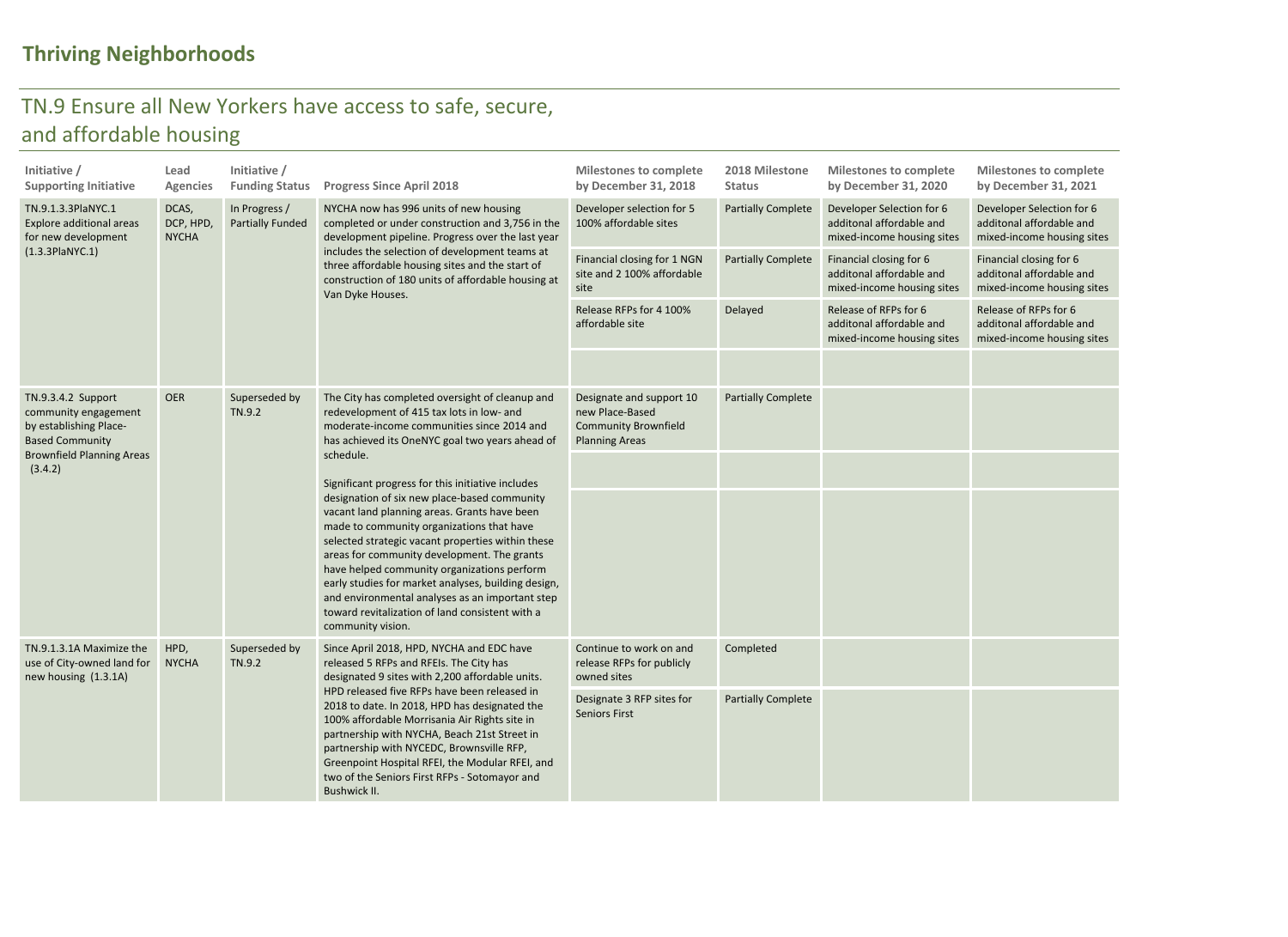| Initiative /<br><b>Supporting Initiative</b>                                                                                                         | Lead<br><b>Agencies</b>            | Initiative /<br><b>Funding Status</b>                                                                                                                                                         | <b>Progress Since April 2018</b>                                                                                                                                                                                                                                                                                                                                                                                                                                                                                                                 | <b>Milestones to complete</b><br>by December 31, 2018               | 2018 Milestone<br><b>Status</b> | <b>Milestones to complete</b><br>by December 31, 2020                               | <b>Milestones to complete</b><br>by December 31, 2021                               |
|------------------------------------------------------------------------------------------------------------------------------------------------------|------------------------------------|-----------------------------------------------------------------------------------------------------------------------------------------------------------------------------------------------|--------------------------------------------------------------------------------------------------------------------------------------------------------------------------------------------------------------------------------------------------------------------------------------------------------------------------------------------------------------------------------------------------------------------------------------------------------------------------------------------------------------------------------------------------|---------------------------------------------------------------------|---------------------------------|-------------------------------------------------------------------------------------|-------------------------------------------------------------------------------------|
| TN.9.1.3.3PlaNYC.1<br>Explore additional areas<br>for new development                                                                                | DCAS,<br>DCP, HPD,<br><b>NYCHA</b> | In Progress /<br><b>Partially Funded</b>                                                                                                                                                      | NYCHA now has 996 units of new housing<br>completed or under construction and 3,756 in the<br>development pipeline. Progress over the last year                                                                                                                                                                                                                                                                                                                                                                                                  | Developer selection for 5<br>100% affordable sites                  | <b>Partially Complete</b>       | Developer Selection for 6<br>additonal affordable and<br>mixed-income housing sites | Developer Selection for 6<br>additonal affordable and<br>mixed-income housing sites |
| $(1.3.3P$ laNYC.1)                                                                                                                                   |                                    |                                                                                                                                                                                               | includes the selection of development teams at<br>three affordable housing sites and the start of<br>construction of 180 units of affordable housing at<br>Van Dyke Houses.                                                                                                                                                                                                                                                                                                                                                                      | Financial closing for 1 NGN<br>site and 2 100% affordable<br>site   | <b>Partially Complete</b>       | Financial closing for 6<br>additonal affordable and<br>mixed-income housing sites   | Financial closing for 6<br>additonal affordable and<br>mixed-income housing sites   |
|                                                                                                                                                      |                                    |                                                                                                                                                                                               |                                                                                                                                                                                                                                                                                                                                                                                                                                                                                                                                                  | Release RFPs for 4 100%<br>affordable site                          | Delayed                         | Release of RFPs for 6<br>additonal affordable and<br>mixed-income housing sites     | Release of RFPs for 6<br>additonal affordable and<br>mixed-income housing sites     |
|                                                                                                                                                      |                                    |                                                                                                                                                                                               |                                                                                                                                                                                                                                                                                                                                                                                                                                                                                                                                                  |                                                                     |                                 |                                                                                     |                                                                                     |
| OER<br>TN.9.3.4.2 Support<br>community engagement<br>by establishing Place-<br><b>Based Community</b><br><b>Brownfield Planning Areas</b><br>(3.4.2) | Superseded by<br>TN.9.2            | The City has completed oversight of cleanup and<br>redevelopment of 415 tax lots in low- and<br>moderate-income communities since 2014 and<br>has achieved its OneNYC goal two years ahead of | Designate and support 10<br>new Place-Based<br><b>Community Brownfield</b><br><b>Planning Areas</b>                                                                                                                                                                                                                                                                                                                                                                                                                                              | <b>Partially Complete</b>                                           |                                 |                                                                                     |                                                                                     |
|                                                                                                                                                      |                                    |                                                                                                                                                                                               | schedule.<br>Significant progress for this initiative includes<br>designation of six new place-based community<br>vacant land planning areas. Grants have been<br>made to community organizations that have<br>selected strategic vacant properties within these<br>areas for community development. The grants<br>have helped community organizations perform<br>early studies for market analyses, building design,<br>and environmental analyses as an important step<br>toward revitalization of land consistent with a<br>community vision. |                                                                     |                                 |                                                                                     |                                                                                     |
|                                                                                                                                                      |                                    |                                                                                                                                                                                               |                                                                                                                                                                                                                                                                                                                                                                                                                                                                                                                                                  |                                                                     |                                 |                                                                                     |                                                                                     |
| TN.9.1.3.1A Maximize the<br>use of City-owned land for<br>new housing (1.3.1A)                                                                       | HPD,<br><b>NYCHA</b>               | Superseded by<br>TN.9.2                                                                                                                                                                       | Since April 2018, HPD, NYCHA and EDC have<br>released 5 RFPs and RFEIs. The City has<br>designated 9 sites with 2,200 affordable units.                                                                                                                                                                                                                                                                                                                                                                                                          | Continue to work on and<br>release RFPs for publicly<br>owned sites | Completed                       |                                                                                     |                                                                                     |
|                                                                                                                                                      |                                    |                                                                                                                                                                                               | HPD released five RFPs have been released in<br>2018 to date. In 2018, HPD has designated the<br>100% affordable Morrisania Air Rights site in<br>partnership with NYCHA, Beach 21st Street in<br>partnership with NYCEDC, Brownsville RFP,<br>Greenpoint Hospital RFEI, the Modular RFEI, and<br>two of the Seniors First RFPs - Sotomayor and<br><b>Bushwick II.</b>                                                                                                                                                                           | Designate 3 RFP sites for<br><b>Seniors First</b>                   | <b>Partially Complete</b>       |                                                                                     |                                                                                     |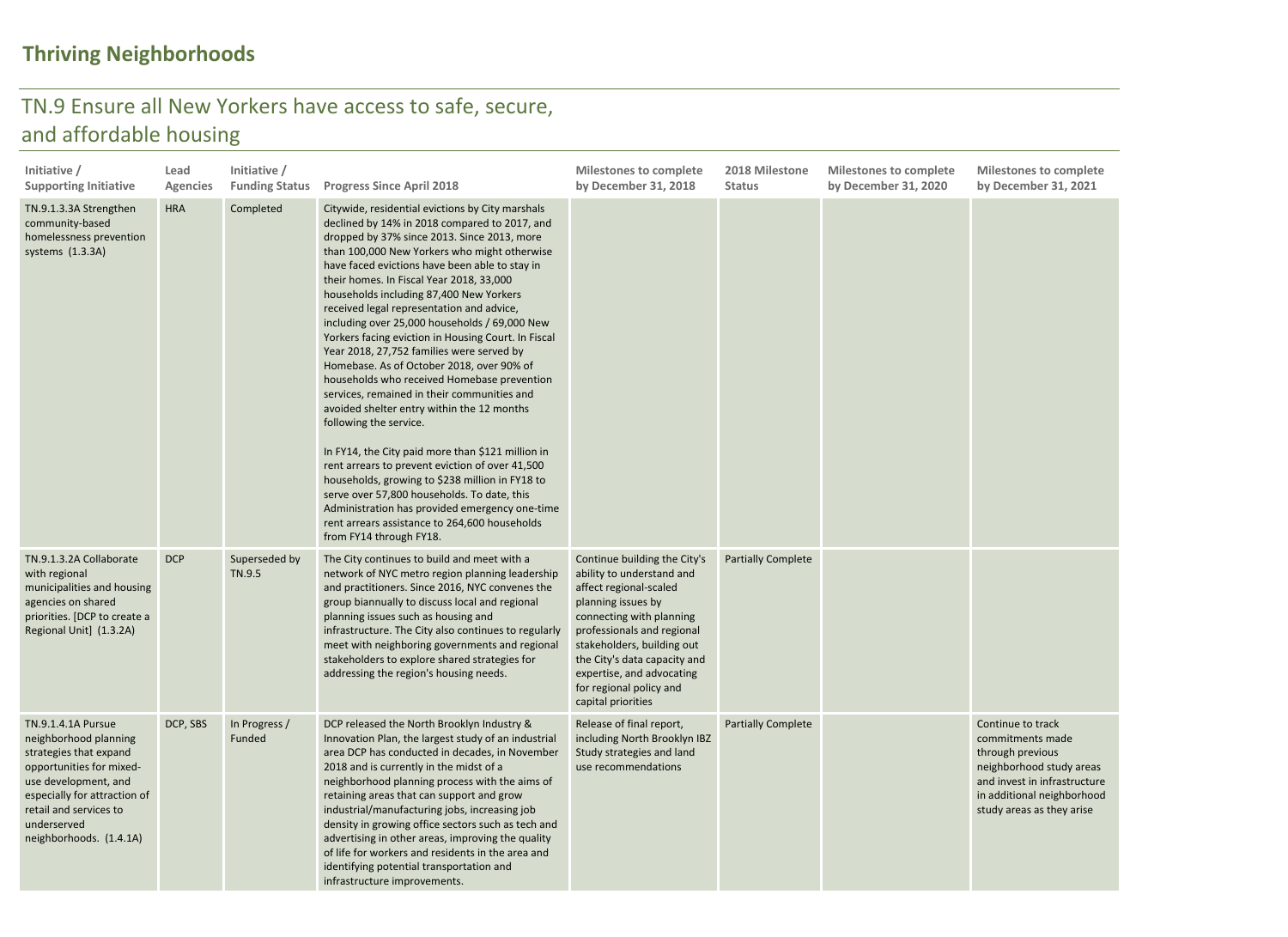| Initiative /<br><b>Supporting Initiative</b>                                                                                                                                                                                         | Lead<br><b>Agencies</b> | Initiative /<br><b>Funding Status</b> | <b>Progress Since April 2018</b>                                                                                                                                                                                                                                                                                                                                                                                                                                                                                                                                                                                                                                                                                                                                                                                                                                                                                                                                                                                                                                                                       | <b>Milestones to complete</b><br>by December 31, 2018                                                                                                                                                                                                                                                           | 2018 Milestone<br><b>Status</b> | <b>Milestones to complete</b><br>by December 31, 2020 | <b>Milestones to complete</b><br>by December 31, 2021                                                                                                                            |
|--------------------------------------------------------------------------------------------------------------------------------------------------------------------------------------------------------------------------------------|-------------------------|---------------------------------------|--------------------------------------------------------------------------------------------------------------------------------------------------------------------------------------------------------------------------------------------------------------------------------------------------------------------------------------------------------------------------------------------------------------------------------------------------------------------------------------------------------------------------------------------------------------------------------------------------------------------------------------------------------------------------------------------------------------------------------------------------------------------------------------------------------------------------------------------------------------------------------------------------------------------------------------------------------------------------------------------------------------------------------------------------------------------------------------------------------|-----------------------------------------------------------------------------------------------------------------------------------------------------------------------------------------------------------------------------------------------------------------------------------------------------------------|---------------------------------|-------------------------------------------------------|----------------------------------------------------------------------------------------------------------------------------------------------------------------------------------|
| TN.9.1.3.3A Strengthen<br>community-based<br>homelessness prevention<br>systems $(1.3.3A)$                                                                                                                                           | <b>HRA</b>              | Completed                             | Citywide, residential evictions by City marshals<br>declined by 14% in 2018 compared to 2017, and<br>dropped by 37% since 2013. Since 2013, more<br>than 100,000 New Yorkers who might otherwise<br>have faced evictions have been able to stay in<br>their homes. In Fiscal Year 2018, 33,000<br>households including 87,400 New Yorkers<br>received legal representation and advice,<br>including over 25,000 households / 69,000 New<br>Yorkers facing eviction in Housing Court. In Fiscal<br>Year 2018, 27,752 families were served by<br>Homebase. As of October 2018, over 90% of<br>households who received Homebase prevention<br>services, remained in their communities and<br>avoided shelter entry within the 12 months<br>following the service.<br>In FY14, the City paid more than \$121 million in<br>rent arrears to prevent eviction of over 41,500<br>households, growing to \$238 million in FY18 to<br>serve over 57,800 households. To date, this<br>Administration has provided emergency one-time<br>rent arrears assistance to 264,600 households<br>from FY14 through FY18. |                                                                                                                                                                                                                                                                                                                 |                                 |                                                       |                                                                                                                                                                                  |
| TN.9.1.3.2A Collaborate<br>with regional<br>municipalities and housing<br>agencies on shared<br>priorities. [DCP to create a<br>Regional Unit] (1.3.2A)                                                                              | <b>DCP</b>              | Superseded by<br>TN.9.5               | The City continues to build and meet with a<br>network of NYC metro region planning leadership<br>and practitioners. Since 2016, NYC convenes the<br>group biannually to discuss local and regional<br>planning issues such as housing and<br>infrastructure. The City also continues to regularly<br>meet with neighboring governments and regional<br>stakeholders to explore shared strategies for<br>addressing the region's housing needs.                                                                                                                                                                                                                                                                                                                                                                                                                                                                                                                                                                                                                                                        | Continue building the City's<br>ability to understand and<br>affect regional-scaled<br>planning issues by<br>connecting with planning<br>professionals and regional<br>stakeholders, building out<br>the City's data capacity and<br>expertise, and advocating<br>for regional policy and<br>capital priorities | <b>Partially Complete</b>       |                                                       |                                                                                                                                                                                  |
| <b>TN.9.1.4.1A Pursue</b><br>neighborhood planning<br>strategies that expand<br>opportunities for mixed-<br>use development, and<br>especially for attraction of<br>retail and services to<br>underserved<br>neighborhoods. (1.4.1A) | DCP, SBS                | In Progress /<br>Funded               | DCP released the North Brooklyn Industry &<br>Innovation Plan, the largest study of an industrial<br>area DCP has conducted in decades, in November<br>2018 and is currently in the midst of a<br>neighborhood planning process with the aims of<br>retaining areas that can support and grow<br>industrial/manufacturing jobs, increasing job<br>density in growing office sectors such as tech and<br>advertising in other areas, improving the quality<br>of life for workers and residents in the area and<br>identifying potential transportation and<br>infrastructure improvements.                                                                                                                                                                                                                                                                                                                                                                                                                                                                                                             | Release of final report,<br>including North Brooklyn IBZ<br>Study strategies and land<br>use recommendations                                                                                                                                                                                                    | <b>Partially Complete</b>       |                                                       | Continue to track<br>commitments made<br>through previous<br>neighborhood study areas<br>and invest in infrastructure<br>in additional neighborhood<br>study areas as they arise |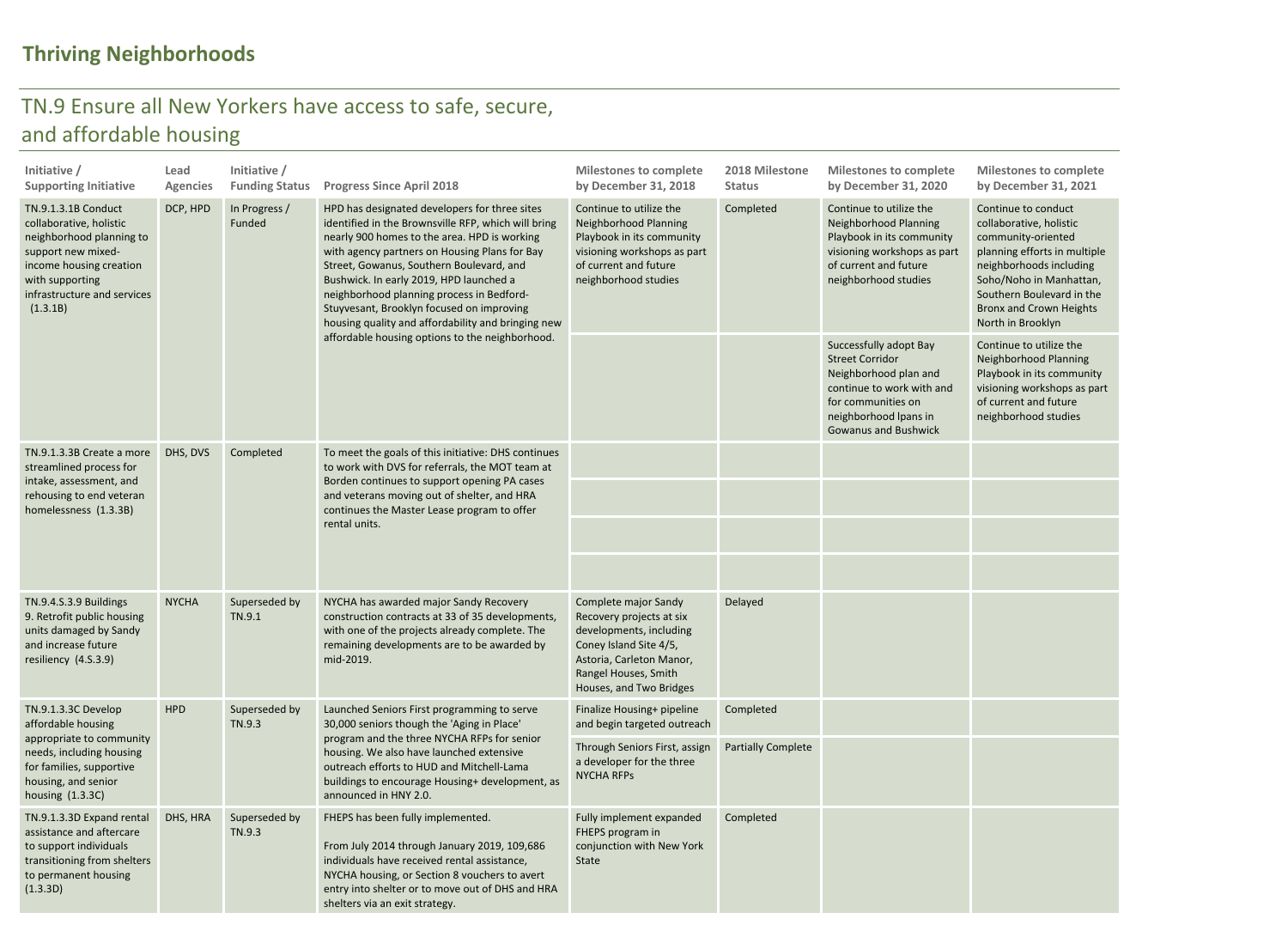| Initiative /<br><b>Supporting Initiative</b>                                                                                                                                                          | Lead<br><b>Agencies</b> | Initiative /<br><b>Funding Status</b>                                                                                                                                                                            | <b>Progress Since April 2018</b>                                                                                                                                                                                                                                                                                                                                                                                                             | <b>Milestones to complete</b><br>by December 31, 2018                                                                                                                                | 2018 Milestone<br><b>Status</b>                                                                                                                                                      | <b>Milestones to complete</b><br>by December 31, 2020                                                                                                         | <b>Milestones to complete</b><br>by December 31, 2021                                                                                                                                                                                          |
|-------------------------------------------------------------------------------------------------------------------------------------------------------------------------------------------------------|-------------------------|------------------------------------------------------------------------------------------------------------------------------------------------------------------------------------------------------------------|----------------------------------------------------------------------------------------------------------------------------------------------------------------------------------------------------------------------------------------------------------------------------------------------------------------------------------------------------------------------------------------------------------------------------------------------|--------------------------------------------------------------------------------------------------------------------------------------------------------------------------------------|--------------------------------------------------------------------------------------------------------------------------------------------------------------------------------------|---------------------------------------------------------------------------------------------------------------------------------------------------------------|------------------------------------------------------------------------------------------------------------------------------------------------------------------------------------------------------------------------------------------------|
| TN.9.1.3.1B Conduct<br>DCP, HPD<br>collaborative, holistic<br>neighborhood planning to<br>support new mixed-<br>income housing creation<br>with supporting<br>infrastructure and services<br>(1.3.1B) |                         | In Progress /<br>Funded                                                                                                                                                                                          | HPD has designated developers for three sites<br>identified in the Brownsville RFP, which will bring<br>nearly 900 homes to the area. HPD is working<br>with agency partners on Housing Plans for Bay<br>Street, Gowanus, Southern Boulevard, and<br>Bushwick. In early 2019, HPD launched a<br>neighborhood planning process in Bedford-<br>Stuyvesant, Brooklyn focused on improving<br>housing quality and affordability and bringing new | Continue to utilize the<br>Neighborhood Planning<br>Playbook in its community<br>visioning workshops as part<br>of current and future<br>neighborhood studies                        | Completed                                                                                                                                                                            | Continue to utilize the<br>Neighborhood Planning<br>Playbook in its community<br>visioning workshops as part<br>of current and future<br>neighborhood studies | Continue to conduct<br>collaborative, holistic<br>community-oriented<br>planning efforts in multiple<br>neighborhoods including<br>Soho/Noho in Manhattan,<br>Southern Boulevard in the<br><b>Bronx and Crown Heights</b><br>North in Brooklyn |
|                                                                                                                                                                                                       |                         | affordable housing options to the neighborhood.                                                                                                                                                                  |                                                                                                                                                                                                                                                                                                                                                                                                                                              |                                                                                                                                                                                      | Successfully adopt Bay<br><b>Street Corridor</b><br>Neighborhood plan and<br>continue to work with and<br>for communities on<br>neighborhood Ipans in<br><b>Gowanus and Bushwick</b> | Continue to utilize the<br>Neighborhood Planning<br>Playbook in its community<br>visioning workshops as part<br>of current and future<br>neighborhood studies |                                                                                                                                                                                                                                                |
| TN.9.1.3.3B Create a more<br>streamlined process for                                                                                                                                                  | DHS, DVS                | Completed                                                                                                                                                                                                        | To meet the goals of this initiative: DHS continues<br>to work with DVS for referrals, the MOT team at                                                                                                                                                                                                                                                                                                                                       |                                                                                                                                                                                      |                                                                                                                                                                                      |                                                                                                                                                               |                                                                                                                                                                                                                                                |
| intake, assessment, and<br>rehousing to end veteran<br>homelessness (1.3.3B)                                                                                                                          |                         |                                                                                                                                                                                                                  | Borden continues to support opening PA cases<br>and veterans moving out of shelter, and HRA<br>continues the Master Lease program to offer                                                                                                                                                                                                                                                                                                   |                                                                                                                                                                                      |                                                                                                                                                                                      |                                                                                                                                                               |                                                                                                                                                                                                                                                |
|                                                                                                                                                                                                       |                         |                                                                                                                                                                                                                  | rental units.                                                                                                                                                                                                                                                                                                                                                                                                                                |                                                                                                                                                                                      |                                                                                                                                                                                      |                                                                                                                                                               |                                                                                                                                                                                                                                                |
|                                                                                                                                                                                                       |                         |                                                                                                                                                                                                                  |                                                                                                                                                                                                                                                                                                                                                                                                                                              |                                                                                                                                                                                      |                                                                                                                                                                                      |                                                                                                                                                               |                                                                                                                                                                                                                                                |
| TN.9.4.S.3.9 Buildings<br>9. Retrofit public housing<br>units damaged by Sandy<br>and increase future<br>resiliency (4.S.3.9)                                                                         | <b>NYCHA</b>            | Superseded by<br>TN.9.1                                                                                                                                                                                          | NYCHA has awarded major Sandy Recovery<br>construction contracts at 33 of 35 developments,<br>with one of the projects already complete. The<br>remaining developments are to be awarded by<br>mid-2019.                                                                                                                                                                                                                                     | Complete major Sandy<br>Recovery projects at six<br>developments, including<br>Coney Island Site 4/5,<br>Astoria, Carleton Manor,<br>Rangel Houses, Smith<br>Houses, and Two Bridges | Delayed                                                                                                                                                                              |                                                                                                                                                               |                                                                                                                                                                                                                                                |
| TN.9.1.3.3C Develop<br>affordable housing                                                                                                                                                             | HPD                     | Superseded by<br>TN.9.3                                                                                                                                                                                          | Launched Seniors First programming to serve<br>30,000 seniors though the 'Aging in Place'                                                                                                                                                                                                                                                                                                                                                    | Finalize Housing+ pipeline<br>and begin targeted outreach                                                                                                                            | Completed                                                                                                                                                                            |                                                                                                                                                               |                                                                                                                                                                                                                                                |
| appropriate to community<br>needs, including housing<br>for families, supportive<br>housing, and senior<br>housing $(1.3.3C)$                                                                         |                         | program and the three NYCHA RFPs for senior<br>housing. We also have launched extensive<br>outreach efforts to HUD and Mitchell-Lama<br>buildings to encourage Housing+ development, as<br>announced in HNY 2.0. | Through Seniors First, assign  Partially Complete<br>a developer for the three<br><b>NYCHA RFPS</b>                                                                                                                                                                                                                                                                                                                                          |                                                                                                                                                                                      |                                                                                                                                                                                      |                                                                                                                                                               |                                                                                                                                                                                                                                                |
| TN.9.1.3.3D Expand rental<br>assistance and aftercare<br>to support individuals<br>transitioning from shelters<br>to permanent housing<br>(1.3.3D)                                                    | DHS, HRA                | Superseded by<br>TN.9.3                                                                                                                                                                                          | FHEPS has been fully implemented.<br>From July 2014 through January 2019, 109,686<br>individuals have received rental assistance,<br>NYCHA housing, or Section 8 vouchers to avert<br>entry into shelter or to move out of DHS and HRA<br>shelters via an exit strategy.                                                                                                                                                                     | Fully implement expanded<br>FHEPS program in<br>conjunction with New York<br><b>State</b>                                                                                            | Completed                                                                                                                                                                            |                                                                                                                                                               |                                                                                                                                                                                                                                                |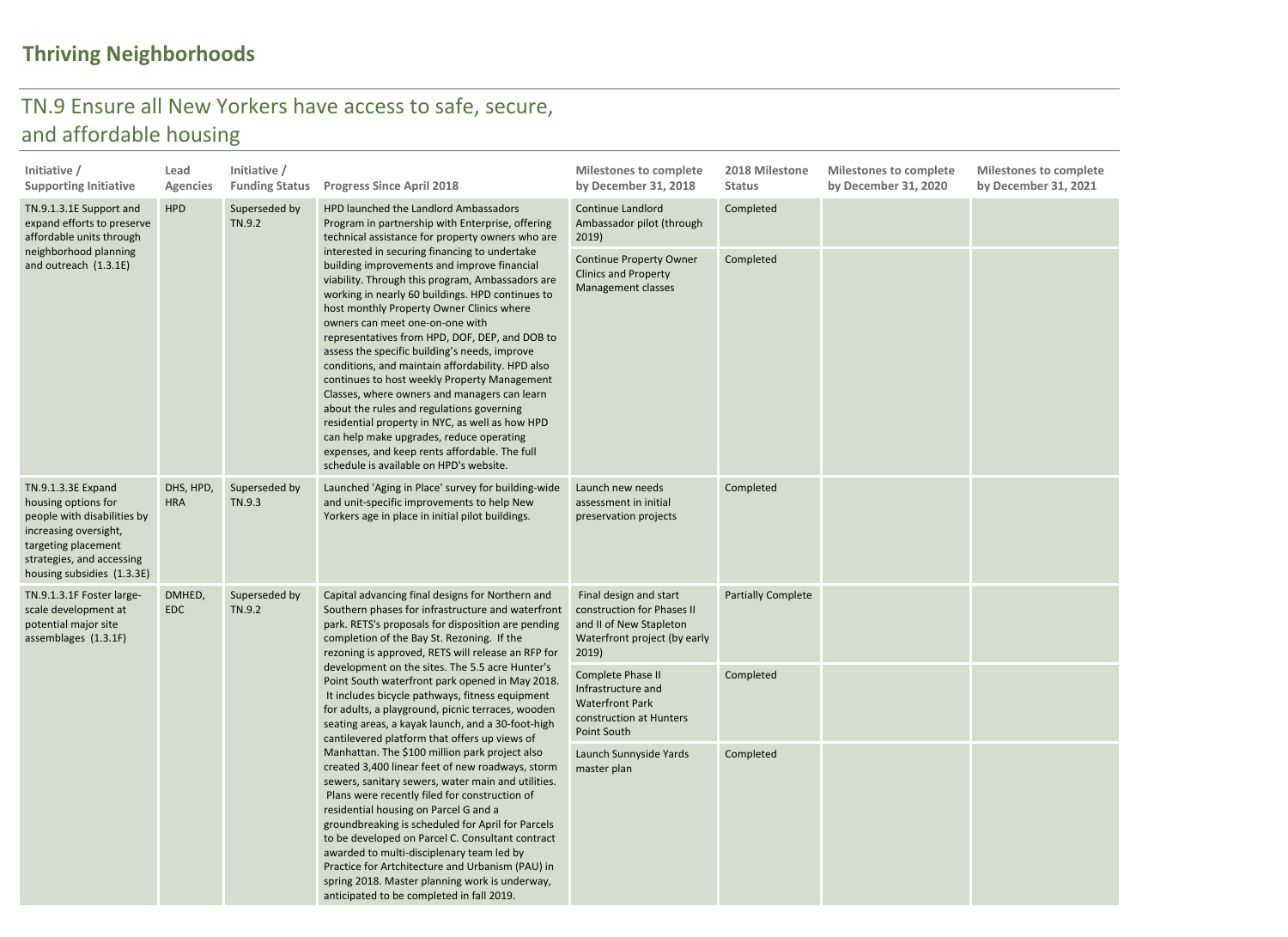| Initiative /<br><b>Supporting Initiative</b>                                                                                                                                        | Lead<br><b>Agencies</b>                                                                                                                                                                                    | Initiative /<br><b>Funding Status</b>                              | <b>Progress Since April 2018</b>                                                                                                                                                                                                                                                                                                                                                                                                                                                                                                                                                                                                                                                                                                                                                                                                                                                                                                                                                                                                                                                                                                                   | <b>Milestones to complete</b><br>by December 31, 2018                                                                    | 2018 Milestone<br><b>Status</b> | <b>Milestones to complete</b><br>by December 31, 2020 | <b>Milestones to complete</b><br>by December 31, 2021 |
|-------------------------------------------------------------------------------------------------------------------------------------------------------------------------------------|------------------------------------------------------------------------------------------------------------------------------------------------------------------------------------------------------------|--------------------------------------------------------------------|----------------------------------------------------------------------------------------------------------------------------------------------------------------------------------------------------------------------------------------------------------------------------------------------------------------------------------------------------------------------------------------------------------------------------------------------------------------------------------------------------------------------------------------------------------------------------------------------------------------------------------------------------------------------------------------------------------------------------------------------------------------------------------------------------------------------------------------------------------------------------------------------------------------------------------------------------------------------------------------------------------------------------------------------------------------------------------------------------------------------------------------------------|--------------------------------------------------------------------------------------------------------------------------|---------------------------------|-------------------------------------------------------|-------------------------------------------------------|
| TN.9.1.3.1E Support and<br>expand efforts to preserve<br>affordable units through<br>neighborhood planning                                                                          | <b>HPD</b>                                                                                                                                                                                                 | Superseded by<br>TN.9.2                                            | HPD launched the Landlord Ambassadors<br>Program in partnership with Enterprise, offering<br>technical assistance for property owners who are<br>interested in securing financing to undertake<br>building improvements and improve financial<br>viability. Through this program, Ambassadors are<br>working in nearly 60 buildings. HPD continues to<br>host monthly Property Owner Clinics where<br>owners can meet one-on-one with<br>representatives from HPD, DOF, DEP, and DOB to<br>assess the specific building's needs, improve<br>conditions, and maintain affordability. HPD also<br>continues to host weekly Property Management<br>Classes, where owners and managers can learn<br>about the rules and regulations governing<br>residential property in NYC, as well as how HPD<br>can help make upgrades, reduce operating<br>expenses, and keep rents affordable. The full<br>schedule is available on HPD's website.                                                                                                                                                                                                               | <b>Continue Landlord</b><br>Ambassador pilot (through<br>2019)                                                           | Completed                       |                                                       |                                                       |
| and outreach (1.3.1E)                                                                                                                                                               |                                                                                                                                                                                                            |                                                                    |                                                                                                                                                                                                                                                                                                                                                                                                                                                                                                                                                                                                                                                                                                                                                                                                                                                                                                                                                                                                                                                                                                                                                    | <b>Continue Property Owner</b><br><b>Clinics and Property</b><br>Management classes                                      | Completed                       |                                                       |                                                       |
| TN.9.1.3.3E Expand<br>housing options for<br>people with disabilities by<br>increasing oversight,<br>targeting placement<br>strategies, and accessing<br>housing subsidies (1.3.3E) | Superseded by<br>Launched 'Aging in Place' survey for building-wide<br>DHS, HPD,<br>TN.9.3<br>and unit-specific improvements to help New<br><b>HRA</b><br>Yorkers age in place in initial pilot buildings. | Launch new needs<br>assessment in initial<br>preservation projects | Completed                                                                                                                                                                                                                                                                                                                                                                                                                                                                                                                                                                                                                                                                                                                                                                                                                                                                                                                                                                                                                                                                                                                                          |                                                                                                                          |                                 |                                                       |                                                       |
| TN.9.1.3.1F Foster large-<br>scale development at<br>potential major site<br>assemblages (1.3.1F)                                                                                   | DMHED,<br>EDC                                                                                                                                                                                              | Superseded by<br>TN.9.2                                            | Capital advancing final designs for Northern and<br>Southern phases for infrastructure and waterfront<br>park. RETS's proposals for disposition are pending<br>completion of the Bay St. Rezoning. If the<br>rezoning is approved, RETS will release an RFP for<br>development on the sites. The 5.5 acre Hunter's<br>Point South waterfront park opened in May 2018.<br>It includes bicycle pathways, fitness equipment<br>for adults, a playground, picnic terraces, wooden<br>seating areas, a kayak launch, and a 30-foot-high<br>cantilevered platform that offers up views of<br>Manhattan. The \$100 million park project also<br>created 3,400 linear feet of new roadways, storm<br>sewers, sanitary sewers, water main and utilities.<br>Plans were recently filed for construction of<br>residential housing on Parcel G and a<br>groundbreaking is scheduled for April for Parcels<br>to be developed on Parcel C. Consultant contract<br>awarded to multi-disciplenary team led by<br>Practice for Artchitecture and Urbanism (PAU) in<br>spring 2018. Master planning work is underway,<br>anticipated to be completed in fall 2019. | Final design and start<br>construction for Phases II<br>and II of New Stapleton<br>Waterfront project (by early<br>2019) | <b>Partially Complete</b>       |                                                       |                                                       |
|                                                                                                                                                                                     |                                                                                                                                                                                                            |                                                                    |                                                                                                                                                                                                                                                                                                                                                                                                                                                                                                                                                                                                                                                                                                                                                                                                                                                                                                                                                                                                                                                                                                                                                    | Complete Phase II<br>Infrastructure and<br><b>Waterfront Park</b><br>construction at Hunters<br>Point South              | Completed                       |                                                       |                                                       |
|                                                                                                                                                                                     |                                                                                                                                                                                                            |                                                                    |                                                                                                                                                                                                                                                                                                                                                                                                                                                                                                                                                                                                                                                                                                                                                                                                                                                                                                                                                                                                                                                                                                                                                    | Launch Sunnyside Yards<br>master plan                                                                                    | Completed                       |                                                       |                                                       |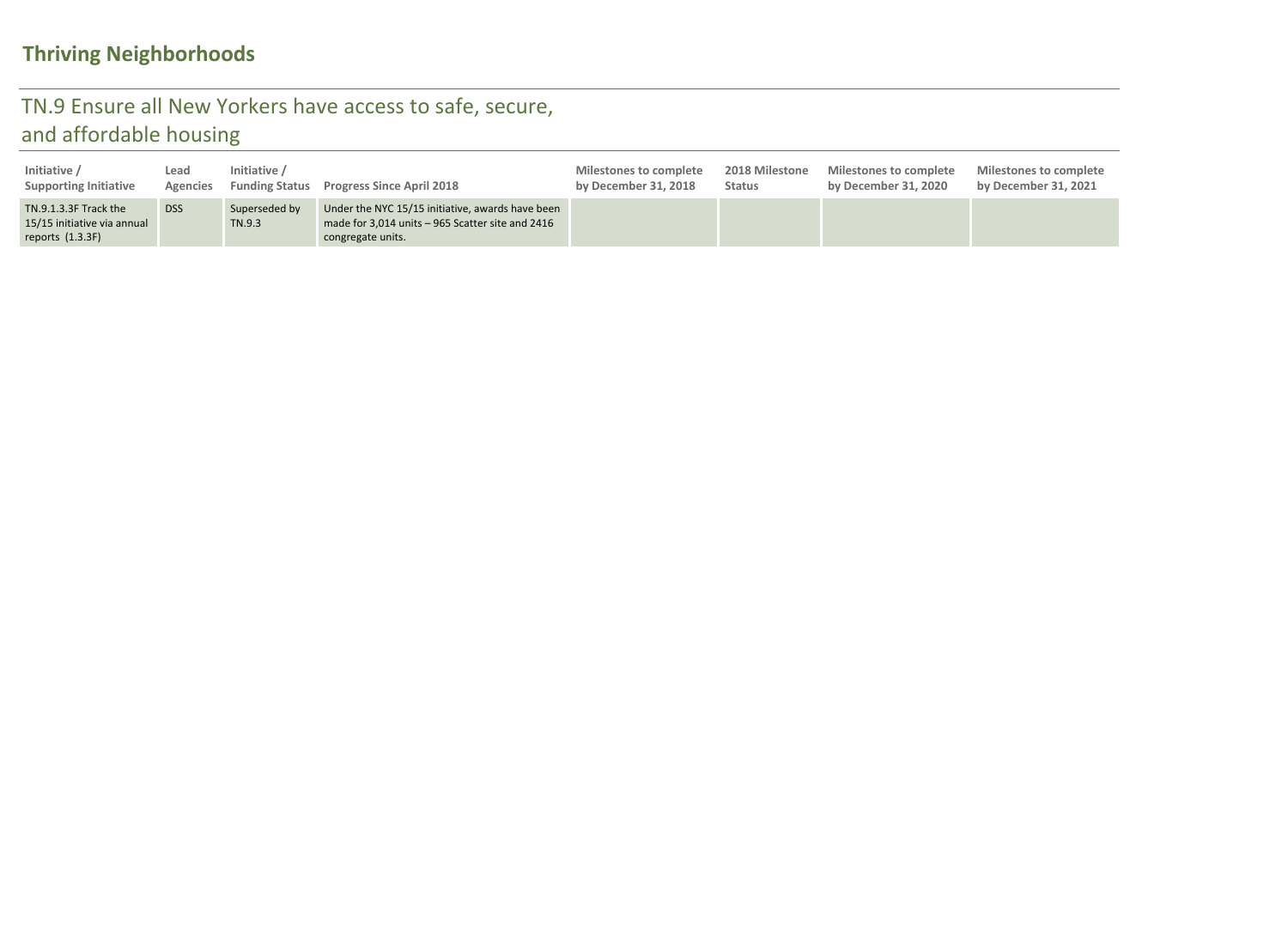| Initiative /                                                               | Lead       | Initiative /            | <b>Progress Since April 2018</b>                                                                                          | Milestones to complete | 2018 Milestone | <b>Milestones to complete</b> | Milestones to complete |
|----------------------------------------------------------------------------|------------|-------------------------|---------------------------------------------------------------------------------------------------------------------------|------------------------|----------------|-------------------------------|------------------------|
| <b>Supporting Initiative</b>                                               | Agencies   | <b>Funding Status</b>   |                                                                                                                           | by December 31, 2018   | <b>Status</b>  | by December 31, 2020          | by December 31, 2021   |
| TN.9.1.3.3F Track the<br>15/15 initiative via annual<br>reports $(1.3.3F)$ | <b>DSS</b> | Superseded by<br>TN.9.3 | Under the NYC 15/15 initiative, awards have been<br>made for 3,014 units - 965 Scatter site and 2416<br>congregate units. |                        |                |                               |                        |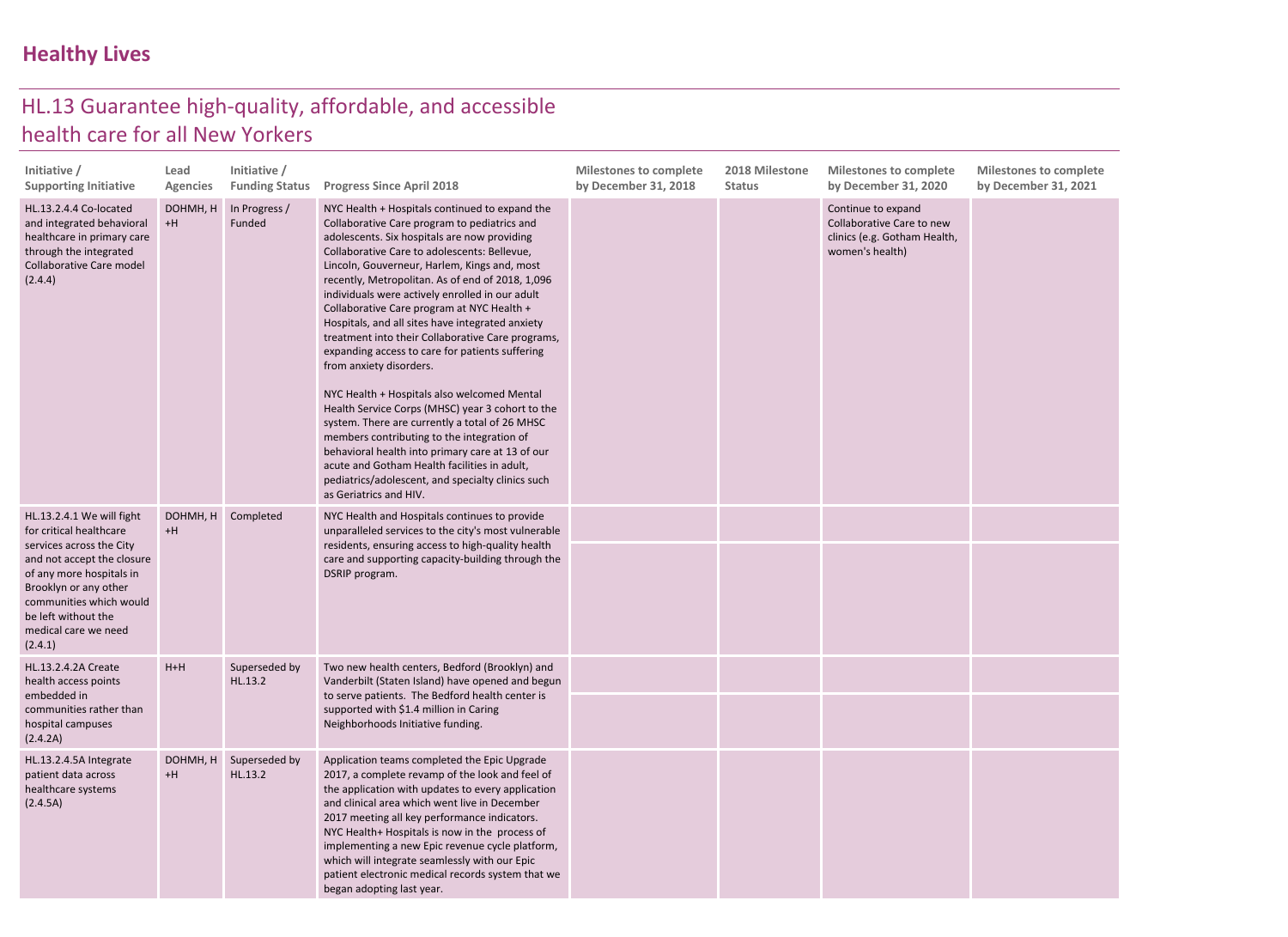#### HL.13 Guarantee high-quality, affordable, and accessible health care for all New Yorkers

| Initiative /<br><b>Supporting Initiative</b>                                                                                                                                                                                                             | Lead<br><b>Agencies</b> | Initiative /<br><b>Funding Status</b> | <b>Progress Since April 2018</b>                                                                                                                                                                                                                                                                                                                                                                                                                                                                                                                                                                                                                                                                                                                                                                                                                                                                                                                                                 | <b>Milestones to complete</b><br>by December 31, 2018 | 2018 Milestone<br><b>Status</b> | <b>Milestones to complete</b><br>by December 31, 2020                                              | <b>Milestones to complete</b><br>by December 31, 2021 |
|----------------------------------------------------------------------------------------------------------------------------------------------------------------------------------------------------------------------------------------------------------|-------------------------|---------------------------------------|----------------------------------------------------------------------------------------------------------------------------------------------------------------------------------------------------------------------------------------------------------------------------------------------------------------------------------------------------------------------------------------------------------------------------------------------------------------------------------------------------------------------------------------------------------------------------------------------------------------------------------------------------------------------------------------------------------------------------------------------------------------------------------------------------------------------------------------------------------------------------------------------------------------------------------------------------------------------------------|-------------------------------------------------------|---------------------------------|----------------------------------------------------------------------------------------------------|-------------------------------------------------------|
| HL.13.2.4.4 Co-located<br>and integrated behavioral<br>healthcare in primary care<br>through the integrated<br>Collaborative Care model<br>(2.4.4)                                                                                                       | DOHMH, H<br>$+H$        | In Progress /<br>Funded               | NYC Health + Hospitals continued to expand the<br>Collaborative Care program to pediatrics and<br>adolescents. Six hospitals are now providing<br>Collaborative Care to adolescents: Bellevue,<br>Lincoln, Gouverneur, Harlem, Kings and, most<br>recently, Metropolitan. As of end of 2018, 1,096<br>individuals were actively enrolled in our adult<br>Collaborative Care program at NYC Health +<br>Hospitals, and all sites have integrated anxiety<br>treatment into their Collaborative Care programs,<br>expanding access to care for patients suffering<br>from anxiety disorders.<br>NYC Health + Hospitals also welcomed Mental<br>Health Service Corps (MHSC) year 3 cohort to the<br>system. There are currently a total of 26 MHSC<br>members contributing to the integration of<br>behavioral health into primary care at 13 of our<br>acute and Gotham Health facilities in adult,<br>pediatrics/adolescent, and specialty clinics such<br>as Geriatrics and HIV. |                                                       |                                 | Continue to expand<br>Collaborative Care to new<br>clinics (e.g. Gotham Health,<br>women's health) |                                                       |
| HL.13.2.4.1 We will fight<br>for critical healthcare<br>services across the City<br>and not accept the closure<br>of any more hospitals in<br>Brooklyn or any other<br>communities which would<br>be left without the<br>medical care we need<br>(2.4.1) | DOHMH, H<br>$+H$        | Completed                             | NYC Health and Hospitals continues to provide<br>unparalleled services to the city's most vulnerable<br>residents, ensuring access to high-quality health<br>care and supporting capacity-building through the<br>DSRIP program.                                                                                                                                                                                                                                                                                                                                                                                                                                                                                                                                                                                                                                                                                                                                                 |                                                       |                                 |                                                                                                    |                                                       |
| <b>HL.13.2.4.2A Create</b><br>health access points<br>embedded in<br>communities rather than<br>hospital campuses<br>(2.4.2A)                                                                                                                            | $H+H$                   | Superseded by<br>HL.13.2              | Two new health centers, Bedford (Brooklyn) and<br>Vanderbilt (Staten Island) have opened and begun<br>to serve patients. The Bedford health center is<br>supported with \$1.4 million in Caring<br>Neighborhoods Initiative funding.                                                                                                                                                                                                                                                                                                                                                                                                                                                                                                                                                                                                                                                                                                                                             |                                                       |                                 |                                                                                                    |                                                       |
| HL.13.2.4.5A Integrate<br>patient data across<br>healthcare systems<br>(2.4.5A)                                                                                                                                                                          | DOHMH, H<br>$+H$        | Superseded by<br>HL.13.2              | Application teams completed the Epic Upgrade<br>2017, a complete revamp of the look and feel of<br>the application with updates to every application<br>and clinical area which went live in December<br>2017 meeting all key performance indicators.<br>NYC Health+ Hospitals is now in the process of<br>implementing a new Epic revenue cycle platform,<br>which will integrate seamlessly with our Epic<br>patient electronic medical records system that we<br>began adopting last year.                                                                                                                                                                                                                                                                                                                                                                                                                                                                                    |                                                       |                                 |                                                                                                    |                                                       |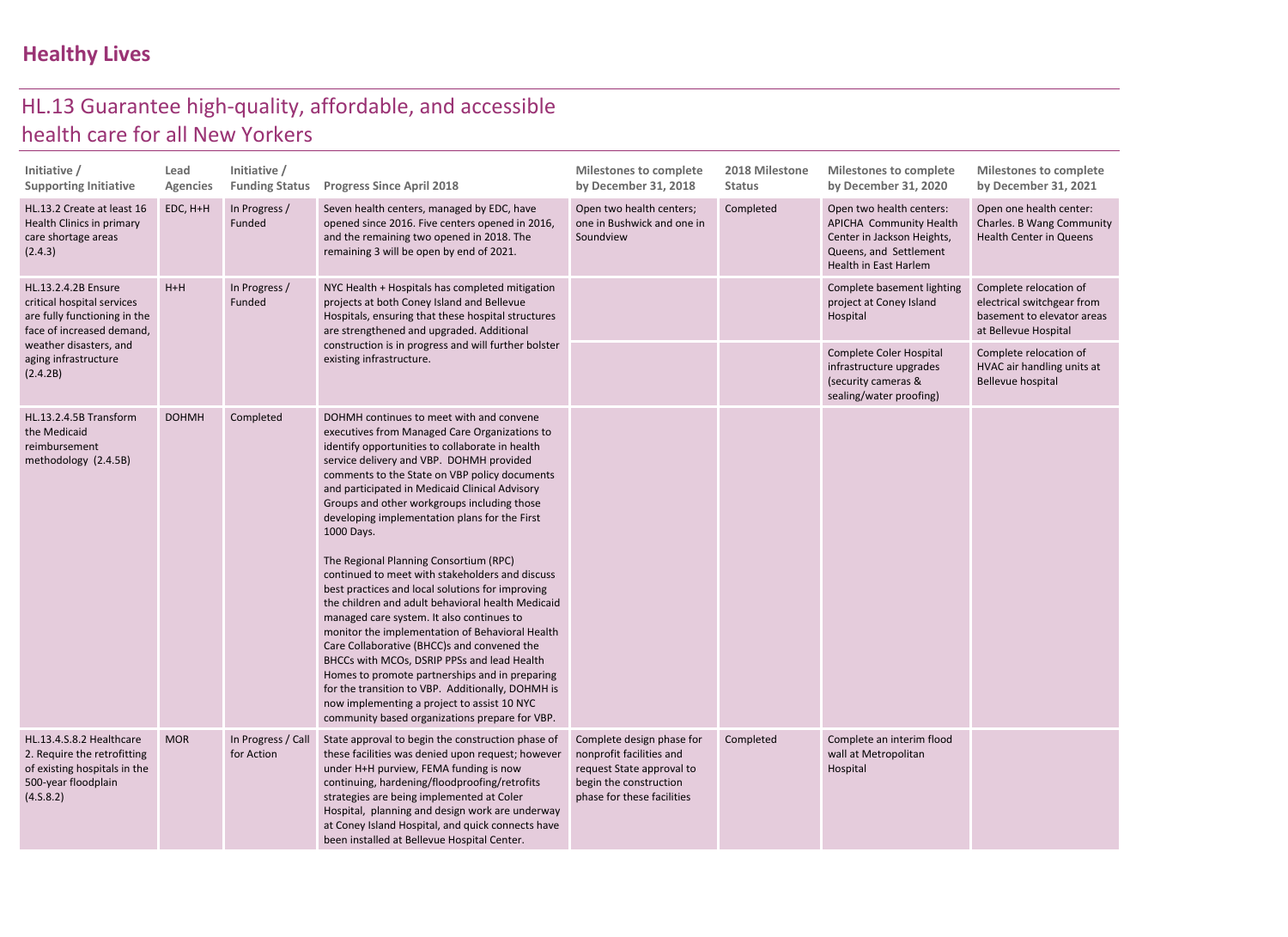#### HL.13 Guarantee high-quality, affordable, and accessible health care for all New Yorkers

| Initiative /<br><b>Supporting Initiative</b>                                                                                                                                                    | Lead<br><b>Agencies</b> | Initiative /<br><b>Funding Status</b>                                            | <b>Progress Since April 2018</b>                                                                                                                                                                                                                                                                                                                                                                                                                                                                                                                                                                                                                                                                                                                                                                                                                                                                                                                                                                                      | <b>Milestones to complete</b><br>by December 31, 2018                                                                                      | 2018 Milestone<br><b>Status</b>                                                                      | <b>Milestones to complete</b><br>by December 31, 2020                                                                                | <b>Milestones to complete</b><br>by December 31, 2021                                                      |
|-------------------------------------------------------------------------------------------------------------------------------------------------------------------------------------------------|-------------------------|----------------------------------------------------------------------------------|-----------------------------------------------------------------------------------------------------------------------------------------------------------------------------------------------------------------------------------------------------------------------------------------------------------------------------------------------------------------------------------------------------------------------------------------------------------------------------------------------------------------------------------------------------------------------------------------------------------------------------------------------------------------------------------------------------------------------------------------------------------------------------------------------------------------------------------------------------------------------------------------------------------------------------------------------------------------------------------------------------------------------|--------------------------------------------------------------------------------------------------------------------------------------------|------------------------------------------------------------------------------------------------------|--------------------------------------------------------------------------------------------------------------------------------------|------------------------------------------------------------------------------------------------------------|
| HL.13.2 Create at least 16<br>Health Clinics in primary<br>care shortage areas<br>(2.4.3)                                                                                                       | EDC, H+H                | In Progress /<br>Funded                                                          | Seven health centers, managed by EDC, have<br>opened since 2016. Five centers opened in 2016,<br>and the remaining two opened in 2018. The<br>remaining 3 will be open by end of 2021.                                                                                                                                                                                                                                                                                                                                                                                                                                                                                                                                                                                                                                                                                                                                                                                                                                | Open two health centers;<br>one in Bushwick and one in<br>Soundview                                                                        | Completed                                                                                            | Open two health centers:<br>APICHA Community Health<br>Center in Jackson Heights,<br>Queens, and Settlement<br>Health in East Harlem | Open one health center:<br>Charles. B Wang Community<br><b>Health Center in Queens</b>                     |
| $H+H$<br>HL.13.2.4.2B Ensure<br>critical hospital services<br>Funded<br>are fully functioning in the<br>face of increased demand,<br>weather disasters, and<br>aging infrastructure<br>(2.4.2B) |                         | In Progress /                                                                    | NYC Health + Hospitals has completed mitigation<br>projects at both Coney Island and Bellevue<br>Hospitals, ensuring that these hospital structures<br>are strengthened and upgraded. Additional                                                                                                                                                                                                                                                                                                                                                                                                                                                                                                                                                                                                                                                                                                                                                                                                                      |                                                                                                                                            |                                                                                                      | Complete basement lighting<br>project at Coney Island<br>Hospital                                                                    | Complete relocation of<br>electrical switchgear from<br>basement to elevator areas<br>at Bellevue Hospital |
|                                                                                                                                                                                                 |                         | construction is in progress and will further bolster<br>existing infrastructure. |                                                                                                                                                                                                                                                                                                                                                                                                                                                                                                                                                                                                                                                                                                                                                                                                                                                                                                                                                                                                                       |                                                                                                                                            | Complete Coler Hospital<br>infrastructure upgrades<br>(security cameras &<br>sealing/water proofing) | Complete relocation of<br>HVAC air handling units at<br>Bellevue hospital                                                            |                                                                                                            |
| HL.13.2.4.5B Transform<br>the Medicaid<br>reimbursement<br>methodology (2.4.5B)                                                                                                                 | <b>DOHMH</b>            | Completed                                                                        | DOHMH continues to meet with and convene<br>executives from Managed Care Organizations to<br>identify opportunities to collaborate in health<br>service delivery and VBP. DOHMH provided<br>comments to the State on VBP policy documents<br>and participated in Medicaid Clinical Advisory<br>Groups and other workgroups including those<br>developing implementation plans for the First<br>1000 Days.<br>The Regional Planning Consortium (RPC)<br>continued to meet with stakeholders and discuss<br>best practices and local solutions for improving<br>the children and adult behavioral health Medicaid<br>managed care system. It also continues to<br>monitor the implementation of Behavioral Health<br>Care Collaborative (BHCC)s and convened the<br>BHCCs with MCOs, DSRIP PPSs and lead Health<br>Homes to promote partnerships and in preparing<br>for the transition to VBP. Additionally, DOHMH is<br>now implementing a project to assist 10 NYC<br>community based organizations prepare for VBP. |                                                                                                                                            |                                                                                                      |                                                                                                                                      |                                                                                                            |
| HL.13.4.S.8.2 Healthcare<br>2. Require the retrofitting<br>of existing hospitals in the<br>500-year floodplain<br>(4.5.8.2)                                                                     | <b>MOR</b>              | In Progress / Call<br>for Action                                                 | State approval to begin the construction phase of<br>these facilities was denied upon request; however<br>under H+H purview, FEMA funding is now<br>continuing, hardening/floodproofing/retrofits<br>strategies are being implemented at Coler<br>Hospital, planning and design work are underway<br>at Coney Island Hospital, and quick connects have<br>been installed at Bellevue Hospital Center.                                                                                                                                                                                                                                                                                                                                                                                                                                                                                                                                                                                                                 | Complete design phase for<br>nonprofit facilities and<br>request State approval to<br>begin the construction<br>phase for these facilities | Completed                                                                                            | Complete an interim flood<br>wall at Metropolitan<br>Hospital                                                                        |                                                                                                            |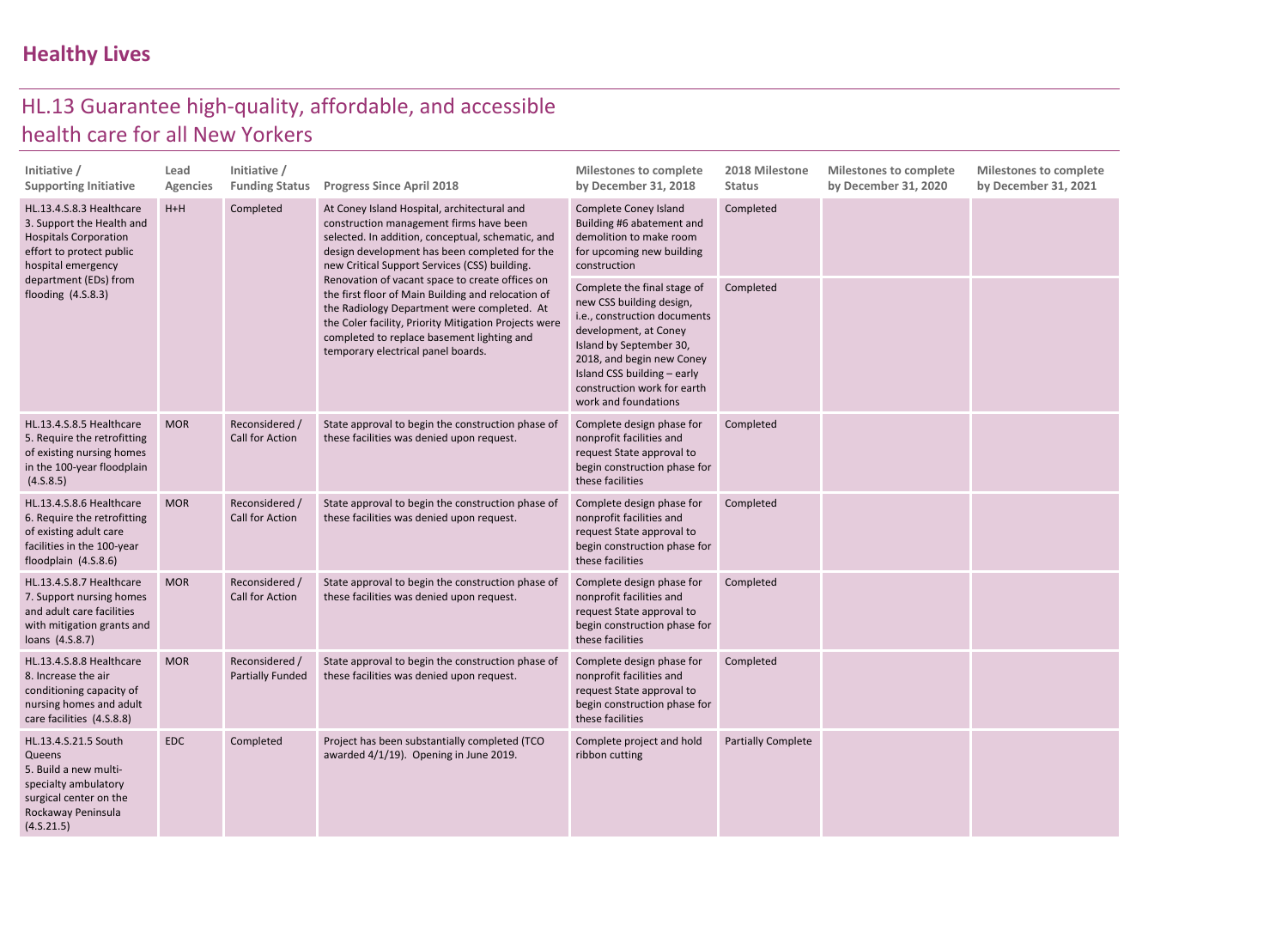#### HL.13 Guarantee high-quality, affordable, and accessible health care for all New Yorkers

| Initiative /<br><b>Supporting Initiative</b>                                                                                                                                           | Lead<br><b>Agencies</b> | Initiative /<br><b>Funding Status</b>     | <b>Progress Since April 2018</b>                                                                                                                                                                                                                                                                  | <b>Milestones to complete</b><br>by December 31, 2018                                                                                                                                                                                                          | 2018 Milestone<br><b>Status</b> | <b>Milestones to complete</b><br>by December 31, 2020 | <b>Milestones to complete</b><br>by December 31, 2021 |
|----------------------------------------------------------------------------------------------------------------------------------------------------------------------------------------|-------------------------|-------------------------------------------|---------------------------------------------------------------------------------------------------------------------------------------------------------------------------------------------------------------------------------------------------------------------------------------------------|----------------------------------------------------------------------------------------------------------------------------------------------------------------------------------------------------------------------------------------------------------------|---------------------------------|-------------------------------------------------------|-------------------------------------------------------|
| HL.13.4.S.8.3 Healthcare<br>3. Support the Health and<br><b>Hospitals Corporation</b><br>effort to protect public<br>hospital emergency<br>department (EDs) from<br>flooding (4.S.8.3) | $H+H$                   | Completed                                 | At Coney Island Hospital, architectural and<br>construction management firms have been<br>selected. In addition, conceptual, schematic, and<br>design development has been completed for the<br>new Critical Support Services (CSS) building.                                                     | Complete Coney Island<br>Building #6 abatement and<br>demolition to make room<br>for upcoming new building<br>construction                                                                                                                                     | Completed                       |                                                       |                                                       |
|                                                                                                                                                                                        |                         |                                           | Renovation of vacant space to create offices on<br>the first floor of Main Building and relocation of<br>the Radiology Department were completed. At<br>the Coler facility, Priority Mitigation Projects were<br>completed to replace basement lighting and<br>temporary electrical panel boards. | Complete the final stage of<br>new CSS building design,<br>i.e., construction documents<br>development, at Coney<br>Island by September 30,<br>2018, and begin new Coney<br>Island CSS building - early<br>construction work for earth<br>work and foundations | Completed                       |                                                       |                                                       |
| HL.13.4.S.8.5 Healthcare<br>5. Require the retrofitting<br>of existing nursing homes<br>in the 100-year floodplain<br>(4.5.8.5)                                                        | <b>MOR</b>              | Reconsidered /<br>Call for Action         | State approval to begin the construction phase of<br>these facilities was denied upon request.                                                                                                                                                                                                    | Complete design phase for<br>nonprofit facilities and<br>request State approval to<br>begin construction phase for<br>these facilities                                                                                                                         | Completed                       |                                                       |                                                       |
| HL.13.4.S.8.6 Healthcare<br>6. Require the retrofitting<br>of existing adult care<br>facilities in the 100-year<br>floodplain (4.S.8.6)                                                | <b>MOR</b>              | Reconsidered /<br>Call for Action         | State approval to begin the construction phase of<br>these facilities was denied upon request.                                                                                                                                                                                                    | Complete design phase for<br>nonprofit facilities and<br>request State approval to<br>begin construction phase for<br>these facilities                                                                                                                         | Completed                       |                                                       |                                                       |
| HL.13.4.S.8.7 Healthcare<br>7. Support nursing homes<br>and adult care facilities<br>with mitigation grants and<br>loans (4.S.8.7)                                                     | <b>MOR</b>              | Reconsidered /<br>Call for Action         | State approval to begin the construction phase of<br>these facilities was denied upon request.                                                                                                                                                                                                    | Complete design phase for<br>nonprofit facilities and<br>request State approval to<br>begin construction phase for<br>these facilities                                                                                                                         | Completed                       |                                                       |                                                       |
| HL.13.4.S.8.8 Healthcare<br>8. Increase the air<br>conditioning capacity of<br>nursing homes and adult<br>care facilities (4.S.8.8)                                                    | <b>MOR</b>              | Reconsidered /<br><b>Partially Funded</b> | State approval to begin the construction phase of<br>these facilities was denied upon request.                                                                                                                                                                                                    | Complete design phase for<br>nonprofit facilities and<br>request State approval to<br>begin construction phase for<br>these facilities                                                                                                                         | Completed                       |                                                       |                                                       |
| HL.13.4.S.21.5 South<br>Queens<br>5. Build a new multi-<br>specialty ambulatory<br>surgical center on the<br>Rockaway Peninsula<br>(4.5.21.5)                                          | <b>EDC</b>              | Completed                                 | Project has been substantially completed (TCO<br>awarded 4/1/19). Opening in June 2019.                                                                                                                                                                                                           | Complete project and hold<br>ribbon cutting                                                                                                                                                                                                                    | <b>Partially Complete</b>       |                                                       |                                                       |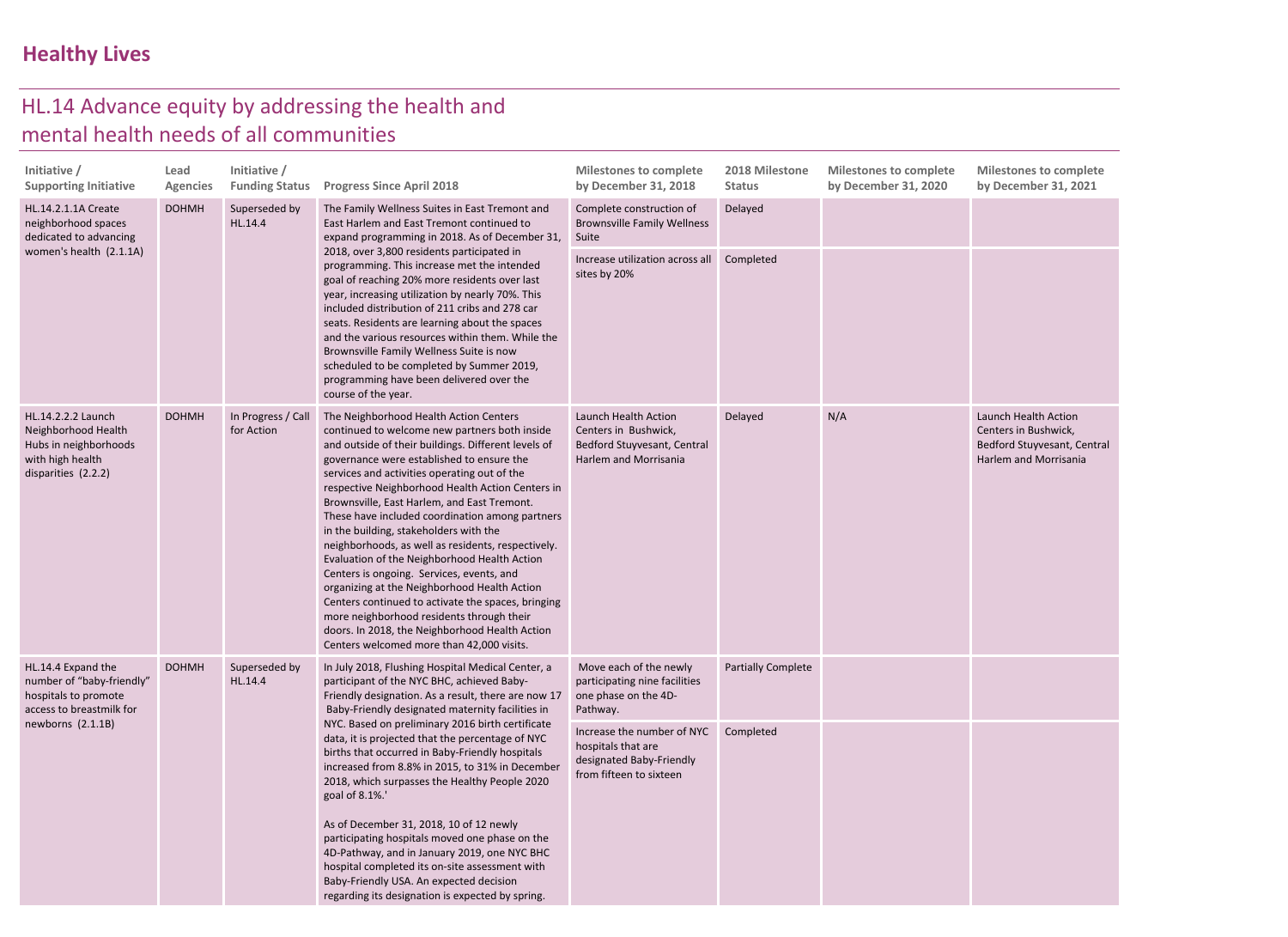#### HL.14 Advance equity by addressing the health and mental health needs of all communities

| Initiative /<br><b>Supporting Initiative</b>                                                                               | Lead<br><b>Agencies</b> | Initiative /<br><b>Funding Status</b> | <b>Progress Since April 2018</b>                                                                                                                                                                                                                                                                                                                                                                                                                                                                                                                                                                                                                                                                                                                                                                                                                 | <b>Milestones to complete</b><br>by December 31, 2018                                                                                                                                                      | 2018 Milestone<br><b>Status</b>                                                             | <b>Milestones to complete</b><br>by December 31, 2020 | <b>Milestones to complete</b><br>by December 31, 2021                                                |  |
|----------------------------------------------------------------------------------------------------------------------------|-------------------------|---------------------------------------|--------------------------------------------------------------------------------------------------------------------------------------------------------------------------------------------------------------------------------------------------------------------------------------------------------------------------------------------------------------------------------------------------------------------------------------------------------------------------------------------------------------------------------------------------------------------------------------------------------------------------------------------------------------------------------------------------------------------------------------------------------------------------------------------------------------------------------------------------|------------------------------------------------------------------------------------------------------------------------------------------------------------------------------------------------------------|---------------------------------------------------------------------------------------------|-------------------------------------------------------|------------------------------------------------------------------------------------------------------|--|
| <b>HL.14.2.1.1A Create</b><br>neighborhood spaces<br>dedicated to advancing<br>women's health (2.1.1A)                     | <b>DOHMH</b>            | Superseded by<br>HL.14.4              | The Family Wellness Suites in East Tremont and<br>East Harlem and East Tremont continued to<br>expand programming in 2018. As of December 31,<br>2018, over 3,800 residents participated in<br>programming. This increase met the intended<br>goal of reaching 20% more residents over last<br>year, increasing utilization by nearly 70%. This<br>included distribution of 211 cribs and 278 car<br>seats. Residents are learning about the spaces<br>and the various resources within them. While the<br>Brownsville Family Wellness Suite is now<br>scheduled to be completed by Summer 2019,<br>programming have been delivered over the<br>course of the year.                                                                                                                                                                              | Complete construction of<br><b>Brownsville Family Wellness</b><br>Suite                                                                                                                                    | Delayed                                                                                     |                                                       |                                                                                                      |  |
|                                                                                                                            |                         |                                       |                                                                                                                                                                                                                                                                                                                                                                                                                                                                                                                                                                                                                                                                                                                                                                                                                                                  | Increase utilization across all<br>sites by 20%                                                                                                                                                            | Completed                                                                                   |                                                       |                                                                                                      |  |
| HL.14.2.2.2 Launch<br>Neighborhood Health<br>Hubs in neighborhoods<br>with high health<br>disparities (2.2.2)              | <b>DOHMH</b>            | In Progress / Call<br>for Action      | The Neighborhood Health Action Centers<br>continued to welcome new partners both inside<br>and outside of their buildings. Different levels of<br>governance were established to ensure the<br>services and activities operating out of the<br>respective Neighborhood Health Action Centers in<br>Brownsville, East Harlem, and East Tremont.<br>These have included coordination among partners<br>in the building, stakeholders with the<br>neighborhoods, as well as residents, respectively.<br>Evaluation of the Neighborhood Health Action<br>Centers is ongoing. Services, events, and<br>organizing at the Neighborhood Health Action<br>Centers continued to activate the spaces, bringing<br>more neighborhood residents through their<br>doors. In 2018, the Neighborhood Health Action<br>Centers welcomed more than 42,000 visits. | Launch Health Action<br>Centers in Bushwick,<br>Bedford Stuyvesant, Central<br>Harlem and Morrisania                                                                                                       | Delayed                                                                                     | N/A                                                   | Launch Health Action<br>Centers in Bushwick,<br>Bedford Stuyvesant, Central<br>Harlem and Morrisania |  |
| HL.14.4 Expand the<br>number of "baby-friendly"<br>hospitals to promote<br>access to breastmilk for<br>newborns $(2.1.1B)$ | <b>DOHMH</b>            | HL.14.4                               | Superseded by                                                                                                                                                                                                                                                                                                                                                                                                                                                                                                                                                                                                                                                                                                                                                                                                                                    | In July 2018, Flushing Hospital Medical Center, a<br>participant of the NYC BHC, achieved Baby-<br>Friendly designation. As a result, there are now 17<br>Baby-Friendly designated maternity facilities in | Move each of the newly<br>participating nine facilities<br>one phase on the 4D-<br>Pathway. | <b>Partially Complete</b>                             |                                                                                                      |  |
|                                                                                                                            |                         |                                       | NYC. Based on preliminary 2016 birth certificate<br>data, it is projected that the percentage of NYC<br>births that occurred in Baby-Friendly hospitals<br>increased from 8.8% in 2015, to 31% in December<br>2018, which surpasses the Healthy People 2020<br>goal of 8.1%.'<br>As of December 31, 2018, 10 of 12 newly<br>participating hospitals moved one phase on the<br>4D-Pathway, and in January 2019, one NYC BHC<br>hospital completed its on-site assessment with<br>Baby-Friendly USA. An expected decision<br>regarding its designation is expected by spring.                                                                                                                                                                                                                                                                      | Increase the number of NYC Completed<br>hospitals that are<br>designated Baby-Friendly<br>from fifteen to sixteen                                                                                          |                                                                                             |                                                       |                                                                                                      |  |
|                                                                                                                            |                         |                                       |                                                                                                                                                                                                                                                                                                                                                                                                                                                                                                                                                                                                                                                                                                                                                                                                                                                  |                                                                                                                                                                                                            |                                                                                             |                                                       |                                                                                                      |  |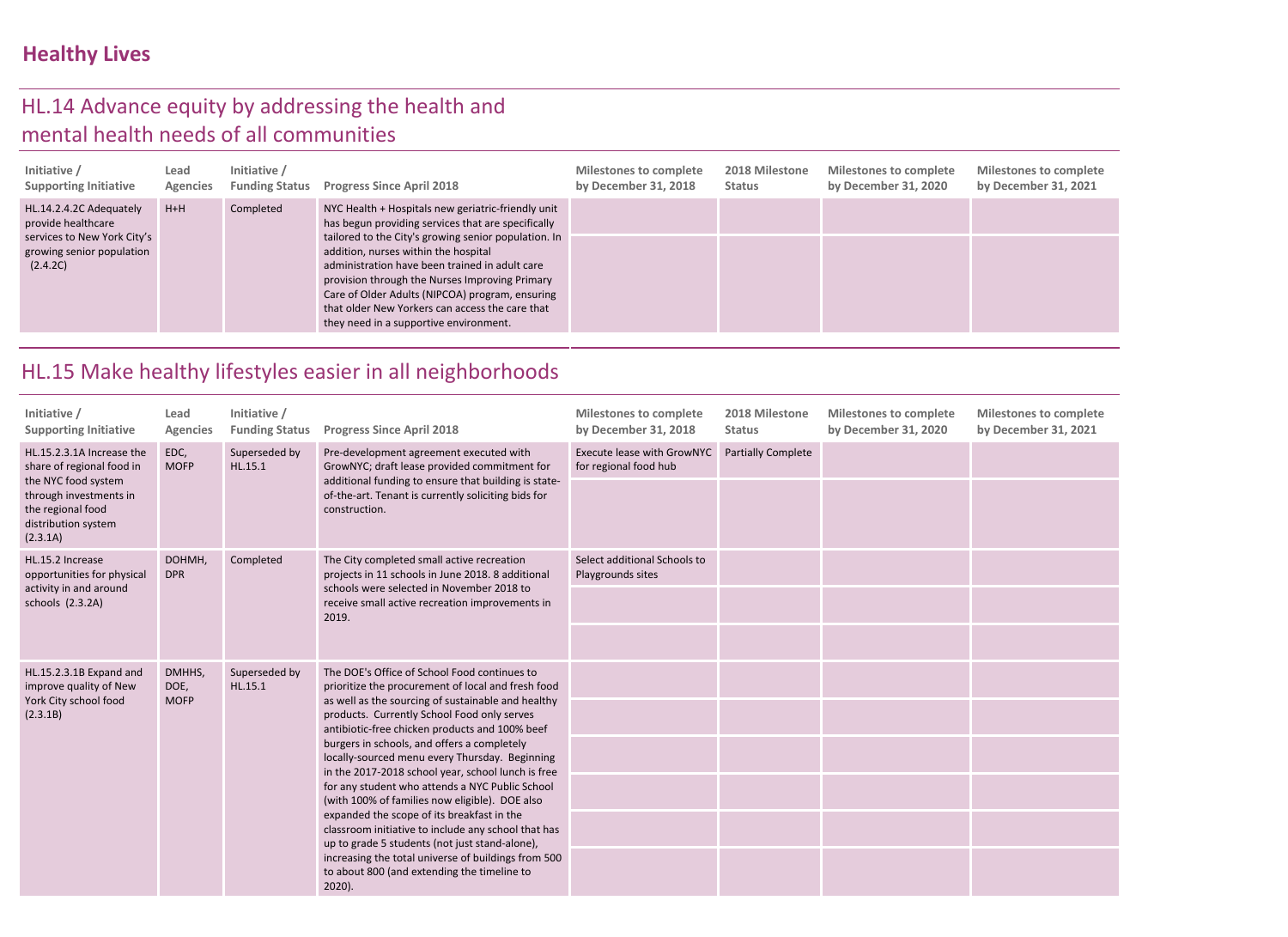#### HL.14 Advance equity by addressing the health and mental health needs of all communities

| Initiative /                                                                                                          | Lead     | Initiative /          | <b>Progress Since April 2018</b>                                                                                                                                                                                                                                                                                                                                                                                                                             | Milestones to complete | 2018 Milestone | <b>Milestones to complete</b> | Milestones to complete |
|-----------------------------------------------------------------------------------------------------------------------|----------|-----------------------|--------------------------------------------------------------------------------------------------------------------------------------------------------------------------------------------------------------------------------------------------------------------------------------------------------------------------------------------------------------------------------------------------------------------------------------------------------------|------------------------|----------------|-------------------------------|------------------------|
| <b>Supporting Initiative</b>                                                                                          | Agencies | <b>Funding Status</b> |                                                                                                                                                                                                                                                                                                                                                                                                                                                              | by December 31, 2018   | <b>Status</b>  | by December 31, 2020          | by December 31, 2021   |
| HL.14.2.4.2C Adequately<br>provide healthcare<br>services to New York City's<br>growing senior population<br>(2.4.2C) | $H+H$    | Completed             | NYC Health + Hospitals new geriatric-friendly unit<br>has begun providing services that are specifically<br>tailored to the City's growing senior population. In<br>addition, nurses within the hospital<br>administration have been trained in adult care<br>provision through the Nurses Improving Primary<br>Care of Older Adults (NIPCOA) program, ensuring<br>that older New Yorkers can access the care that<br>they need in a supportive environment. |                        |                |                               |                        |

#### HL.15 Make healthy lifestyles easier in all neighborhoods

| Initiative /<br><b>Supporting Initiative</b>                                                                                 | Lead<br><b>Agencies</b> | Initiative /<br><b>Funding Status</b> | <b>Progress Since April 2018</b>                                                                                                                                                                                                                          | <b>Milestones to complete</b><br>by December 31, 2018      | 2018 Milestone<br><b>Status</b> | <b>Milestones to complete</b><br>by December 31, 2020 | <b>Milestones to complete</b><br>by December 31, 2021 |
|------------------------------------------------------------------------------------------------------------------------------|-------------------------|---------------------------------------|-----------------------------------------------------------------------------------------------------------------------------------------------------------------------------------------------------------------------------------------------------------|------------------------------------------------------------|---------------------------------|-------------------------------------------------------|-------------------------------------------------------|
| HL.15.2.3.1A Increase the<br>share of regional food in<br>the NYC food system<br>through investments in<br>the regional food | EDC,<br><b>MOFP</b>     | Superseded by<br>HL.15.1              | Pre-development agreement executed with<br>GrowNYC; draft lease provided commitment for<br>additional funding to ensure that building is state-<br>of-the-art. Tenant is currently soliciting bids for<br>construction.                                   | <b>Execute lease with GrowNYC</b><br>for regional food hub | <b>Partially Complete</b>       |                                                       |                                                       |
| distribution system<br>(2.3.1A)                                                                                              |                         |                                       |                                                                                                                                                                                                                                                           |                                                            |                                 |                                                       |                                                       |
| HL.15.2 Increase<br>opportunities for physical<br>activity in and around<br>schools (2.3.2A)                                 | DOHMH,<br><b>DPR</b>    | Completed                             | The City completed small active recreation<br>projects in 11 schools in June 2018. 8 additional                                                                                                                                                           | Select additional Schools to<br>Playgrounds sites          |                                 |                                                       |                                                       |
|                                                                                                                              |                         |                                       | schools were selected in November 2018 to<br>receive small active recreation improvements in<br>2019.                                                                                                                                                     |                                                            |                                 |                                                       |                                                       |
|                                                                                                                              |                         |                                       |                                                                                                                                                                                                                                                           |                                                            |                                 |                                                       |                                                       |
| HL.15.2.3.1B Expand and<br>improve quality of New                                                                            | DMHHS,<br>DOE,          | Superseded by<br>HL.15.1              | The DOE's Office of School Food continues to<br>prioritize the procurement of local and fresh food<br>as well as the sourcing of sustainable and healthy<br>products. Currently School Food only serves<br>antibiotic-free chicken products and 100% beef |                                                            |                                 |                                                       |                                                       |
| York City school food<br>(2.3.1B)                                                                                            | <b>MOFP</b>             |                                       |                                                                                                                                                                                                                                                           |                                                            |                                 |                                                       |                                                       |
|                                                                                                                              |                         |                                       | burgers in schools, and offers a completely<br>locally-sourced menu every Thursday. Beginning<br>in the 2017-2018 school year, school lunch is free                                                                                                       |                                                            |                                 |                                                       |                                                       |
|                                                                                                                              |                         |                                       | for any student who attends a NYC Public School<br>(with 100% of families now eligible). DOE also                                                                                                                                                         |                                                            |                                 |                                                       |                                                       |
|                                                                                                                              |                         |                                       | expanded the scope of its breakfast in the<br>classroom initiative to include any school that has<br>up to grade 5 students (not just stand-alone),                                                                                                       |                                                            |                                 |                                                       |                                                       |
|                                                                                                                              |                         |                                       | increasing the total universe of buildings from 500<br>to about 800 (and extending the timeline to<br>$2020$ ).                                                                                                                                           |                                                            |                                 |                                                       |                                                       |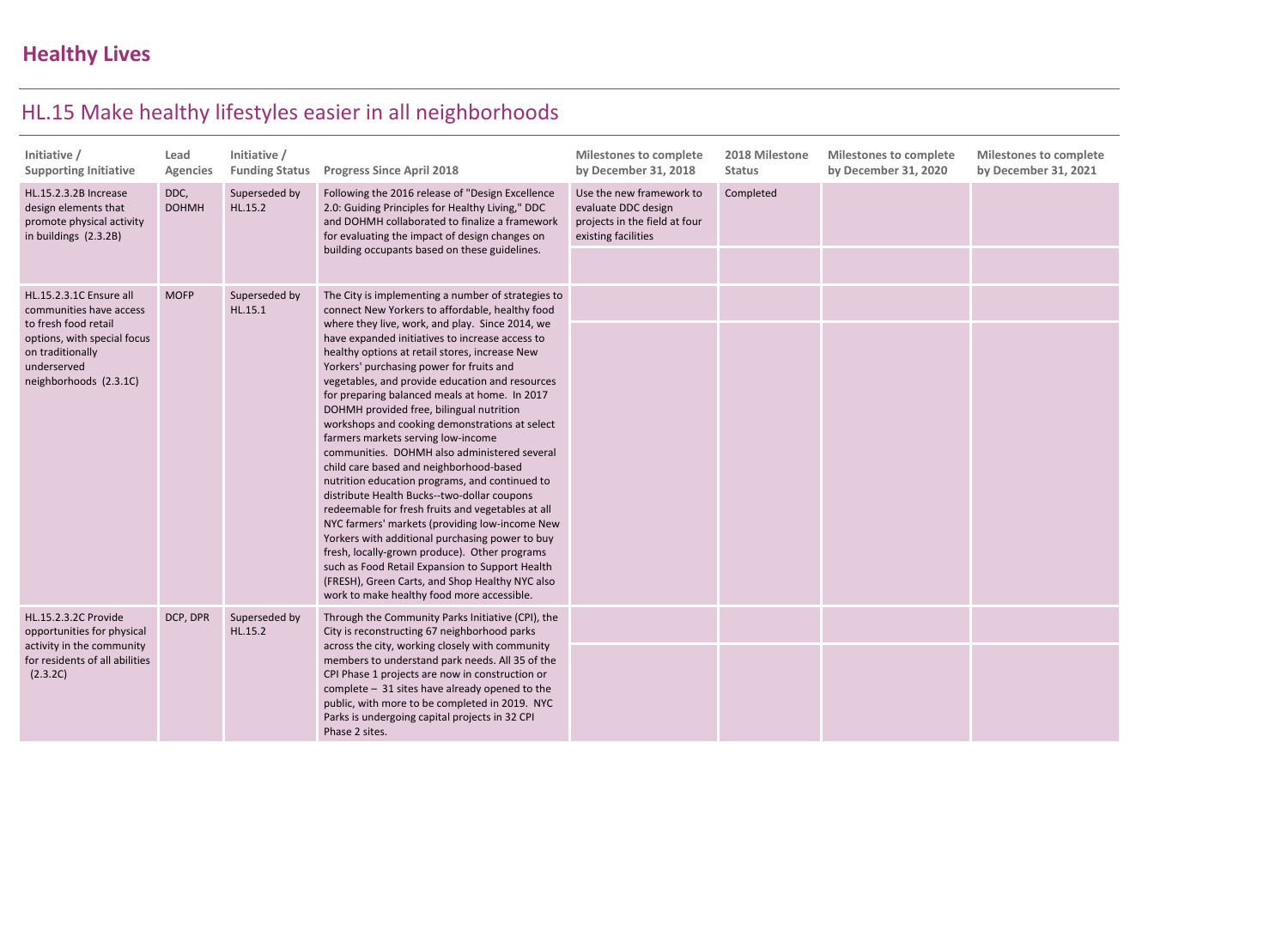# HL.15 Make healthy lifestyles easier in all neighborhoods

| Initiative /<br><b>Supporting Initiative</b>                                                                                                                           | Lead<br><b>Agencies</b> | Initiative /<br><b>Funding Status</b> | <b>Progress Since April 2018</b>                                                                                                                                                                                                                                                                                                                                                                                                                                                                                                                                                                                                                                                                                                                                                                                                                                                                                                                                                                                                                               | <b>Milestones to complete</b><br>by December 31, 2018                                                   | 2018 Milestone<br><b>Status</b> | <b>Milestones to complete</b><br>by December 31, 2020 | <b>Milestones to complete</b><br>by December 31, 2021 |
|------------------------------------------------------------------------------------------------------------------------------------------------------------------------|-------------------------|---------------------------------------|----------------------------------------------------------------------------------------------------------------------------------------------------------------------------------------------------------------------------------------------------------------------------------------------------------------------------------------------------------------------------------------------------------------------------------------------------------------------------------------------------------------------------------------------------------------------------------------------------------------------------------------------------------------------------------------------------------------------------------------------------------------------------------------------------------------------------------------------------------------------------------------------------------------------------------------------------------------------------------------------------------------------------------------------------------------|---------------------------------------------------------------------------------------------------------|---------------------------------|-------------------------------------------------------|-------------------------------------------------------|
| HL.15.2.3.2B Increase<br>design elements that<br>promote physical activity<br>in buildings (2.3.2B)                                                                    | DDC,<br><b>DOHMH</b>    | Superseded by<br>HL.15.2              | Following the 2016 release of "Design Excellence<br>2.0: Guiding Principles for Healthy Living," DDC<br>and DOHMH collaborated to finalize a framework<br>for evaluating the impact of design changes on                                                                                                                                                                                                                                                                                                                                                                                                                                                                                                                                                                                                                                                                                                                                                                                                                                                       | Use the new framework to<br>evaluate DDC design<br>projects in the field at four<br>existing facilities | Completed                       |                                                       |                                                       |
|                                                                                                                                                                        |                         |                                       | building occupants based on these guidelines.                                                                                                                                                                                                                                                                                                                                                                                                                                                                                                                                                                                                                                                                                                                                                                                                                                                                                                                                                                                                                  |                                                                                                         |                                 |                                                       |                                                       |
| HL.15.2.3.1C Ensure all<br>communities have access<br>to fresh food retail<br>options, with special focus<br>on traditionally<br>underserved<br>neighborhoods (2.3.1C) | <b>MOFP</b>             | Superseded by<br>HL.15.1              | The City is implementing a number of strategies to<br>connect New Yorkers to affordable, healthy food<br>where they live, work, and play. Since 2014, we<br>have expanded initiatives to increase access to<br>healthy options at retail stores, increase New<br>Yorkers' purchasing power for fruits and<br>vegetables, and provide education and resources<br>for preparing balanced meals at home. In 2017<br>DOHMH provided free, bilingual nutrition<br>workshops and cooking demonstrations at select<br>farmers markets serving low-income<br>communities. DOHMH also administered several<br>child care based and neighborhood-based<br>nutrition education programs, and continued to<br>distribute Health Bucks--two-dollar coupons<br>redeemable for fresh fruits and vegetables at all<br>NYC farmers' markets (providing low-income New<br>Yorkers with additional purchasing power to buy<br>fresh, locally-grown produce). Other programs<br>such as Food Retail Expansion to Support Health<br>(FRESH), Green Carts, and Shop Healthy NYC also |                                                                                                         |                                 |                                                       |                                                       |
| HL.15.2.3.2C Provide<br>opportunities for physical<br>activity in the community<br>for residents of all abilities<br>(2.3.2C)                                          | DCP, DPR                | Superseded by<br>HL.15.2              | work to make healthy food more accessible.<br>Through the Community Parks Initiative (CPI), the<br>City is reconstructing 67 neighborhood parks                                                                                                                                                                                                                                                                                                                                                                                                                                                                                                                                                                                                                                                                                                                                                                                                                                                                                                                |                                                                                                         |                                 |                                                       |                                                       |
|                                                                                                                                                                        |                         |                                       | across the city, working closely with community<br>members to understand park needs. All 35 of the<br>CPI Phase 1 projects are now in construction or<br>complete - 31 sites have already opened to the<br>public, with more to be completed in 2019. NYC<br>Parks is undergoing capital projects in 32 CPI<br>Phase 2 sites.                                                                                                                                                                                                                                                                                                                                                                                                                                                                                                                                                                                                                                                                                                                                  |                                                                                                         |                                 |                                                       |                                                       |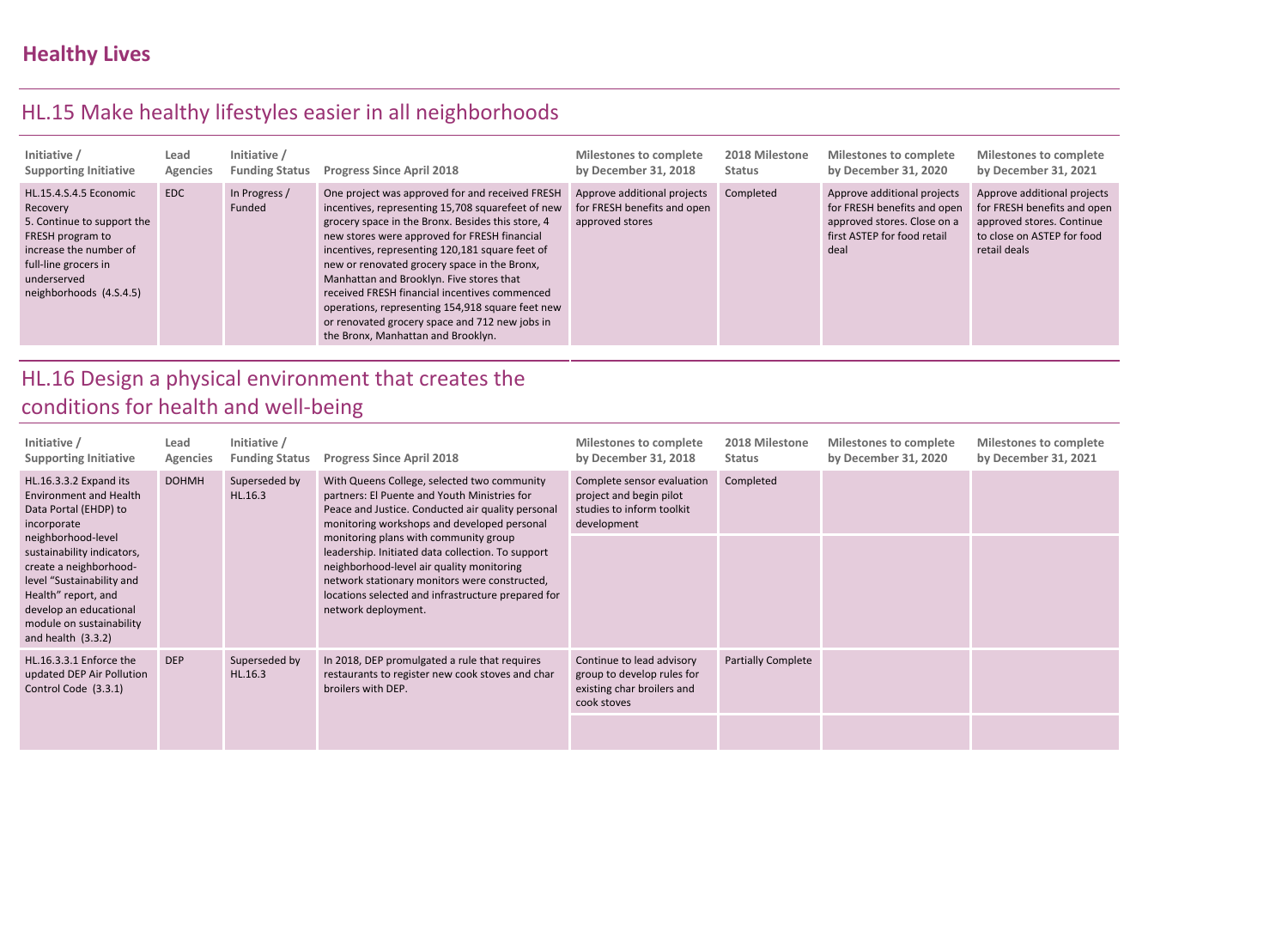#### HL.15 Make healthy lifestyles easier in all neighborhoods

| Initiative /                                                                                                                                                                     | Lead            | Initiative /            | <b>Progress Since April 2018</b>                                                                                                                                                                                                                                                                                                                                                                                                                                                                                                                      | Milestones to complete                                                        | 2018 Milestone | <b>Milestones to complete</b>                                                                                                    | <b>Milestones to complete</b>                                                                                                         |
|----------------------------------------------------------------------------------------------------------------------------------------------------------------------------------|-----------------|-------------------------|-------------------------------------------------------------------------------------------------------------------------------------------------------------------------------------------------------------------------------------------------------------------------------------------------------------------------------------------------------------------------------------------------------------------------------------------------------------------------------------------------------------------------------------------------------|-------------------------------------------------------------------------------|----------------|----------------------------------------------------------------------------------------------------------------------------------|---------------------------------------------------------------------------------------------------------------------------------------|
| <b>Supporting Initiative</b>                                                                                                                                                     | <b>Agencies</b> | <b>Funding Status</b>   |                                                                                                                                                                                                                                                                                                                                                                                                                                                                                                                                                       | by December 31, 2018                                                          | <b>Status</b>  | by December 31, 2020                                                                                                             | by December 31, 2021                                                                                                                  |
| HL.15.4.S.4.5 Economic<br>Recovery<br>5. Continue to support the<br>FRESH program to<br>increase the number of<br>full-line grocers in<br>underserved<br>neighborhoods (4.S.4.5) | <b>EDC</b>      | In Progress /<br>Funded | One project was approved for and received FRESH<br>incentives, representing 15,708 squarefeet of new<br>grocery space in the Bronx. Besides this store, 4<br>new stores were approved for FRESH financial<br>incentives, representing 120,181 square feet of<br>new or renovated grocery space in the Bronx,<br>Manhattan and Brooklyn. Five stores that<br>received FRESH financial incentives commenced<br>operations, representing 154,918 square feet new<br>or renovated grocery space and 712 new jobs in<br>the Bronx, Manhattan and Brooklyn. | Approve additional projects<br>for FRESH benefits and open<br>approved stores | Completed      | Approve additional projects<br>for FRESH benefits and open<br>approved stores. Close on a<br>first ASTEP for food retail<br>deal | Approve additional projects<br>for FRESH benefits and open<br>approved stores. Continue<br>to close on ASTEP for food<br>retail deals |

| Initiative /<br><b>Supporting Initiative</b>                                                                                                                                                                                                                                                                    | Lead<br><b>Agencies</b> | Initiative /<br><b>Funding Status</b> | <b>Progress Since April 2018</b>                                                                                                                                                                                                                                                                                                                                                                                                                                         | <b>Milestones to complete</b><br>by December 31, 2018                                                | 2018 Milestone<br><b>Status</b> | <b>Milestones to complete</b><br>by December 31, 2020 | <b>Milestones to complete</b><br>by December 31, 2021 |
|-----------------------------------------------------------------------------------------------------------------------------------------------------------------------------------------------------------------------------------------------------------------------------------------------------------------|-------------------------|---------------------------------------|--------------------------------------------------------------------------------------------------------------------------------------------------------------------------------------------------------------------------------------------------------------------------------------------------------------------------------------------------------------------------------------------------------------------------------------------------------------------------|------------------------------------------------------------------------------------------------------|---------------------------------|-------------------------------------------------------|-------------------------------------------------------|
| HL.16.3.3.2 Expand its<br><b>Environment and Health</b><br>Data Portal (EHDP) to<br>incorporate<br>neighborhood-level<br>sustainability indicators,<br>create a neighborhood-<br>level "Sustainability and<br>Health" report, and<br>develop an educational<br>module on sustainability<br>and health $(3.3.2)$ | <b>DOHMH</b>            | Superseded by<br>HL.16.3              | With Queens College, selected two community<br>partners: El Puente and Youth Ministries for<br>Peace and Justice. Conducted air quality personal<br>monitoring workshops and developed personal<br>monitoring plans with community group<br>leadership. Initiated data collection. To support<br>neighborhood-level air quality monitoring<br>network stationary monitors were constructed,<br>locations selected and infrastructure prepared for<br>network deployment. | Complete sensor evaluation<br>project and begin pilot<br>studies to inform toolkit<br>development    | Completed                       |                                                       |                                                       |
|                                                                                                                                                                                                                                                                                                                 |                         |                                       |                                                                                                                                                                                                                                                                                                                                                                                                                                                                          |                                                                                                      |                                 |                                                       |                                                       |
| HL.16.3.3.1 Enforce the<br>updated DEP Air Pollution<br>Control Code (3.3.1)                                                                                                                                                                                                                                    | <b>DEP</b>              | Superseded by<br>HL.16.3              | In 2018, DEP promulgated a rule that requires<br>restaurants to register new cook stoves and char<br>broilers with DEP.                                                                                                                                                                                                                                                                                                                                                  | Continue to lead advisory<br>group to develop rules for<br>existing char broilers and<br>cook stoves | <b>Partially Complete</b>       |                                                       |                                                       |
|                                                                                                                                                                                                                                                                                                                 |                         |                                       |                                                                                                                                                                                                                                                                                                                                                                                                                                                                          |                                                                                                      |                                 |                                                       |                                                       |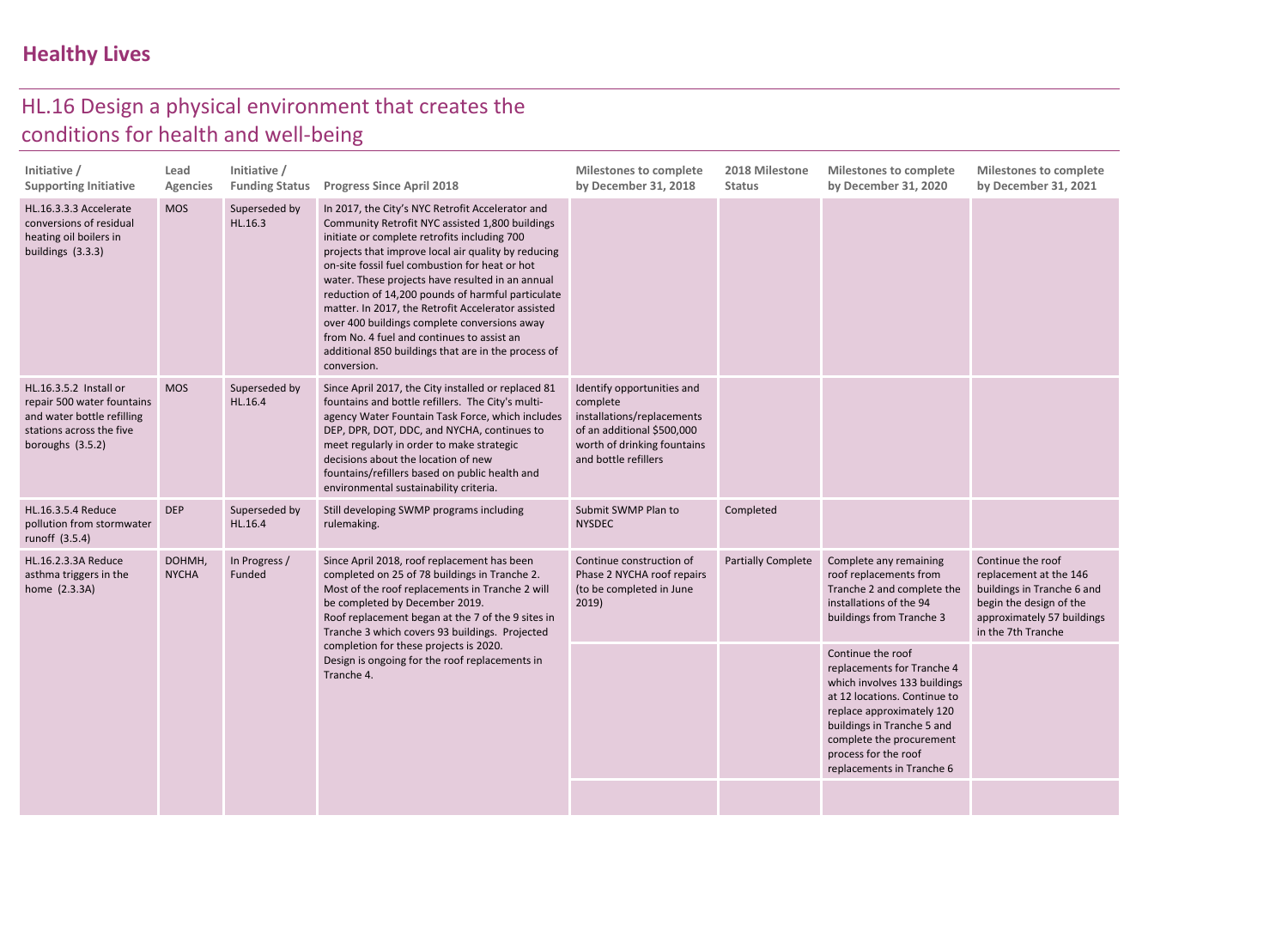| Initiative /<br><b>Supporting Initiative</b>                                                                                         | Lead<br><b>Agencies</b> | Initiative /<br><b>Funding Status</b>                                                                                                                                                                                                                                                                                                                                                                                         | <b>Progress Since April 2018</b>                                                                                                                                                                                                                                                                                                                                                                                                                                                                                                                                                                | <b>Milestones to complete</b><br>by December 31, 2018                                                                                                     | 2018 Milestone<br><b>Status</b>                                                                                                                                                                                                                             | <b>Milestones to complete</b><br>by December 31, 2020                                                                                 | <b>Milestones to complete</b><br>by December 31, 2021                                                                                                    |
|--------------------------------------------------------------------------------------------------------------------------------------|-------------------------|-------------------------------------------------------------------------------------------------------------------------------------------------------------------------------------------------------------------------------------------------------------------------------------------------------------------------------------------------------------------------------------------------------------------------------|-------------------------------------------------------------------------------------------------------------------------------------------------------------------------------------------------------------------------------------------------------------------------------------------------------------------------------------------------------------------------------------------------------------------------------------------------------------------------------------------------------------------------------------------------------------------------------------------------|-----------------------------------------------------------------------------------------------------------------------------------------------------------|-------------------------------------------------------------------------------------------------------------------------------------------------------------------------------------------------------------------------------------------------------------|---------------------------------------------------------------------------------------------------------------------------------------|----------------------------------------------------------------------------------------------------------------------------------------------------------|
| HL.16.3.3.3 Accelerate<br>conversions of residual<br>heating oil boilers in<br>buildings (3.3.3)                                     | <b>MOS</b>              | Superseded by<br>HL.16.3                                                                                                                                                                                                                                                                                                                                                                                                      | In 2017, the City's NYC Retrofit Accelerator and<br>Community Retrofit NYC assisted 1,800 buildings<br>initiate or complete retrofits including 700<br>projects that improve local air quality by reducing<br>on-site fossil fuel combustion for heat or hot<br>water. These projects have resulted in an annual<br>reduction of 14,200 pounds of harmful particulate<br>matter. In 2017, the Retrofit Accelerator assisted<br>over 400 buildings complete conversions away<br>from No. 4 fuel and continues to assist an<br>additional 850 buildings that are in the process of<br>conversion. |                                                                                                                                                           |                                                                                                                                                                                                                                                             |                                                                                                                                       |                                                                                                                                                          |
| HL.16.3.5.2 Install or<br>repair 500 water fountains<br>and water bottle refilling<br>stations across the five<br>boroughs $(3.5.2)$ | <b>MOS</b>              | Superseded by<br>HL.16.4                                                                                                                                                                                                                                                                                                                                                                                                      | Since April 2017, the City installed or replaced 81<br>fountains and bottle refillers. The City's multi-<br>agency Water Fountain Task Force, which includes<br>DEP, DPR, DOT, DDC, and NYCHA, continues to<br>meet regularly in order to make strategic<br>decisions about the location of new<br>fountains/refillers based on public health and<br>environmental sustainability criteria.                                                                                                                                                                                                     | Identify opportunities and<br>complete<br>installations/replacements<br>of an additional \$500,000<br>worth of drinking fountains<br>and bottle refillers |                                                                                                                                                                                                                                                             |                                                                                                                                       |                                                                                                                                                          |
| HL.16.3.5.4 Reduce<br>pollution from stormwater<br>runoff (3.5.4)                                                                    | <b>DEP</b>              | Superseded by<br>HL.16.4                                                                                                                                                                                                                                                                                                                                                                                                      | Still developing SWMP programs including<br>rulemaking.                                                                                                                                                                                                                                                                                                                                                                                                                                                                                                                                         | Submit SWMP Plan to<br><b>NYSDEC</b>                                                                                                                      | Completed                                                                                                                                                                                                                                                   |                                                                                                                                       |                                                                                                                                                          |
| HL.16.2.3.3A Reduce<br>asthma triggers in the<br>home (2.3.3A)                                                                       | DOHMH,<br><b>NYCHA</b>  | In Progress /<br>Since April 2018, roof replacement has been<br>Funded<br>completed on 25 of 78 buildings in Tranche 2.<br>Most of the roof replacements in Tranche 2 will<br>be completed by December 2019.<br>Roof replacement began at the 7 of the 9 sites in<br>Tranche 3 which covers 93 buildings. Projected<br>completion for these projects is 2020.<br>Design is ongoing for the roof replacements in<br>Tranche 4. |                                                                                                                                                                                                                                                                                                                                                                                                                                                                                                                                                                                                 | Continue construction of<br>Phase 2 NYCHA roof repairs<br>(to be completed in June<br>2019)                                                               | <b>Partially Complete</b>                                                                                                                                                                                                                                   | Complete any remaining<br>roof replacements from<br>Tranche 2 and complete the<br>installations of the 94<br>buildings from Tranche 3 | Continue the roof<br>replacement at the 146<br>buildings in Tranche 6 and<br>begin the design of the<br>approximately 57 buildings<br>in the 7th Tranche |
|                                                                                                                                      |                         |                                                                                                                                                                                                                                                                                                                                                                                                                               |                                                                                                                                                                                                                                                                                                                                                                                                                                                                                                                                                                                                 |                                                                                                                                                           | Continue the roof<br>replacements for Tranche 4<br>which involves 133 buildings<br>at 12 locations. Continue to<br>replace approximately 120<br>buildings in Tranche 5 and<br>complete the procurement<br>process for the roof<br>replacements in Tranche 6 |                                                                                                                                       |                                                                                                                                                          |
|                                                                                                                                      |                         |                                                                                                                                                                                                                                                                                                                                                                                                                               |                                                                                                                                                                                                                                                                                                                                                                                                                                                                                                                                                                                                 |                                                                                                                                                           |                                                                                                                                                                                                                                                             |                                                                                                                                       |                                                                                                                                                          |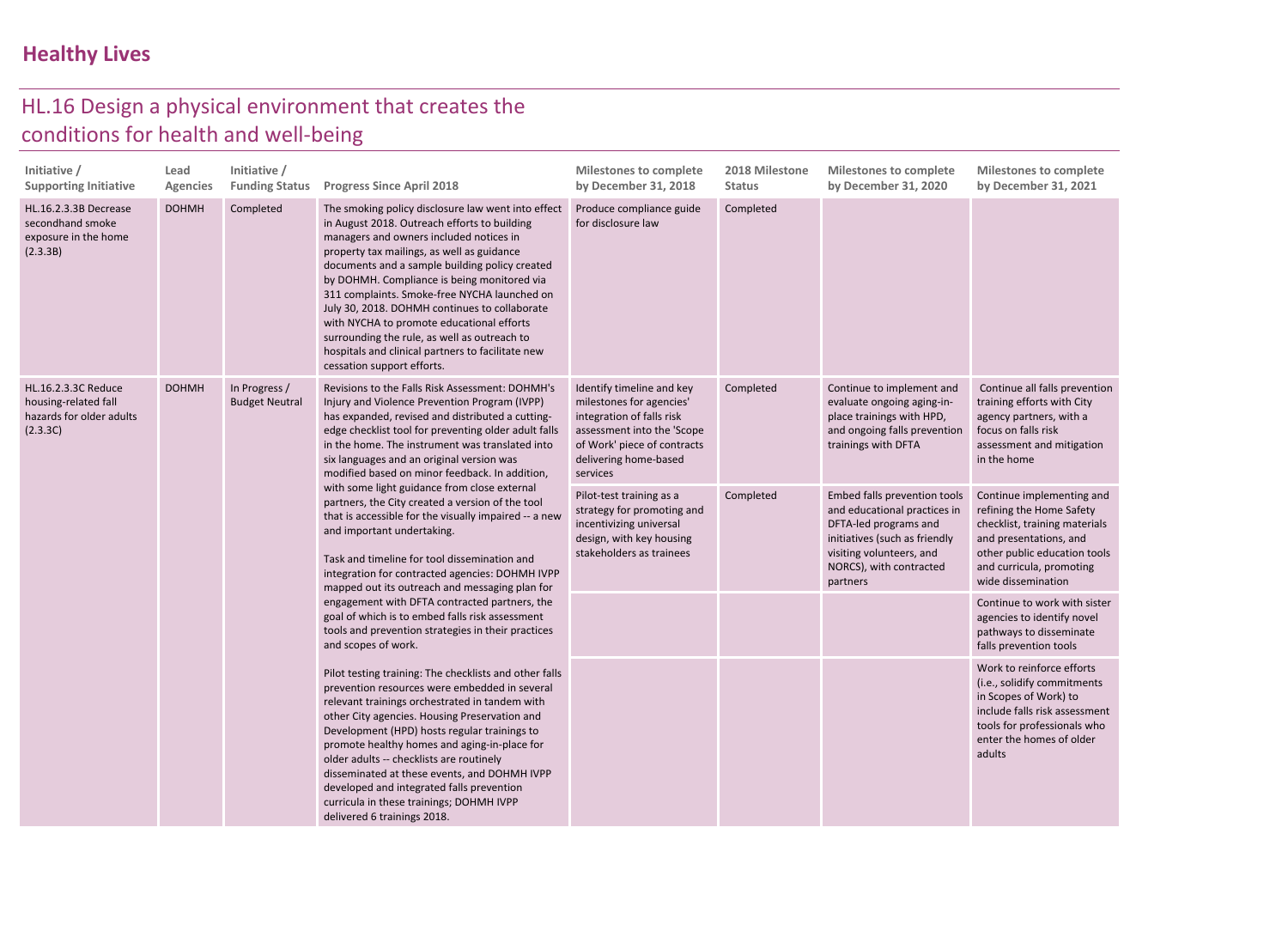| Initiative /<br><b>Supporting Initiative</b>                                        | Lead<br><b>Agencies</b> | Initiative /<br><b>Funding Status</b>  | <b>Progress Since April 2018</b>                                                                                                                                                                                                                                                                                                                                                                                                                                                                                                                                                                                                                                                                                                                                                                                                                                                                | <b>Milestones to complete</b><br>by December 31, 2018                                                                                                                                | 2018 Milestone<br><b>Status</b> | <b>Milestones to complete</b><br>by December 31, 2020                                                                                                                                     | <b>Milestones to complete</b><br>by December 31, 2021                                                                                                                                              |
|-------------------------------------------------------------------------------------|-------------------------|----------------------------------------|-------------------------------------------------------------------------------------------------------------------------------------------------------------------------------------------------------------------------------------------------------------------------------------------------------------------------------------------------------------------------------------------------------------------------------------------------------------------------------------------------------------------------------------------------------------------------------------------------------------------------------------------------------------------------------------------------------------------------------------------------------------------------------------------------------------------------------------------------------------------------------------------------|--------------------------------------------------------------------------------------------------------------------------------------------------------------------------------------|---------------------------------|-------------------------------------------------------------------------------------------------------------------------------------------------------------------------------------------|----------------------------------------------------------------------------------------------------------------------------------------------------------------------------------------------------|
| HL.16.2.3.3B Decrease<br>secondhand smoke<br>exposure in the home<br>(2.3.3B)       | <b>DOHMH</b>            | Completed                              | The smoking policy disclosure law went into effect<br>in August 2018. Outreach efforts to building<br>managers and owners included notices in<br>property tax mailings, as well as guidance<br>documents and a sample building policy created<br>by DOHMH. Compliance is being monitored via<br>311 complaints. Smoke-free NYCHA launched on<br>July 30, 2018. DOHMH continues to collaborate<br>with NYCHA to promote educational efforts<br>surrounding the rule, as well as outreach to<br>hospitals and clinical partners to facilitate new<br>cessation support efforts.                                                                                                                                                                                                                                                                                                                   | Produce compliance guide<br>for disclosure law                                                                                                                                       | Completed                       |                                                                                                                                                                                           |                                                                                                                                                                                                    |
| HL.16.2.3.3C Reduce<br>housing-related fall<br>hazards for older adults<br>(2.3.3C) | <b>DOHMH</b>            | In Progress /<br><b>Budget Neutral</b> | Revisions to the Falls Risk Assessment: DOHMH's<br>Injury and Violence Prevention Program (IVPP)<br>has expanded, revised and distributed a cutting-<br>edge checklist tool for preventing older adult falls<br>in the home. The instrument was translated into<br>six languages and an original version was<br>modified based on minor feedback. In addition,<br>with some light guidance from close external<br>partners, the City created a version of the tool<br>that is accessible for the visually impaired -- a new<br>and important undertaking.<br>Task and timeline for tool dissemination and<br>integration for contracted agencies: DOHMH IVPP<br>mapped out its outreach and messaging plan for<br>engagement with DFTA contracted partners, the<br>goal of which is to embed falls risk assessment<br>tools and prevention strategies in their practices<br>and scopes of work. | Identify timeline and key<br>milestones for agencies'<br>integration of falls risk<br>assessment into the 'Scope<br>of Work' piece of contracts<br>delivering home-based<br>services | Completed                       | Continue to implement and<br>evaluate ongoing aging-in-<br>place trainings with HPD,<br>and ongoing falls prevention<br>trainings with DFTA                                               | Continue all falls prevention<br>training efforts with City<br>agency partners, with a<br>focus on falls risk<br>assessment and mitigation<br>in the home                                          |
|                                                                                     |                         |                                        |                                                                                                                                                                                                                                                                                                                                                                                                                                                                                                                                                                                                                                                                                                                                                                                                                                                                                                 | Pilot-test training as a<br>strategy for promoting and<br>incentivizing universal<br>design, with key housing<br>stakeholders as trainees                                            | Completed                       | Embed falls prevention tools<br>and educational practices in<br>DFTA-led programs and<br>initiatives (such as friendly<br>visiting volunteers, and<br>NORCS), with contracted<br>partners | Continue implementing and<br>refining the Home Safety<br>checklist, training materials<br>and presentations, and<br>other public education tools<br>and curricula, promoting<br>wide dissemination |
|                                                                                     |                         |                                        |                                                                                                                                                                                                                                                                                                                                                                                                                                                                                                                                                                                                                                                                                                                                                                                                                                                                                                 |                                                                                                                                                                                      |                                 |                                                                                                                                                                                           | Continue to work with sister<br>agencies to identify novel<br>pathways to disseminate<br>falls prevention tools                                                                                    |
|                                                                                     |                         |                                        | Pilot testing training: The checklists and other falls<br>prevention resources were embedded in several<br>relevant trainings orchestrated in tandem with<br>other City agencies. Housing Preservation and<br>Development (HPD) hosts regular trainings to<br>promote healthy homes and aging-in-place for<br>older adults -- checklists are routinely<br>disseminated at these events, and DOHMH IVPP<br>developed and integrated falls prevention<br>curricula in these trainings; DOHMH IVPP<br>delivered 6 trainings 2018.                                                                                                                                                                                                                                                                                                                                                                  |                                                                                                                                                                                      |                                 |                                                                                                                                                                                           | Work to reinforce efforts<br>(i.e., solidify commitments<br>in Scopes of Work) to<br>include falls risk assessment<br>tools for professionals who<br>enter the homes of older<br>adults            |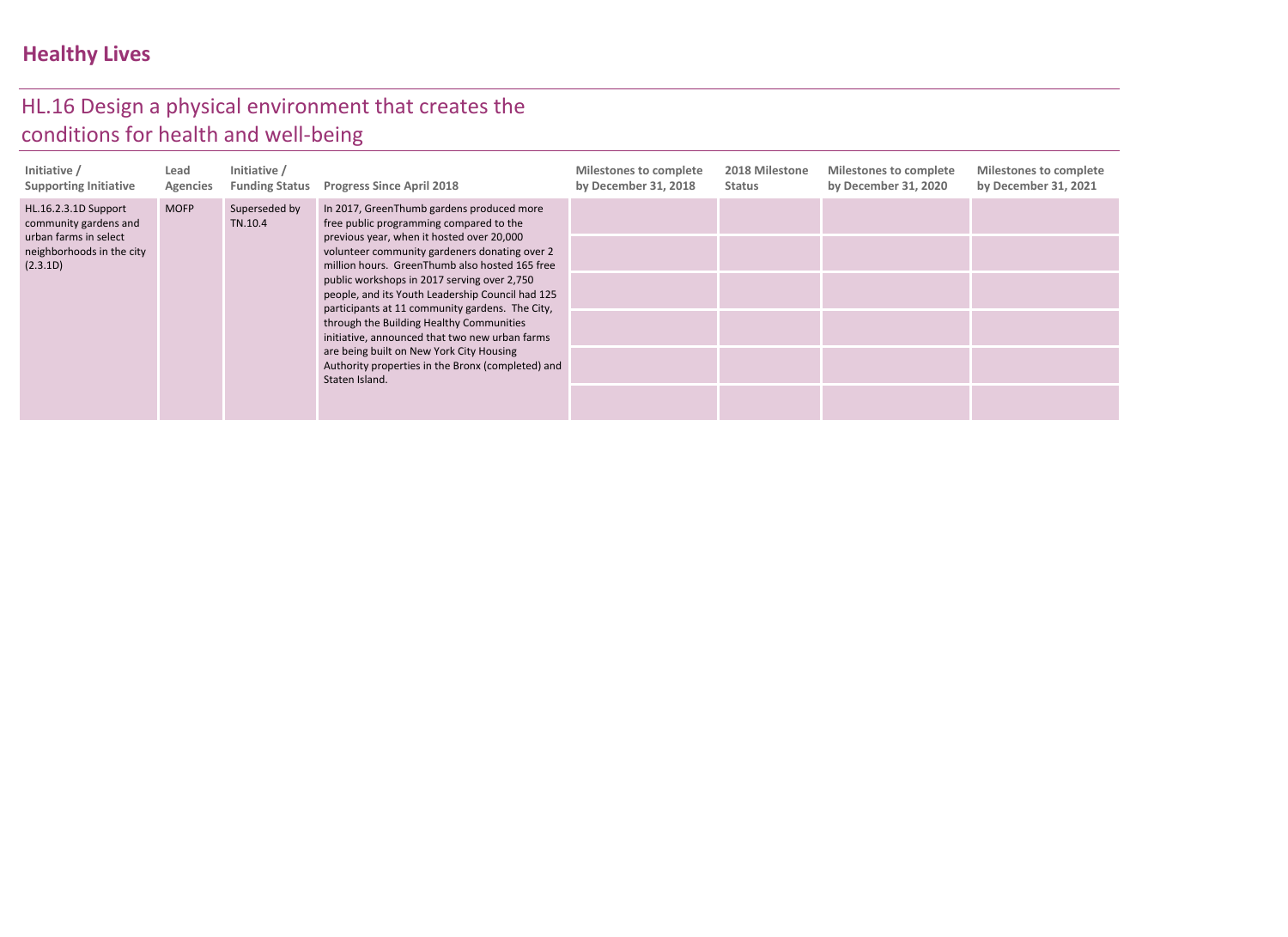| Initiative /                                                                                                           | Lead        | Initiative /             | <b>Progress Since April 2018</b>                                                                                                                                                                                                                                                                                                                                                                                                                                                                                                                                                                            | <b>Milestones to complete</b> | 2018 Milestone | <b>Milestones to complete</b> | <b>Milestones to complete</b> |
|------------------------------------------------------------------------------------------------------------------------|-------------|--------------------------|-------------------------------------------------------------------------------------------------------------------------------------------------------------------------------------------------------------------------------------------------------------------------------------------------------------------------------------------------------------------------------------------------------------------------------------------------------------------------------------------------------------------------------------------------------------------------------------------------------------|-------------------------------|----------------|-------------------------------|-------------------------------|
| <b>Supporting Initiative</b>                                                                                           | Agencies    | <b>Funding Status</b>    |                                                                                                                                                                                                                                                                                                                                                                                                                                                                                                                                                                                                             | by December 31, 2018          | <b>Status</b>  | by December 31, 2020          | by December 31, 2021          |
| <b>HL.16.2.3.1D Support</b><br>community gardens and<br>urban farms in select<br>neighborhoods in the city<br>(2.3.1D) | <b>MOFP</b> | Superseded by<br>TN.10.4 | In 2017, GreenThumb gardens produced more<br>free public programming compared to the<br>previous year, when it hosted over 20,000<br>volunteer community gardeners donating over 2<br>million hours. GreenThumb also hosted 165 free<br>public workshops in 2017 serving over 2,750<br>people, and its Youth Leadership Council had 125<br>participants at 11 community gardens. The City,<br>through the Building Healthy Communities<br>initiative, announced that two new urban farms<br>are being built on New York City Housing<br>Authority properties in the Bronx (completed) and<br>Staten Island. |                               |                |                               |                               |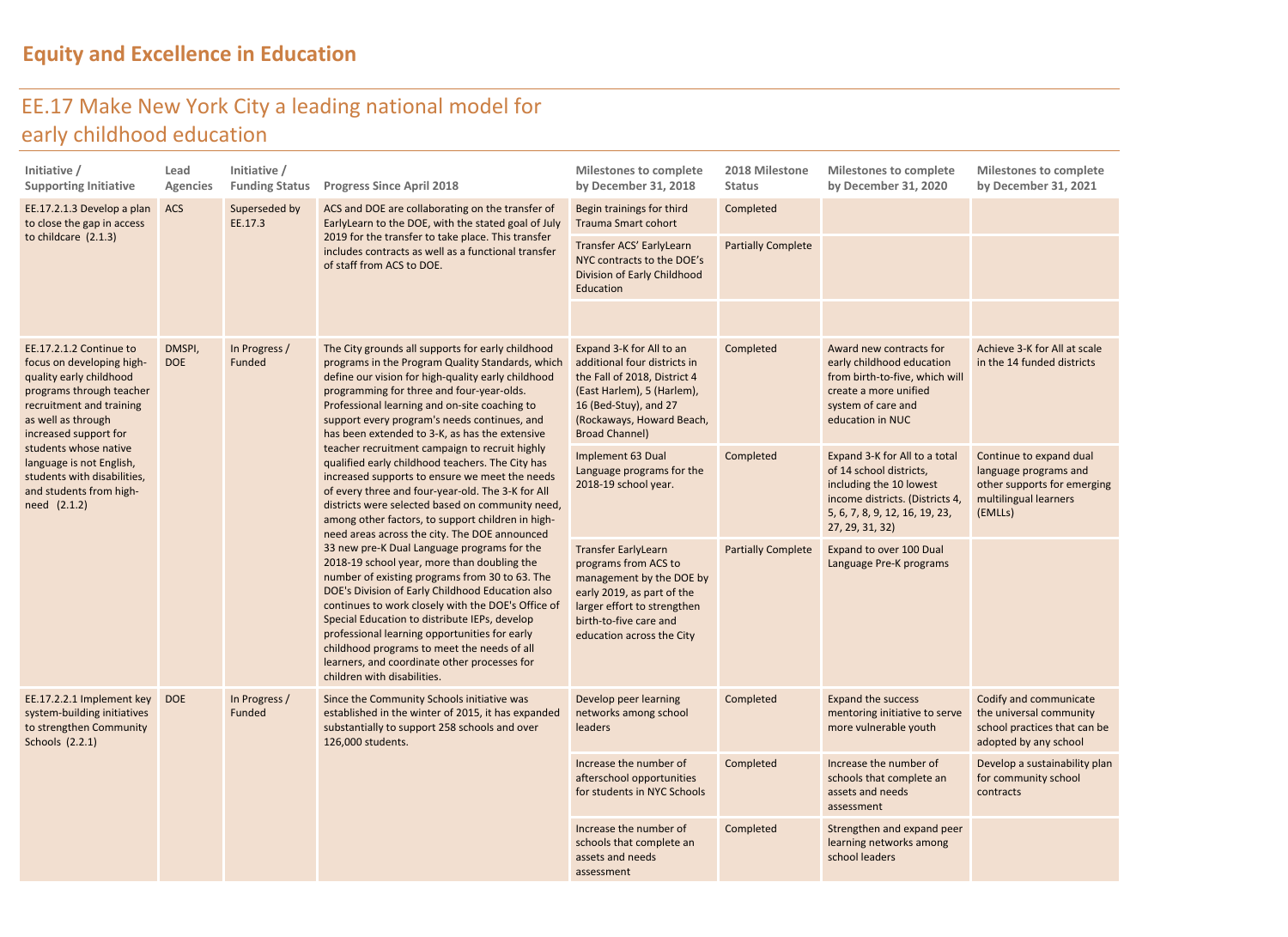#### EE.17 Make New York City a leading national model for early childhood education

| Initiative /<br><b>Supporting Initiative</b>                                                                                                                                                                                                                                                                          | Lead<br><b>Agencies</b> | Initiative /<br><b>Funding Status</b> | <b>Progress Since April 2018</b>                                                                                                                                                                                                                                                                                                                                                                                                                                                                                                                                                                                                                                                                                                                                                                                                                                                                                                                                                                                                                                                                                                                                                                                             | <b>Milestones to complete</b><br>by December 31, 2018                                                                                                                                                 | 2018 Milestone<br><b>Status</b> | <b>Milestones to complete</b><br>by December 31, 2020                                                                                                                       | <b>Milestones to complete</b><br>by December 31, 2021                                                               |
|-----------------------------------------------------------------------------------------------------------------------------------------------------------------------------------------------------------------------------------------------------------------------------------------------------------------------|-------------------------|---------------------------------------|------------------------------------------------------------------------------------------------------------------------------------------------------------------------------------------------------------------------------------------------------------------------------------------------------------------------------------------------------------------------------------------------------------------------------------------------------------------------------------------------------------------------------------------------------------------------------------------------------------------------------------------------------------------------------------------------------------------------------------------------------------------------------------------------------------------------------------------------------------------------------------------------------------------------------------------------------------------------------------------------------------------------------------------------------------------------------------------------------------------------------------------------------------------------------------------------------------------------------|-------------------------------------------------------------------------------------------------------------------------------------------------------------------------------------------------------|---------------------------------|-----------------------------------------------------------------------------------------------------------------------------------------------------------------------------|---------------------------------------------------------------------------------------------------------------------|
| EE.17.2.1.3 Develop a plan<br>to close the gap in access<br>to childcare $(2.1.3)$                                                                                                                                                                                                                                    | <b>ACS</b>              | Superseded by<br>EE.17.3              | ACS and DOE are collaborating on the transfer of<br>EarlyLearn to the DOE, with the stated goal of July<br>2019 for the transfer to take place. This transfer<br>includes contracts as well as a functional transfer<br>of staff from ACS to DOE.                                                                                                                                                                                                                                                                                                                                                                                                                                                                                                                                                                                                                                                                                                                                                                                                                                                                                                                                                                            | Begin trainings for third<br>Trauma Smart cohort                                                                                                                                                      | Completed                       |                                                                                                                                                                             |                                                                                                                     |
|                                                                                                                                                                                                                                                                                                                       |                         |                                       |                                                                                                                                                                                                                                                                                                                                                                                                                                                                                                                                                                                                                                                                                                                                                                                                                                                                                                                                                                                                                                                                                                                                                                                                                              | Transfer ACS' EarlyLearn<br>NYC contracts to the DOE's<br>Division of Early Childhood<br>Education                                                                                                    | <b>Partially Complete</b>       |                                                                                                                                                                             |                                                                                                                     |
|                                                                                                                                                                                                                                                                                                                       |                         |                                       |                                                                                                                                                                                                                                                                                                                                                                                                                                                                                                                                                                                                                                                                                                                                                                                                                                                                                                                                                                                                                                                                                                                                                                                                                              |                                                                                                                                                                                                       |                                 |                                                                                                                                                                             |                                                                                                                     |
| EE.17.2.1.2 Continue to<br>focus on developing high-<br>quality early childhood<br>programs through teacher<br>recruitment and training<br>as well as through<br>increased support for<br>students whose native<br>language is not English,<br>students with disabilities,<br>and students from high-<br>need (2.1.2) | DMSPI,<br><b>DOE</b>    | In Progress /<br>Funded               | The City grounds all supports for early childhood<br>programs in the Program Quality Standards, which<br>define our vision for high-quality early childhood<br>programming for three and four-year-olds.<br>Professional learning and on-site coaching to<br>support every program's needs continues, and<br>has been extended to 3-K, as has the extensive<br>teacher recruitment campaign to recruit highly<br>qualified early childhood teachers. The City has<br>increased supports to ensure we meet the needs<br>of every three and four-year-old. The 3-K for All<br>districts were selected based on community need,<br>among other factors, to support children in high-<br>need areas across the city. The DOE announced<br>33 new pre-K Dual Language programs for the<br>2018-19 school year, more than doubling the<br>number of existing programs from 30 to 63. The<br>DOE's Division of Early Childhood Education also<br>continues to work closely with the DOE's Office of<br>Special Education to distribute IEPs, develop<br>professional learning opportunities for early<br>childhood programs to meet the needs of all<br>learners, and coordinate other processes for<br>children with disabilities. | Expand 3-K for All to an<br>additional four districts in<br>the Fall of 2018, District 4<br>(East Harlem), 5 (Harlem),<br>16 (Bed-Stuy), and 27<br>(Rockaways, Howard Beach,<br><b>Broad Channel)</b> | Completed                       | Award new contracts for<br>early childhood education<br>from birth-to-five, which will<br>create a more unified<br>system of care and<br>education in NUC                   | Achieve 3-K for All at scale<br>in the 14 funded districts                                                          |
|                                                                                                                                                                                                                                                                                                                       |                         |                                       |                                                                                                                                                                                                                                                                                                                                                                                                                                                                                                                                                                                                                                                                                                                                                                                                                                                                                                                                                                                                                                                                                                                                                                                                                              | Implement 63 Dual<br>Language programs for the<br>2018-19 school year.                                                                                                                                | Completed                       | Expand 3-K for All to a total<br>of 14 school districts,<br>including the 10 lowest<br>income districts. (Districts 4,<br>5, 6, 7, 8, 9, 12, 16, 19, 23,<br>27, 29, 31, 32) | Continue to expand dual<br>language programs and<br>other supports for emerging<br>multilingual learners<br>(EMLLs) |
|                                                                                                                                                                                                                                                                                                                       |                         |                                       |                                                                                                                                                                                                                                                                                                                                                                                                                                                                                                                                                                                                                                                                                                                                                                                                                                                                                                                                                                                                                                                                                                                                                                                                                              | <b>Transfer EarlyLearn</b><br>programs from ACS to<br>management by the DOE by<br>early 2019, as part of the<br>larger effort to strengthen<br>birth-to-five care and<br>education across the City    | <b>Partially Complete</b>       | Expand to over 100 Dual<br>Language Pre-K programs                                                                                                                          |                                                                                                                     |
| EE.17.2.2.1 Implement key<br>system-building initiatives<br>to strengthen Community<br>Schools (2.2.1)                                                                                                                                                                                                                | <b>DOE</b>              | In Progress /<br>Funded               | Since the Community Schools initiative was<br>established in the winter of 2015, it has expanded<br>substantially to support 258 schools and over<br>126,000 students.                                                                                                                                                                                                                                                                                                                                                                                                                                                                                                                                                                                                                                                                                                                                                                                                                                                                                                                                                                                                                                                       | Develop peer learning<br>networks among school<br>leaders                                                                                                                                             | Completed                       | <b>Expand the success</b><br>mentoring initiative to serve<br>more vulnerable youth                                                                                         | Codify and communicate<br>the universal community<br>school practices that can be<br>adopted by any school          |
|                                                                                                                                                                                                                                                                                                                       |                         |                                       |                                                                                                                                                                                                                                                                                                                                                                                                                                                                                                                                                                                                                                                                                                                                                                                                                                                                                                                                                                                                                                                                                                                                                                                                                              | Increase the number of<br>afterschool opportunities<br>for students in NYC Schools                                                                                                                    | Completed                       | Increase the number of<br>schools that complete an<br>assets and needs<br>assessment                                                                                        | Develop a sustainability plan<br>for community school<br>contracts                                                  |
|                                                                                                                                                                                                                                                                                                                       |                         |                                       |                                                                                                                                                                                                                                                                                                                                                                                                                                                                                                                                                                                                                                                                                                                                                                                                                                                                                                                                                                                                                                                                                                                                                                                                                              | Increase the number of<br>schools that complete an<br>assets and needs<br>assessment                                                                                                                  | Completed                       | Strengthen and expand peer<br>learning networks among<br>school leaders                                                                                                     |                                                                                                                     |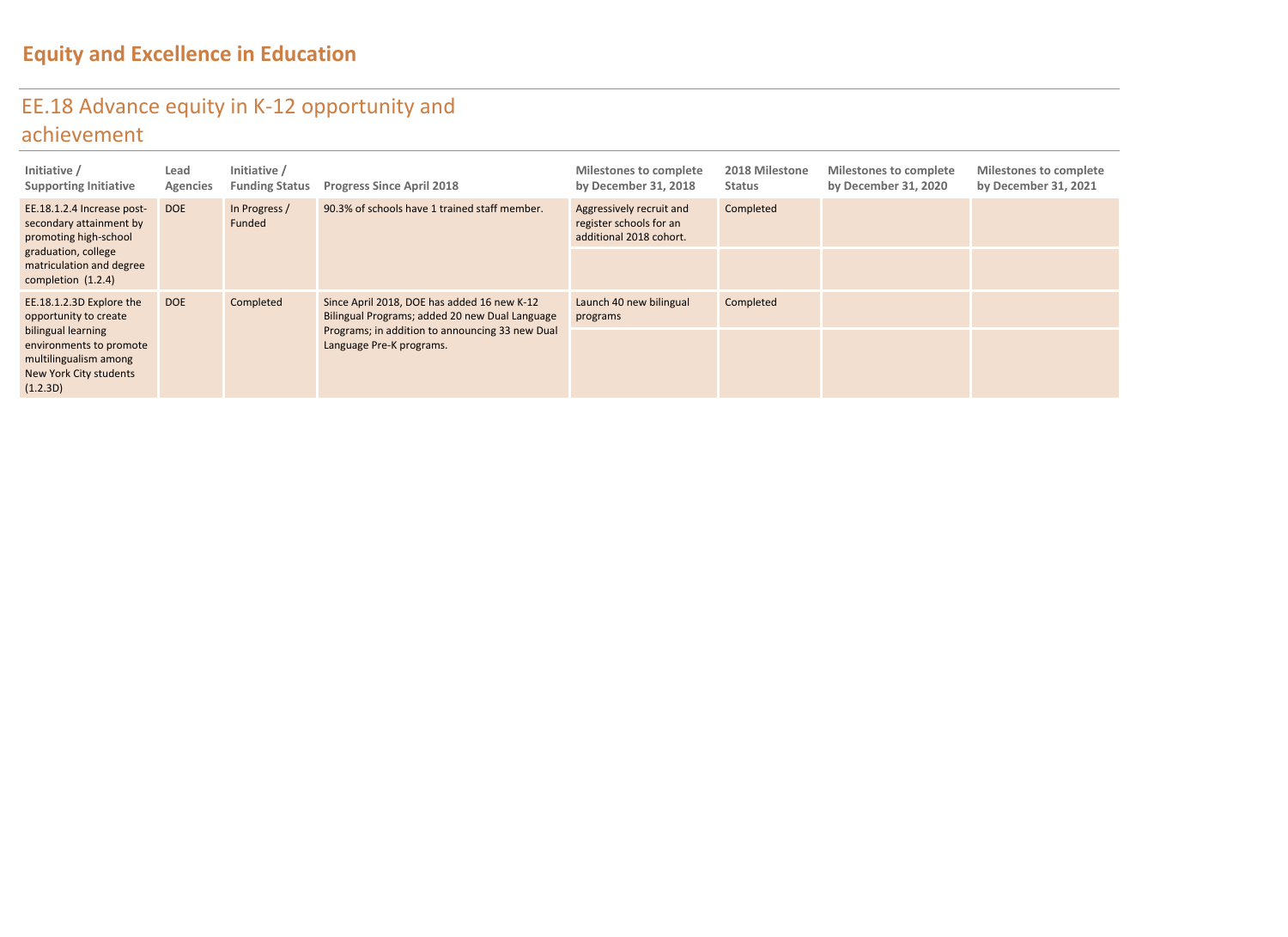#### EE.18 Advance equity in K-12 opportunity and achievement

| Initiative /<br><b>Supporting Initiative</b>                                                                                                                      | Lead<br><b>Agencies</b> | Initiative /<br><b>Funding Status</b> | <b>Progress Since April 2018</b>                                                                                                                                             | <b>Milestones to complete</b><br>by December 31, 2018                          | 2018 Milestone<br><b>Status</b> | <b>Milestones to complete</b><br>by December 31, 2020 | <b>Milestones to complete</b><br>by December 31, 2021 |
|-------------------------------------------------------------------------------------------------------------------------------------------------------------------|-------------------------|---------------------------------------|------------------------------------------------------------------------------------------------------------------------------------------------------------------------------|--------------------------------------------------------------------------------|---------------------------------|-------------------------------------------------------|-------------------------------------------------------|
| EE.18.1.2.4 Increase post-<br>secondary attainment by<br>promoting high-school<br>graduation, college<br>matriculation and degree<br>completion (1.2.4)           | <b>DOE</b>              | In Progress /<br>Funded               | 90.3% of schools have 1 trained staff member.                                                                                                                                | Aggressively recruit and<br>register schools for an<br>additional 2018 cohort. | Completed                       |                                                       |                                                       |
|                                                                                                                                                                   |                         |                                       |                                                                                                                                                                              |                                                                                |                                 |                                                       |                                                       |
| EE.18.1.2.3D Explore the<br>opportunity to create<br>bilingual learning<br>environments to promote<br>multilingualism among<br>New York City students<br>(1.2.3D) | <b>DOE</b>              | Completed                             | Since April 2018, DOE has added 16 new K-12<br>Bilingual Programs; added 20 new Dual Language<br>Programs; in addition to announcing 33 new Dual<br>Language Pre-K programs. | Launch 40 new bilingual<br>programs                                            | Completed                       |                                                       |                                                       |
|                                                                                                                                                                   |                         |                                       |                                                                                                                                                                              |                                                                                |                                 |                                                       |                                                       |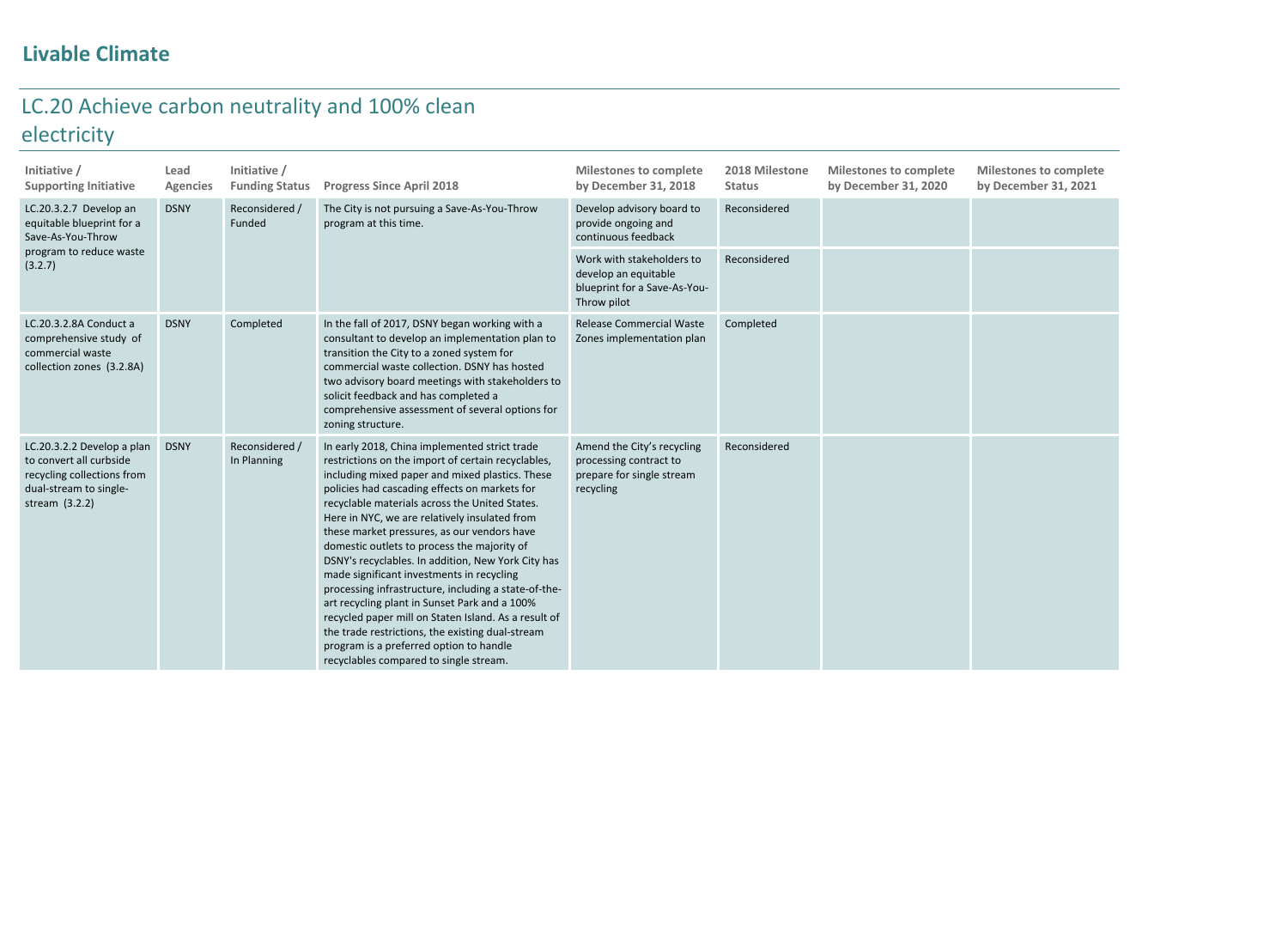#### **Livable Climate**

# LC.20 Achieve carbon neutrality and 100% clean electricity

| Initiative /<br><b>Supporting Initiative</b>                                                                                      | Lead<br><b>Agencies</b> | Initiative /<br><b>Funding Status</b> | <b>Progress Since April 2018</b>                                                                                                                                                                                                                                                                                                                                                                                                                                                                                                                                                                                                                                                                                                                                                                                      | <b>Milestones to complete</b><br>by December 31, 2018                                            | 2018 Milestone<br><b>Status</b> | <b>Milestones to complete</b><br>by December 31, 2020 | <b>Milestones to complete</b><br>by December 31, 2021 |
|-----------------------------------------------------------------------------------------------------------------------------------|-------------------------|---------------------------------------|-----------------------------------------------------------------------------------------------------------------------------------------------------------------------------------------------------------------------------------------------------------------------------------------------------------------------------------------------------------------------------------------------------------------------------------------------------------------------------------------------------------------------------------------------------------------------------------------------------------------------------------------------------------------------------------------------------------------------------------------------------------------------------------------------------------------------|--------------------------------------------------------------------------------------------------|---------------------------------|-------------------------------------------------------|-------------------------------------------------------|
| LC.20.3.2.7 Develop an<br>equitable blueprint for a<br>Save-As-You-Throw<br>program to reduce waste<br>(3.2.7)                    | <b>DSNY</b>             | Reconsidered /<br>Funded              | The City is not pursuing a Save-As-You-Throw<br>program at this time.                                                                                                                                                                                                                                                                                                                                                                                                                                                                                                                                                                                                                                                                                                                                                 | Develop advisory board to<br>provide ongoing and<br>continuous feedback                          | Reconsidered                    |                                                       |                                                       |
|                                                                                                                                   |                         |                                       |                                                                                                                                                                                                                                                                                                                                                                                                                                                                                                                                                                                                                                                                                                                                                                                                                       | Work with stakeholders to<br>develop an equitable<br>blueprint for a Save-As-You-<br>Throw pilot | Reconsidered                    |                                                       |                                                       |
| LC.20.3.2.8A Conduct a<br>comprehensive study of<br>commercial waste<br>collection zones (3.2.8A)                                 | <b>DSNY</b>             | Completed                             | In the fall of 2017, DSNY began working with a<br>consultant to develop an implementation plan to<br>transition the City to a zoned system for<br>commercial waste collection. DSNY has hosted<br>two advisory board meetings with stakeholders to<br>solicit feedback and has completed a<br>comprehensive assessment of several options for<br>zoning structure.                                                                                                                                                                                                                                                                                                                                                                                                                                                    | <b>Release Commercial Waste</b><br>Zones implementation plan                                     | Completed                       |                                                       |                                                       |
| LC.20.3.2.2 Develop a plan<br>to convert all curbside<br>recycling collections from<br>dual-stream to single-<br>stream $(3.2.2)$ | <b>DSNY</b>             | Reconsidered /<br>In Planning         | In early 2018, China implemented strict trade<br>restrictions on the import of certain recyclables,<br>including mixed paper and mixed plastics. These<br>policies had cascading effects on markets for<br>recyclable materials across the United States.<br>Here in NYC, we are relatively insulated from<br>these market pressures, as our vendors have<br>domestic outlets to process the majority of<br>DSNY's recyclables. In addition, New York City has<br>made significant investments in recycling<br>processing infrastructure, including a state-of-the-<br>art recycling plant in Sunset Park and a 100%<br>recycled paper mill on Staten Island. As a result of<br>the trade restrictions, the existing dual-stream<br>program is a preferred option to handle<br>recyclables compared to single stream. | Amend the City's recycling<br>processing contract to<br>prepare for single stream<br>recycling   | Reconsidered                    |                                                       |                                                       |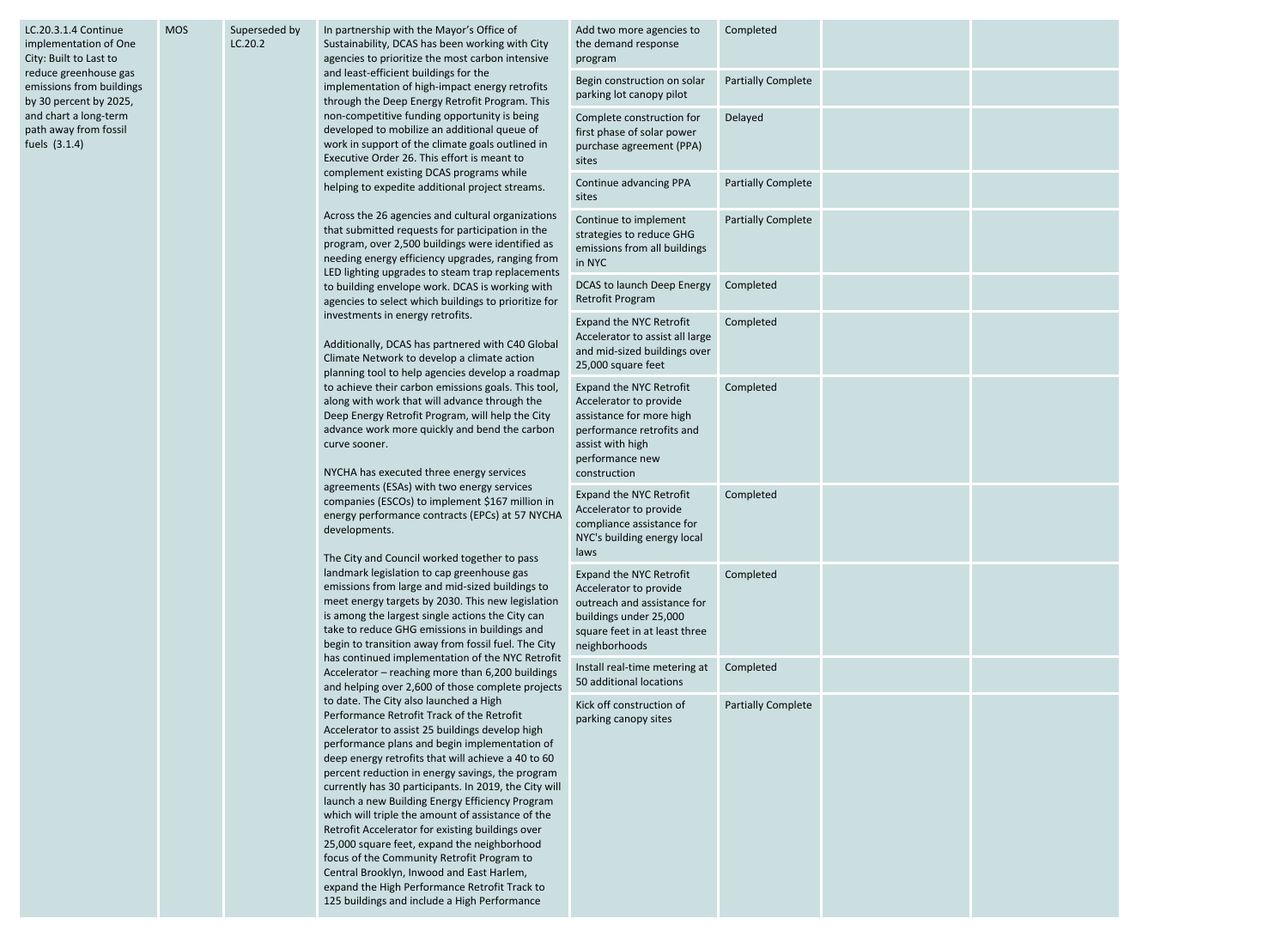| LC.20.3.1.4 Continue<br>implementation of One<br>City: Built to Last to     | <b>MOS</b> | Superseded by<br>LC.20.2 | In partnership with the Mayor's Office of<br>Sustainability, DCAS has been working with City<br>agencies to prioritize the most carbon intensive                                                                                                                                                                                                                                                                                                                                                                                                                                                                                                                                                                                                                                                                                                                                                                                                                                                         | Add two more agencies to<br>the demand response<br>program                                                                                                        | Completed                 |  |
|-----------------------------------------------------------------------------|------------|--------------------------|----------------------------------------------------------------------------------------------------------------------------------------------------------------------------------------------------------------------------------------------------------------------------------------------------------------------------------------------------------------------------------------------------------------------------------------------------------------------------------------------------------------------------------------------------------------------------------------------------------------------------------------------------------------------------------------------------------------------------------------------------------------------------------------------------------------------------------------------------------------------------------------------------------------------------------------------------------------------------------------------------------|-------------------------------------------------------------------------------------------------------------------------------------------------------------------|---------------------------|--|
| reduce greenhouse gas<br>emissions from buildings<br>by 30 percent by 2025, |            |                          | and least-efficient buildings for the<br>implementation of high-impact energy retrofits<br>through the Deep Energy Retrofit Program. This<br>non-competitive funding opportunity is being<br>developed to mobilize an additional queue of<br>work in support of the climate goals outlined in<br>Executive Order 26. This effort is meant to<br>complement existing DCAS programs while<br>helping to expedite additional project streams.<br>Across the 26 agencies and cultural organizations<br>that submitted requests for participation in the<br>program, over 2,500 buildings were identified as<br>needing energy efficiency upgrades, ranging from                                                                                                                                                                                                                                                                                                                                              | Begin construction on solar<br>parking lot canopy pilot                                                                                                           | <b>Partially Complete</b> |  |
| and chart a long-term<br>path away from fossil<br>fuels (3.1.4)             |            |                          |                                                                                                                                                                                                                                                                                                                                                                                                                                                                                                                                                                                                                                                                                                                                                                                                                                                                                                                                                                                                          | Complete construction for<br>first phase of solar power<br>purchase agreement (PPA)<br>sites                                                                      | Delayed                   |  |
|                                                                             |            |                          |                                                                                                                                                                                                                                                                                                                                                                                                                                                                                                                                                                                                                                                                                                                                                                                                                                                                                                                                                                                                          | Continue advancing PPA<br>sites                                                                                                                                   | <b>Partially Complete</b> |  |
|                                                                             |            |                          |                                                                                                                                                                                                                                                                                                                                                                                                                                                                                                                                                                                                                                                                                                                                                                                                                                                                                                                                                                                                          | Continue to implement<br>strategies to reduce GHG<br>emissions from all buildings<br>in NYC                                                                       | <b>Partially Complete</b> |  |
|                                                                             |            |                          | LED lighting upgrades to steam trap replacements<br>to building envelope work. DCAS is working with<br>agencies to select which buildings to prioritize for                                                                                                                                                                                                                                                                                                                                                                                                                                                                                                                                                                                                                                                                                                                                                                                                                                              | <b>DCAS to launch Deep Energy</b><br>Retrofit Program                                                                                                             | Completed                 |  |
|                                                                             |            |                          | investments in energy retrofits.<br>Additionally, DCAS has partnered with C40 Global<br>Climate Network to develop a climate action<br>planning tool to help agencies develop a roadmap<br>to achieve their carbon emissions goals. This tool,<br>along with work that will advance through the<br>Deep Energy Retrofit Program, will help the City<br>advance work more quickly and bend the carbon<br>curve sooner.<br>NYCHA has executed three energy services<br>agreements (ESAs) with two energy services<br>companies (ESCOs) to implement \$167 million in<br>energy performance contracts (EPCs) at 57 NYCHA<br>developments.<br>The City and Council worked together to pass<br>landmark legislation to cap greenhouse gas<br>emissions from large and mid-sized buildings to<br>meet energy targets by 2030. This new legislation<br>is among the largest single actions the City can<br>take to reduce GHG emissions in buildings and<br>begin to transition away from fossil fuel. The City | Expand the NYC Retrofit<br>Accelerator to assist all large<br>and mid-sized buildings over<br>25,000 square feet                                                  | Completed                 |  |
|                                                                             |            |                          |                                                                                                                                                                                                                                                                                                                                                                                                                                                                                                                                                                                                                                                                                                                                                                                                                                                                                                                                                                                                          | Expand the NYC Retrofit<br>Accelerator to provide<br>assistance for more high<br>performance retrofits and<br>assist with high<br>performance new<br>construction | Completed                 |  |
|                                                                             |            |                          |                                                                                                                                                                                                                                                                                                                                                                                                                                                                                                                                                                                                                                                                                                                                                                                                                                                                                                                                                                                                          | Expand the NYC Retrofit<br>Accelerator to provide<br>compliance assistance for<br>NYC's building energy local<br>laws                                             | Completed                 |  |
|                                                                             |            |                          |                                                                                                                                                                                                                                                                                                                                                                                                                                                                                                                                                                                                                                                                                                                                                                                                                                                                                                                                                                                                          | Expand the NYC Retrofit<br>Accelerator to provide<br>outreach and assistance for<br>buildings under 25,000<br>square feet in at least three<br>neighborhoods      | Completed                 |  |
|                                                                             |            |                          | has continued implementation of the NYC Retrofit<br>Accelerator - reaching more than 6,200 buildings<br>and helping over 2,600 of those complete projects                                                                                                                                                                                                                                                                                                                                                                                                                                                                                                                                                                                                                                                                                                                                                                                                                                                | Install real-time metering at<br>50 additional locations                                                                                                          | Completed                 |  |
|                                                                             |            |                          | to date. The City also launched a High<br>Performance Retrofit Track of the Retrofit<br>Accelerator to assist 25 buildings develop high<br>performance plans and begin implementation of<br>deep energy retrofits that will achieve a 40 to 60<br>percent reduction in energy savings, the program<br>currently has 30 participants. In 2019, the City will<br>launch a new Building Energy Efficiency Program<br>which will triple the amount of assistance of the<br>Retrofit Accelerator for existing buildings over<br>25,000 square feet, expand the neighborhood<br>focus of the Community Retrofit Program to<br>Central Brooklyn, Inwood and East Harlem,<br>expand the High Performance Retrofit Track to<br>125 buildings and include a High Performance                                                                                                                                                                                                                                       | Kick off construction of<br>parking canopy sites                                                                                                                  | <b>Partially Complete</b> |  |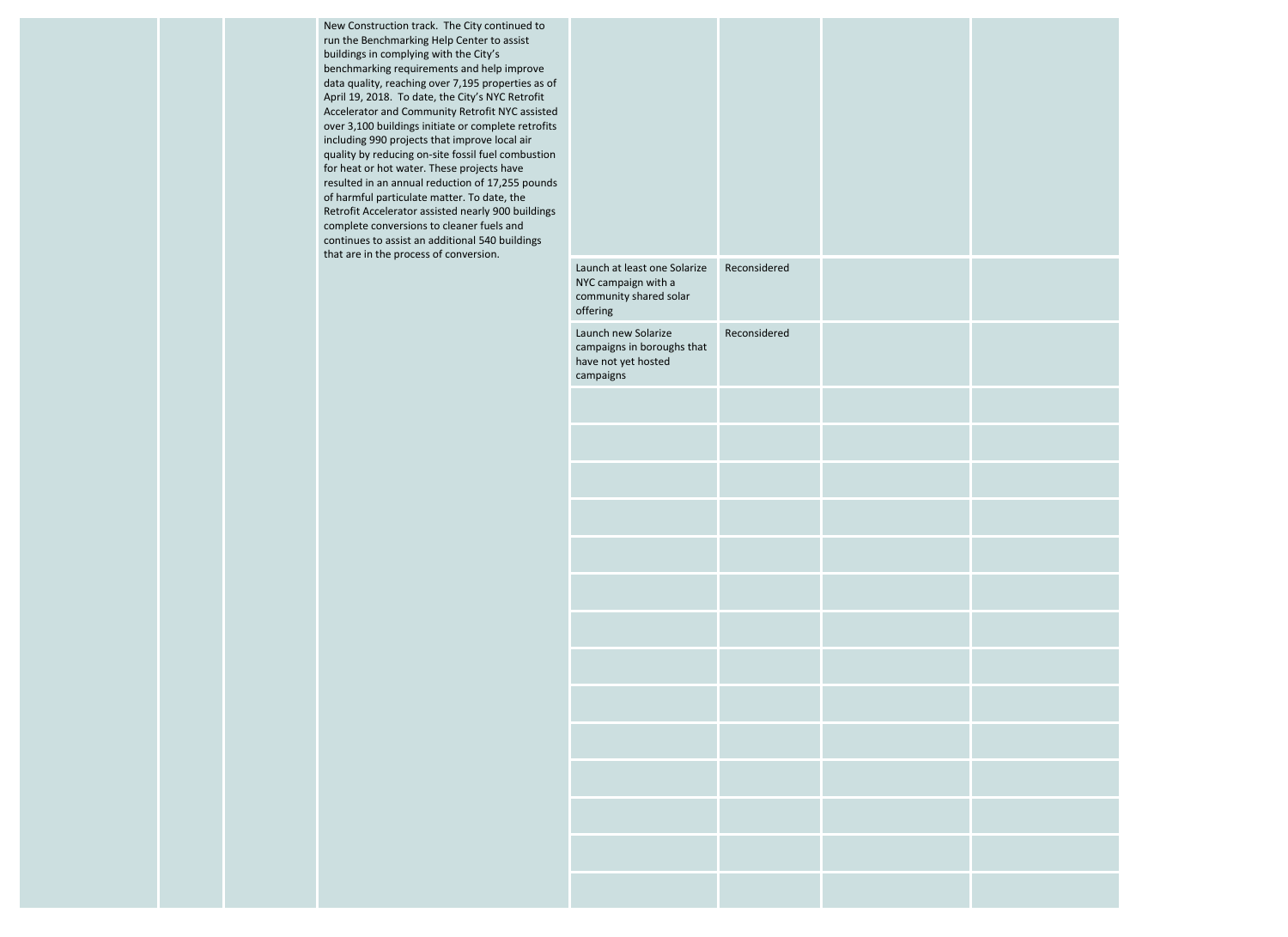| New Construction track. The City continued to<br>run the Benchmarking Help Center to assist<br>buildings in complying with the City's<br>benchmarking requirements and help improve<br>data quality, reaching over 7,195 properties as of<br>April 19, 2018. To date, the City's NYC Retrofit<br>Accelerator and Community Retrofit NYC assisted<br>over 3,100 buildings initiate or complete retrofits<br>including 990 projects that improve local air<br>quality by reducing on-site fossil fuel combustion<br>for heat or hot water. These projects have<br>resulted in an annual reduction of 17,255 pounds<br>of harmful particulate matter. To date, the<br>Retrofit Accelerator assisted nearly 900 buildings<br>complete conversions to cleaner fuels and<br>continues to assist an additional 540 buildings<br>that are in the process of conversion. |                                                                                           |              |  |
|-----------------------------------------------------------------------------------------------------------------------------------------------------------------------------------------------------------------------------------------------------------------------------------------------------------------------------------------------------------------------------------------------------------------------------------------------------------------------------------------------------------------------------------------------------------------------------------------------------------------------------------------------------------------------------------------------------------------------------------------------------------------------------------------------------------------------------------------------------------------|-------------------------------------------------------------------------------------------|--------------|--|
|                                                                                                                                                                                                                                                                                                                                                                                                                                                                                                                                                                                                                                                                                                                                                                                                                                                                 | Launch at least one Solarize<br>NYC campaign with a<br>community shared solar<br>offering | Reconsidered |  |
|                                                                                                                                                                                                                                                                                                                                                                                                                                                                                                                                                                                                                                                                                                                                                                                                                                                                 | Launch new Solarize<br>campaigns in boroughs that<br>have not yet hosted<br>campaigns     | Reconsidered |  |
|                                                                                                                                                                                                                                                                                                                                                                                                                                                                                                                                                                                                                                                                                                                                                                                                                                                                 |                                                                                           |              |  |
|                                                                                                                                                                                                                                                                                                                                                                                                                                                                                                                                                                                                                                                                                                                                                                                                                                                                 |                                                                                           |              |  |
|                                                                                                                                                                                                                                                                                                                                                                                                                                                                                                                                                                                                                                                                                                                                                                                                                                                                 |                                                                                           |              |  |
|                                                                                                                                                                                                                                                                                                                                                                                                                                                                                                                                                                                                                                                                                                                                                                                                                                                                 |                                                                                           |              |  |
|                                                                                                                                                                                                                                                                                                                                                                                                                                                                                                                                                                                                                                                                                                                                                                                                                                                                 |                                                                                           |              |  |
|                                                                                                                                                                                                                                                                                                                                                                                                                                                                                                                                                                                                                                                                                                                                                                                                                                                                 |                                                                                           |              |  |
|                                                                                                                                                                                                                                                                                                                                                                                                                                                                                                                                                                                                                                                                                                                                                                                                                                                                 |                                                                                           |              |  |
|                                                                                                                                                                                                                                                                                                                                                                                                                                                                                                                                                                                                                                                                                                                                                                                                                                                                 |                                                                                           |              |  |
|                                                                                                                                                                                                                                                                                                                                                                                                                                                                                                                                                                                                                                                                                                                                                                                                                                                                 |                                                                                           |              |  |
|                                                                                                                                                                                                                                                                                                                                                                                                                                                                                                                                                                                                                                                                                                                                                                                                                                                                 |                                                                                           |              |  |
|                                                                                                                                                                                                                                                                                                                                                                                                                                                                                                                                                                                                                                                                                                                                                                                                                                                                 |                                                                                           |              |  |
|                                                                                                                                                                                                                                                                                                                                                                                                                                                                                                                                                                                                                                                                                                                                                                                                                                                                 |                                                                                           |              |  |
|                                                                                                                                                                                                                                                                                                                                                                                                                                                                                                                                                                                                                                                                                                                                                                                                                                                                 |                                                                                           |              |  |
|                                                                                                                                                                                                                                                                                                                                                                                                                                                                                                                                                                                                                                                                                                                                                                                                                                                                 |                                                                                           |              |  |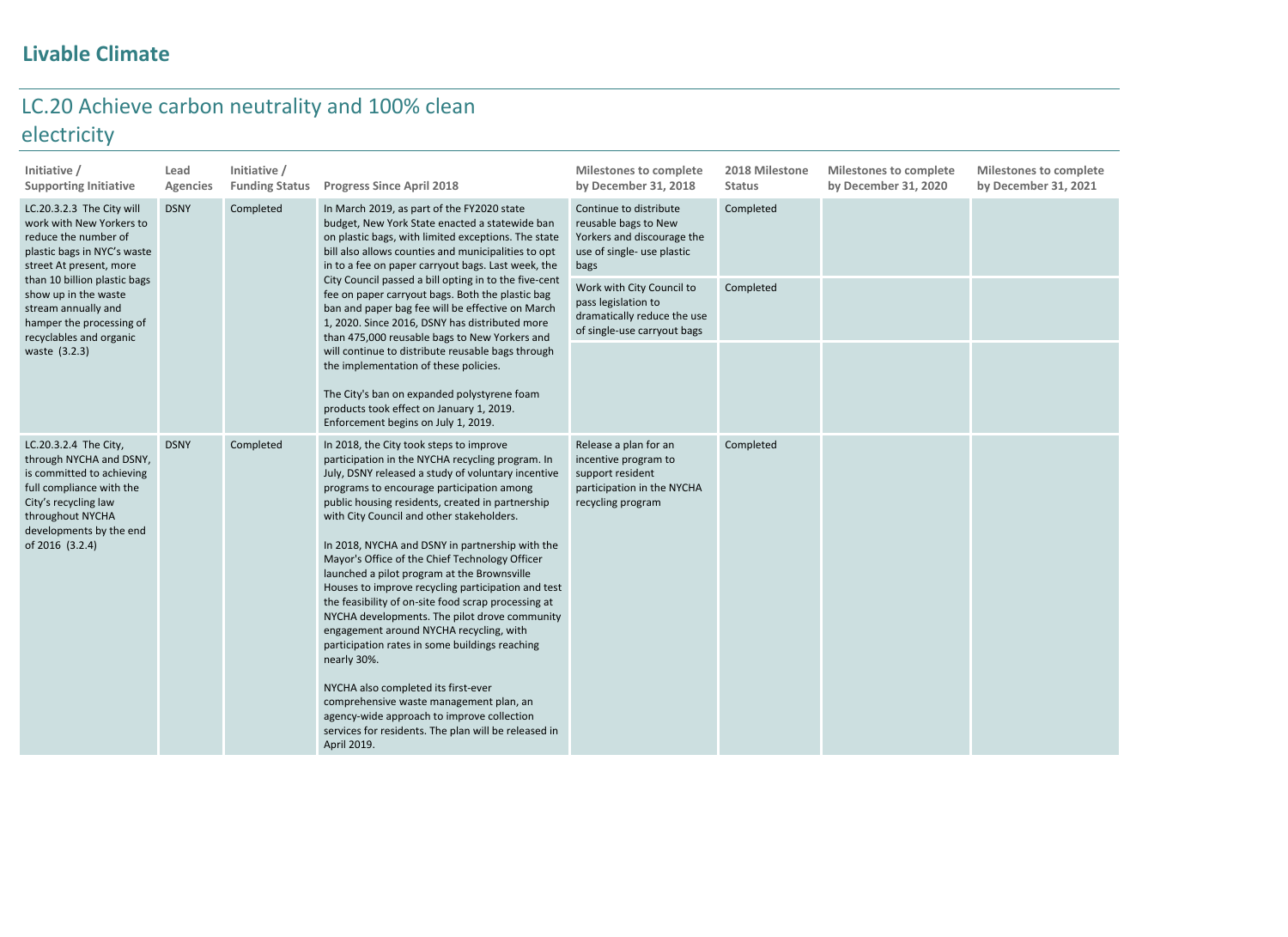| Initiative /<br><b>Supporting Initiative</b>                                                                                                                                                        | Lead<br><b>Agencies</b> | Initiative /<br><b>Funding Status</b> | <b>Progress Since April 2018</b>                                                                                                                                                                                                                                                                                                                                                                                                                                                                                                                                                                                                                                                                                                                                                                                                                                                                                                                                            | <b>Milestones to complete</b><br>by December 31, 2018                                                                | 2018 Milestone<br><b>Status</b> | <b>Milestones to complete</b><br>by December 31, 2020 | <b>Milestones to complete</b><br>by December 31, 2021 |
|-----------------------------------------------------------------------------------------------------------------------------------------------------------------------------------------------------|-------------------------|---------------------------------------|-----------------------------------------------------------------------------------------------------------------------------------------------------------------------------------------------------------------------------------------------------------------------------------------------------------------------------------------------------------------------------------------------------------------------------------------------------------------------------------------------------------------------------------------------------------------------------------------------------------------------------------------------------------------------------------------------------------------------------------------------------------------------------------------------------------------------------------------------------------------------------------------------------------------------------------------------------------------------------|----------------------------------------------------------------------------------------------------------------------|---------------------------------|-------------------------------------------------------|-------------------------------------------------------|
| LC.20.3.2.3 The City will<br>work with New Yorkers to<br>reduce the number of<br>plastic bags in NYC's waste<br>street At present, more                                                             | <b>DSNY</b>             | Completed                             | In March 2019, as part of the FY2020 state<br>budget, New York State enacted a statewide ban<br>on plastic bags, with limited exceptions. The state<br>bill also allows counties and municipalities to opt<br>in to a fee on paper carryout bags. Last week, the<br>City Council passed a bill opting in to the five-cent<br>fee on paper carryout bags. Both the plastic bag<br>ban and paper bag fee will be effective on March<br>1, 2020. Since 2016, DSNY has distributed more<br>than 475,000 reusable bags to New Yorkers and<br>will continue to distribute reusable bags through<br>the implementation of these policies.<br>The City's ban on expanded polystyrene foam<br>products took effect on January 1, 2019.                                                                                                                                                                                                                                               | Continue to distribute<br>reusable bags to New<br>Yorkers and discourage the<br>use of single- use plastic<br>bags   | Completed                       |                                                       |                                                       |
| than 10 billion plastic bags<br>show up in the waste<br>stream annually and<br>hamper the processing of<br>recyclables and organic                                                                  |                         |                                       |                                                                                                                                                                                                                                                                                                                                                                                                                                                                                                                                                                                                                                                                                                                                                                                                                                                                                                                                                                             | Work with City Council to<br>pass legislation to<br>dramatically reduce the use<br>of single-use carryout bags       | Completed                       |                                                       |                                                       |
| waste (3.2.3)                                                                                                                                                                                       |                         |                                       |                                                                                                                                                                                                                                                                                                                                                                                                                                                                                                                                                                                                                                                                                                                                                                                                                                                                                                                                                                             |                                                                                                                      |                                 |                                                       |                                                       |
| LC.20.3.2.4 The City,<br>through NYCHA and DSNY,<br>is committed to achieving<br>full compliance with the<br>City's recycling law<br>throughout NYCHA<br>developments by the end<br>of 2016 (3.2.4) | <b>DSNY</b>             | Completed                             | Enforcement begins on July 1, 2019.<br>In 2018, the City took steps to improve<br>participation in the NYCHA recycling program. In<br>July, DSNY released a study of voluntary incentive<br>programs to encourage participation among<br>public housing residents, created in partnership<br>with City Council and other stakeholders.<br>In 2018, NYCHA and DSNY in partnership with the<br>Mayor's Office of the Chief Technology Officer<br>launched a pilot program at the Brownsville<br>Houses to improve recycling participation and test<br>the feasibility of on-site food scrap processing at<br>NYCHA developments. The pilot drove community<br>engagement around NYCHA recycling, with<br>participation rates in some buildings reaching<br>nearly 30%.<br>NYCHA also completed its first-ever<br>comprehensive waste management plan, an<br>agency-wide approach to improve collection<br>services for residents. The plan will be released in<br>April 2019. | Release a plan for an<br>incentive program to<br>support resident<br>participation in the NYCHA<br>recycling program | Completed                       |                                                       |                                                       |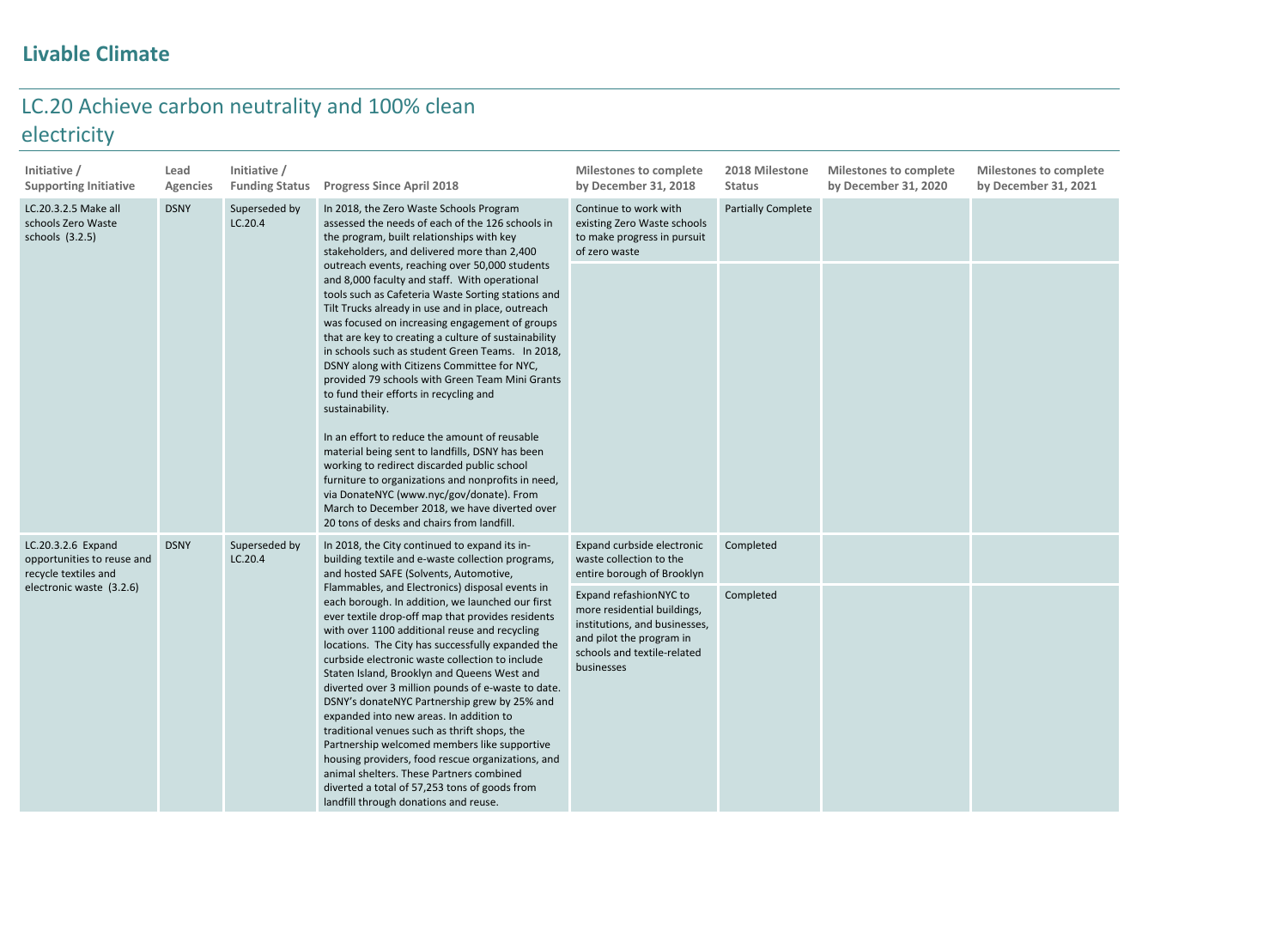| Initiative /<br><b>Supporting Initiative</b>                             | Lead<br><b>Agencies</b> | Initiative /<br><b>Funding Status</b> | <b>Progress Since April 2018</b>                                                                                                                                                                                                                                                                                                                                                                                                                                                                                                                                                                                                                                                                                                                                                                                                                                                                                                                                                                                                                                                       | <b>Milestones to complete</b><br>by December 31, 2018                                                                                                           | 2018 Milestone<br><b>Status</b> | <b>Milestones to complete</b><br>by December 31, 2020 | <b>Milestones to complete</b><br>by December 31, 2021 |
|--------------------------------------------------------------------------|-------------------------|---------------------------------------|----------------------------------------------------------------------------------------------------------------------------------------------------------------------------------------------------------------------------------------------------------------------------------------------------------------------------------------------------------------------------------------------------------------------------------------------------------------------------------------------------------------------------------------------------------------------------------------------------------------------------------------------------------------------------------------------------------------------------------------------------------------------------------------------------------------------------------------------------------------------------------------------------------------------------------------------------------------------------------------------------------------------------------------------------------------------------------------|-----------------------------------------------------------------------------------------------------------------------------------------------------------------|---------------------------------|-------------------------------------------------------|-------------------------------------------------------|
| LC.20.3.2.5 Make all<br>schools Zero Waste<br>schools (3.2.5)            | <b>DSNY</b>             | Superseded by<br>LC.20.4              | In 2018, the Zero Waste Schools Program<br>assessed the needs of each of the 126 schools in<br>the program, built relationships with key<br>stakeholders, and delivered more than 2,400<br>outreach events, reaching over 50,000 students<br>and 8,000 faculty and staff. With operational<br>tools such as Cafeteria Waste Sorting stations and<br>Tilt Trucks already in use and in place, outreach<br>was focused on increasing engagement of groups<br>that are key to creating a culture of sustainability<br>in schools such as student Green Teams. In 2018,<br>DSNY along with Citizens Committee for NYC,<br>provided 79 schools with Green Team Mini Grants<br>to fund their efforts in recycling and<br>sustainability.<br>In an effort to reduce the amount of reusable<br>material being sent to landfills, DSNY has been<br>working to redirect discarded public school<br>furniture to organizations and nonprofits in need,<br>via DonateNYC (www.nyc/gov/donate). From<br>March to December 2018, we have diverted over<br>20 tons of desks and chairs from landfill. | Continue to work with<br>existing Zero Waste schools<br>to make progress in pursuit<br>of zero waste                                                            | Partially Complete              |                                                       |                                                       |
|                                                                          |                         |                                       |                                                                                                                                                                                                                                                                                                                                                                                                                                                                                                                                                                                                                                                                                                                                                                                                                                                                                                                                                                                                                                                                                        |                                                                                                                                                                 |                                 |                                                       |                                                       |
| LC.20.3.2.6 Expand<br>opportunities to reuse and<br>recycle textiles and | <b>DSNY</b>             | Superseded by<br>LC.20.4              | In 2018, the City continued to expand its in-<br>building textile and e-waste collection programs,<br>and hosted SAFE (Solvents, Automotive,<br>Flammables, and Electronics) disposal events in<br>each borough. In addition, we launched our first<br>ever textile drop-off map that provides residents<br>with over 1100 additional reuse and recycling<br>locations. The City has successfully expanded the<br>curbside electronic waste collection to include<br>Staten Island, Brooklyn and Queens West and<br>diverted over 3 million pounds of e-waste to date.<br>DSNY's donateNYC Partnership grew by 25% and<br>expanded into new areas. In addition to<br>traditional venues such as thrift shops, the<br>Partnership welcomed members like supportive<br>housing providers, food rescue organizations, and<br>animal shelters. These Partners combined<br>diverted a total of 57,253 tons of goods from<br>landfill through donations and reuse.                                                                                                                           | Expand curbside electronic<br>waste collection to the<br>entire borough of Brooklyn                                                                             | Completed                       |                                                       |                                                       |
| electronic waste (3.2.6)                                                 |                         |                                       |                                                                                                                                                                                                                                                                                                                                                                                                                                                                                                                                                                                                                                                                                                                                                                                                                                                                                                                                                                                                                                                                                        | Expand refashionNYC to<br>more residential buildings,<br>institutions, and businesses,<br>and pilot the program in<br>schools and textile-related<br>businesses | Completed                       |                                                       |                                                       |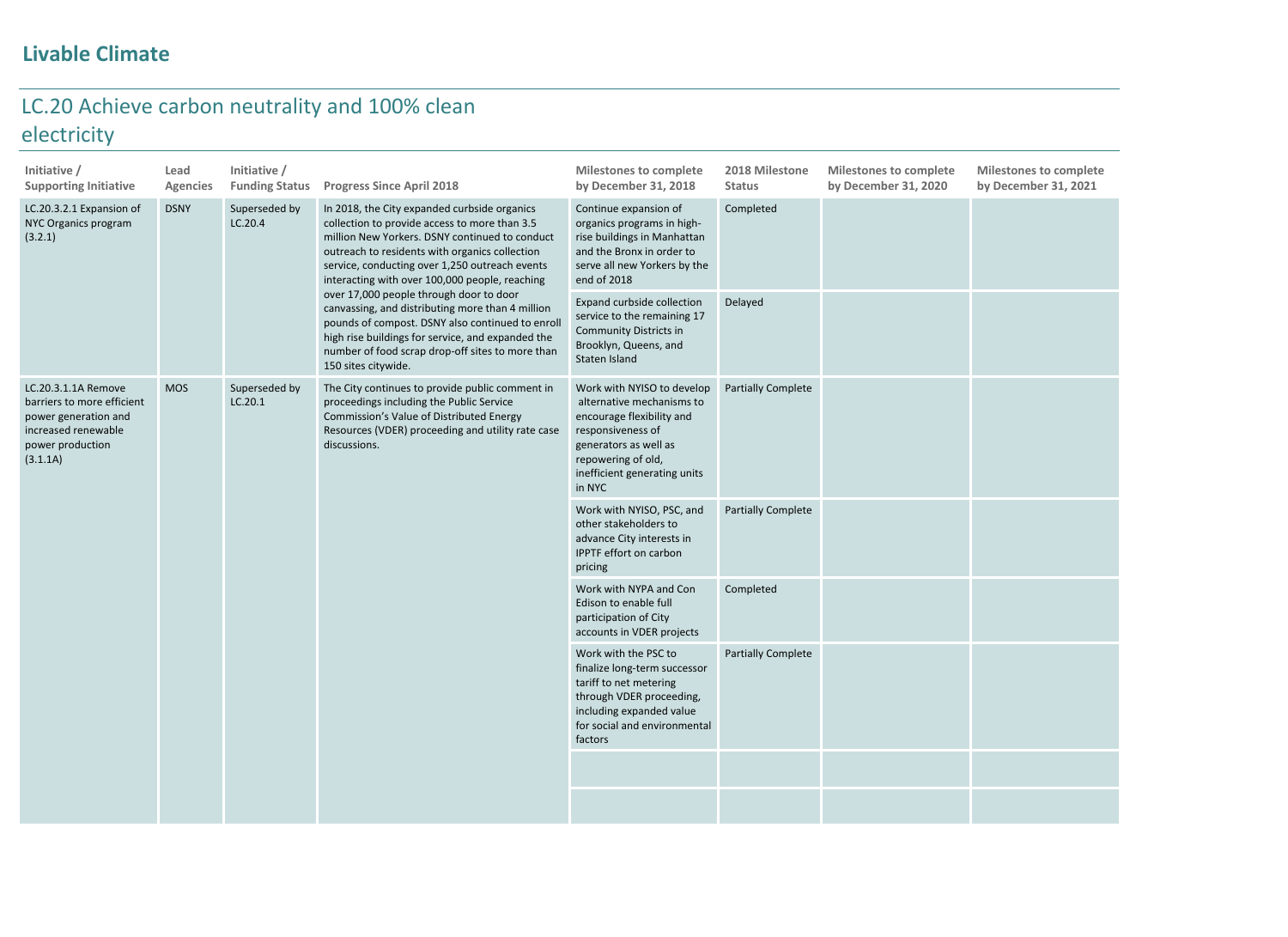| Initiative /<br><b>Supporting Initiative</b>                                                                                     | Lead<br><b>Agencies</b> | Initiative /<br><b>Funding Status</b> | <b>Progress Since April 2018</b>                                                                                                                                                                                                                                                                                                                                                                                                                                                                                                                                                         | <b>Milestones to complete</b><br>by December 31, 2018                                                                                                                                              | 2018 Milestone<br><b>Status</b> | <b>Milestones to complete</b><br>by December 31, 2020 | <b>Milestones to complete</b><br>by December 31, 2021 |
|----------------------------------------------------------------------------------------------------------------------------------|-------------------------|---------------------------------------|------------------------------------------------------------------------------------------------------------------------------------------------------------------------------------------------------------------------------------------------------------------------------------------------------------------------------------------------------------------------------------------------------------------------------------------------------------------------------------------------------------------------------------------------------------------------------------------|----------------------------------------------------------------------------------------------------------------------------------------------------------------------------------------------------|---------------------------------|-------------------------------------------------------|-------------------------------------------------------|
| LC.20.3.2.1 Expansion of<br>NYC Organics program<br>(3.2.1)                                                                      | <b>DSNY</b>             | Superseded by<br>LC.20.4              | In 2018, the City expanded curbside organics<br>collection to provide access to more than 3.5<br>million New Yorkers. DSNY continued to conduct<br>outreach to residents with organics collection<br>service, conducting over 1,250 outreach events<br>interacting with over 100,000 people, reaching<br>over 17,000 people through door to door<br>canvassing, and distributing more than 4 million<br>pounds of compost. DSNY also continued to enroll<br>high rise buildings for service, and expanded the<br>number of food scrap drop-off sites to more than<br>150 sites citywide. | Continue expansion of<br>organics programs in high-<br>rise buildings in Manhattan<br>and the Bronx in order to<br>serve all new Yorkers by the<br>end of 2018                                     | Completed                       |                                                       |                                                       |
|                                                                                                                                  |                         |                                       |                                                                                                                                                                                                                                                                                                                                                                                                                                                                                                                                                                                          | Expand curbside collection<br>service to the remaining 17<br><b>Community Districts in</b><br>Brooklyn, Queens, and<br>Staten Island                                                               | Delayed                         |                                                       |                                                       |
| LC.20.3.1.1A Remove<br>barriers to more efficient<br>power generation and<br>increased renewable<br>power production<br>(3.1.1A) | <b>MOS</b>              | Superseded by<br>LC.20.1              | The City continues to provide public comment in<br>proceedings including the Public Service<br>Commission's Value of Distributed Energy<br>Resources (VDER) proceeding and utility rate case<br>discussions.                                                                                                                                                                                                                                                                                                                                                                             | Work with NYISO to develop<br>alternative mechanisms to<br>encourage flexibility and<br>responsiveness of<br>generators as well as<br>repowering of old,<br>inefficient generating units<br>in NYC | <b>Partially Complete</b>       |                                                       |                                                       |
|                                                                                                                                  |                         |                                       |                                                                                                                                                                                                                                                                                                                                                                                                                                                                                                                                                                                          | Work with NYISO, PSC, and<br>other stakeholders to<br>advance City interests in<br>IPPTF effort on carbon<br>pricing                                                                               | <b>Partially Complete</b>       |                                                       |                                                       |
|                                                                                                                                  |                         |                                       |                                                                                                                                                                                                                                                                                                                                                                                                                                                                                                                                                                                          | Work with NYPA and Con<br>Edison to enable full<br>participation of City<br>accounts in VDER projects                                                                                              | Completed                       |                                                       |                                                       |
|                                                                                                                                  |                         |                                       |                                                                                                                                                                                                                                                                                                                                                                                                                                                                                                                                                                                          | Work with the PSC to<br>finalize long-term successor<br>tariff to net metering<br>through VDER proceeding,<br>including expanded value<br>for social and environmental<br>factors                  | <b>Partially Complete</b>       |                                                       |                                                       |
|                                                                                                                                  |                         |                                       |                                                                                                                                                                                                                                                                                                                                                                                                                                                                                                                                                                                          |                                                                                                                                                                                                    |                                 |                                                       |                                                       |
|                                                                                                                                  |                         |                                       |                                                                                                                                                                                                                                                                                                                                                                                                                                                                                                                                                                                          |                                                                                                                                                                                                    |                                 |                                                       |                                                       |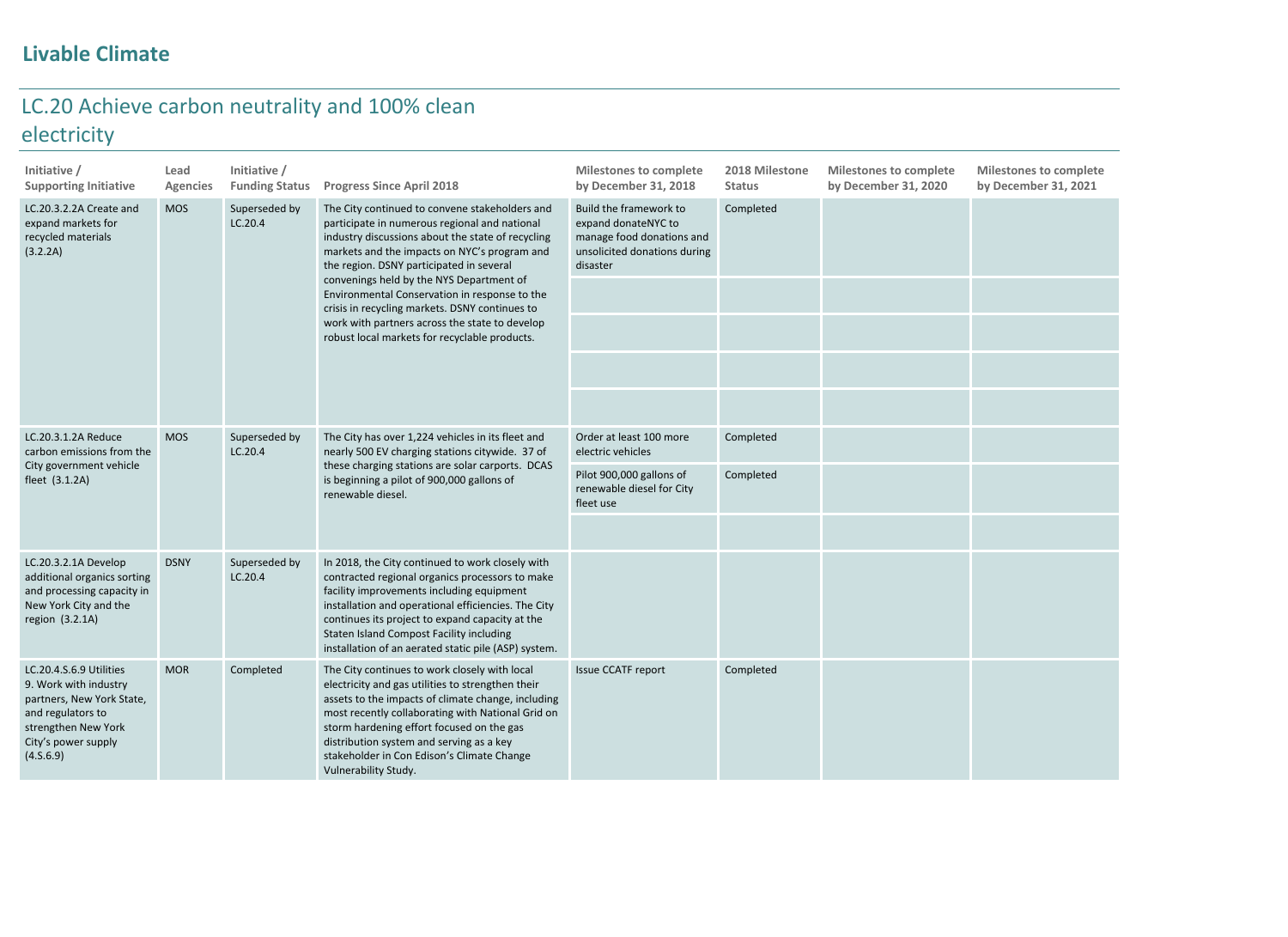| Initiative /<br><b>Supporting Initiative</b>                                                                                                                  | Lead<br><b>Agencies</b> | Initiative /<br><b>Funding Status</b> | <b>Progress Since April 2018</b>                                                                                                                                                                                                                                                                                                                                             | <b>Milestones to complete</b><br>by December 31, 2018                                                                  | 2018 Milestone<br><b>Status</b> | <b>Milestones to complete</b><br>by December 31, 2020 | <b>Milestones to complete</b><br>by December 31, 2021 |
|---------------------------------------------------------------------------------------------------------------------------------------------------------------|-------------------------|---------------------------------------|------------------------------------------------------------------------------------------------------------------------------------------------------------------------------------------------------------------------------------------------------------------------------------------------------------------------------------------------------------------------------|------------------------------------------------------------------------------------------------------------------------|---------------------------------|-------------------------------------------------------|-------------------------------------------------------|
| LC.20.3.2.2A Create and<br>expand markets for<br>recycled materials<br>(3.2.2A)                                                                               | <b>MOS</b>              | Superseded by<br>LC.20.4              | The City continued to convene stakeholders and<br>participate in numerous regional and national<br>industry discussions about the state of recycling<br>markets and the impacts on NYC's program and<br>the region. DSNY participated in several                                                                                                                             | Build the framework to<br>expand donateNYC to<br>manage food donations and<br>unsolicited donations during<br>disaster | Completed                       |                                                       |                                                       |
|                                                                                                                                                               |                         |                                       | convenings held by the NYS Department of<br>Environmental Conservation in response to the<br>crisis in recycling markets. DSNY continues to<br>work with partners across the state to develop                                                                                                                                                                                |                                                                                                                        |                                 |                                                       |                                                       |
|                                                                                                                                                               |                         |                                       | robust local markets for recyclable products.                                                                                                                                                                                                                                                                                                                                |                                                                                                                        |                                 |                                                       |                                                       |
|                                                                                                                                                               |                         |                                       |                                                                                                                                                                                                                                                                                                                                                                              |                                                                                                                        |                                 |                                                       |                                                       |
|                                                                                                                                                               |                         |                                       |                                                                                                                                                                                                                                                                                                                                                                              |                                                                                                                        |                                 |                                                       |                                                       |
| LC.20.3.1.2A Reduce<br>carbon emissions from the                                                                                                              | <b>MOS</b>              | Superseded by<br>LC.20.4              | The City has over 1,224 vehicles in its fleet and<br>nearly 500 EV charging stations citywide. 37 of<br>these charging stations are solar carports. DCAS<br>is beginning a pilot of 900,000 gallons of<br>renewable diesel.                                                                                                                                                  | Order at least 100 more<br>electric vehicles                                                                           | Completed                       |                                                       |                                                       |
| City government vehicle<br>fleet (3.1.2A)                                                                                                                     |                         |                                       |                                                                                                                                                                                                                                                                                                                                                                              | Pilot 900,000 gallons of<br>renewable diesel for City<br>fleet use                                                     | Completed                       |                                                       |                                                       |
|                                                                                                                                                               |                         |                                       |                                                                                                                                                                                                                                                                                                                                                                              |                                                                                                                        |                                 |                                                       |                                                       |
| LC.20.3.2.1A Develop<br>additional organics sorting<br>and processing capacity in<br>New York City and the<br>region (3.2.1A)                                 | <b>DSNY</b>             | Superseded by<br>LC.20.4              | In 2018, the City continued to work closely with<br>contracted regional organics processors to make<br>facility improvements including equipment<br>installation and operational efficiencies. The City<br>continues its project to expand capacity at the<br>Staten Island Compost Facility including<br>installation of an aerated static pile (ASP) system.               |                                                                                                                        |                                 |                                                       |                                                       |
| LC.20.4.S.6.9 Utilities<br>9. Work with industry<br>partners, New York State,<br>and regulators to<br>strengthen New York<br>City's power supply<br>(4.5.6.9) | <b>MOR</b>              | Completed                             | The City continues to work closely with local<br>electricity and gas utilities to strengthen their<br>assets to the impacts of climate change, including<br>most recently collaborating with National Grid on<br>storm hardening effort focused on the gas<br>distribution system and serving as a key<br>stakeholder in Con Edison's Climate Change<br>Vulnerability Study. | Issue CCATF report                                                                                                     | Completed                       |                                                       |                                                       |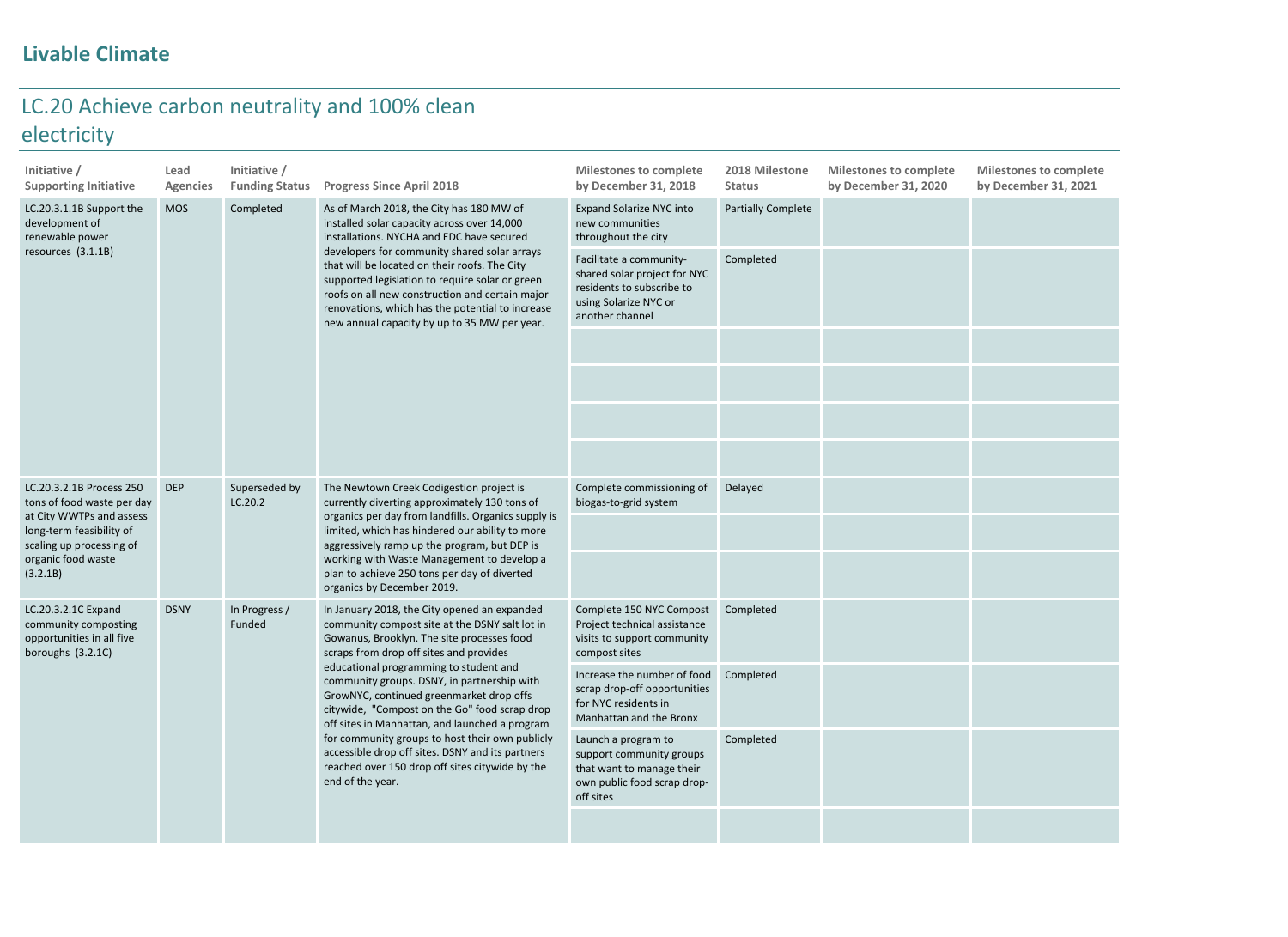| Initiative /<br><b>Supporting Initiative</b>                                                  | Lead<br><b>Agencies</b> | Initiative /<br><b>Funding Status</b> | <b>Progress Since April 2018</b>                                                                                                                                                                                                                                                                                                                                                                                                                                                                                                                                                                              | <b>Milestones to complete</b><br>by December 31, 2018                                                                            | 2018 Milestone<br><b>Status</b> | <b>Milestones to complete</b><br>by December 31, 2020 | <b>Milestones to complete</b><br>by December 31, 2021 |
|-----------------------------------------------------------------------------------------------|-------------------------|---------------------------------------|---------------------------------------------------------------------------------------------------------------------------------------------------------------------------------------------------------------------------------------------------------------------------------------------------------------------------------------------------------------------------------------------------------------------------------------------------------------------------------------------------------------------------------------------------------------------------------------------------------------|----------------------------------------------------------------------------------------------------------------------------------|---------------------------------|-------------------------------------------------------|-------------------------------------------------------|
| LC.20.3.1.1B Support the<br>development of<br>renewable power                                 | <b>MOS</b>              | Completed                             | As of March 2018, the City has 180 MW of<br>installed solar capacity across over 14,000<br>installations. NYCHA and EDC have secured                                                                                                                                                                                                                                                                                                                                                                                                                                                                          | <b>Expand Solarize NYC into</b><br>new communities<br>throughout the city                                                        | <b>Partially Complete</b>       |                                                       |                                                       |
| resources (3.1.1B)                                                                            |                         |                                       | developers for community shared solar arrays<br>that will be located on their roofs. The City<br>supported legislation to require solar or green<br>roofs on all new construction and certain major<br>renovations, which has the potential to increase<br>new annual capacity by up to 35 MW per year.                                                                                                                                                                                                                                                                                                       | Facilitate a community-<br>shared solar project for NYC<br>residents to subscribe to<br>using Solarize NYC or<br>another channel | Completed                       |                                                       |                                                       |
|                                                                                               |                         |                                       |                                                                                                                                                                                                                                                                                                                                                                                                                                                                                                                                                                                                               |                                                                                                                                  |                                 |                                                       |                                                       |
|                                                                                               |                         |                                       |                                                                                                                                                                                                                                                                                                                                                                                                                                                                                                                                                                                                               |                                                                                                                                  |                                 |                                                       |                                                       |
|                                                                                               |                         |                                       |                                                                                                                                                                                                                                                                                                                                                                                                                                                                                                                                                                                                               |                                                                                                                                  |                                 |                                                       |                                                       |
|                                                                                               |                         |                                       |                                                                                                                                                                                                                                                                                                                                                                                                                                                                                                                                                                                                               |                                                                                                                                  |                                 |                                                       |                                                       |
| LC.20.3.2.1B Process 250<br>tons of food waste per day                                        | <b>DEP</b>              | Superseded by<br>LC.20.2              | The Newtown Creek Codigestion project is<br>currently diverting approximately 130 tons of<br>organics per day from landfills. Organics supply is<br>limited, which has hindered our ability to more<br>aggressively ramp up the program, but DEP is<br>working with Waste Management to develop a<br>plan to achieve 250 tons per day of diverted<br>organics by December 2019.                                                                                                                                                                                                                               | Complete commissioning of<br>biogas-to-grid system                                                                               | Delayed                         |                                                       |                                                       |
| at City WWTPs and assess<br>long-term feasibility of<br>scaling up processing of              |                         |                                       |                                                                                                                                                                                                                                                                                                                                                                                                                                                                                                                                                                                                               |                                                                                                                                  |                                 |                                                       |                                                       |
| organic food waste<br>(3.2.1B)                                                                |                         |                                       |                                                                                                                                                                                                                                                                                                                                                                                                                                                                                                                                                                                                               |                                                                                                                                  |                                 |                                                       |                                                       |
| LC.20.3.2.1C Expand<br>community composting<br>opportunities in all five<br>boroughs (3.2.1C) | <b>DSNY</b>             | In Progress /<br>Funded               | In January 2018, the City opened an expanded<br>community compost site at the DSNY salt lot in<br>Gowanus, Brooklyn. The site processes food<br>scraps from drop off sites and provides<br>educational programming to student and<br>community groups. DSNY, in partnership with<br>GrowNYC, continued greenmarket drop offs<br>citywide, "Compost on the Go" food scrap drop<br>off sites in Manhattan, and launched a program<br>for community groups to host their own publicly<br>accessible drop off sites. DSNY and its partners<br>reached over 150 drop off sites citywide by the<br>end of the year. | Complete 150 NYC Compost<br>Project technical assistance<br>visits to support community<br>compost sites                         | Completed                       |                                                       |                                                       |
|                                                                                               |                         |                                       |                                                                                                                                                                                                                                                                                                                                                                                                                                                                                                                                                                                                               | Increase the number of food<br>scrap drop-off opportunities<br>for NYC residents in<br>Manhattan and the Bronx                   | Completed                       |                                                       |                                                       |
|                                                                                               |                         |                                       |                                                                                                                                                                                                                                                                                                                                                                                                                                                                                                                                                                                                               | Launch a program to<br>support community groups<br>that want to manage their<br>own public food scrap drop-<br>off sites         | Completed                       |                                                       |                                                       |
|                                                                                               |                         |                                       |                                                                                                                                                                                                                                                                                                                                                                                                                                                                                                                                                                                                               |                                                                                                                                  |                                 |                                                       |                                                       |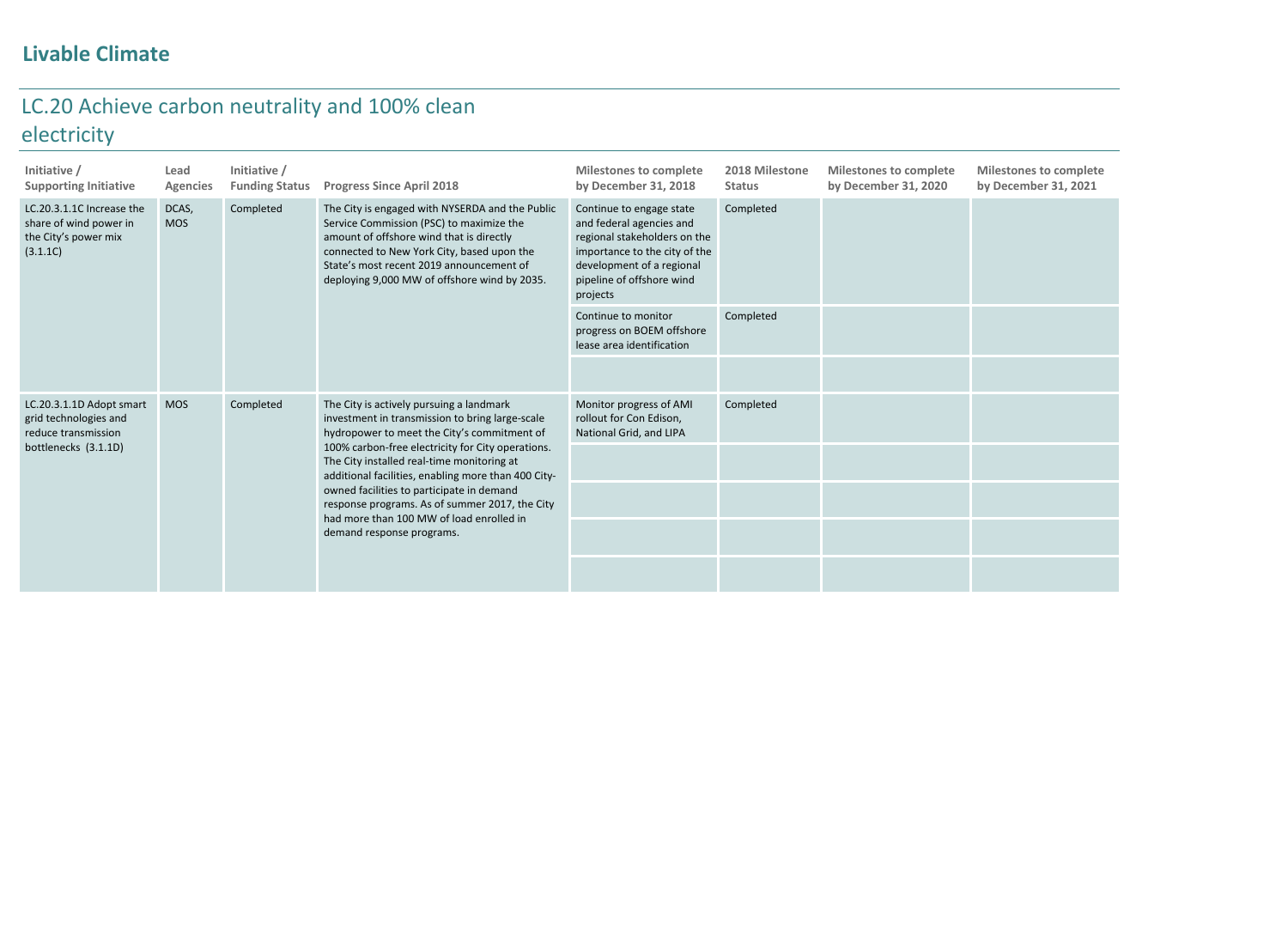| Initiative /<br><b>Supporting Initiative</b>                                            | Lead<br><b>Agencies</b> | Initiative /<br><b>Funding Status</b> | <b>Progress Since April 2018</b>                                                                                                                                                                                                                                                  | <b>Milestones to complete</b><br>by December 31, 2018                                                                                                                                       | 2018 Milestone<br><b>Status</b> | <b>Milestones to complete</b><br>by December 31, 2020 | <b>Milestones to complete</b><br>by December 31, 2021 |
|-----------------------------------------------------------------------------------------|-------------------------|---------------------------------------|-----------------------------------------------------------------------------------------------------------------------------------------------------------------------------------------------------------------------------------------------------------------------------------|---------------------------------------------------------------------------------------------------------------------------------------------------------------------------------------------|---------------------------------|-------------------------------------------------------|-------------------------------------------------------|
| LC.20.3.1.1C Increase the<br>share of wind power in<br>the City's power mix<br>(3.1.1C) | DCAS,<br><b>MOS</b>     | Completed                             | The City is engaged with NYSERDA and the Public<br>Service Commission (PSC) to maximize the<br>amount of offshore wind that is directly<br>connected to New York City, based upon the<br>State's most recent 2019 announcement of<br>deploying 9,000 MW of offshore wind by 2035. | Continue to engage state<br>and federal agencies and<br>regional stakeholders on the<br>importance to the city of the<br>development of a regional<br>pipeline of offshore wind<br>projects | Completed                       |                                                       |                                                       |
|                                                                                         |                         |                                       |                                                                                                                                                                                                                                                                                   | Continue to monitor<br>progress on BOEM offshore<br>lease area identification                                                                                                               | Completed                       |                                                       |                                                       |
|                                                                                         |                         |                                       |                                                                                                                                                                                                                                                                                   |                                                                                                                                                                                             |                                 |                                                       |                                                       |
| LC.20.3.1.1D Adopt smart<br>grid technologies and<br>reduce transmission                | <b>MOS</b>              | Completed                             | The City is actively pursuing a landmark<br>investment in transmission to bring large-scale<br>hydropower to meet the City's commitment of                                                                                                                                        | Monitor progress of AMI<br>rollout for Con Edison,<br>National Grid, and LIPA                                                                                                               | Completed                       |                                                       |                                                       |
| bottlenecks (3.1.1D)                                                                    |                         |                                       | 100% carbon-free electricity for City operations.<br>The City installed real-time monitoring at<br>additional facilities, enabling more than 400 City-                                                                                                                            |                                                                                                                                                                                             |                                 |                                                       |                                                       |
|                                                                                         |                         |                                       | owned facilities to participate in demand<br>response programs. As of summer 2017, the City                                                                                                                                                                                       |                                                                                                                                                                                             |                                 |                                                       |                                                       |
|                                                                                         |                         |                                       | had more than 100 MW of load enrolled in<br>demand response programs.                                                                                                                                                                                                             |                                                                                                                                                                                             |                                 |                                                       |                                                       |
|                                                                                         |                         |                                       |                                                                                                                                                                                                                                                                                   |                                                                                                                                                                                             |                                 |                                                       |                                                       |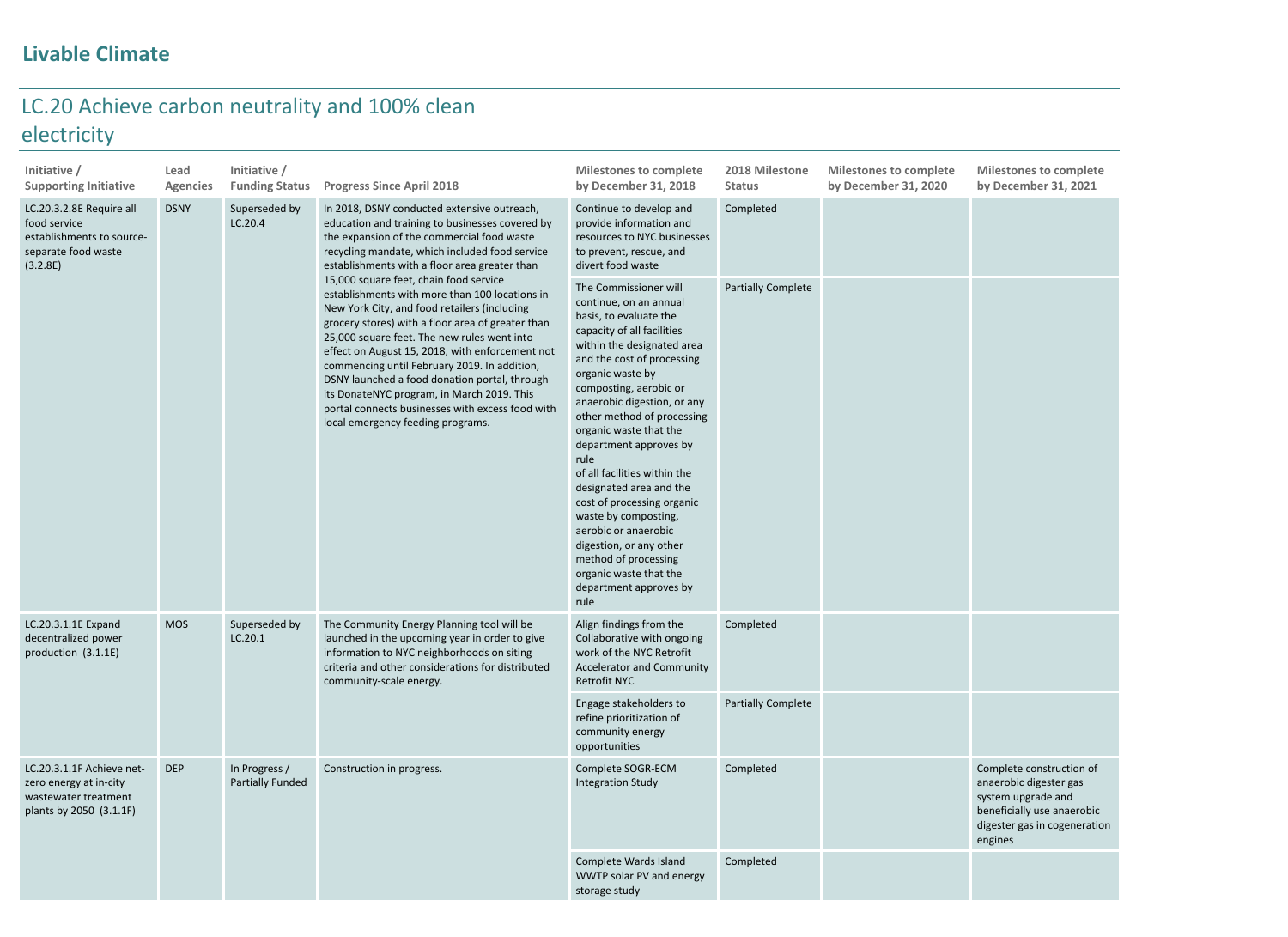| Initiative /<br><b>Supporting Initiative</b>                                                             | Lead<br><b>Agencies</b> | Initiative /<br><b>Funding Status</b>    | <b>Progress Since April 2018</b>                                                                                                                                                                                                                                                                                                                                                                                                                                                                                                                                                                                                                                                                                                                                                           | <b>Milestones to complete</b><br>by December 31, 2018                                                                                                                                                                                                                                                                                                                                                                                                                                                                                                                                              | 2018 Milestone<br><b>Status</b> | <b>Milestones to complete</b><br>by December 31, 2020 | <b>Milestones to complete</b><br>by December 31, 2021                                                                                             |
|----------------------------------------------------------------------------------------------------------|-------------------------|------------------------------------------|--------------------------------------------------------------------------------------------------------------------------------------------------------------------------------------------------------------------------------------------------------------------------------------------------------------------------------------------------------------------------------------------------------------------------------------------------------------------------------------------------------------------------------------------------------------------------------------------------------------------------------------------------------------------------------------------------------------------------------------------------------------------------------------------|----------------------------------------------------------------------------------------------------------------------------------------------------------------------------------------------------------------------------------------------------------------------------------------------------------------------------------------------------------------------------------------------------------------------------------------------------------------------------------------------------------------------------------------------------------------------------------------------------|---------------------------------|-------------------------------------------------------|---------------------------------------------------------------------------------------------------------------------------------------------------|
| LC.20.3.2.8E Require all<br>food service<br>establishments to source-<br>separate food waste<br>(3.2.8E) | <b>DSNY</b>             | Superseded by<br>LC.20.4                 | In 2018, DSNY conducted extensive outreach,<br>education and training to businesses covered by<br>the expansion of the commercial food waste<br>recycling mandate, which included food service<br>establishments with a floor area greater than<br>15,000 square feet, chain food service<br>establishments with more than 100 locations in<br>New York City, and food retailers (including<br>grocery stores) with a floor area of greater than<br>25,000 square feet. The new rules went into<br>effect on August 15, 2018, with enforcement not<br>commencing until February 2019. In addition,<br>DSNY launched a food donation portal, through<br>its DonateNYC program, in March 2019. This<br>portal connects businesses with excess food with<br>local emergency feeding programs. | Continue to develop and<br>provide information and<br>resources to NYC businesses<br>to prevent, rescue, and<br>divert food waste                                                                                                                                                                                                                                                                                                                                                                                                                                                                  | Completed                       |                                                       |                                                                                                                                                   |
|                                                                                                          |                         |                                          |                                                                                                                                                                                                                                                                                                                                                                                                                                                                                                                                                                                                                                                                                                                                                                                            | The Commissioner will<br>continue, on an annual<br>basis, to evaluate the<br>capacity of all facilities<br>within the designated area<br>and the cost of processing<br>organic waste by<br>composting, aerobic or<br>anaerobic digestion, or any<br>other method of processing<br>organic waste that the<br>department approves by<br>rule<br>of all facilities within the<br>designated area and the<br>cost of processing organic<br>waste by composting,<br>aerobic or anaerobic<br>digestion, or any other<br>method of processing<br>organic waste that the<br>department approves by<br>rule | <b>Partially Complete</b>       |                                                       |                                                                                                                                                   |
| LC.20.3.1.1E Expand<br>decentralized power<br>production (3.1.1E)                                        | <b>MOS</b>              | Superseded by<br>LC.20.1                 | The Community Energy Planning tool will be<br>launched in the upcoming year in order to give<br>information to NYC neighborhoods on siting<br>criteria and other considerations for distributed<br>community-scale energy.                                                                                                                                                                                                                                                                                                                                                                                                                                                                                                                                                                 | Align findings from the<br>Collaborative with ongoing<br>work of the NYC Retrofit<br><b>Accelerator and Community</b><br><b>Retrofit NYC</b>                                                                                                                                                                                                                                                                                                                                                                                                                                                       | Completed                       |                                                       |                                                                                                                                                   |
|                                                                                                          |                         |                                          |                                                                                                                                                                                                                                                                                                                                                                                                                                                                                                                                                                                                                                                                                                                                                                                            | Engage stakeholders to<br>refine prioritization of<br>community energy<br>opportunities                                                                                                                                                                                                                                                                                                                                                                                                                                                                                                            | <b>Partially Complete</b>       |                                                       |                                                                                                                                                   |
| LC.20.3.1.1F Achieve net-<br>zero energy at in-city<br>wastewater treatment<br>plants by 2050 (3.1.1F)   | <b>DEP</b>              | In Progress /<br><b>Partially Funded</b> | Construction in progress.                                                                                                                                                                                                                                                                                                                                                                                                                                                                                                                                                                                                                                                                                                                                                                  | Complete SOGR-ECM<br><b>Integration Study</b>                                                                                                                                                                                                                                                                                                                                                                                                                                                                                                                                                      | Completed                       |                                                       | Complete construction of<br>anaerobic digester gas<br>system upgrade and<br>beneficially use anaerobic<br>digester gas in cogeneration<br>engines |
|                                                                                                          |                         |                                          |                                                                                                                                                                                                                                                                                                                                                                                                                                                                                                                                                                                                                                                                                                                                                                                            | Complete Wards Island<br>WWTP solar PV and energy<br>storage study                                                                                                                                                                                                                                                                                                                                                                                                                                                                                                                                 | Completed                       |                                                       |                                                                                                                                                   |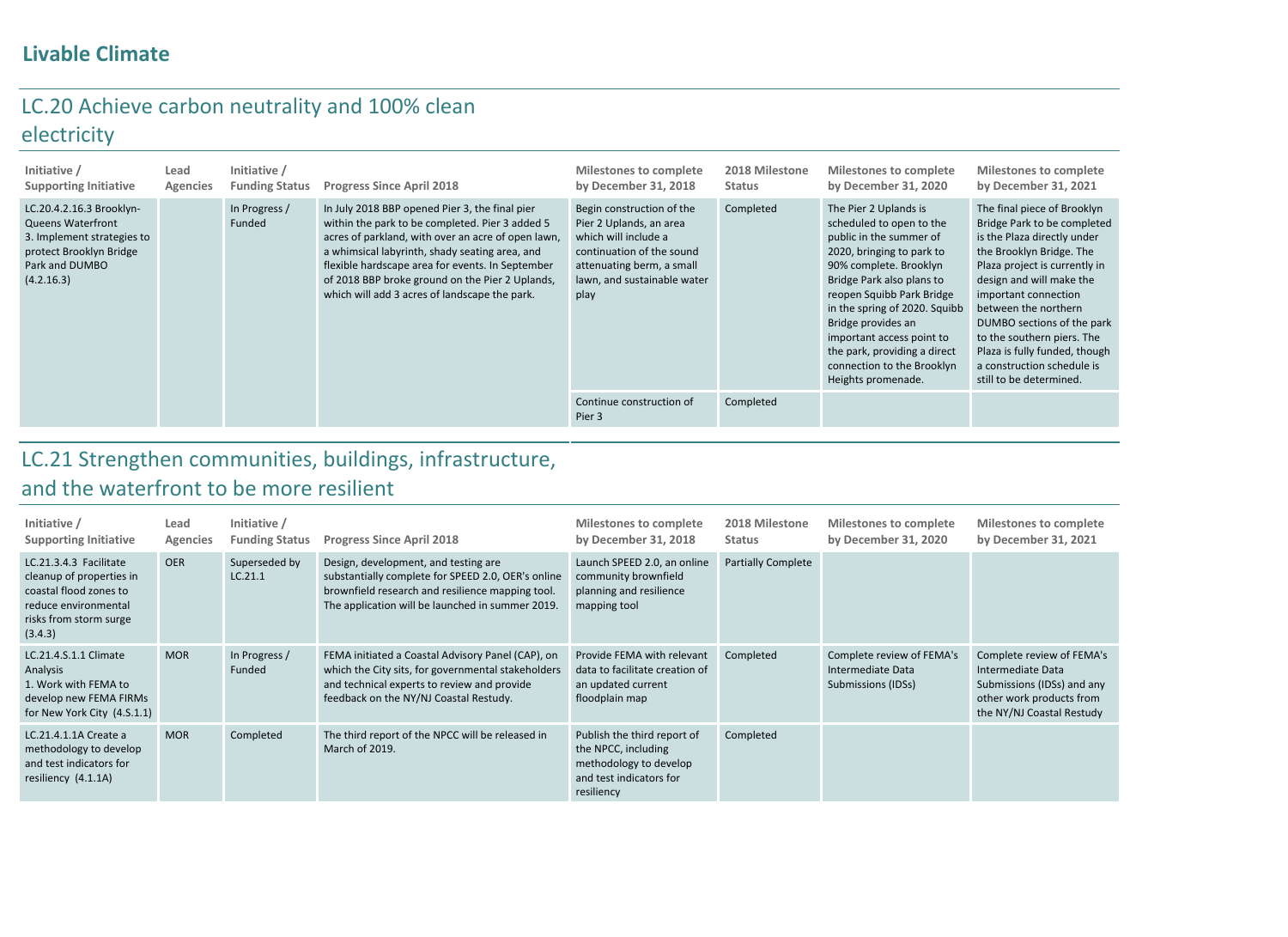# LC.20 Achieve carbon neutrality and 100% clean electricity

| Initiative /<br><b>Supporting Initiative</b>                                                                                                  | Lead<br><b>Agencies</b> | Initiative /<br><b>Funding Status</b> | <b>Progress Since April 2018</b>                                                                                                                                                                                                                                                                                                                                  | <b>Milestones to complete</b><br>by December 31, 2018                                                                                                                         | 2018 Milestone<br><b>Status</b> | <b>Milestones to complete</b><br>by December 31, 2020                                                                                                                                                                                                                                                                                                                 | <b>Milestones to complete</b><br>by December 31, 2021                                                                                                                                                                                                                                                                                                                                    |
|-----------------------------------------------------------------------------------------------------------------------------------------------|-------------------------|---------------------------------------|-------------------------------------------------------------------------------------------------------------------------------------------------------------------------------------------------------------------------------------------------------------------------------------------------------------------------------------------------------------------|-------------------------------------------------------------------------------------------------------------------------------------------------------------------------------|---------------------------------|-----------------------------------------------------------------------------------------------------------------------------------------------------------------------------------------------------------------------------------------------------------------------------------------------------------------------------------------------------------------------|------------------------------------------------------------------------------------------------------------------------------------------------------------------------------------------------------------------------------------------------------------------------------------------------------------------------------------------------------------------------------------------|
| LC.20.4.2.16.3 Brooklyn-<br><b>Queens Waterfront</b><br>3. Implement strategies to<br>protect Brooklyn Bridge<br>Park and DUMBO<br>(4.2.16.3) |                         | In Progress /<br>Funded               | In July 2018 BBP opened Pier 3, the final pier<br>within the park to be completed. Pier 3 added 5<br>acres of parkland, with over an acre of open lawn,<br>a whimsical labyrinth, shady seating area, and<br>flexible hardscape area for events. In September<br>of 2018 BBP broke ground on the Pier 2 Uplands,<br>which will add 3 acres of landscape the park. | Begin construction of the<br>Pier 2 Uplands, an area<br>which will include a<br>continuation of the sound<br>attenuating berm, a small<br>lawn, and sustainable water<br>play | Completed                       | The Pier 2 Uplands is<br>scheduled to open to the<br>public in the summer of<br>2020, bringing to park to<br>90% complete. Brooklyn<br>Bridge Park also plans to<br>reopen Squibb Park Bridge<br>in the spring of 2020. Squibb<br>Bridge provides an<br>important access point to<br>the park, providing a direct<br>connection to the Brooklyn<br>Heights promenade. | The final piece of Brooklyn<br>Bridge Park to be completed<br>is the Plaza directly under<br>the Brooklyn Bridge. The<br>Plaza project is currently in<br>design and will make the<br>important connection<br>between the northern<br>DUMBO sections of the park<br>to the southern piers. The<br>Plaza is fully funded, though<br>a construction schedule is<br>still to be determined. |
|                                                                                                                                               |                         |                                       |                                                                                                                                                                                                                                                                                                                                                                   | Continue construction of<br>Pier 3                                                                                                                                            | Completed                       |                                                                                                                                                                                                                                                                                                                                                                       |                                                                                                                                                                                                                                                                                                                                                                                          |

| Initiative /<br><b>Supporting Initiative</b>                                                                                              | Lead<br><b>Agencies</b> | Initiative /<br><b>Funding Status</b> | <b>Progress Since April 2018</b>                                                                                                                                                                   | <b>Milestones to complete</b><br>by December 31, 2018                                                                 | 2018 Milestone<br><b>Status</b> | <b>Milestones to complete</b><br>by December 31, 2020                | <b>Milestones to complete</b><br>by December 31, 2021                                                                                 |
|-------------------------------------------------------------------------------------------------------------------------------------------|-------------------------|---------------------------------------|----------------------------------------------------------------------------------------------------------------------------------------------------------------------------------------------------|-----------------------------------------------------------------------------------------------------------------------|---------------------------------|----------------------------------------------------------------------|---------------------------------------------------------------------------------------------------------------------------------------|
| LC.21.3.4.3 Facilitate<br>cleanup of properties in<br>coastal flood zones to<br>reduce environmental<br>risks from storm surge<br>(3.4.3) | <b>OER</b>              | Superseded by<br>LC.21.1              | Design, development, and testing are<br>substantially complete for SPEED 2.0, OER's online<br>brownfield research and resilience mapping tool.<br>The application will be launched in summer 2019. | Launch SPEED 2.0, an online<br>community brownfield<br>planning and resilience<br>mapping tool                        | Partially Complete              |                                                                      |                                                                                                                                       |
| LC.21.4.S.1.1 Climate<br>Analysis<br>1. Work with FEMA to<br>develop new FEMA FIRMs<br>for New York City (4.S.1.1)                        | <b>MOR</b>              | In Progress /<br>Funded               | FEMA initiated a Coastal Advisory Panel (CAP), on<br>which the City sits, for governmental stakeholders<br>and technical experts to review and provide<br>feedback on the NY/NJ Coastal Restudy.   | Provide FEMA with relevant<br>data to facilitate creation of<br>an updated current<br>floodplain map                  | Completed                       | Complete review of FEMA's<br>Intermediate Data<br>Submissions (IDSs) | Complete review of FEMA's<br>Intermediate Data<br>Submissions (IDSs) and any<br>other work products from<br>the NY/NJ Coastal Restudy |
| LC.21.4.1.1A Create a<br>methodology to develop<br>and test indicators for<br>resiliency (4.1.1A)                                         | <b>MOR</b>              | Completed                             | The third report of the NPCC will be released in<br>March of 2019.                                                                                                                                 | Publish the third report of<br>the NPCC, including<br>methodology to develop<br>and test indicators for<br>resiliency | Completed                       |                                                                      |                                                                                                                                       |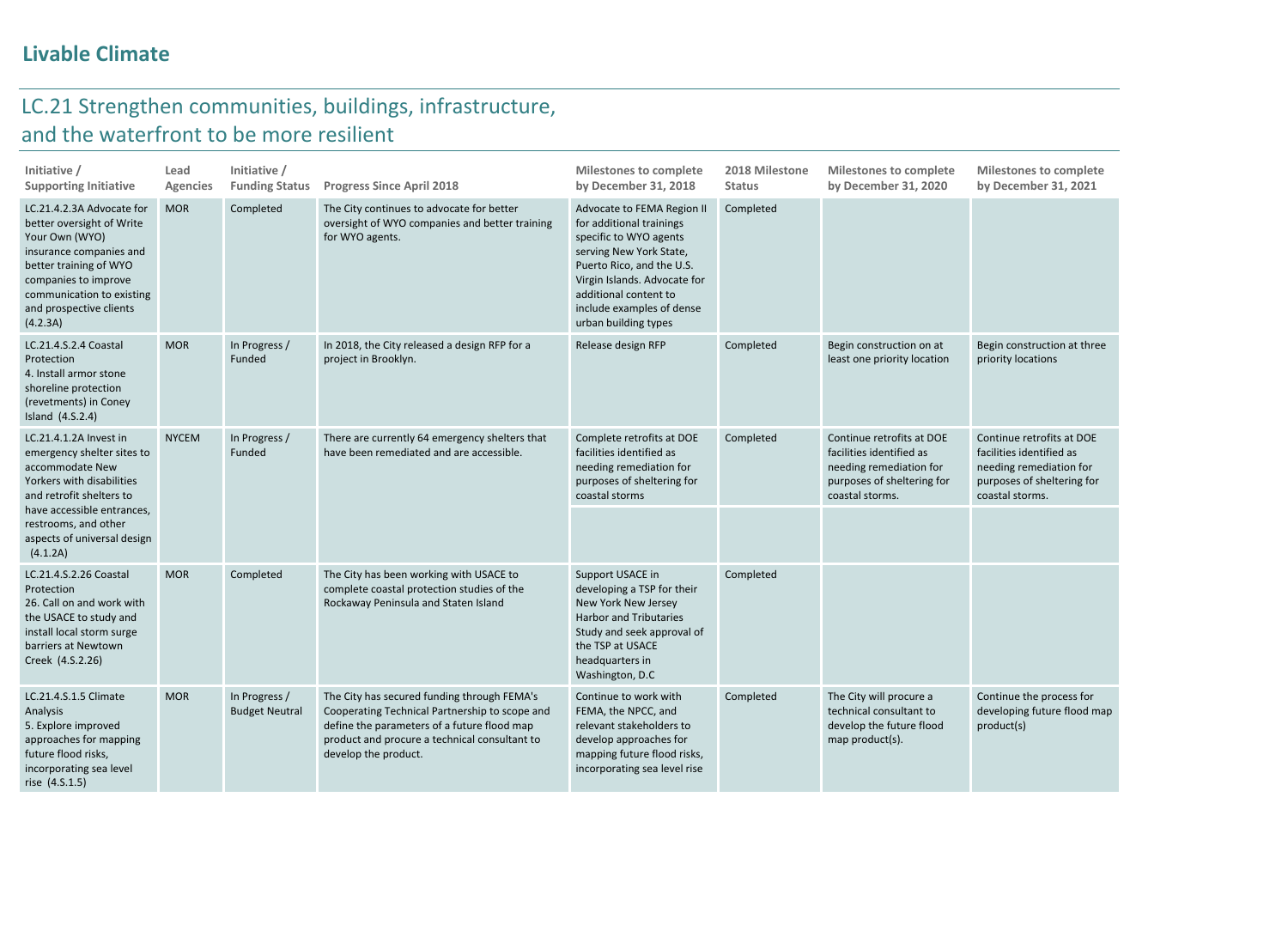| Initiative /<br><b>Supporting Initiative</b>                                                                                                                                                                              | Lead<br><b>Agencies</b> | Initiative /<br><b>Funding Status</b>  | <b>Progress Since April 2018</b>                                                                                                                                                                                      | <b>Milestones to complete</b><br>by December 31, 2018                                                                                                                                                                                                  | 2018 Milestone<br><b>Status</b> | <b>Milestones to complete</b><br>by December 31, 2020                                                                             | <b>Milestones to complete</b><br>by December 31, 2021                                                                             |
|---------------------------------------------------------------------------------------------------------------------------------------------------------------------------------------------------------------------------|-------------------------|----------------------------------------|-----------------------------------------------------------------------------------------------------------------------------------------------------------------------------------------------------------------------|--------------------------------------------------------------------------------------------------------------------------------------------------------------------------------------------------------------------------------------------------------|---------------------------------|-----------------------------------------------------------------------------------------------------------------------------------|-----------------------------------------------------------------------------------------------------------------------------------|
| LC.21.4.2.3A Advocate for<br>better oversight of Write<br>Your Own (WYO)<br>insurance companies and<br>better training of WYO<br>companies to improve<br>communication to existing<br>and prospective clients<br>(4.2.3A) | <b>MOR</b>              | Completed                              | The City continues to advocate for better<br>oversight of WYO companies and better training<br>for WYO agents.                                                                                                        | Advocate to FEMA Region II<br>for additional trainings<br>specific to WYO agents<br>serving New York State,<br>Puerto Rico, and the U.S.<br>Virgin Islands. Advocate for<br>additional content to<br>include examples of dense<br>urban building types | Completed                       |                                                                                                                                   |                                                                                                                                   |
| LC.21.4.S.2.4 Coastal<br>Protection<br>4. Install armor stone<br>shoreline protection<br>(revetments) in Coney<br>Island (4.S.2.4)                                                                                        | <b>MOR</b>              | In Progress /<br>Funded                | In 2018, the City released a design RFP for a<br>project in Brooklyn.                                                                                                                                                 | Release design RFP                                                                                                                                                                                                                                     | Completed                       | Begin construction on at<br>least one priority location                                                                           | Begin construction at three<br>priority locations                                                                                 |
| LC.21.4.1.2A Invest in<br>emergency shelter sites to<br>accommodate New<br>Yorkers with disabilities<br>and retrofit shelters to<br>have accessible entrances,<br>restrooms, and other<br>aspects of universal design     | <b>NYCEM</b>            | In Progress /<br>Funded                | There are currently 64 emergency shelters that<br>have been remediated and are accessible.                                                                                                                            | Complete retrofits at DOE<br>facilities identified as<br>needing remediation for<br>purposes of sheltering for<br>coastal storms                                                                                                                       | Completed                       | Continue retrofits at DOE<br>facilities identified as<br>needing remediation for<br>purposes of sheltering for<br>coastal storms. | Continue retrofits at DOE<br>facilities identified as<br>needing remediation for<br>purposes of sheltering for<br>coastal storms. |
| (4.1.2A)<br>LC.21.4.S.2.26 Coastal<br>Protection<br>26. Call on and work with<br>the USACE to study and<br>install local storm surge<br>barriers at Newtown<br>Creek (4.S.2.26)                                           | <b>MOR</b>              | Completed                              | The City has been working with USACE to<br>complete coastal protection studies of the<br>Rockaway Peninsula and Staten Island                                                                                         | Support USACE in<br>developing a TSP for their<br>New York New Jersey<br><b>Harbor and Tributaries</b><br>Study and seek approval of<br>the TSP at USACE<br>headquarters in<br>Washington, D.C                                                         | Completed                       |                                                                                                                                   |                                                                                                                                   |
| LC.21.4.S.1.5 Climate<br>Analysis<br>5. Explore improved<br>approaches for mapping<br>future flood risks,<br>incorporating sea level<br>rise (4.S.1.5)                                                                    | <b>MOR</b>              | In Progress /<br><b>Budget Neutral</b> | The City has secured funding through FEMA's<br>Cooperating Technical Partnership to scope and<br>define the parameters of a future flood map<br>product and procure a technical consultant to<br>develop the product. | Continue to work with<br>FEMA, the NPCC, and<br>relevant stakeholders to<br>develop approaches for<br>mapping future flood risks,<br>incorporating sea level rise                                                                                      | Completed                       | The City will procure a<br>technical consultant to<br>develop the future flood<br>map product(s).                                 | Continue the process for<br>developing future flood map<br>product(s)                                                             |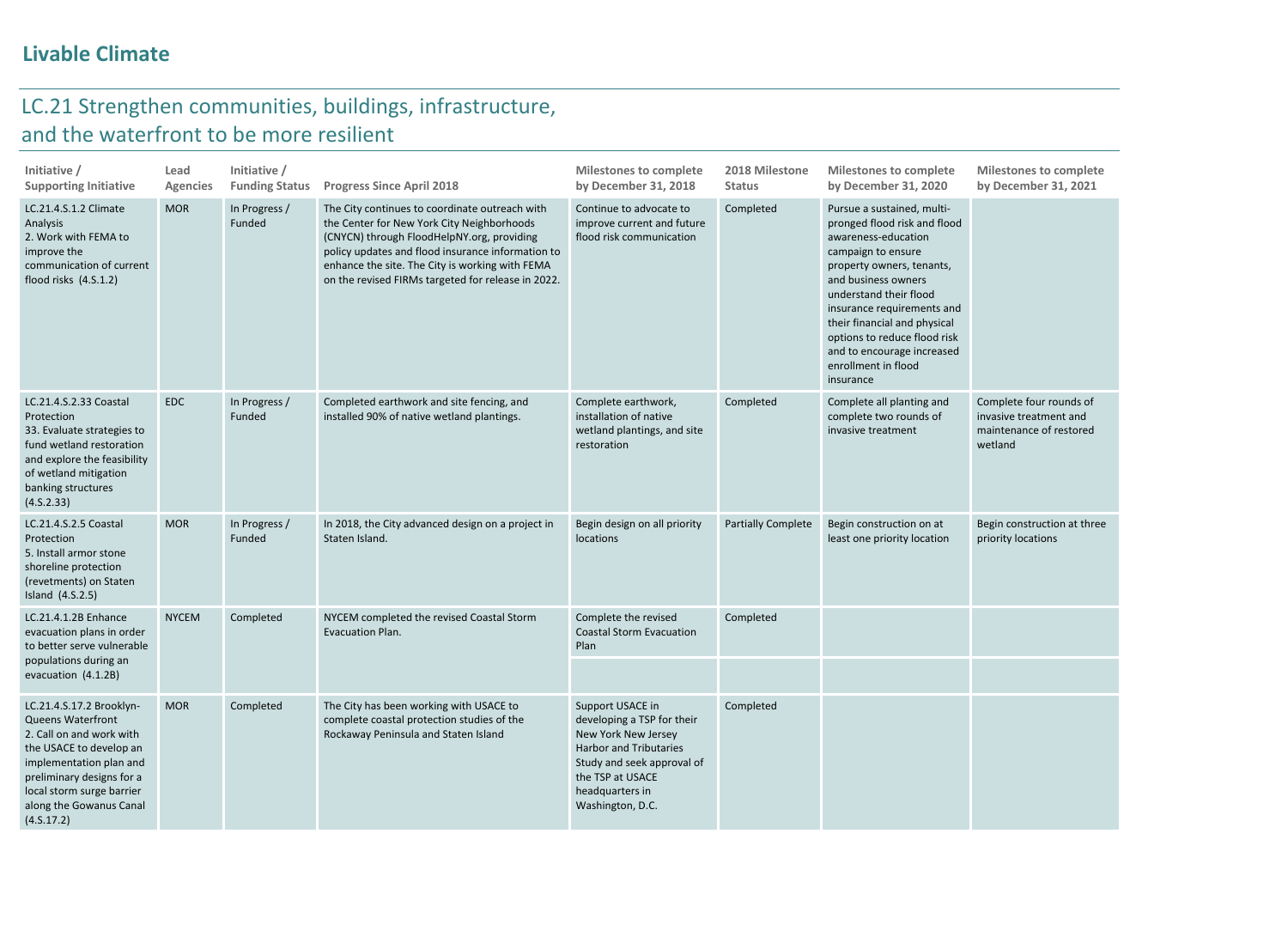| Initiative /<br><b>Supporting Initiative</b>                                                                                                                                                                                              | Lead<br><b>Agencies</b> | Initiative /<br><b>Funding Status</b> | <b>Progress Since April 2018</b>                                                                                                                                                                                                                                                                         | <b>Milestones to complete</b><br>by December 31, 2018                                                                                                                                           | 2018 Milestone<br><b>Status</b> | <b>Milestones to complete</b><br>by December 31, 2020                                                                                                                                                                                                                                                                                                 | <b>Milestones to complete</b><br>by December 31, 2021                                   |
|-------------------------------------------------------------------------------------------------------------------------------------------------------------------------------------------------------------------------------------------|-------------------------|---------------------------------------|----------------------------------------------------------------------------------------------------------------------------------------------------------------------------------------------------------------------------------------------------------------------------------------------------------|-------------------------------------------------------------------------------------------------------------------------------------------------------------------------------------------------|---------------------------------|-------------------------------------------------------------------------------------------------------------------------------------------------------------------------------------------------------------------------------------------------------------------------------------------------------------------------------------------------------|-----------------------------------------------------------------------------------------|
| LC.21.4.S.1.2 Climate<br>Analysis<br>2. Work with FEMA to<br>improve the<br>communication of current<br>flood risks $(4.5.1.2)$                                                                                                           | <b>MOR</b>              | In Progress /<br>Funded               | The City continues to coordinate outreach with<br>the Center for New York City Neighborhoods<br>(CNYCN) through FloodHelpNY.org, providing<br>policy updates and flood insurance information to<br>enhance the site. The City is working with FEMA<br>on the revised FIRMs targeted for release in 2022. | Continue to advocate to<br>improve current and future<br>flood risk communication                                                                                                               | Completed                       | Pursue a sustained, multi-<br>pronged flood risk and flood<br>awareness-education<br>campaign to ensure<br>property owners, tenants,<br>and business owners<br>understand their flood<br>insurance requirements and<br>their financial and physical<br>options to reduce flood risk<br>and to encourage increased<br>enrollment in flood<br>insurance |                                                                                         |
| LC.21.4.S.2.33 Coastal<br>Protection<br>33. Evaluate strategies to<br>fund wetland restoration<br>and explore the feasibility<br>of wetland mitigation<br>banking structures<br>(4.5.2.33)                                                | <b>EDC</b>              | In Progress /<br>Funded               | Completed earthwork and site fencing, and<br>installed 90% of native wetland plantings.                                                                                                                                                                                                                  | Complete earthwork,<br>installation of native<br>wetland plantings, and site<br>restoration                                                                                                     | Completed                       | Complete all planting and<br>complete two rounds of<br>invasive treatment                                                                                                                                                                                                                                                                             | Complete four rounds of<br>invasive treatment and<br>maintenance of restored<br>wetland |
| LC.21.4.S.2.5 Coastal<br>Protection<br>5. Install armor stone<br>shoreline protection<br>(revetments) on Staten<br>Island (4.S.2.5)                                                                                                       | <b>MOR</b>              | In Progress /<br>Funded               | In 2018, the City advanced design on a project in<br>Staten Island.                                                                                                                                                                                                                                      | Begin design on all priority<br>locations                                                                                                                                                       | <b>Partially Complete</b>       | Begin construction on at<br>least one priority location                                                                                                                                                                                                                                                                                               | Begin construction at three<br>priority locations                                       |
| LC.21.4.1.2B Enhance<br>evacuation plans in order<br>to better serve vulnerable<br>populations during an<br>evacuation $(4.1.2B)$                                                                                                         | <b>NYCEM</b>            | Completed                             | NYCEM completed the revised Coastal Storm<br>Evacuation Plan.                                                                                                                                                                                                                                            | Complete the revised<br><b>Coastal Storm Evacuation</b><br>Plan                                                                                                                                 | Completed                       |                                                                                                                                                                                                                                                                                                                                                       |                                                                                         |
| LC.21.4.S.17.2 Brooklyn-<br><b>Queens Waterfront</b><br>2. Call on and work with<br>the USACE to develop an<br>implementation plan and<br>preliminary designs for a<br>local storm surge barrier<br>along the Gowanus Canal<br>(4.5.17.2) | <b>MOR</b>              | Completed                             | The City has been working with USACE to<br>complete coastal protection studies of the<br>Rockaway Peninsula and Staten Island                                                                                                                                                                            | Support USACE in<br>developing a TSP for their<br>New York New Jersey<br><b>Harbor and Tributaries</b><br>Study and seek approval of<br>the TSP at USACE<br>headquarters in<br>Washington, D.C. | Completed                       |                                                                                                                                                                                                                                                                                                                                                       |                                                                                         |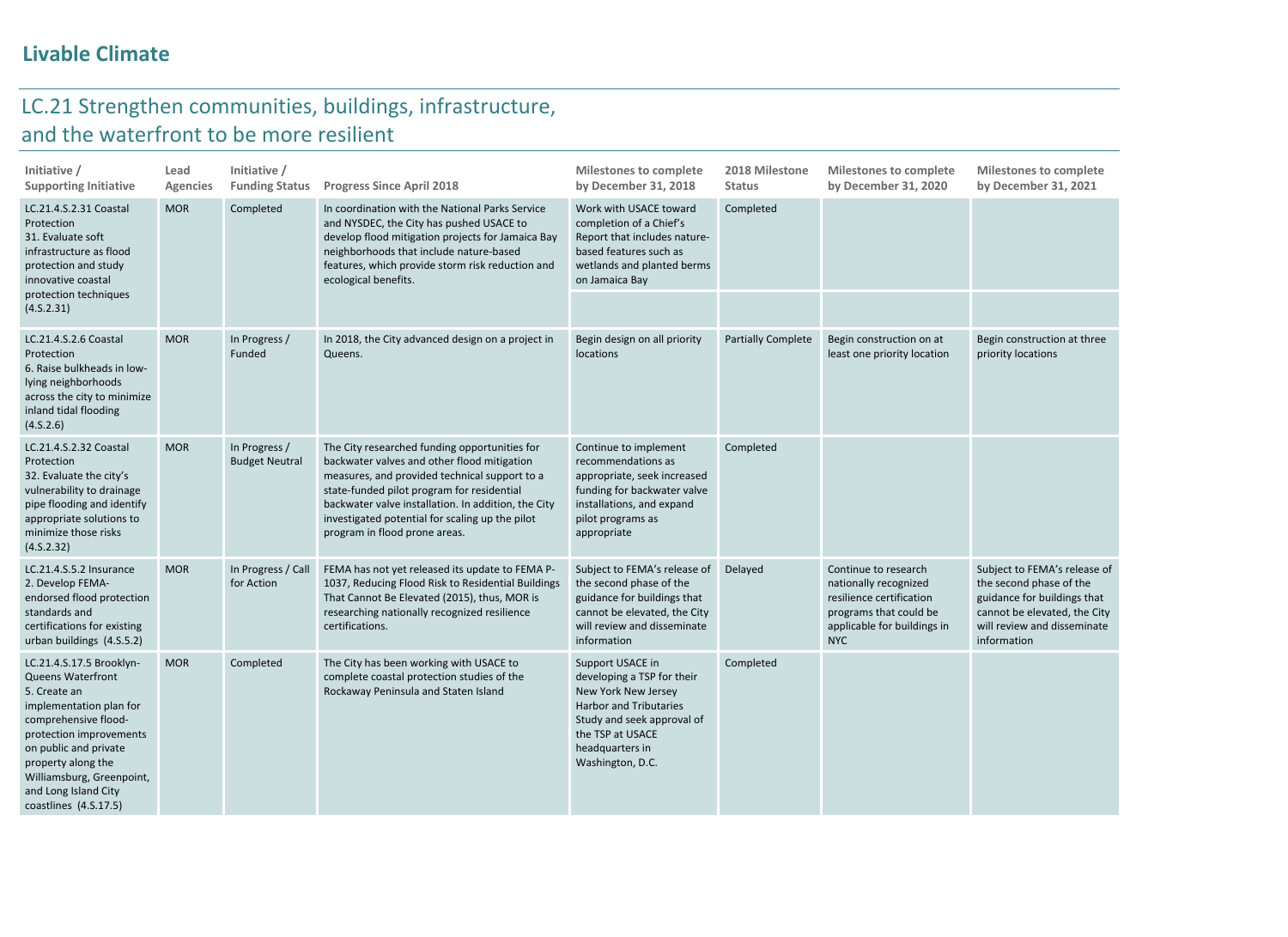| Initiative /<br><b>Supporting Initiative</b>                                                                                                                                                                                                                                    | Lead<br><b>Agencies</b> | Initiative /<br><b>Funding Status</b>  | <b>Progress Since April 2018</b>                                                                                                                                                                                                                                                                                                       | <b>Milestones to complete</b><br>by December 31, 2018                                                                                                                                           | 2018 Milestone<br><b>Status</b> | <b>Milestones to complete</b><br>by December 31, 2020                                                                                            | <b>Milestones to complete</b><br>by December 31, 2021                                                                                                                |
|---------------------------------------------------------------------------------------------------------------------------------------------------------------------------------------------------------------------------------------------------------------------------------|-------------------------|----------------------------------------|----------------------------------------------------------------------------------------------------------------------------------------------------------------------------------------------------------------------------------------------------------------------------------------------------------------------------------------|-------------------------------------------------------------------------------------------------------------------------------------------------------------------------------------------------|---------------------------------|--------------------------------------------------------------------------------------------------------------------------------------------------|----------------------------------------------------------------------------------------------------------------------------------------------------------------------|
| LC.21.4.S.2.31 Coastal<br>Protection<br>31. Evaluate soft<br>infrastructure as flood<br>protection and study<br>innovative coastal<br>protection techniques                                                                                                                     | <b>MOR</b>              | Completed                              | In coordination with the National Parks Service<br>and NYSDEC, the City has pushed USACE to<br>develop flood mitigation projects for Jamaica Bay<br>neighborhoods that include nature-based<br>features, which provide storm risk reduction and<br>ecological benefits.                                                                | Work with USACE toward<br>completion of a Chief's<br>Report that includes nature-<br>based features such as<br>wetlands and planted berms<br>on Jamaica Bay                                     | Completed                       |                                                                                                                                                  |                                                                                                                                                                      |
| (4.5.2.31)                                                                                                                                                                                                                                                                      |                         |                                        |                                                                                                                                                                                                                                                                                                                                        |                                                                                                                                                                                                 |                                 |                                                                                                                                                  |                                                                                                                                                                      |
| LC.21.4.S.2.6 Coastal<br>Protection<br>6. Raise bulkheads in low-<br>lying neighborhoods<br>across the city to minimize<br>inland tidal flooding<br>(4.5.2.6)                                                                                                                   | <b>MOR</b>              | In Progress /<br>Funded                | In 2018, the City advanced design on a project in<br>Queens.                                                                                                                                                                                                                                                                           | Begin design on all priority<br>locations                                                                                                                                                       | <b>Partially Complete</b>       | Begin construction on at<br>least one priority location                                                                                          | Begin construction at three<br>priority locations                                                                                                                    |
| LC.21.4.S.2.32 Coastal<br>Protection<br>32. Evaluate the city's<br>vulnerability to drainage<br>pipe flooding and identify<br>appropriate solutions to<br>minimize those risks<br>(4.5.2.32)                                                                                    | <b>MOR</b>              | In Progress /<br><b>Budget Neutral</b> | The City researched funding opportunities for<br>backwater valves and other flood mitigation<br>measures, and provided technical support to a<br>state-funded pilot program for residential<br>backwater valve installation. In addition, the City<br>investigated potential for scaling up the pilot<br>program in flood prone areas. | Continue to implement<br>recommendations as<br>appropriate, seek increased<br>funding for backwater valve<br>installations, and expand<br>pilot programs as<br>appropriate                      | Completed                       |                                                                                                                                                  |                                                                                                                                                                      |
| LC.21.4.S.5.2 Insurance<br>2. Develop FEMA-<br>endorsed flood protection<br>standards and<br>certifications for existing<br>urban buildings (4.S.5.2)                                                                                                                           | <b>MOR</b>              | In Progress / Call<br>for Action       | FEMA has not yet released its update to FEMA P-<br>1037, Reducing Flood Risk to Residential Buildings<br>That Cannot Be Elevated (2015), thus, MOR is<br>researching nationally recognized resilience<br>certifications.                                                                                                               | Subject to FEMA's release of<br>the second phase of the<br>guidance for buildings that<br>cannot be elevated, the City<br>will review and disseminate<br>information                            | Delayed                         | Continue to research<br>nationally recognized<br>resilience certification<br>programs that could be<br>applicable for buildings in<br><b>NYC</b> | Subject to FEMA's release of<br>the second phase of the<br>guidance for buildings that<br>cannot be elevated, the City<br>will review and disseminate<br>information |
| LC.21.4.S.17.5 Brooklyn-<br><b>Queens Waterfront</b><br>5. Create an<br>implementation plan for<br>comprehensive flood-<br>protection improvements<br>on public and private<br>property along the<br>Williamsburg, Greenpoint,<br>and Long Island City<br>coastlines (4.S.17.5) | <b>MOR</b>              | Completed                              | The City has been working with USACE to<br>complete coastal protection studies of the<br>Rockaway Peninsula and Staten Island                                                                                                                                                                                                          | Support USACE in<br>developing a TSP for their<br>New York New Jersey<br><b>Harbor and Tributaries</b><br>Study and seek approval of<br>the TSP at USACE<br>headquarters in<br>Washington, D.C. | Completed                       |                                                                                                                                                  |                                                                                                                                                                      |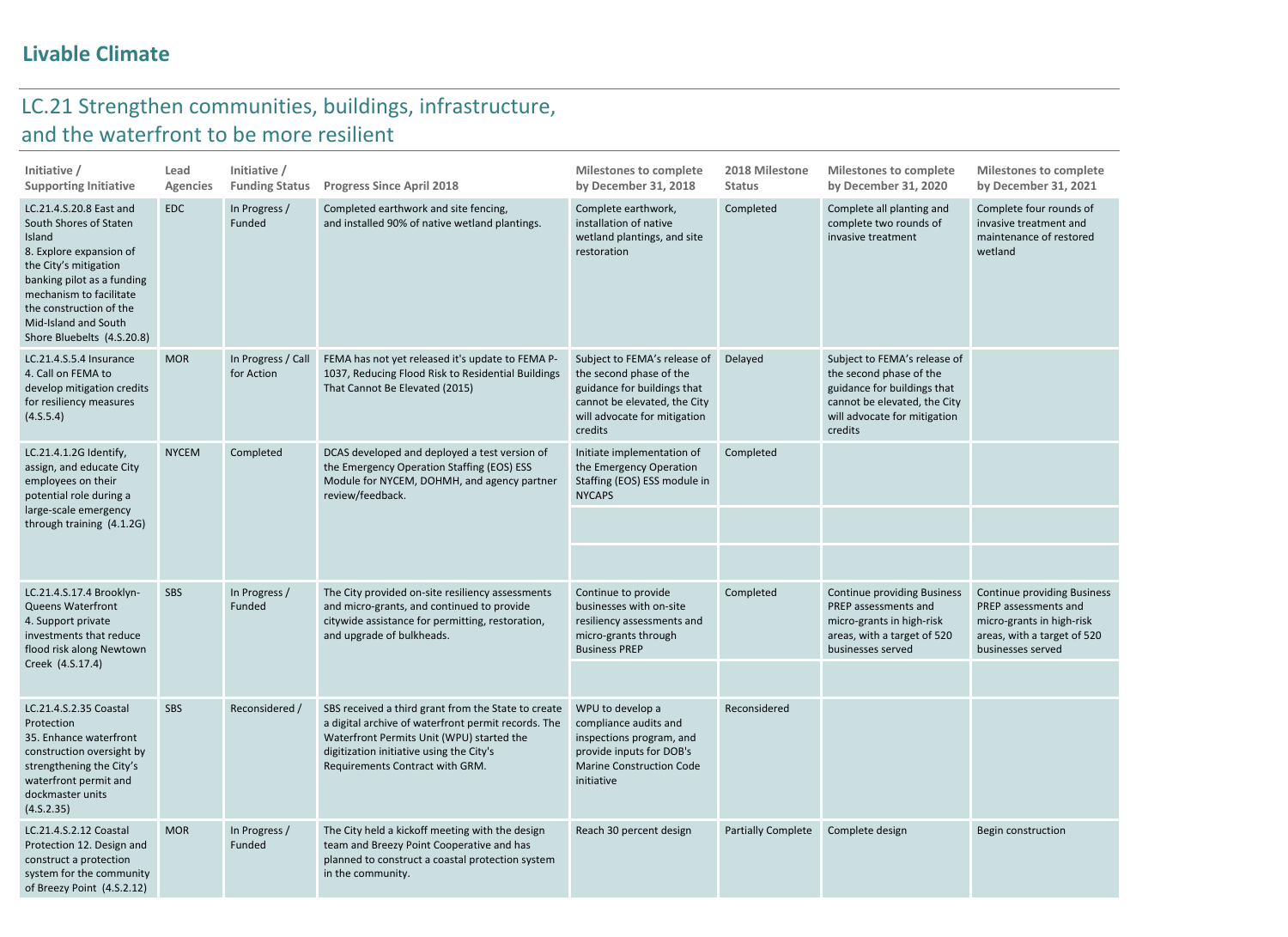| Initiative /<br><b>Supporting Initiative</b>                                                                                                                                                                                                              | Lead<br><b>Agencies</b> | Initiative /<br><b>Funding Status</b> | <b>Progress Since April 2018</b>                                                                                                                                                                                                       | <b>Milestones to complete</b><br>by December 31, 2018                                                                                                             | 2018 Milestone<br><b>Status</b> | <b>Milestones to complete</b><br>by December 31, 2020                                                                                                             | <b>Milestones to complete</b><br>by December 31, 2021                                                                                       |
|-----------------------------------------------------------------------------------------------------------------------------------------------------------------------------------------------------------------------------------------------------------|-------------------------|---------------------------------------|----------------------------------------------------------------------------------------------------------------------------------------------------------------------------------------------------------------------------------------|-------------------------------------------------------------------------------------------------------------------------------------------------------------------|---------------------------------|-------------------------------------------------------------------------------------------------------------------------------------------------------------------|---------------------------------------------------------------------------------------------------------------------------------------------|
| LC.21.4.S.20.8 East and<br>South Shores of Staten<br>Island<br>8. Explore expansion of<br>the City's mitigation<br>banking pilot as a funding<br>mechanism to facilitate<br>the construction of the<br>Mid-Island and South<br>Shore Bluebelts (4.S.20.8) | <b>EDC</b>              | In Progress /<br>Funded               | Completed earthwork and site fencing,<br>and installed 90% of native wetland plantings.                                                                                                                                                | Complete earthwork,<br>installation of native<br>wetland plantings, and site<br>restoration                                                                       | Completed                       | Complete all planting and<br>complete two rounds of<br>invasive treatment                                                                                         | Complete four rounds of<br>invasive treatment and<br>maintenance of restored<br>wetland                                                     |
| LC.21.4.S.5.4 Insurance<br>4. Call on FEMA to<br>develop mitigation credits<br>for resiliency measures<br>(4.5.5.4)                                                                                                                                       | <b>MOR</b>              | In Progress / Call<br>for Action      | FEMA has not yet released it's update to FEMA P-<br>1037, Reducing Flood Risk to Residential Buildings<br>That Cannot Be Elevated (2015)                                                                                               | Subject to FEMA's release of<br>the second phase of the<br>guidance for buildings that<br>cannot be elevated, the City<br>will advocate for mitigation<br>credits | Delayed                         | Subject to FEMA's release of<br>the second phase of the<br>guidance for buildings that<br>cannot be elevated, the City<br>will advocate for mitigation<br>credits |                                                                                                                                             |
| LC.21.4.1.2G Identify,<br>assign, and educate City<br>employees on their<br>potential role during a                                                                                                                                                       | <b>NYCEM</b>            | Completed                             | DCAS developed and deployed a test version of<br>the Emergency Operation Staffing (EOS) ESS<br>Module for NYCEM, DOHMH, and agency partner<br>review/feedback.                                                                         | Initiate implementation of<br>the Emergency Operation<br>Staffing (EOS) ESS module in<br><b>NYCAPS</b>                                                            | Completed                       |                                                                                                                                                                   |                                                                                                                                             |
| large-scale emergency<br>through training (4.1.2G)                                                                                                                                                                                                        |                         |                                       |                                                                                                                                                                                                                                        |                                                                                                                                                                   |                                 |                                                                                                                                                                   |                                                                                                                                             |
|                                                                                                                                                                                                                                                           |                         |                                       |                                                                                                                                                                                                                                        |                                                                                                                                                                   |                                 |                                                                                                                                                                   |                                                                                                                                             |
| LC.21.4.S.17.4 Brooklyn-<br><b>Queens Waterfront</b><br>4. Support private<br>investments that reduce<br>flood risk along Newtown                                                                                                                         | SBS                     | In Progress /<br>Funded               | The City provided on-site resiliency assessments<br>and micro-grants, and continued to provide<br>citywide assistance for permitting, restoration,<br>and upgrade of bulkheads.                                                        | Continue to provide<br>businesses with on-site<br>resiliency assessments and<br>micro-grants through<br><b>Business PREP</b>                                      | Completed                       | <b>Continue providing Business</b><br>PREP assessments and<br>micro-grants in high-risk<br>areas, with a target of 520<br>businesses served                       | <b>Continue providing Business</b><br>PREP assessments and<br>micro-grants in high-risk<br>areas, with a target of 520<br>businesses served |
| Creek (4.S.17.4)                                                                                                                                                                                                                                          |                         |                                       |                                                                                                                                                                                                                                        |                                                                                                                                                                   |                                 |                                                                                                                                                                   |                                                                                                                                             |
| LC.21.4.S.2.35 Coastal<br>Protection<br>35. Enhance waterfront<br>construction oversight by<br>strengthening the City's<br>waterfront permit and<br>dockmaster units<br>(4.5.2.35)                                                                        | <b>SBS</b>              | Reconsidered /                        | SBS received a third grant from the State to create<br>a digital archive of waterfront permit records. The<br>Waterfront Permits Unit (WPU) started the<br>digitization initiative using the City's<br>Requirements Contract with GRM. | WPU to develop a<br>compliance audits and<br>inspections program, and<br>provide inputs for DOB's<br>Marine Construction Code<br>initiative                       | Reconsidered                    |                                                                                                                                                                   |                                                                                                                                             |
| LC.21.4.S.2.12 Coastal<br>Protection 12. Design and<br>construct a protection<br>system for the community<br>of Breezy Point (4.S.2.12)                                                                                                                   | <b>MOR</b>              | In Progress /<br>Funded               | The City held a kickoff meeting with the design<br>team and Breezy Point Cooperative and has<br>planned to construct a coastal protection system<br>in the community.                                                                  | Reach 30 percent design                                                                                                                                           | <b>Partially Complete</b>       | Complete design                                                                                                                                                   | Begin construction                                                                                                                          |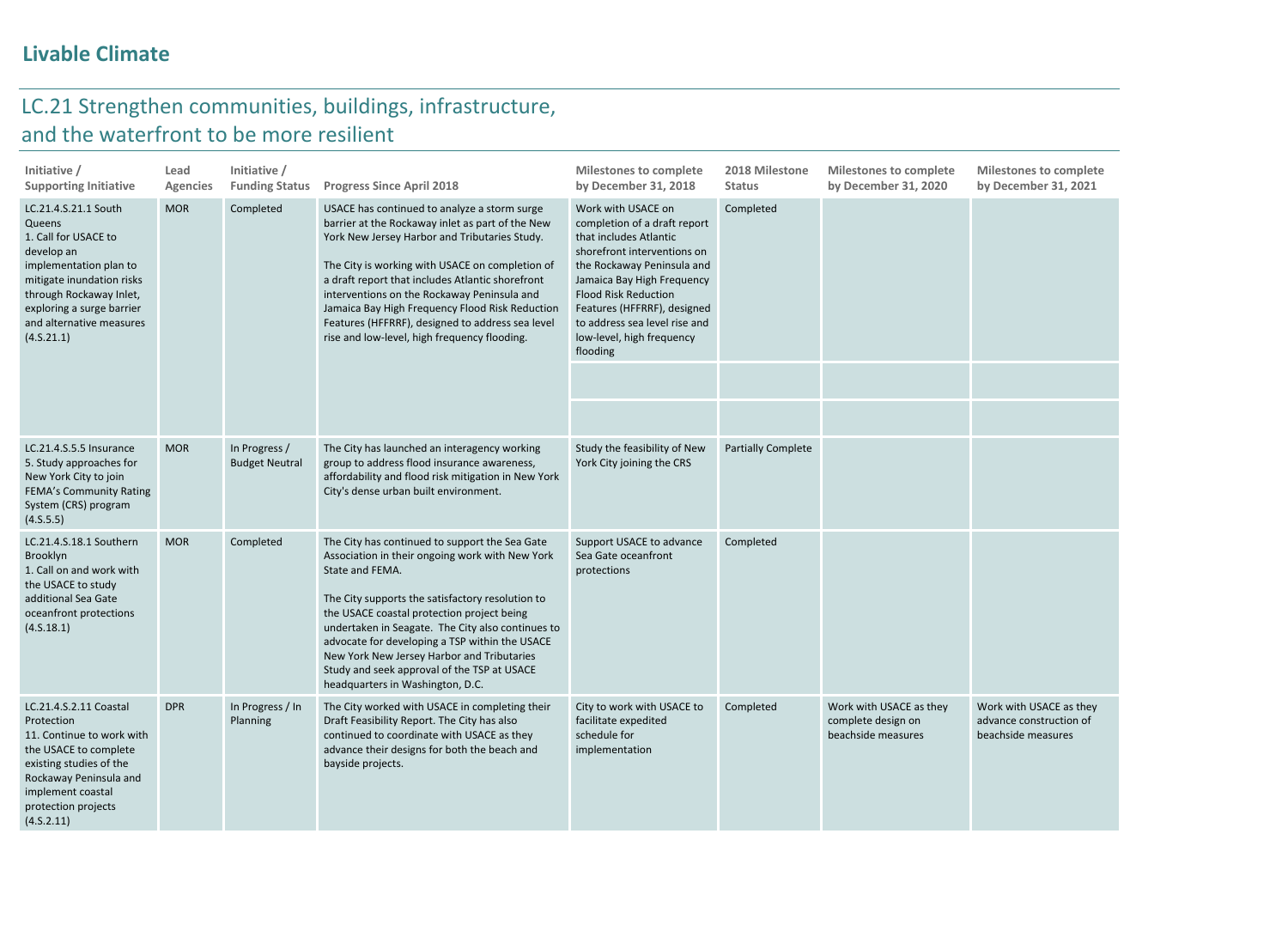| Initiative /<br><b>Supporting Initiative</b>                                                                                                                                                                                  | Lead<br><b>Agencies</b> | Initiative /<br><b>Funding Status</b>  | <b>Progress Since April 2018</b>                                                                                                                                                                                                                                                                                                                                                                                                                               | <b>Milestones to complete</b><br>by December 31, 2018                                                                                                                                                                                                                                                           | 2018 Milestone<br><b>Status</b> | <b>Milestones to complete</b><br>by December 31, 2020               | <b>Milestones to complete</b><br>by December 31, 2021                    |
|-------------------------------------------------------------------------------------------------------------------------------------------------------------------------------------------------------------------------------|-------------------------|----------------------------------------|----------------------------------------------------------------------------------------------------------------------------------------------------------------------------------------------------------------------------------------------------------------------------------------------------------------------------------------------------------------------------------------------------------------------------------------------------------------|-----------------------------------------------------------------------------------------------------------------------------------------------------------------------------------------------------------------------------------------------------------------------------------------------------------------|---------------------------------|---------------------------------------------------------------------|--------------------------------------------------------------------------|
| LC.21.4.S.21.1 South<br>Queens<br>1. Call for USACE to<br>develop an<br>implementation plan to<br>mitigate inundation risks<br>through Rockaway Inlet,<br>exploring a surge barrier<br>and alternative measures<br>(4.5.21.1) | <b>MOR</b>              | Completed                              | USACE has continued to analyze a storm surge<br>barrier at the Rockaway inlet as part of the New<br>York New Jersey Harbor and Tributaries Study.<br>The City is working with USACE on completion of<br>a draft report that includes Atlantic shorefront<br>interventions on the Rockaway Peninsula and<br>Jamaica Bay High Frequency Flood Risk Reduction<br>Features (HFFRRF), designed to address sea level<br>rise and low-level, high frequency flooding. | Work with USACE on<br>completion of a draft report<br>that includes Atlantic<br>shorefront interventions on<br>the Rockaway Peninsula and<br>Jamaica Bay High Frequency<br><b>Flood Risk Reduction</b><br>Features (HFFRRF), designed<br>to address sea level rise and<br>low-level, high frequency<br>flooding | Completed                       |                                                                     |                                                                          |
| LC.21.4.S.5.5 Insurance<br>5. Study approaches for<br>New York City to join<br><b>FEMA's Community Rating</b><br>System (CRS) program<br>(4.5.5.5)                                                                            | <b>MOR</b>              | In Progress /<br><b>Budget Neutral</b> | The City has launched an interagency working<br>group to address flood insurance awareness,<br>affordability and flood risk mitigation in New York<br>City's dense urban built environment.                                                                                                                                                                                                                                                                    | Study the feasibility of New<br>York City joining the CRS                                                                                                                                                                                                                                                       | <b>Partially Complete</b>       |                                                                     |                                                                          |
| LC.21.4.S.18.1 Southern<br><b>Brooklyn</b><br>1. Call on and work with<br>the USACE to study<br>additional Sea Gate<br>oceanfront protections<br>(4.5.18.1)                                                                   | <b>MOR</b>              | Completed                              | The City has continued to support the Sea Gate<br>Association in their ongoing work with New York<br>State and FEMA.<br>The City supports the satisfactory resolution to<br>the USACE coastal protection project being<br>undertaken in Seagate. The City also continues to<br>advocate for developing a TSP within the USACE<br>New York New Jersey Harbor and Tributaries<br>Study and seek approval of the TSP at USACE<br>headquarters in Washington, D.C. | Support USACE to advance<br>Sea Gate oceanfront<br>protections                                                                                                                                                                                                                                                  | Completed                       |                                                                     |                                                                          |
| LC.21.4.S.2.11 Coastal<br>Protection<br>11. Continue to work with<br>the USACE to complete<br>existing studies of the<br>Rockaway Peninsula and<br>implement coastal<br>protection projects<br>(4.5.2.11)                     | <b>DPR</b>              | In Progress / In<br>Planning           | The City worked with USACE in completing their<br>Draft Feasibility Report. The City has also<br>continued to coordinate with USACE as they<br>advance their designs for both the beach and<br>bayside projects.                                                                                                                                                                                                                                               | City to work with USACE to<br>facilitate expedited<br>schedule for<br>implementation                                                                                                                                                                                                                            | Completed                       | Work with USACE as they<br>complete design on<br>beachside measures | Work with USACE as they<br>advance construction of<br>beachside measures |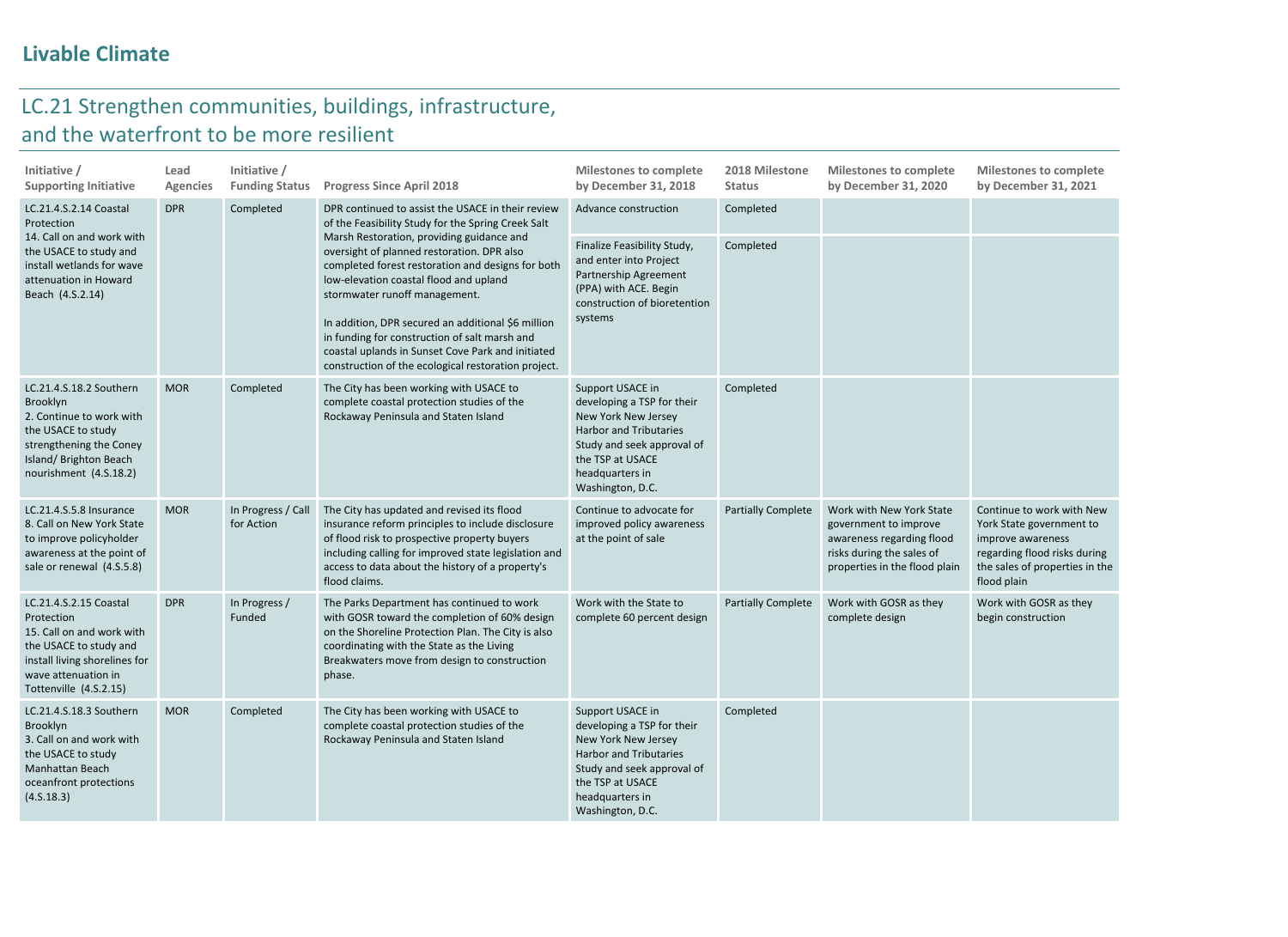| Initiative /<br><b>Supporting Initiative</b>                                                                                                                                  | Lead<br><b>Agencies</b> | Initiative /<br><b>Funding Status</b> | <b>Progress Since April 2018</b>                                                                                                                                                                                                                                                                                                                                                                                                                                                                                                                      | <b>Milestones to complete</b><br>by December 31, 2018                                                                                                                                           | 2018 Milestone<br><b>Status</b> | <b>Milestones to complete</b><br>by December 31, 2020                                                                                        | <b>Milestones to complete</b><br>by December 31, 2021                                                                                                       |
|-------------------------------------------------------------------------------------------------------------------------------------------------------------------------------|-------------------------|---------------------------------------|-------------------------------------------------------------------------------------------------------------------------------------------------------------------------------------------------------------------------------------------------------------------------------------------------------------------------------------------------------------------------------------------------------------------------------------------------------------------------------------------------------------------------------------------------------|-------------------------------------------------------------------------------------------------------------------------------------------------------------------------------------------------|---------------------------------|----------------------------------------------------------------------------------------------------------------------------------------------|-------------------------------------------------------------------------------------------------------------------------------------------------------------|
| LC.21.4.S.2.14 Coastal<br>Protection<br>14. Call on and work with<br>the USACE to study and<br>install wetlands for wave<br>attenuation in Howard<br>Beach (4.S.2.14)         | <b>DPR</b>              | Completed                             | DPR continued to assist the USACE in their review<br>of the Feasibility Study for the Spring Creek Salt<br>Marsh Restoration, providing guidance and<br>oversight of planned restoration. DPR also<br>completed forest restoration and designs for both<br>low-elevation coastal flood and upland<br>stormwater runoff management.<br>In addition, DPR secured an additional \$6 million<br>in funding for construction of salt marsh and<br>coastal uplands in Sunset Cove Park and initiated<br>construction of the ecological restoration project. | Advance construction                                                                                                                                                                            | Completed                       |                                                                                                                                              |                                                                                                                                                             |
|                                                                                                                                                                               |                         |                                       |                                                                                                                                                                                                                                                                                                                                                                                                                                                                                                                                                       | Finalize Feasibility Study,<br>and enter into Project<br>Partnership Agreement<br>(PPA) with ACE. Begin<br>construction of bioretention<br>systems                                              | Completed                       |                                                                                                                                              |                                                                                                                                                             |
| LC.21.4.S.18.2 Southern<br>Brooklyn<br>2. Continue to work with<br>the USACE to study<br>strengthening the Coney<br>Island/Brighton Beach<br>nourishment (4.S.18.2)           | <b>MOR</b>              | Completed                             | The City has been working with USACE to<br>complete coastal protection studies of the<br>Rockaway Peninsula and Staten Island                                                                                                                                                                                                                                                                                                                                                                                                                         | Support USACE in<br>developing a TSP for their<br>New York New Jersey<br><b>Harbor and Tributaries</b><br>Study and seek approval of<br>the TSP at USACE<br>headquarters in<br>Washington, D.C. | Completed                       |                                                                                                                                              |                                                                                                                                                             |
| LC.21.4.S.5.8 Insurance<br>8. Call on New York State<br>to improve policyholder<br>awareness at the point of<br>sale or renewal (4.S.5.8)                                     | <b>MOR</b>              | In Progress / Call<br>for Action      | The City has updated and revised its flood<br>insurance reform principles to include disclosure<br>of flood risk to prospective property buyers<br>including calling for improved state legislation and<br>access to data about the history of a property's<br>flood claims.                                                                                                                                                                                                                                                                          | Continue to advocate for<br>improved policy awareness<br>at the point of sale                                                                                                                   | <b>Partially Complete</b>       | Work with New York State<br>government to improve<br>awareness regarding flood<br>risks during the sales of<br>properties in the flood plain | Continue to work with New<br>York State government to<br>improve awareness<br>regarding flood risks during<br>the sales of properties in the<br>flood plain |
| LC.21.4.S.2.15 Coastal<br>Protection<br>15. Call on and work with<br>the USACE to study and<br>install living shorelines for<br>wave attenuation in<br>Tottenville (4.S.2.15) | <b>DPR</b>              | In Progress /<br>Funded               | The Parks Department has continued to work<br>with GOSR toward the completion of 60% design<br>on the Shoreline Protection Plan. The City is also<br>coordinating with the State as the Living<br>Breakwaters move from design to construction<br>phase.                                                                                                                                                                                                                                                                                              | Work with the State to<br>complete 60 percent design                                                                                                                                            | <b>Partially Complete</b>       | Work with GOSR as they<br>complete design                                                                                                    | Work with GOSR as they<br>begin construction                                                                                                                |
| LC.21.4.S.18.3 Southern<br><b>Brooklyn</b><br>3. Call on and work with<br>the USACE to study<br>Manhattan Beach<br>oceanfront protections<br>(4.5.18.3)                       | <b>MOR</b>              | Completed                             | The City has been working with USACE to<br>complete coastal protection studies of the<br>Rockaway Peninsula and Staten Island                                                                                                                                                                                                                                                                                                                                                                                                                         | Support USACE in<br>developing a TSP for their<br>New York New Jersey<br><b>Harbor and Tributaries</b><br>Study and seek approval of<br>the TSP at USACE<br>headquarters in<br>Washington, D.C. | Completed                       |                                                                                                                                              |                                                                                                                                                             |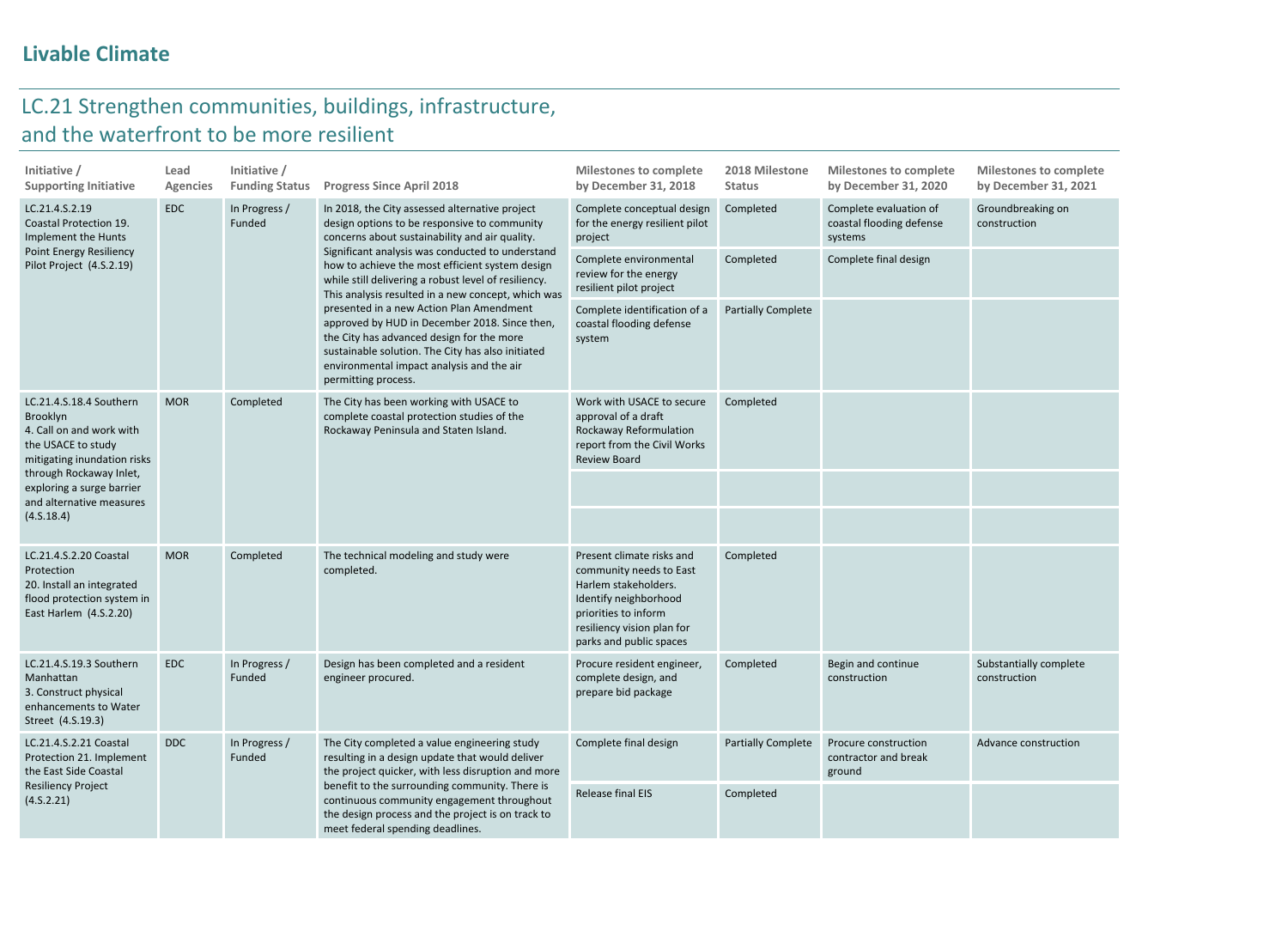| Initiative /<br><b>Supporting Initiative</b>                                                                              | Lead<br><b>Agencies</b> | Initiative /<br><b>Funding Status</b> | <b>Progress Since April 2018</b>                                                                                                                                                                                                                                | <b>Milestones to complete</b><br>by December 31, 2018                                                                                                                                  | 2018 Milestone<br><b>Status</b> | <b>Milestones to complete</b><br>by December 31, 2020         | <b>Milestones to complete</b><br>by December 31, 2021 |
|---------------------------------------------------------------------------------------------------------------------------|-------------------------|---------------------------------------|-----------------------------------------------------------------------------------------------------------------------------------------------------------------------------------------------------------------------------------------------------------------|----------------------------------------------------------------------------------------------------------------------------------------------------------------------------------------|---------------------------------|---------------------------------------------------------------|-------------------------------------------------------|
| LC.21.4.S.2.19<br>Coastal Protection 19.<br>Implement the Hunts                                                           | EDC                     | In Progress /<br>Funded               | In 2018, the City assessed alternative project<br>design options to be responsive to community<br>concerns about sustainability and air quality.                                                                                                                | Complete conceptual design<br>for the energy resilient pilot<br>project                                                                                                                | Completed                       | Complete evaluation of<br>coastal flooding defense<br>systems | Groundbreaking on<br>construction                     |
| Point Energy Resiliency<br>Pilot Project (4.S.2.19)                                                                       |                         |                                       | Significant analysis was conducted to understand<br>how to achieve the most efficient system design<br>while still delivering a robust level of resiliency.<br>This analysis resulted in a new concept, which was                                               | Complete environmental<br>review for the energy<br>resilient pilot project                                                                                                             | Completed                       | Complete final design                                         |                                                       |
|                                                                                                                           |                         |                                       | presented in a new Action Plan Amendment<br>approved by HUD in December 2018. Since then,<br>the City has advanced design for the more<br>sustainable solution. The City has also initiated<br>environmental impact analysis and the air<br>permitting process. | Complete identification of a<br>coastal flooding defense<br>system                                                                                                                     | <b>Partially Complete</b>       |                                                               |                                                       |
| LC.21.4.S.18.4 Southern<br>Brooklyn<br>4. Call on and work with<br>the USACE to study<br>mitigating inundation risks      | <b>MOR</b>              | Completed                             | The City has been working with USACE to<br>complete coastal protection studies of the<br>Rockaway Peninsula and Staten Island.                                                                                                                                  | Work with USACE to secure<br>approval of a draft<br>Rockaway Reformulation<br>report from the Civil Works<br><b>Review Board</b>                                                       | Completed                       |                                                               |                                                       |
| through Rockaway Inlet,<br>exploring a surge barrier<br>and alternative measures                                          |                         |                                       |                                                                                                                                                                                                                                                                 |                                                                                                                                                                                        |                                 |                                                               |                                                       |
| (4.5.18.4)                                                                                                                |                         |                                       |                                                                                                                                                                                                                                                                 |                                                                                                                                                                                        |                                 |                                                               |                                                       |
| LC.21.4.S.2.20 Coastal<br>Protection<br>20. Install an integrated<br>flood protection system in<br>East Harlem (4.S.2.20) | <b>MOR</b>              | Completed                             | The technical modeling and study were<br>completed.                                                                                                                                                                                                             | Present climate risks and<br>community needs to East<br>Harlem stakeholders.<br>Identify neighborhood<br>priorities to inform<br>resiliency vision plan for<br>parks and public spaces | Completed                       |                                                               |                                                       |
| LC.21.4.S.19.3 Southern<br>Manhattan<br>3. Construct physical<br>enhancements to Water<br>Street (4.S.19.3)               | <b>EDC</b>              | In Progress /<br>Funded               | Design has been completed and a resident<br>engineer procured.                                                                                                                                                                                                  | Procure resident engineer,<br>complete design, and<br>prepare bid package                                                                                                              | Completed                       | Begin and continue<br>construction                            | Substantially complete<br>construction                |
| LC.21.4.S.2.21 Coastal<br>Protection 21. Implement<br>the East Side Coastal                                               | <b>DDC</b>              | In Progress /<br>Funded               | The City completed a value engineering study<br>resulting in a design update that would deliver<br>the project quicker, with less disruption and more                                                                                                           | Complete final design                                                                                                                                                                  | <b>Partially Complete</b>       | Procure construction<br>contractor and break<br>ground        | Advance construction                                  |
| <b>Resiliency Project</b><br>(4.5.2.21)                                                                                   |                         |                                       | benefit to the surrounding community. There is<br>continuous community engagement throughout<br>the design process and the project is on track to<br>meet federal spending deadlines.                                                                           | Release final EIS                                                                                                                                                                      | Completed                       |                                                               |                                                       |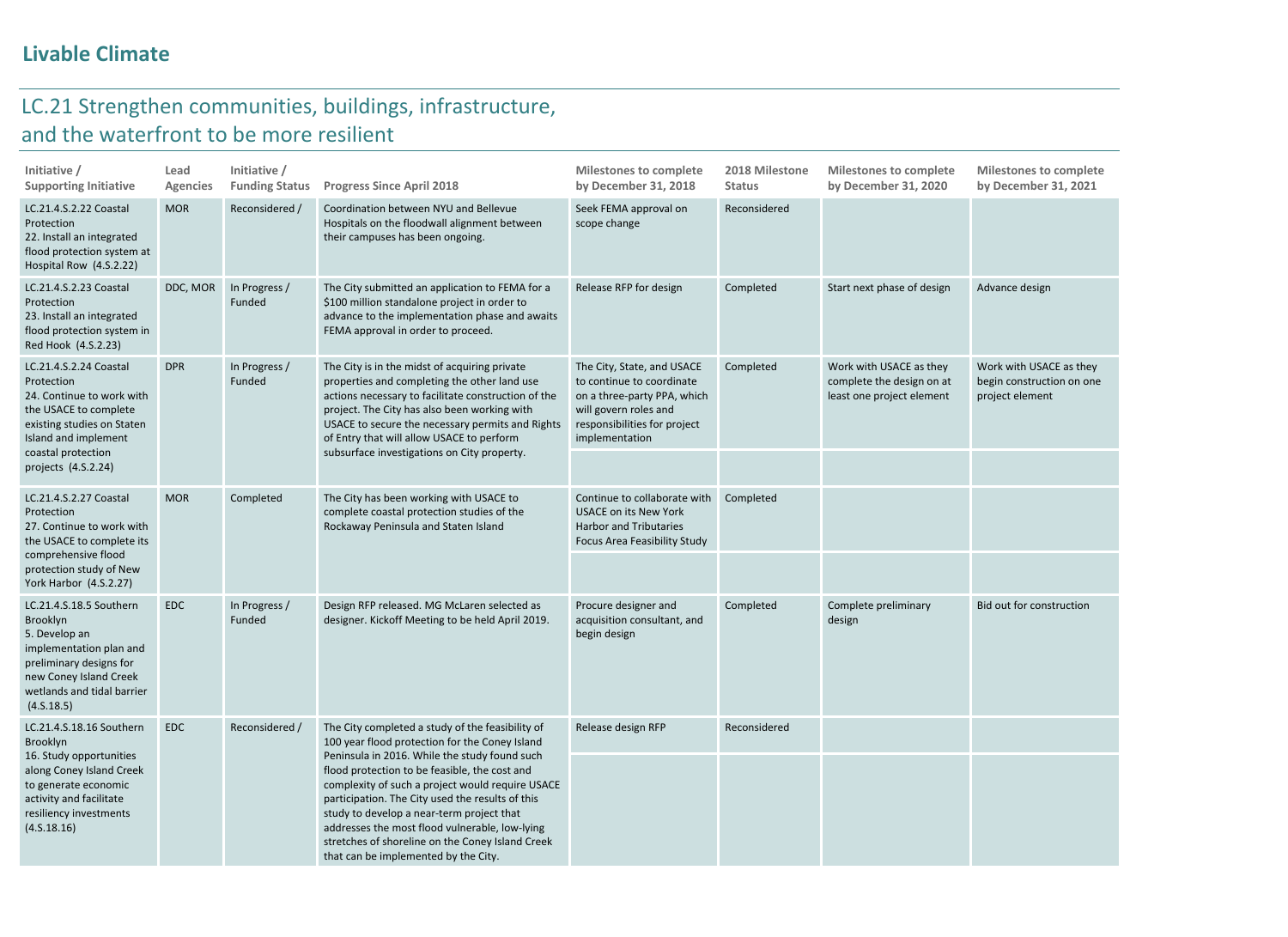| Initiative /<br><b>Supporting Initiative</b>                                                                                                                                     | Lead<br><b>Agencies</b> | Initiative /<br><b>Funding Status</b> | <b>Progress Since April 2018</b>                                                                                                                                                                                                                                                                                                                                                                  | <b>Milestones to complete</b><br>by December 31, 2018                                                                                                             | 2018 Milestone<br><b>Status</b> | <b>Milestones to complete</b><br>by December 31, 2020                             | <b>Milestones to complete</b><br>by December 31, 2021                   |
|----------------------------------------------------------------------------------------------------------------------------------------------------------------------------------|-------------------------|---------------------------------------|---------------------------------------------------------------------------------------------------------------------------------------------------------------------------------------------------------------------------------------------------------------------------------------------------------------------------------------------------------------------------------------------------|-------------------------------------------------------------------------------------------------------------------------------------------------------------------|---------------------------------|-----------------------------------------------------------------------------------|-------------------------------------------------------------------------|
| LC.21.4.S.2.22 Coastal<br>Protection<br>22. Install an integrated<br>flood protection system at<br>Hospital Row (4.S.2.22)                                                       | <b>MOR</b>              | Reconsidered /                        | Coordination between NYU and Bellevue<br>Hospitals on the floodwall alignment between<br>their campuses has been ongoing.                                                                                                                                                                                                                                                                         | Seek FEMA approval on<br>scope change                                                                                                                             | Reconsidered                    |                                                                                   |                                                                         |
| LC.21.4.S.2.23 Coastal<br>Protection<br>23. Install an integrated<br>flood protection system in<br>Red Hook (4.S.2.23)                                                           | DDC, MOR                | In Progress /<br>Funded               | The City submitted an application to FEMA for a<br>\$100 million standalone project in order to<br>advance to the implementation phase and awaits<br>FEMA approval in order to proceed.                                                                                                                                                                                                           | Release RFP for design                                                                                                                                            | Completed                       | Start next phase of design                                                        | Advance design                                                          |
| LC.21.4.S.2.24 Coastal<br>Protection<br>24. Continue to work with<br>the USACE to complete<br>existing studies on Staten<br>Island and implement<br>coastal protection           | <b>DPR</b>              | In Progress /<br>Funded               | The City is in the midst of acquiring private<br>properties and completing the other land use<br>actions necessary to facilitate construction of the<br>project. The City has also been working with<br>USACE to secure the necessary permits and Rights<br>of Entry that will allow USACE to perform<br>subsurface investigations on City property.                                              | The City, State, and USACE<br>to continue to coordinate<br>on a three-party PPA, which<br>will govern roles and<br>responsibilities for project<br>implementation | Completed                       | Work with USACE as they<br>complete the design on at<br>least one project element | Work with USACE as they<br>begin construction on one<br>project element |
| projects (4.S.2.24)                                                                                                                                                              |                         |                                       |                                                                                                                                                                                                                                                                                                                                                                                                   |                                                                                                                                                                   |                                 |                                                                                   |                                                                         |
| <b>MOR</b><br>LC.21.4.S.2.27 Coastal<br>Protection<br>27. Continue to work with<br>the USACE to complete its                                                                     |                         | Completed                             | The City has been working with USACE to<br>complete coastal protection studies of the<br>Rockaway Peninsula and Staten Island                                                                                                                                                                                                                                                                     | Continue to collaborate with<br><b>USACE on its New York</b><br><b>Harbor and Tributaries</b><br>Focus Area Feasibility Study                                     | Completed                       |                                                                                   |                                                                         |
| comprehensive flood<br>protection study of New<br>York Harbor (4.S.2.27)                                                                                                         |                         |                                       |                                                                                                                                                                                                                                                                                                                                                                                                   |                                                                                                                                                                   |                                 |                                                                                   |                                                                         |
| LC.21.4.S.18.5 Southern<br>Brooklyn<br>5. Develop an<br>implementation plan and<br>preliminary designs for<br>new Coney Island Creek<br>wetlands and tidal barrier<br>(4.5.18.5) | <b>EDC</b>              | In Progress /<br>Funded               | Design RFP released. MG McLaren selected as<br>designer. Kickoff Meeting to be held April 2019.                                                                                                                                                                                                                                                                                                   | Procure designer and<br>acquisition consultant, and<br>begin design                                                                                               | Completed                       | Complete preliminary<br>design                                                    | Bid out for construction                                                |
| LC.21.4.S.18.16 Southern<br>Brooklyn                                                                                                                                             | <b>EDC</b>              | Reconsidered /                        | The City completed a study of the feasibility of<br>100 year flood protection for the Coney Island                                                                                                                                                                                                                                                                                                | Release design RFP                                                                                                                                                | Reconsidered                    |                                                                                   |                                                                         |
| 16. Study opportunities<br>along Coney Island Creek<br>to generate economic<br>activity and facilitate<br>resiliency investments<br>(4.5.18.16)                                  |                         |                                       | Peninsula in 2016. While the study found such<br>flood protection to be feasible, the cost and<br>complexity of such a project would require USACE<br>participation. The City used the results of this<br>study to develop a near-term project that<br>addresses the most flood vulnerable, low-lying<br>stretches of shoreline on the Coney Island Creek<br>that can be implemented by the City. |                                                                                                                                                                   |                                 |                                                                                   |                                                                         |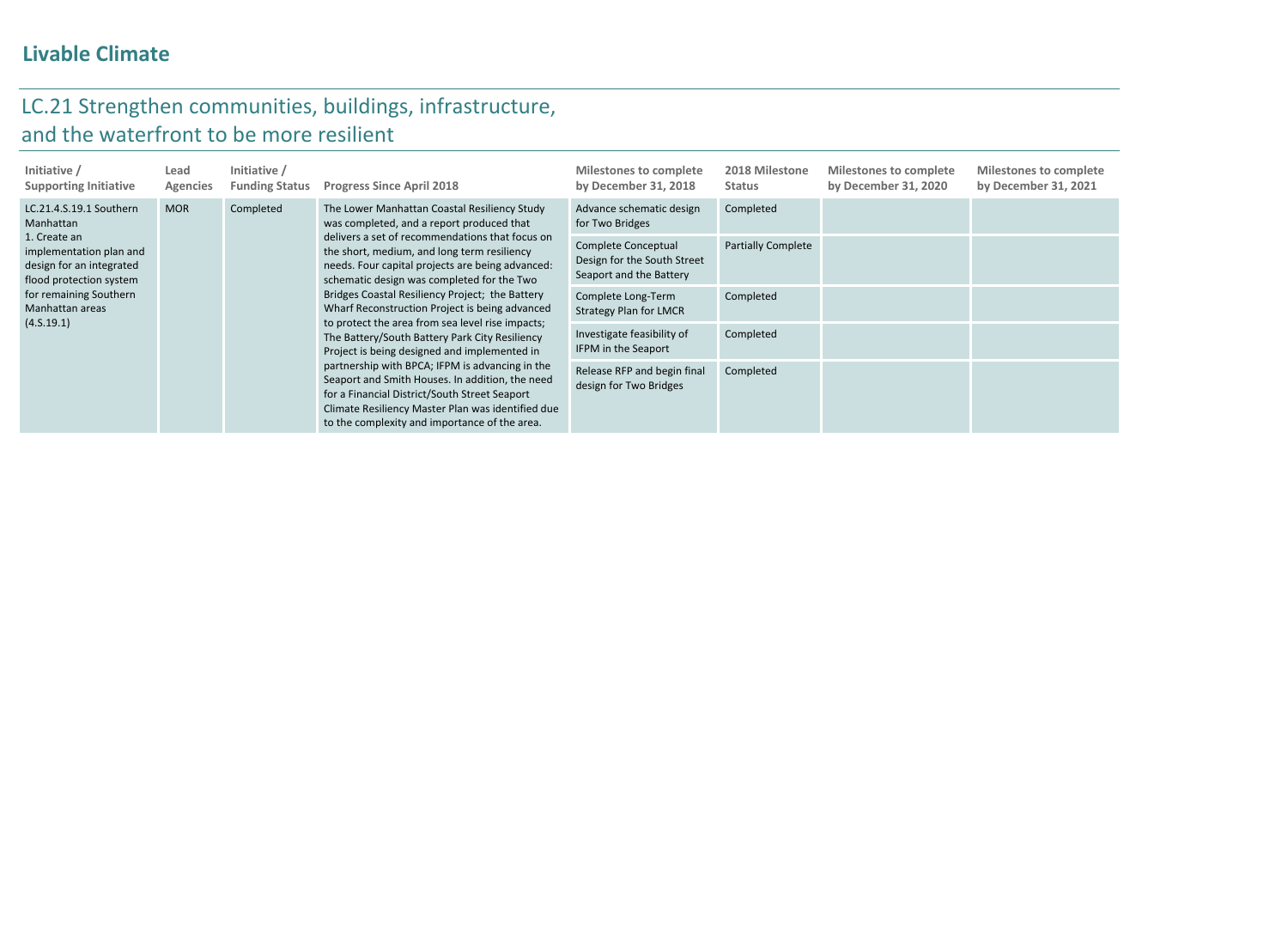| Initiative /<br><b>Supporting Initiative</b>                                   | Lead<br><b>Agencies</b>                 | Initiative /<br><b>Funding Status</b>                                                                                                                                                            | <b>Progress Since April 2018</b>                                                                                                                                                                                                                                                                                                                                                                                                                                                                                     | <b>Milestones to complete</b><br>by December 31, 2018    | 2018 Milestone<br><b>Status</b> | <b>Milestones to complete</b><br>by December 31, 2020 | <b>Milestones to complete</b><br>by December 31, 2021 |
|--------------------------------------------------------------------------------|-----------------------------------------|--------------------------------------------------------------------------------------------------------------------------------------------------------------------------------------------------|----------------------------------------------------------------------------------------------------------------------------------------------------------------------------------------------------------------------------------------------------------------------------------------------------------------------------------------------------------------------------------------------------------------------------------------------------------------------------------------------------------------------|----------------------------------------------------------|---------------------------------|-------------------------------------------------------|-------------------------------------------------------|
| LC.21.4.S.19.1 Southern<br>Manhattan                                           | <b>MOR</b><br>Completed<br>1. Create an |                                                                                                                                                                                                  | The Lower Manhattan Coastal Resiliency Study<br>was completed, and a report produced that                                                                                                                                                                                                                                                                                                                                                                                                                            | Advance schematic design<br>for Two Bridges              | Completed                       |                                                       |                                                       |
| implementation plan and<br>design for an integrated<br>flood protection system |                                         | delivers a set of recommendations that focus on<br>the short, medium, and long term resiliency<br>needs. Four capital projects are being advanced:<br>schematic design was completed for the Two | Complete Conceptual<br>Design for the South Street<br>Seaport and the Battery                                                                                                                                                                                                                                                                                                                                                                                                                                        | Partially Complete                                       |                                 |                                                       |                                                       |
| for remaining Southern<br>Manhattan areas<br>(4.5.19.1)                        |                                         |                                                                                                                                                                                                  | Bridges Coastal Resiliency Project; the Battery<br>Wharf Reconstruction Project is being advanced<br>to protect the area from sea level rise impacts;<br>The Battery/South Battery Park City Resiliency<br>Project is being designed and implemented in<br>partnership with BPCA; IFPM is advancing in the<br>Seaport and Smith Houses. In addition, the need<br>for a Financial District/South Street Seaport<br>Climate Resiliency Master Plan was identified due<br>to the complexity and importance of the area. | Complete Long-Term<br><b>Strategy Plan for LMCR</b>      | Completed                       |                                                       |                                                       |
|                                                                                |                                         |                                                                                                                                                                                                  |                                                                                                                                                                                                                                                                                                                                                                                                                                                                                                                      | Investigate feasibility of<br><b>IFPM</b> in the Seaport | Completed                       |                                                       |                                                       |
|                                                                                |                                         |                                                                                                                                                                                                  |                                                                                                                                                                                                                                                                                                                                                                                                                                                                                                                      | Release RFP and begin final<br>design for Two Bridges    | Completed                       |                                                       |                                                       |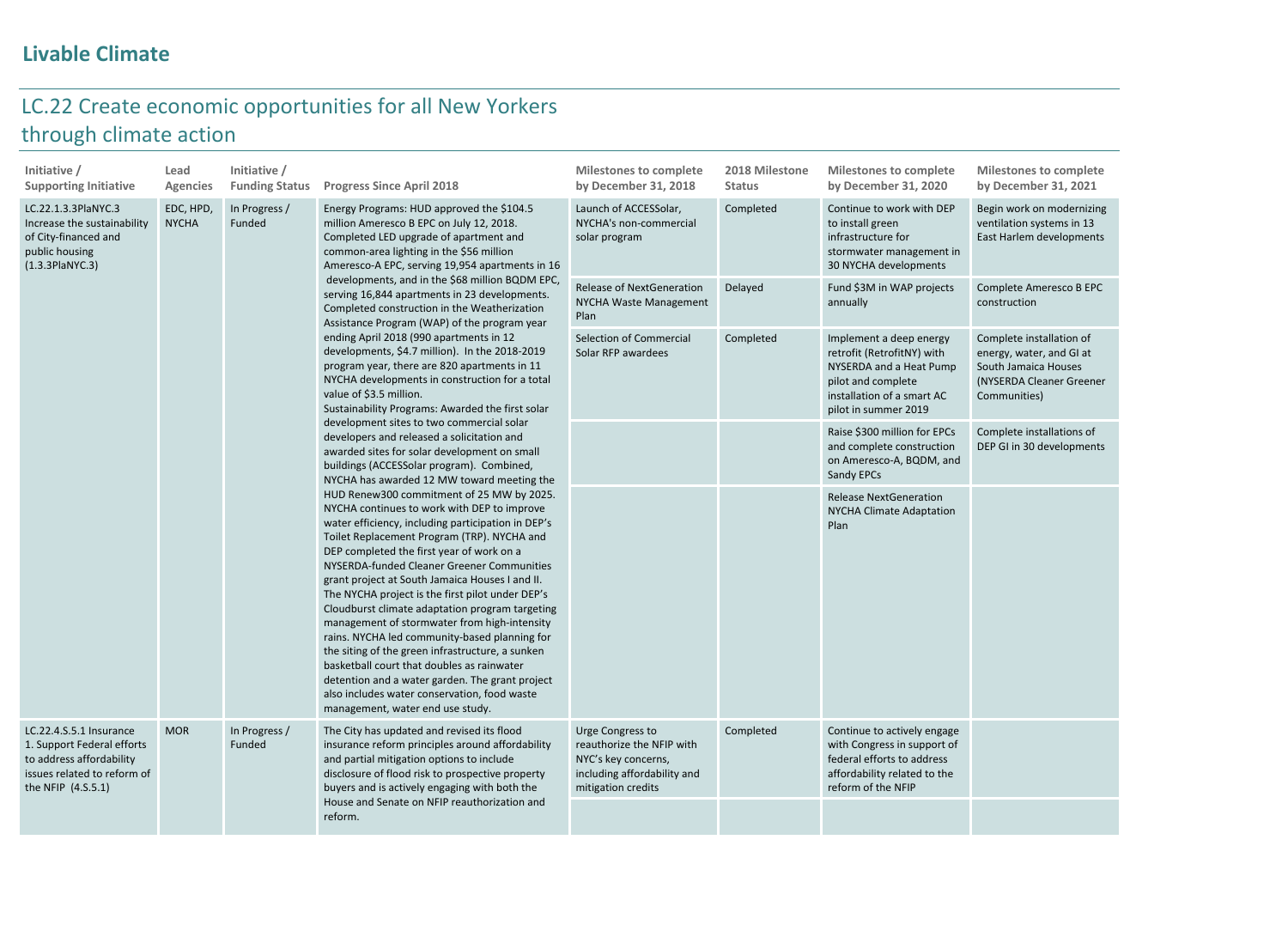# LC.22 Create economic opportunities for all New Yorkers through climate action

| Initiative /<br><b>Supporting Initiative</b>                                                                                           | Lead<br><b>Agencies</b>                                                                                                                                                                                                                                                                                                                                                                                                                                                                                                                                                                                                                                                                                                                                                                                                                                                                                                                                                                                                                                                                                                                                                                                                                                                                                                                                                                                                                                                                                              | Initiative /<br><b>Funding Status</b> | <b>Progress Since April 2018</b>                                                                                                                                                                                                                 | <b>Milestones to complete</b><br>by December 31, 2018                                                                     | 2018 Milestone<br><b>Status</b>                                                                     | <b>Milestones to complete</b><br>by December 31, 2020                                                                                                        | <b>Milestones to complete</b><br>by December 31, 2021                                                                    |
|----------------------------------------------------------------------------------------------------------------------------------------|----------------------------------------------------------------------------------------------------------------------------------------------------------------------------------------------------------------------------------------------------------------------------------------------------------------------------------------------------------------------------------------------------------------------------------------------------------------------------------------------------------------------------------------------------------------------------------------------------------------------------------------------------------------------------------------------------------------------------------------------------------------------------------------------------------------------------------------------------------------------------------------------------------------------------------------------------------------------------------------------------------------------------------------------------------------------------------------------------------------------------------------------------------------------------------------------------------------------------------------------------------------------------------------------------------------------------------------------------------------------------------------------------------------------------------------------------------------------------------------------------------------------|---------------------------------------|--------------------------------------------------------------------------------------------------------------------------------------------------------------------------------------------------------------------------------------------------|---------------------------------------------------------------------------------------------------------------------------|-----------------------------------------------------------------------------------------------------|--------------------------------------------------------------------------------------------------------------------------------------------------------------|--------------------------------------------------------------------------------------------------------------------------|
| LC.22.1.3.3PlaNYC.3<br>Increase the sustainability<br>of City-financed and<br>public housing<br>$(1.3.3P$ laNYC.3)                     | EDC, HPD,<br><b>NYCHA</b>                                                                                                                                                                                                                                                                                                                                                                                                                                                                                                                                                                                                                                                                                                                                                                                                                                                                                                                                                                                                                                                                                                                                                                                                                                                                                                                                                                                                                                                                                            | In Progress /<br>Funded               | Energy Programs: HUD approved the \$104.5<br>million Ameresco B EPC on July 12, 2018.<br>Completed LED upgrade of apartment and<br>common-area lighting in the \$56 million<br>Ameresco-A EPC, serving 19,954 apartments in 16                   | Launch of ACCESSolar,<br>NYCHA's non-commercial<br>solar program                                                          | Completed                                                                                           | Continue to work with DEP<br>to install green<br>infrastructure for<br>stormwater management in<br>30 NYCHA developments                                     | Begin work on modernizing<br>ventilation systems in 13<br>East Harlem developments                                       |
|                                                                                                                                        | developments, and in the \$68 million BQDM EPC,<br>serving 16,844 apartments in 23 developments.<br>Completed construction in the Weatherization<br>Assistance Program (WAP) of the program year<br>ending April 2018 (990 apartments in 12<br>developments, \$4.7 million). In the 2018-2019<br>program year, there are 820 apartments in 11<br>NYCHA developments in construction for a total<br>value of \$3.5 million.<br>Sustainability Programs: Awarded the first solar<br>development sites to two commercial solar<br>developers and released a solicitation and<br>awarded sites for solar development on small<br>buildings (ACCESSolar program). Combined,<br>NYCHA has awarded 12 MW toward meeting the<br>HUD Renew300 commitment of 25 MW by 2025.<br>NYCHA continues to work with DEP to improve<br>water efficiency, including participation in DEP's<br>Toilet Replacement Program (TRP). NYCHA and<br>DEP completed the first year of work on a<br>NYSERDA-funded Cleaner Greener Communities<br>grant project at South Jamaica Houses I and II.<br>The NYCHA project is the first pilot under DEP's<br>Cloudburst climate adaptation program targeting<br>management of stormwater from high-intensity<br>rains. NYCHA led community-based planning for<br>the siting of the green infrastructure, a sunken<br>basketball court that doubles as rainwater<br>detention and a water garden. The grant project<br>also includes water conservation, food waste<br>management, water end use study. |                                       |                                                                                                                                                                                                                                                  | <b>Release of NextGeneration</b><br>NYCHA Waste Management<br>Plan                                                        | Delayed                                                                                             | Fund \$3M in WAP projects<br>annually                                                                                                                        | Complete Ameresco B EPC<br>construction                                                                                  |
|                                                                                                                                        |                                                                                                                                                                                                                                                                                                                                                                                                                                                                                                                                                                                                                                                                                                                                                                                                                                                                                                                                                                                                                                                                                                                                                                                                                                                                                                                                                                                                                                                                                                                      |                                       |                                                                                                                                                                                                                                                  | Selection of Commercial<br>Solar RFP awardees                                                                             | Completed                                                                                           | Implement a deep energy<br>retrofit (RetrofitNY) with<br>NYSERDA and a Heat Pump<br>pilot and complete<br>installation of a smart AC<br>pilot in summer 2019 | Complete installation of<br>energy, water, and GI at<br>South Jamaica Houses<br>(NYSERDA Cleaner Greener<br>Communities) |
|                                                                                                                                        |                                                                                                                                                                                                                                                                                                                                                                                                                                                                                                                                                                                                                                                                                                                                                                                                                                                                                                                                                                                                                                                                                                                                                                                                                                                                                                                                                                                                                                                                                                                      |                                       |                                                                                                                                                                                                                                                  |                                                                                                                           | Raise \$300 million for EPCs<br>and complete construction<br>on Ameresco-A, BQDM, and<br>Sandy EPCs | Complete installations of<br>DEP GI in 30 developments                                                                                                       |                                                                                                                          |
|                                                                                                                                        |                                                                                                                                                                                                                                                                                                                                                                                                                                                                                                                                                                                                                                                                                                                                                                                                                                                                                                                                                                                                                                                                                                                                                                                                                                                                                                                                                                                                                                                                                                                      |                                       |                                                                                                                                                                                                                                                  | <b>Release NextGeneration</b><br><b>NYCHA Climate Adaptation</b><br>Plan                                                  |                                                                                                     |                                                                                                                                                              |                                                                                                                          |
| LC.22.4.S.5.1 Insurance<br>1. Support Federal efforts<br>to address affordability<br>issues related to reform of<br>the NFIP (4.S.5.1) | <b>MOR</b>                                                                                                                                                                                                                                                                                                                                                                                                                                                                                                                                                                                                                                                                                                                                                                                                                                                                                                                                                                                                                                                                                                                                                                                                                                                                                                                                                                                                                                                                                                           | In Progress /<br>Funded               | The City has updated and revised its flood<br>insurance reform principles around affordability<br>and partial mitigation options to include<br>disclosure of flood risk to prospective property<br>buyers and is actively engaging with both the | Urge Congress to<br>reauthorize the NFIP with<br>NYC's key concerns,<br>including affordability and<br>mitigation credits | Completed                                                                                           | Continue to actively engage<br>with Congress in support of<br>federal efforts to address<br>affordability related to the<br>reform of the NFIP               |                                                                                                                          |
|                                                                                                                                        |                                                                                                                                                                                                                                                                                                                                                                                                                                                                                                                                                                                                                                                                                                                                                                                                                                                                                                                                                                                                                                                                                                                                                                                                                                                                                                                                                                                                                                                                                                                      |                                       | House and Senate on NFIP reauthorization and<br>reform.                                                                                                                                                                                          |                                                                                                                           |                                                                                                     |                                                                                                                                                              |                                                                                                                          |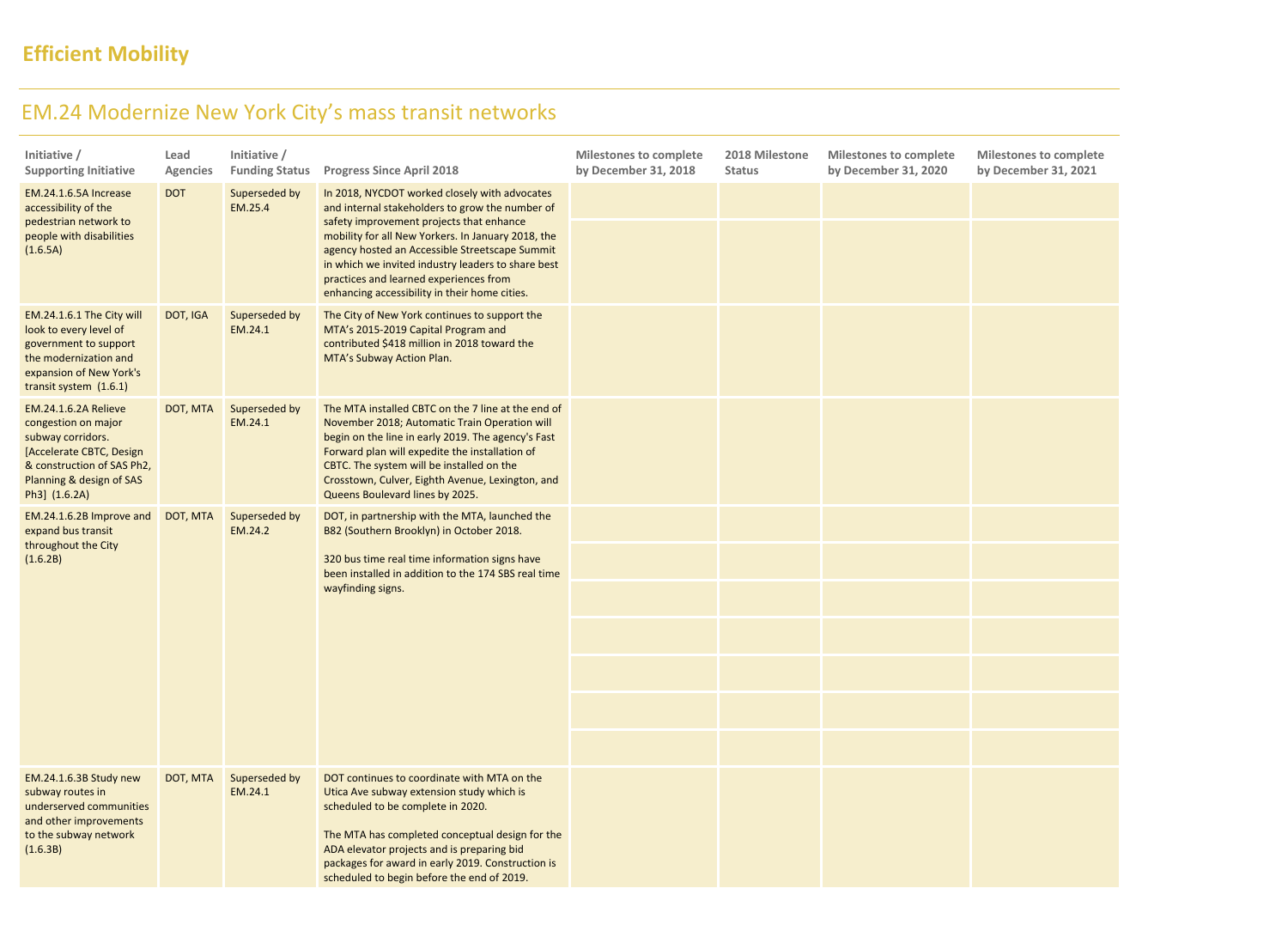# EM.24 Modernize New York City's mass transit networks

| Initiative /<br><b>Supporting Initiative</b>                                                                                                                                   | Lead<br><b>Agencies</b> | Initiative /<br><b>Funding Status</b> | <b>Progress Since April 2018</b>                                                                                                                                                                                                                                                                                                                                                                      | <b>Milestones to complete</b><br>by December 31, 2018 | 2018 Milestone<br><b>Status</b> | <b>Milestones to complete</b><br>by December 31, 2020 | <b>Milestones to complete</b><br>by December 31, 2021 |
|--------------------------------------------------------------------------------------------------------------------------------------------------------------------------------|-------------------------|---------------------------------------|-------------------------------------------------------------------------------------------------------------------------------------------------------------------------------------------------------------------------------------------------------------------------------------------------------------------------------------------------------------------------------------------------------|-------------------------------------------------------|---------------------------------|-------------------------------------------------------|-------------------------------------------------------|
| EM.24.1.6.5A Increase<br>accessibility of the<br>pedestrian network to<br>people with disabilities<br>(1.6.5A)                                                                 | <b>DOT</b>              | Superseded by<br>EM.25.4              | In 2018, NYCDOT worked closely with advocates<br>and internal stakeholders to grow the number of<br>safety improvement projects that enhance<br>mobility for all New Yorkers. In January 2018, the<br>agency hosted an Accessible Streetscape Summit<br>in which we invited industry leaders to share best<br>practices and learned experiences from<br>enhancing accessibility in their home cities. |                                                       |                                 |                                                       |                                                       |
|                                                                                                                                                                                |                         |                                       |                                                                                                                                                                                                                                                                                                                                                                                                       |                                                       |                                 |                                                       |                                                       |
| EM.24.1.6.1 The City will<br>look to every level of<br>government to support<br>the modernization and<br>expansion of New York's<br>transit system (1.6.1)                     | DOT, IGA                | Superseded by<br>EM.24.1              | The City of New York continues to support the<br>MTA's 2015-2019 Capital Program and<br>contributed \$418 million in 2018 toward the<br>MTA's Subway Action Plan.                                                                                                                                                                                                                                     |                                                       |                                 |                                                       |                                                       |
| <b>EM.24.1.6.2A Relieve</b><br>congestion on major<br>subway corridors.<br>[Accelerate CBTC, Design<br>& construction of SAS Ph2,<br>Planning & design of SAS<br>Ph3] (1.6.2A) | DOT, MTA                | Superseded by<br>EM.24.1              | The MTA installed CBTC on the 7 line at the end of<br>November 2018; Automatic Train Operation will<br>begin on the line in early 2019. The agency's Fast<br>Forward plan will expedite the installation of<br>CBTC. The system will be installed on the<br>Crosstown, Culver, Eighth Avenue, Lexington, and<br>Queens Boulevard lines by 2025.                                                       |                                                       |                                 |                                                       |                                                       |
| EM.24.1.6.2B Improve and<br>expand bus transit<br>throughout the City                                                                                                          | DOT, MTA                | Superseded by<br>EM.24.2              | DOT, in partnership with the MTA, launched the<br>B82 (Southern Brooklyn) in October 2018.<br>320 bus time real time information signs have<br>been installed in addition to the 174 SBS real time<br>wayfinding signs.                                                                                                                                                                               |                                                       |                                 |                                                       |                                                       |
| (1.6.2B)                                                                                                                                                                       |                         |                                       |                                                                                                                                                                                                                                                                                                                                                                                                       |                                                       |                                 |                                                       |                                                       |
|                                                                                                                                                                                |                         |                                       |                                                                                                                                                                                                                                                                                                                                                                                                       |                                                       |                                 |                                                       |                                                       |
|                                                                                                                                                                                |                         |                                       |                                                                                                                                                                                                                                                                                                                                                                                                       |                                                       |                                 |                                                       |                                                       |
|                                                                                                                                                                                |                         |                                       |                                                                                                                                                                                                                                                                                                                                                                                                       |                                                       |                                 |                                                       |                                                       |
|                                                                                                                                                                                |                         |                                       |                                                                                                                                                                                                                                                                                                                                                                                                       |                                                       |                                 |                                                       |                                                       |
|                                                                                                                                                                                |                         |                                       |                                                                                                                                                                                                                                                                                                                                                                                                       |                                                       |                                 |                                                       |                                                       |
| EM.24.1.6.3B Study new<br>subway routes in<br>underserved communities<br>and other improvements<br>to the subway network                                                       | DOT, MTA                | Superseded by<br>EM.24.1              | DOT continues to coordinate with MTA on the<br>Utica Ave subway extension study which is<br>scheduled to be complete in 2020.<br>The MTA has completed conceptual design for the                                                                                                                                                                                                                      |                                                       |                                 |                                                       |                                                       |
| (1.6.3B)                                                                                                                                                                       |                         |                                       | ADA elevator projects and is preparing bid<br>packages for award in early 2019. Construction is<br>scheduled to begin before the end of 2019.                                                                                                                                                                                                                                                         |                                                       |                                 |                                                       |                                                       |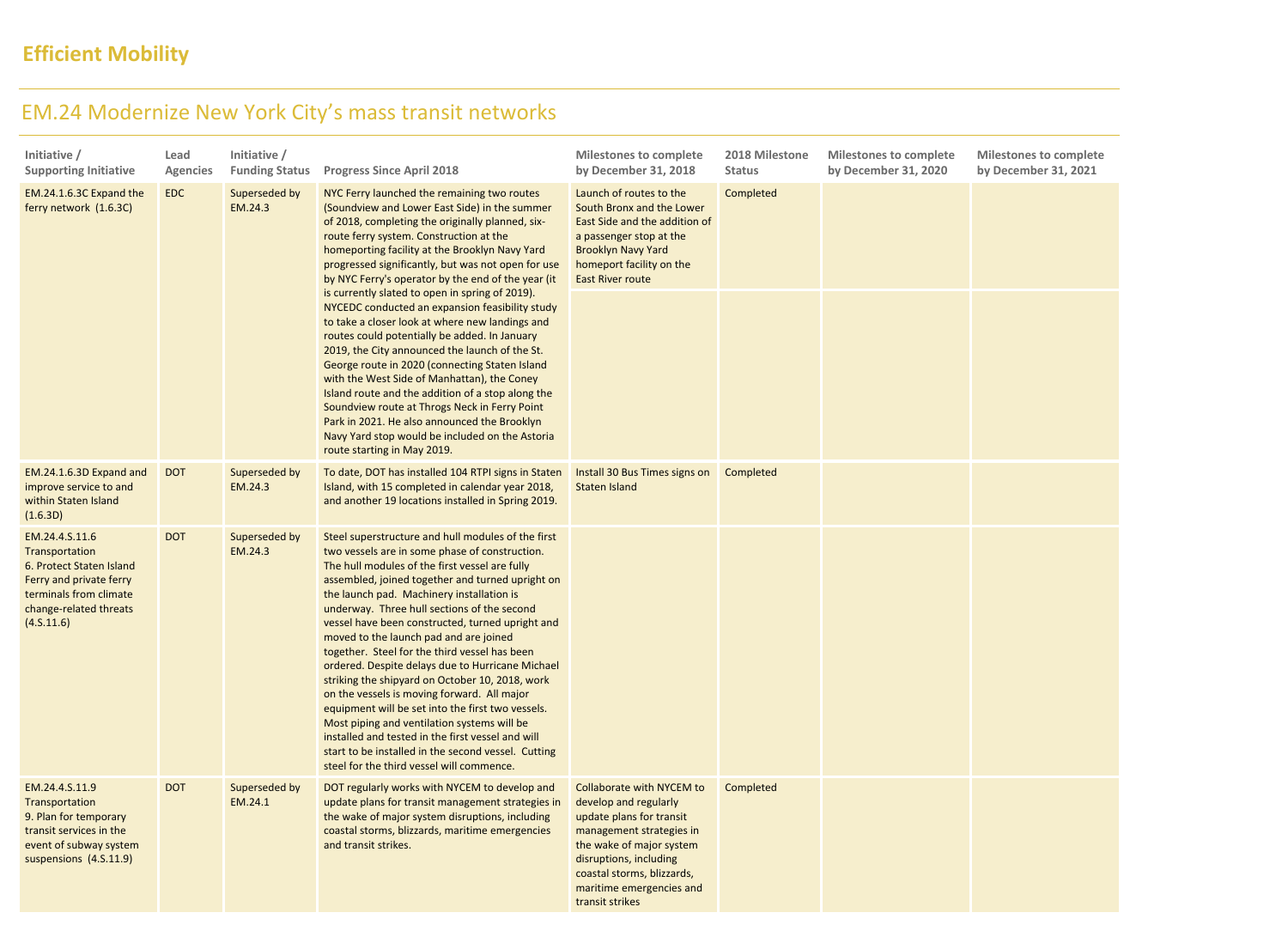# EM.24 Modernize New York City's mass transit networks

| Initiative /<br><b>Supporting Initiative</b>                                                                                                              | Lead<br><b>Agencies</b> | Initiative /<br><b>Funding Status</b> | <b>Progress Since April 2018</b>                                                                                                                                                                                                                                                                                                                                                                                                                                                                                                                                                                                                                                                                                                                                                                                                                                                                                                                               | <b>Milestones to complete</b><br>by December 31, 2018                                                                                                                                                                                         | 2018 Milestone<br><b>Status</b> | <b>Milestones to complete</b><br>by December 31, 2020 | <b>Milestones to complete</b><br>by December 31, 2021 |
|-----------------------------------------------------------------------------------------------------------------------------------------------------------|-------------------------|---------------------------------------|----------------------------------------------------------------------------------------------------------------------------------------------------------------------------------------------------------------------------------------------------------------------------------------------------------------------------------------------------------------------------------------------------------------------------------------------------------------------------------------------------------------------------------------------------------------------------------------------------------------------------------------------------------------------------------------------------------------------------------------------------------------------------------------------------------------------------------------------------------------------------------------------------------------------------------------------------------------|-----------------------------------------------------------------------------------------------------------------------------------------------------------------------------------------------------------------------------------------------|---------------------------------|-------------------------------------------------------|-------------------------------------------------------|
| EM.24.1.6.3C Expand the<br>ferry network (1.6.3C)                                                                                                         | <b>EDC</b>              | Superseded by<br>EM.24.3              | NYC Ferry launched the remaining two routes<br>(Soundview and Lower East Side) in the summer<br>of 2018, completing the originally planned, six-<br>route ferry system. Construction at the<br>homeporting facility at the Brooklyn Navy Yard<br>progressed significantly, but was not open for use<br>by NYC Ferry's operator by the end of the year (it<br>is currently slated to open in spring of 2019).<br>NYCEDC conducted an expansion feasibility study<br>to take a closer look at where new landings and<br>routes could potentially be added. In January<br>2019, the City announced the launch of the St.<br>George route in 2020 (connecting Staten Island<br>with the West Side of Manhattan), the Coney<br>Island route and the addition of a stop along the<br>Soundview route at Throgs Neck in Ferry Point<br>Park in 2021. He also announced the Brooklyn<br>Navy Yard stop would be included on the Astoria<br>route starting in May 2019. | Launch of routes to the<br>South Bronx and the Lower<br>East Side and the addition of<br>a passenger stop at the<br><b>Brooklyn Navy Yard</b><br>homeport facility on the<br><b>East River route</b>                                          | Completed                       |                                                       |                                                       |
| EM.24.1.6.3D Expand and<br>improve service to and<br>within Staten Island<br>(1.6.3D)                                                                     | <b>DOT</b>              | Superseded by<br>EM.24.3              | To date, DOT has installed 104 RTPI signs in Staten<br>Island, with 15 completed in calendar year 2018,<br>and another 19 locations installed in Spring 2019.                                                                                                                                                                                                                                                                                                                                                                                                                                                                                                                                                                                                                                                                                                                                                                                                  | Install 30 Bus Times signs on<br><b>Staten Island</b>                                                                                                                                                                                         | Completed                       |                                                       |                                                       |
| EM.24.4.S.11.6<br>Transportation<br>6. Protect Staten Island<br>Ferry and private ferry<br>terminals from climate<br>change-related threats<br>(4.5.11.6) | <b>DOT</b>              | Superseded by<br>EM.24.3              | Steel superstructure and hull modules of the first<br>two vessels are in some phase of construction.<br>The hull modules of the first vessel are fully<br>assembled, joined together and turned upright on<br>the launch pad. Machinery installation is<br>underway. Three hull sections of the second<br>vessel have been constructed, turned upright and<br>moved to the launch pad and are joined<br>together. Steel for the third vessel has been<br>ordered. Despite delays due to Hurricane Michael<br>striking the shipyard on October 10, 2018, work<br>on the vessels is moving forward. All major<br>equipment will be set into the first two vessels.<br>Most piping and ventilation systems will be<br>installed and tested in the first vessel and will<br>start to be installed in the second vessel. Cutting<br>steel for the third vessel will commence.                                                                                       |                                                                                                                                                                                                                                               |                                 |                                                       |                                                       |
| EM.24.4.S.11.9<br>Transportation<br>9. Plan for temporary<br>transit services in the<br>event of subway system<br>suspensions (4.S.11.9)                  | <b>DOT</b>              | Superseded by<br>EM.24.1              | DOT regularly works with NYCEM to develop and<br>update plans for transit management strategies in<br>the wake of major system disruptions, including<br>coastal storms, blizzards, maritime emergencies<br>and transit strikes.                                                                                                                                                                                                                                                                                                                                                                                                                                                                                                                                                                                                                                                                                                                               | Collaborate with NYCEM to<br>develop and regularly<br>update plans for transit<br>management strategies in<br>the wake of major system<br>disruptions, including<br>coastal storms, blizzards,<br>maritime emergencies and<br>transit strikes | Completed                       |                                                       |                                                       |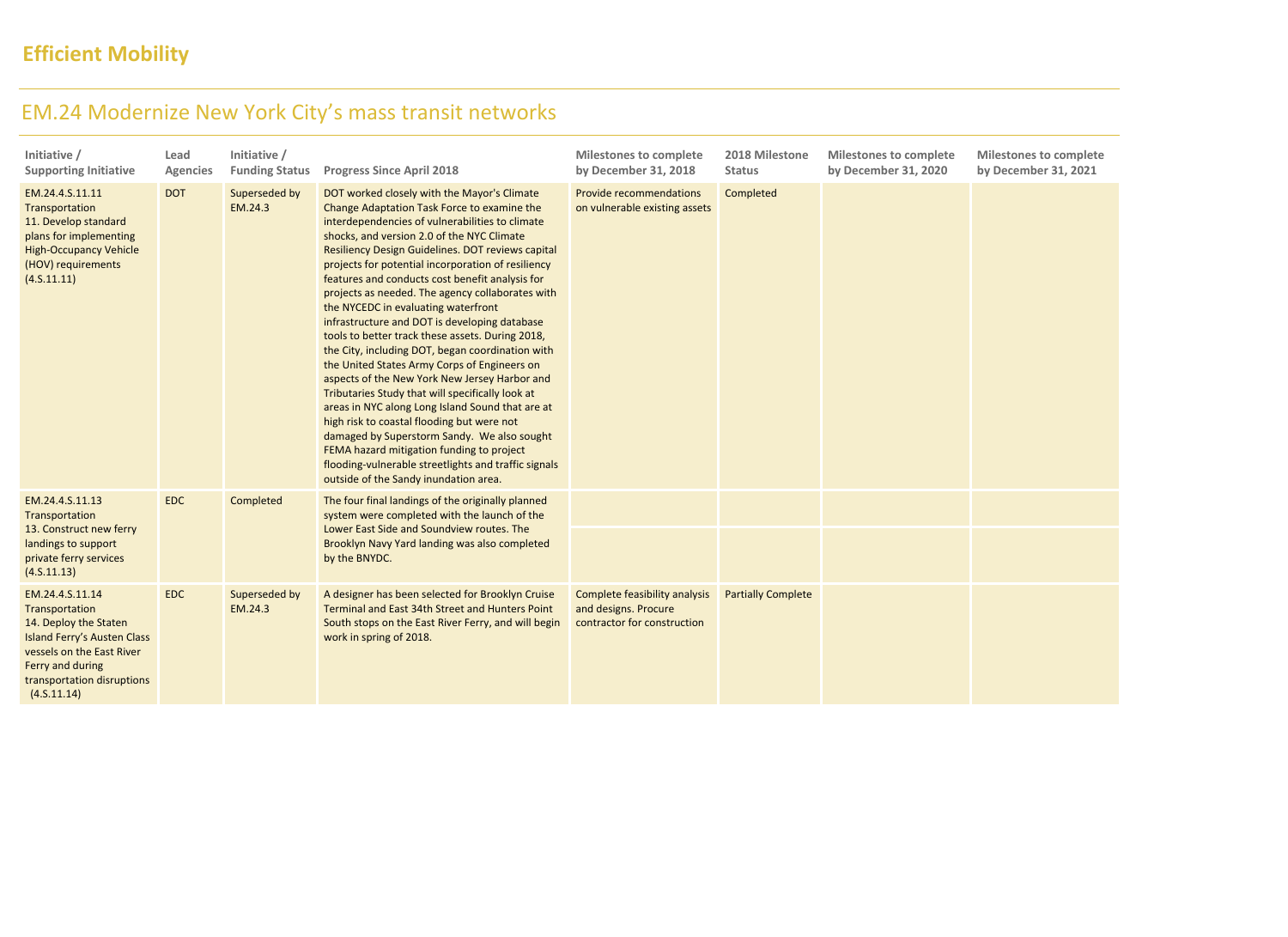# EM.24 Modernize New York City's mass transit networks

| Initiative /<br><b>Supporting Initiative</b>                                                                                                                                                   | Lead<br><b>Agencies</b> | Initiative /<br><b>Funding Status</b> | <b>Progress Since April 2018</b>                                                                                                                                                                                                                                                                                                                                                                                                                                                                                                                                                                                                                                                                                                                                                                                                                                                                                                                                                                                                                                  | <b>Milestones to complete</b><br>by December 31, 2018                                | 2018 Milestone<br><b>Status</b> | <b>Milestones to complete</b><br>by December 31, 2020 | <b>Milestones to complete</b><br>by December 31, 2021 |
|------------------------------------------------------------------------------------------------------------------------------------------------------------------------------------------------|-------------------------|---------------------------------------|-------------------------------------------------------------------------------------------------------------------------------------------------------------------------------------------------------------------------------------------------------------------------------------------------------------------------------------------------------------------------------------------------------------------------------------------------------------------------------------------------------------------------------------------------------------------------------------------------------------------------------------------------------------------------------------------------------------------------------------------------------------------------------------------------------------------------------------------------------------------------------------------------------------------------------------------------------------------------------------------------------------------------------------------------------------------|--------------------------------------------------------------------------------------|---------------------------------|-------------------------------------------------------|-------------------------------------------------------|
| EM.24.4.S.11.11<br>Transportation<br>11. Develop standard<br>plans for implementing<br><b>High-Occupancy Vehicle</b><br>(HOV) requirements<br>(4.5.11.11)                                      | <b>DOT</b>              | Superseded by<br>EM.24.3              | DOT worked closely with the Mayor's Climate<br>Change Adaptation Task Force to examine the<br>interdependencies of vulnerabilities to climate<br>shocks, and version 2.0 of the NYC Climate<br>Resiliency Design Guidelines. DOT reviews capital<br>projects for potential incorporation of resiliency<br>features and conducts cost benefit analysis for<br>projects as needed. The agency collaborates with<br>the NYCEDC in evaluating waterfront<br>infrastructure and DOT is developing database<br>tools to better track these assets. During 2018,<br>the City, including DOT, began coordination with<br>the United States Army Corps of Engineers on<br>aspects of the New York New Jersey Harbor and<br>Tributaries Study that will specifically look at<br>areas in NYC along Long Island Sound that are at<br>high risk to coastal flooding but were not<br>damaged by Superstorm Sandy. We also sought<br>FEMA hazard mitigation funding to project<br>flooding-vulnerable streetlights and traffic signals<br>outside of the Sandy inundation area. | <b>Provide recommendations</b><br>on vulnerable existing assets                      | Completed                       |                                                       |                                                       |
| EM.24.4.S.11.13<br>Transportation<br>13. Construct new ferry<br>landings to support<br>private ferry services<br>(4.5.11.13)                                                                   | <b>EDC</b>              | Completed                             | The four final landings of the originally planned<br>system were completed with the launch of the<br>Lower East Side and Soundview routes. The<br>Brooklyn Navy Yard landing was also completed<br>by the BNYDC.                                                                                                                                                                                                                                                                                                                                                                                                                                                                                                                                                                                                                                                                                                                                                                                                                                                  |                                                                                      |                                 |                                                       |                                                       |
| EM.24.4.S.11.14<br>Transportation<br>14. Deploy the Staten<br><b>Island Ferry's Austen Class</b><br>vessels on the East River<br>Ferry and during<br>transportation disruptions<br>(4.5.11.14) | <b>EDC</b>              | Superseded by<br>EM.24.3              | A designer has been selected for Brooklyn Cruise<br>Terminal and East 34th Street and Hunters Point<br>South stops on the East River Ferry, and will begin<br>work in spring of 2018.                                                                                                                                                                                                                                                                                                                                                                                                                                                                                                                                                                                                                                                                                                                                                                                                                                                                             | Complete feasibility analysis<br>and designs. Procure<br>contractor for construction | <b>Partially Complete</b>       |                                                       |                                                       |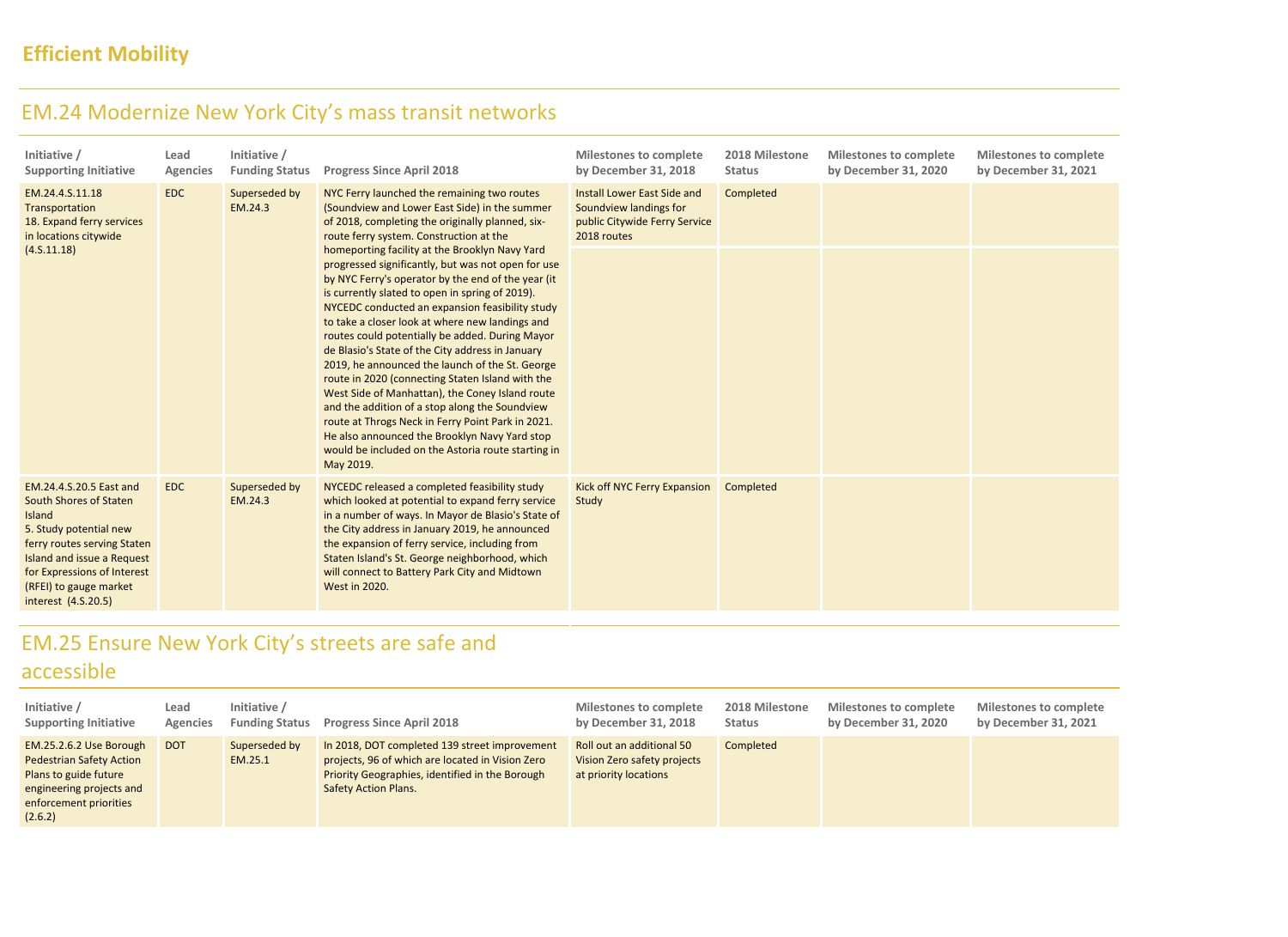# EM.24 Modernize New York City's mass transit networks

| Initiative /<br><b>Supporting Initiative</b>                                                                                                                                                                                                     | Lead<br><b>Agencies</b> | Initiative /<br><b>Funding Status</b> | <b>Progress Since April 2018</b>                                                                                                                                                                                                                                                                                                                                                                                                                                                                                                                                                                                                                                                                                                                                                                                                                                                                                                                                                                               | <b>Milestones to complete</b><br>by December 31, 2018                                                        | 2018 Milestone<br><b>Status</b> | <b>Milestones to complete</b><br>by December 31, 2020 | <b>Milestones to complete</b><br>by December 31, 2021 |
|--------------------------------------------------------------------------------------------------------------------------------------------------------------------------------------------------------------------------------------------------|-------------------------|---------------------------------------|----------------------------------------------------------------------------------------------------------------------------------------------------------------------------------------------------------------------------------------------------------------------------------------------------------------------------------------------------------------------------------------------------------------------------------------------------------------------------------------------------------------------------------------------------------------------------------------------------------------------------------------------------------------------------------------------------------------------------------------------------------------------------------------------------------------------------------------------------------------------------------------------------------------------------------------------------------------------------------------------------------------|--------------------------------------------------------------------------------------------------------------|---------------------------------|-------------------------------------------------------|-------------------------------------------------------|
| EM.24.4.S.11.18<br>Transportation<br>18. Expand ferry services<br>in locations citywide<br>(4.5.11.18)                                                                                                                                           | <b>EDC</b>              | Superseded by<br>EM.24.3              | NYC Ferry launched the remaining two routes<br>(Soundview and Lower East Side) in the summer<br>of 2018, completing the originally planned, six-<br>route ferry system. Construction at the<br>homeporting facility at the Brooklyn Navy Yard<br>progressed significantly, but was not open for use<br>by NYC Ferry's operator by the end of the year (it<br>is currently slated to open in spring of 2019).<br>NYCEDC conducted an expansion feasibility study<br>to take a closer look at where new landings and<br>routes could potentially be added. During Mayor<br>de Blasio's State of the City address in January<br>2019, he announced the launch of the St. George<br>route in 2020 (connecting Staten Island with the<br>West Side of Manhattan), the Coney Island route<br>and the addition of a stop along the Soundview<br>route at Throgs Neck in Ferry Point Park in 2021.<br>He also announced the Brooklyn Navy Yard stop<br>would be included on the Astoria route starting in<br>May 2019. | <b>Install Lower East Side and</b><br>Soundview landings for<br>public Citywide Ferry Service<br>2018 routes | Completed                       |                                                       |                                                       |
| EM.24.4.S.20.5 East and<br><b>South Shores of Staten</b><br><b>Island</b><br>5. Study potential new<br>ferry routes serving Staten<br>Island and issue a Request<br>for Expressions of Interest<br>(RFEI) to gauge market<br>interest (4.S.20.5) | EDC                     | Superseded by<br>EM.24.3              | NYCEDC released a completed feasibility study<br>which looked at potential to expand ferry service<br>in a number of ways. In Mayor de Blasio's State of<br>the City address in January 2019, he announced<br>the expansion of ferry service, including from<br>Staten Island's St. George neighborhood, which<br>will connect to Battery Park City and Midtown<br>West in 2020.                                                                                                                                                                                                                                                                                                                                                                                                                                                                                                                                                                                                                               | Kick off NYC Ferry Expansion<br>Study                                                                        | Completed                       |                                                       |                                                       |

# EM.25 Ensure New York City's streets are safe and

#### accessible

| Initiative /                                                                                                                                         | Lead       | Initiative /             | <b>Progress Since April 2018</b>                                                                                                                                                    | Milestones to complete                                                            | 2018 Milestone | <b>Milestones to complete</b> | <b>Milestones to complete</b> |
|------------------------------------------------------------------------------------------------------------------------------------------------------|------------|--------------------------|-------------------------------------------------------------------------------------------------------------------------------------------------------------------------------------|-----------------------------------------------------------------------------------|----------------|-------------------------------|-------------------------------|
| <b>Supporting Initiative</b>                                                                                                                         | Agencies   | <b>Funding Status</b>    |                                                                                                                                                                                     | by December 31, 2018                                                              | <b>Status</b>  | by December 31, 2020          | by December 31, 2021          |
| EM.25.2.6.2 Use Borough<br><b>Pedestrian Safety Action</b><br>Plans to guide future<br>engineering projects and<br>enforcement priorities<br>(2.6.2) | <b>DOT</b> | Superseded by<br>EM.25.1 | In 2018, DOT completed 139 street improvement<br>projects, 96 of which are located in Vision Zero<br>Priority Geographies, identified in the Borough<br><b>Safety Action Plans.</b> | Roll out an additional 50<br>Vision Zero safety projects<br>at priority locations | Completed      |                               |                               |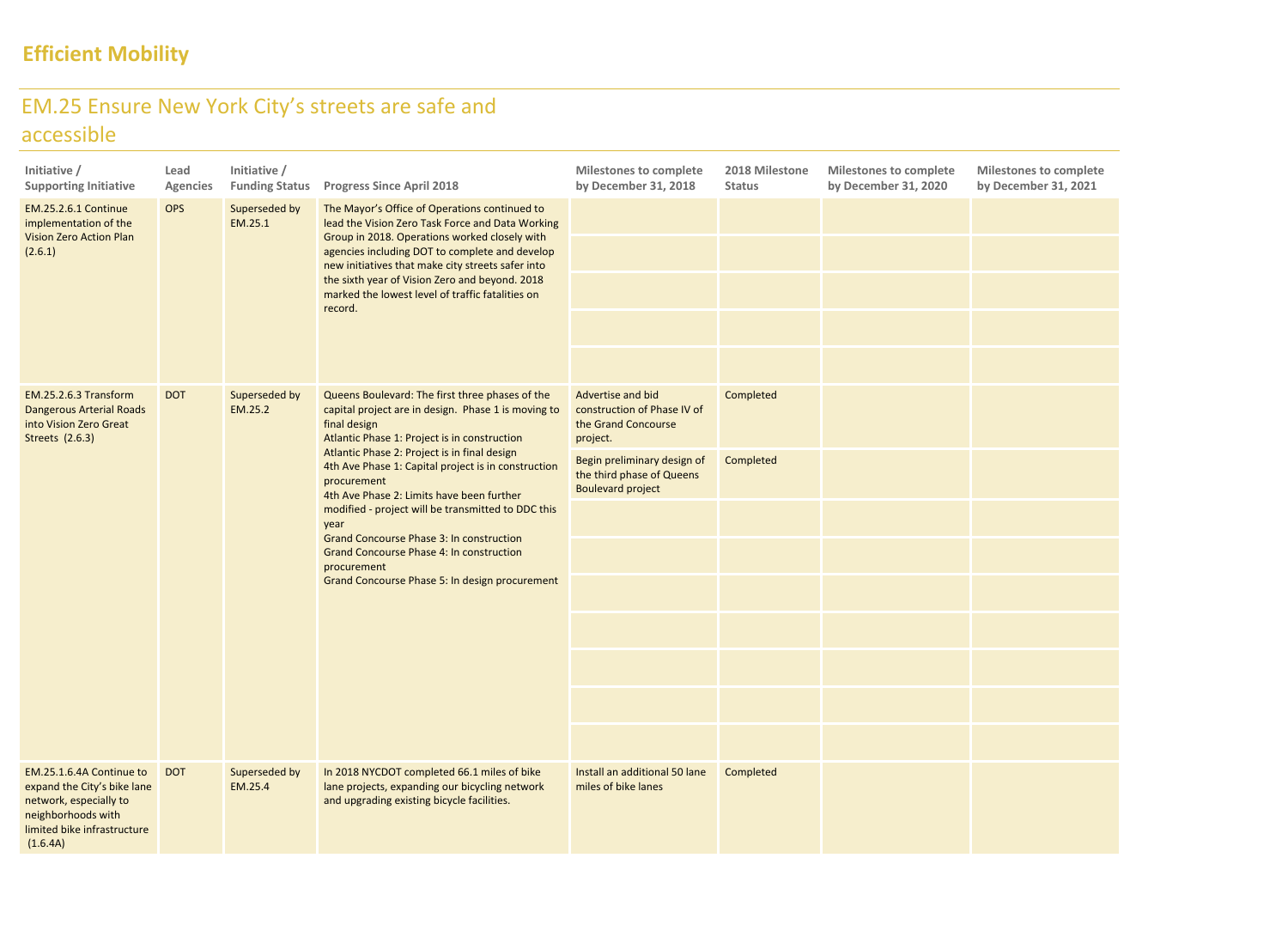### EM.25 Ensure New York City's streets are safe and accessible

| Initiative /<br><b>Supporting Initiative</b>                                                                                                       | Lead<br><b>Agencies</b> | Initiative /<br><b>Funding Status</b> | <b>Progress Since April 2018</b>                                                                                                                                                                                                                                                                                                                                                                                                                                                                                                                                               | <b>Milestones to complete</b><br>by December 31, 2018                                                                                                                       | 2018 Milestone<br><b>Status</b> | <b>Milestones to complete</b><br>by December 31, 2020 | <b>Milestones to complete</b><br>by December 31, 2021 |
|----------------------------------------------------------------------------------------------------------------------------------------------------|-------------------------|---------------------------------------|--------------------------------------------------------------------------------------------------------------------------------------------------------------------------------------------------------------------------------------------------------------------------------------------------------------------------------------------------------------------------------------------------------------------------------------------------------------------------------------------------------------------------------------------------------------------------------|-----------------------------------------------------------------------------------------------------------------------------------------------------------------------------|---------------------------------|-------------------------------------------------------|-------------------------------------------------------|
| <b>EM.25.2.6.1 Continue</b><br>implementation of the<br><b>Vision Zero Action Plan</b><br>(2.6.1)                                                  | <b>OPS</b>              | Superseded by<br>EM.25.1              | The Mayor's Office of Operations continued to<br>lead the Vision Zero Task Force and Data Working<br>Group in 2018. Operations worked closely with<br>agencies including DOT to complete and develop<br>new initiatives that make city streets safer into<br>the sixth year of Vision Zero and beyond. 2018<br>marked the lowest level of traffic fatalities on<br>record.                                                                                                                                                                                                     |                                                                                                                                                                             |                                 |                                                       |                                                       |
| EM.25.2.6.3 Transform<br><b>Dangerous Arterial Roads</b><br>into Vision Zero Great<br>Streets (2.6.3)                                              | <b>DOT</b>              | Superseded by<br>EM.25.2              | Queens Boulevard: The first three phases of the<br>capital project are in design. Phase 1 is moving to<br>final design<br>Atlantic Phase 1: Project is in construction<br>Atlantic Phase 2: Project is in final design<br>4th Ave Phase 1: Capital project is in construction<br>procurement<br>4th Ave Phase 2: Limits have been further<br>modified - project will be transmitted to DDC this<br>year<br><b>Grand Concourse Phase 3: In construction</b><br><b>Grand Concourse Phase 4: In construction</b><br>procurement<br>Grand Concourse Phase 5: In design procurement | Advertise and bid<br>construction of Phase IV of<br>the Grand Concourse<br>project.<br>Begin preliminary design of<br>the third phase of Queens<br><b>Boulevard project</b> | Completed<br>Completed          |                                                       |                                                       |
| EM.25.1.6.4A Continue to<br>expand the City's bike lane<br>network, especially to<br>neighborhoods with<br>limited bike infrastructure<br>(1.6.4A) | <b>DOT</b>              | Superseded by<br>EM.25.4              | In 2018 NYCDOT completed 66.1 miles of bike<br>lane projects, expanding our bicycling network<br>and upgrading existing bicycle facilities.                                                                                                                                                                                                                                                                                                                                                                                                                                    | Install an additional 50 lane<br>miles of bike lanes                                                                                                                        | Completed                       |                                                       |                                                       |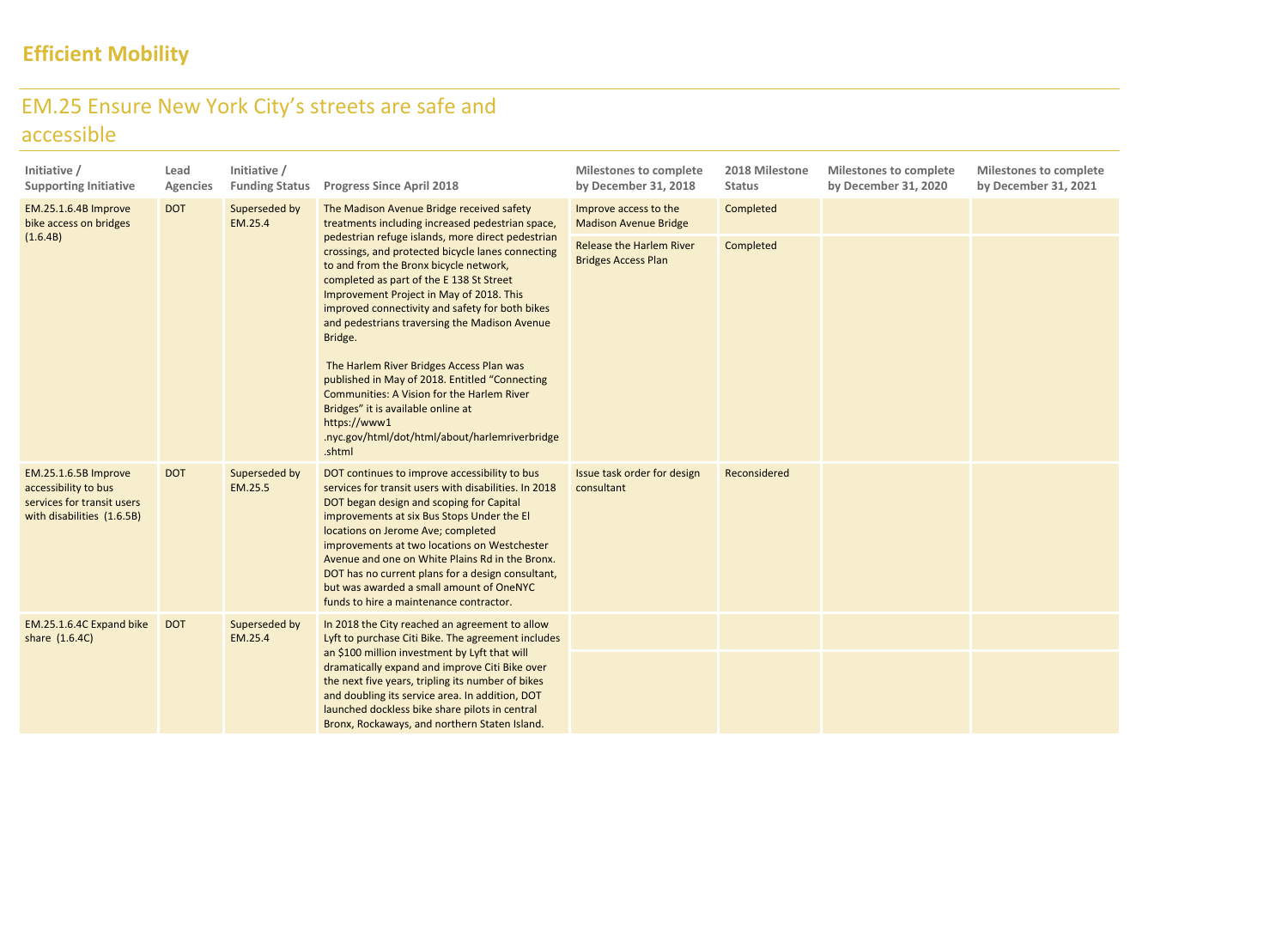### EM.25 Ensure New York City's streets are safe and accessible

| Initiative /<br><b>Supporting Initiative</b>                                                             | Lead<br><b>Agencies</b> | Initiative /<br><b>Funding Status</b> | <b>Progress Since April 2018</b>                                                                                                                                                                                                                                                                                                                                                                                                                                                                                                                                                                                                                                                                                       | <b>Milestones to complete</b><br>by December 31, 2018         | 2018 Milestone<br><b>Status</b> | <b>Milestones to complete</b><br>by December 31, 2020 | <b>Milestones to complete</b><br>by December 31, 2021 |
|----------------------------------------------------------------------------------------------------------|-------------------------|---------------------------------------|------------------------------------------------------------------------------------------------------------------------------------------------------------------------------------------------------------------------------------------------------------------------------------------------------------------------------------------------------------------------------------------------------------------------------------------------------------------------------------------------------------------------------------------------------------------------------------------------------------------------------------------------------------------------------------------------------------------------|---------------------------------------------------------------|---------------------------------|-------------------------------------------------------|-------------------------------------------------------|
| EM.25.1.6.4B Improve<br>bike access on bridges                                                           | <b>DOT</b>              | Superseded by<br>EM.25.4              | The Madison Avenue Bridge received safety<br>treatments including increased pedestrian space,<br>pedestrian refuge islands, more direct pedestrian<br>crossings, and protected bicycle lanes connecting<br>to and from the Bronx bicycle network,<br>completed as part of the E 138 St Street<br>Improvement Project in May of 2018. This<br>improved connectivity and safety for both bikes<br>and pedestrians traversing the Madison Avenue<br>Bridge.<br>The Harlem River Bridges Access Plan was<br>published in May of 2018. Entitled "Connecting<br>Communities: A Vision for the Harlem River<br>Bridges" it is available online at<br>https://www1<br>.nyc.gov/html/dot/html/about/harlemriverbridge<br>.shtml | Improve access to the<br><b>Madison Avenue Bridge</b>         | Completed                       |                                                       |                                                       |
| (1.6.4B)                                                                                                 |                         |                                       |                                                                                                                                                                                                                                                                                                                                                                                                                                                                                                                                                                                                                                                                                                                        | <b>Release the Harlem River</b><br><b>Bridges Access Plan</b> | Completed                       |                                                       |                                                       |
| EM.25.1.6.5B Improve<br>accessibility to bus<br>services for transit users<br>with disabilities (1.6.5B) | <b>DOT</b>              | Superseded by<br>EM.25.5              | DOT continues to improve accessibility to bus<br>services for transit users with disabilities. In 2018<br>DOT began design and scoping for Capital<br>improvements at six Bus Stops Under the El<br>locations on Jerome Ave; completed<br>improvements at two locations on Westchester<br>Avenue and one on White Plains Rd in the Bronx.<br>DOT has no current plans for a design consultant,<br>but was awarded a small amount of OneNYC<br>funds to hire a maintenance contractor.                                                                                                                                                                                                                                  | Issue task order for design<br>consultant                     | Reconsidered                    |                                                       |                                                       |
| EM.25.1.6.4C Expand bike<br>share (1.6.4C)                                                               | <b>DOT</b>              | Superseded by<br>EM.25.4              | In 2018 the City reached an agreement to allow<br>Lyft to purchase Citi Bike. The agreement includes                                                                                                                                                                                                                                                                                                                                                                                                                                                                                                                                                                                                                   |                                                               |                                 |                                                       |                                                       |
|                                                                                                          |                         |                                       | an \$100 million investment by Lyft that will<br>dramatically expand and improve Citi Bike over<br>the next five years, tripling its number of bikes<br>and doubling its service area. In addition, DOT<br>launched dockless bike share pilots in central<br>Bronx, Rockaways, and northern Staten Island.                                                                                                                                                                                                                                                                                                                                                                                                             |                                                               |                                 |                                                       |                                                       |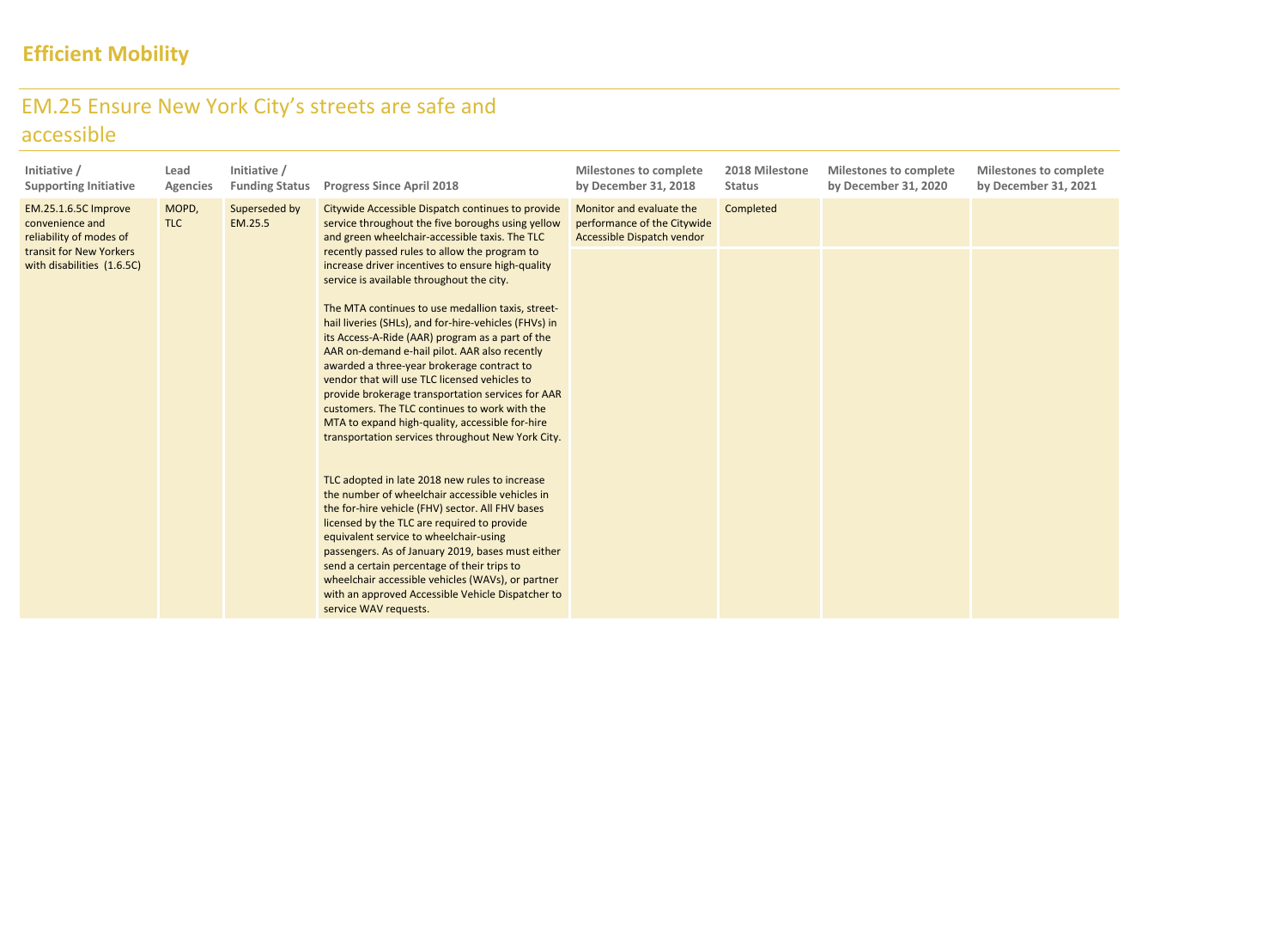## EM.25 Ensure New York City's streets are safe and accessible

| Initiative /<br><b>Supporting Initiative</b>                              | Lead<br><b>Agencies</b> | Initiative /<br><b>Funding Status</b> | <b>Progress Since April 2018</b>                                                                                                                                                                                                                                                                                                                                                                                                                                                                                                                                                                                                                                                                                                    | <b>Milestones to complete</b><br>by December 31, 2018                                 | 2018 Milestone<br><b>Status</b> | <b>Milestones to complete</b><br>by December 31, 2020 | <b>Milestones to complete</b><br>by December 31, 2021 |
|---------------------------------------------------------------------------|-------------------------|---------------------------------------|-------------------------------------------------------------------------------------------------------------------------------------------------------------------------------------------------------------------------------------------------------------------------------------------------------------------------------------------------------------------------------------------------------------------------------------------------------------------------------------------------------------------------------------------------------------------------------------------------------------------------------------------------------------------------------------------------------------------------------------|---------------------------------------------------------------------------------------|---------------------------------|-------------------------------------------------------|-------------------------------------------------------|
| <b>EM.25.1.6.5C Improve</b><br>convenience and<br>reliability of modes of | MOPD,<br><b>TLC</b>     | Superseded by<br>EM.25.5              | Citywide Accessible Dispatch continues to provide<br>service throughout the five boroughs using yellow<br>and green wheelchair-accessible taxis. The TLC<br>recently passed rules to allow the program to<br>increase driver incentives to ensure high-quality<br>service is available throughout the city.<br>The MTA continues to use medallion taxis, street-<br>hail liveries (SHLs), and for-hire-vehicles (FHVs) in<br>its Access-A-Ride (AAR) program as a part of the<br>AAR on-demand e-hail pilot. AAR also recently<br>awarded a three-year brokerage contract to<br>vendor that will use TLC licensed vehicles to<br>provide brokerage transportation services for AAR<br>customers. The TLC continues to work with the | Monitor and evaluate the<br>performance of the Citywide<br>Accessible Dispatch vendor | Completed                       |                                                       |                                                       |
| transit for New Yorkers<br>with disabilities (1.6.5C)                     |                         |                                       |                                                                                                                                                                                                                                                                                                                                                                                                                                                                                                                                                                                                                                                                                                                                     |                                                                                       |                                 |                                                       |                                                       |
|                                                                           |                         |                                       | MTA to expand high-quality, accessible for-hire<br>transportation services throughout New York City.<br>TLC adopted in late 2018 new rules to increase<br>the number of wheelchair accessible vehicles in<br>the for-hire vehicle (FHV) sector. All FHV bases<br>licensed by the TLC are required to provide<br>equivalent service to wheelchair-using<br>passengers. As of January 2019, bases must either<br>send a certain percentage of their trips to<br>wheelchair accessible vehicles (WAVs), or partner<br>with an approved Accessible Vehicle Dispatcher to<br>service WAV requests.                                                                                                                                       |                                                                                       |                                 |                                                       |                                                       |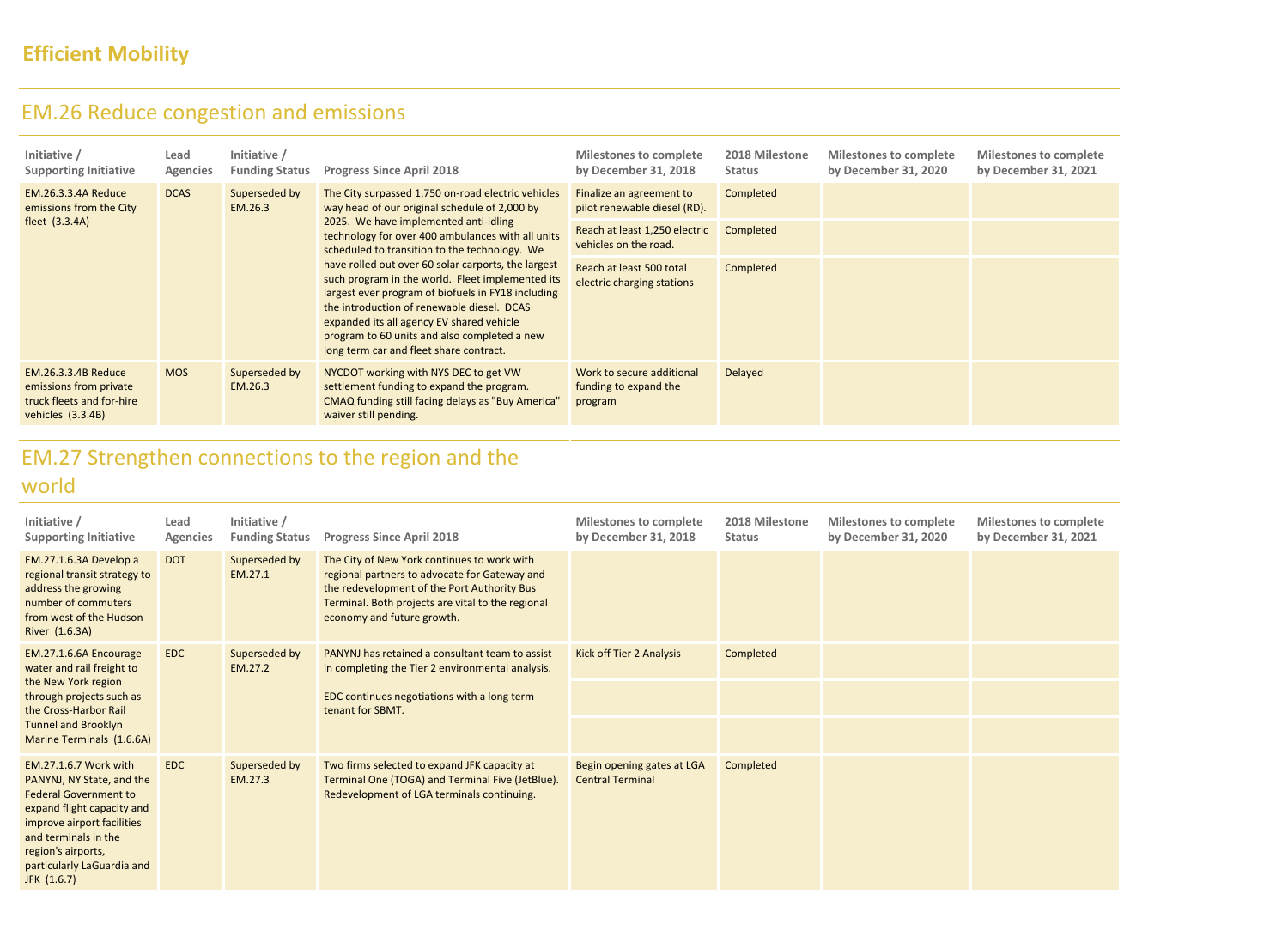# EM.26 Reduce congestion and emissions

| Initiative /<br><b>Supporting Initiative</b>                                                           | Lead<br><b>Agencies</b> | Initiative /<br><b>Funding Status</b> | <b>Progress Since April 2018</b>                                                                                                                                                                                                                                                                                                                                                                                                                                                                                                                                                                          | <b>Milestones to complete</b><br>by December 31, 2018         | 2018 Milestone<br><b>Status</b> | <b>Milestones to complete</b><br>by December 31, 2020 | <b>Milestones to complete</b><br>by December 31, 2021 |
|--------------------------------------------------------------------------------------------------------|-------------------------|---------------------------------------|-----------------------------------------------------------------------------------------------------------------------------------------------------------------------------------------------------------------------------------------------------------------------------------------------------------------------------------------------------------------------------------------------------------------------------------------------------------------------------------------------------------------------------------------------------------------------------------------------------------|---------------------------------------------------------------|---------------------------------|-------------------------------------------------------|-------------------------------------------------------|
| <b>EM.26.3.3.4A Reduce</b><br>emissions from the City                                                  | <b>DCAS</b>             | Superseded by<br>EM.26.3              | The City surpassed 1,750 on-road electric vehicles<br>way head of our original schedule of 2,000 by<br>2025. We have implemented anti-idling<br>technology for over 400 ambulances with all units<br>scheduled to transition to the technology. We<br>have rolled out over 60 solar carports, the largest<br>such program in the world. Fleet implemented its<br>largest ever program of biofuels in FY18 including<br>the introduction of renewable diesel. DCAS<br>expanded its all agency EV shared vehicle<br>program to 60 units and also completed a new<br>long term car and fleet share contract. | Finalize an agreement to<br>pilot renewable diesel (RD).      | Completed                       |                                                       |                                                       |
| fleet $(3.3.4A)$                                                                                       |                         |                                       |                                                                                                                                                                                                                                                                                                                                                                                                                                                                                                                                                                                                           | Reach at least 1,250 electric<br>vehicles on the road.        | Completed                       |                                                       |                                                       |
|                                                                                                        |                         |                                       |                                                                                                                                                                                                                                                                                                                                                                                                                                                                                                                                                                                                           | Reach at least 500 total<br>electric charging stations        | Completed                       |                                                       |                                                       |
| <b>EM.26.3.3.4B Reduce</b><br>emissions from private<br>truck fleets and for-hire<br>vehicles (3.3.4B) | <b>MOS</b>              | Superseded by<br>EM.26.3              | NYCDOT working with NYS DEC to get VW<br>settlement funding to expand the program.<br>CMAQ funding still facing delays as "Buy America"<br>waiver still pending.                                                                                                                                                                                                                                                                                                                                                                                                                                          | Work to secure additional<br>funding to expand the<br>program | Delayed                         |                                                       |                                                       |

#### EM.27 Strengthen connections to the region and the world

| Initiative /<br><b>Supporting Initiative</b>                                                                                                                                                                                                     | Lead<br><b>Agencies</b> | Initiative /<br><b>Funding Status</b> | <b>Progress Since April 2018</b>                                                                                                                                                                                               | <b>Milestones to complete</b><br>by December 31, 2018 | 2018 Milestone<br><b>Status</b> | <b>Milestones to complete</b><br>by December 31, 2020 | <b>Milestones to complete</b><br>by December 31, 2021 |
|--------------------------------------------------------------------------------------------------------------------------------------------------------------------------------------------------------------------------------------------------|-------------------------|---------------------------------------|--------------------------------------------------------------------------------------------------------------------------------------------------------------------------------------------------------------------------------|-------------------------------------------------------|---------------------------------|-------------------------------------------------------|-------------------------------------------------------|
| EM.27.1.6.3A Develop a<br>regional transit strategy to<br>address the growing<br>number of commuters<br>from west of the Hudson<br>River (1.6.3A)                                                                                                | <b>DOT</b>              | Superseded by<br>EM.27.1              | The City of New York continues to work with<br>regional partners to advocate for Gateway and<br>the redevelopment of the Port Authority Bus<br>Terminal. Both projects are vital to the regional<br>economy and future growth. |                                                       |                                 |                                                       |                                                       |
| EM.27.1.6.6A Encourage<br>water and rail freight to<br>the New York region<br>through projects such as<br>the Cross-Harbor Rail<br><b>Tunnel and Brooklyn</b><br>Marine Terminals (1.6.6A)                                                       | <b>EDC</b>              | Superseded by<br>EM.27.2              | PANYNJ has retained a consultant team to assist<br>in completing the Tier 2 environmental analysis.<br>EDC continues negotiations with a long term<br>tenant for SBMT.                                                         | Kick off Tier 2 Analysis                              | Completed                       |                                                       |                                                       |
| <b>EM.27.1.6.7 Work with</b><br>PANYNJ, NY State, and the<br><b>Federal Government to</b><br>expand flight capacity and<br>improve airport facilities<br>and terminals in the<br>region's airports,<br>particularly LaGuardia and<br>JFK (1.6.7) | <b>EDC</b>              | Superseded by<br>EM.27.3              | Two firms selected to expand JFK capacity at<br>Terminal One (TOGA) and Terminal Five (JetBlue).<br>Redevelopment of LGA terminals continuing.                                                                                 | Begin opening gates at LGA<br><b>Central Terminal</b> | Completed                       |                                                       |                                                       |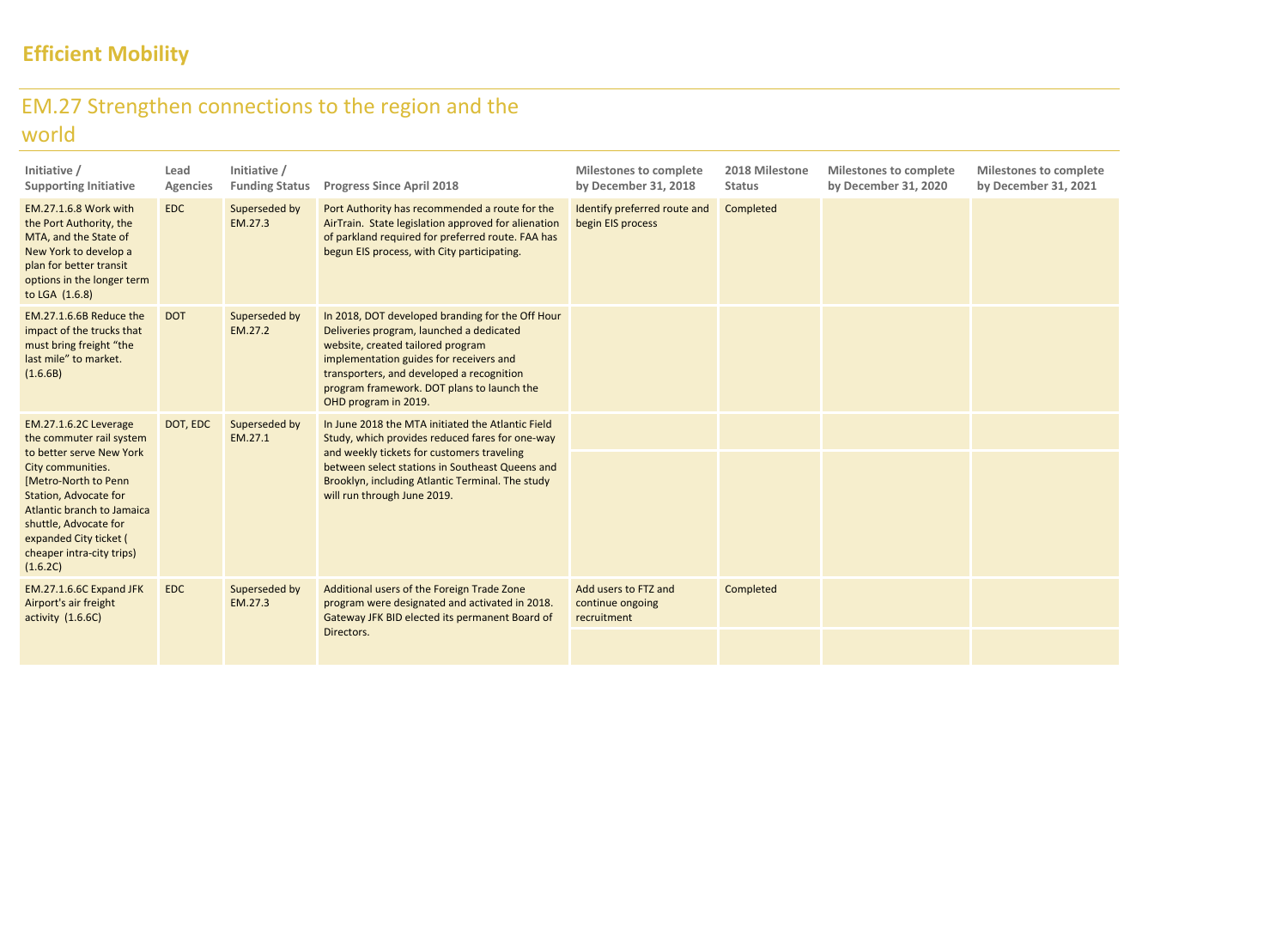### EM.27 Strengthen connections to the region and the world

| Initiative /<br><b>Supporting Initiative</b>                                                                                                                                                                                                                                         | Lead<br><b>Agencies</b> | Initiative /<br><b>Funding Status</b> | <b>Progress Since April 2018</b>                                                                                                                                                                                                                                                                | <b>Milestones to complete</b><br>by December 31, 2018   | 2018 Milestone<br><b>Status</b> | <b>Milestones to complete</b><br>by December 31, 2020 | <b>Milestones to complete</b><br>by December 31, 2021 |
|--------------------------------------------------------------------------------------------------------------------------------------------------------------------------------------------------------------------------------------------------------------------------------------|-------------------------|---------------------------------------|-------------------------------------------------------------------------------------------------------------------------------------------------------------------------------------------------------------------------------------------------------------------------------------------------|---------------------------------------------------------|---------------------------------|-------------------------------------------------------|-------------------------------------------------------|
| EM.27.1.6.8 Work with<br>the Port Authority, the<br>MTA, and the State of<br>New York to develop a<br>plan for better transit<br>options in the longer term<br>to LGA (1.6.8)                                                                                                        | <b>EDC</b>              | Superseded by<br>EM.27.3              | Port Authority has recommended a route for the<br>AirTrain. State legislation approved for alienation<br>of parkland required for preferred route. FAA has<br>begun EIS process, with City participating.                                                                                       | Identify preferred route and<br>begin EIS process       | Completed                       |                                                       |                                                       |
| EM.27.1.6.6B Reduce the<br>impact of the trucks that<br>must bring freight "the<br>last mile" to market.<br>(1.6.6B)                                                                                                                                                                 | <b>DOT</b>              | Superseded by<br>EM.27.2              | In 2018, DOT developed branding for the Off Hour<br>Deliveries program, launched a dedicated<br>website, created tailored program<br>implementation guides for receivers and<br>transporters, and developed a recognition<br>program framework. DOT plans to launch the<br>OHD program in 2019. |                                                         |                                 |                                                       |                                                       |
| EM.27.1.6.2C Leverage<br>the commuter rail system<br>to better serve New York<br>City communities.<br>[Metro-North to Penn<br><b>Station, Advocate for</b><br>Atlantic branch to Jamaica<br>shuttle, Advocate for<br>expanded City ticket (<br>cheaper intra-city trips)<br>(1.6.2C) | DOT, EDC                | Superseded by<br>EM.27.1              | In June 2018 the MTA initiated the Atlantic Field<br>Study, which provides reduced fares for one-way<br>and weekly tickets for customers traveling<br>between select stations in Southeast Queens and<br>Brooklyn, including Atlantic Terminal. The study<br>will run through June 2019.        |                                                         |                                 |                                                       |                                                       |
| EM.27.1.6.6C Expand JFK<br>Airport's air freight<br>activity (1.6.6C)                                                                                                                                                                                                                | <b>EDC</b>              | Superseded by<br>EM.27.3              | Additional users of the Foreign Trade Zone<br>program were designated and activated in 2018.<br>Gateway JFK BID elected its permanent Board of<br>Directors.                                                                                                                                    | Add users to FTZ and<br>continue ongoing<br>recruitment | Completed                       |                                                       |                                                       |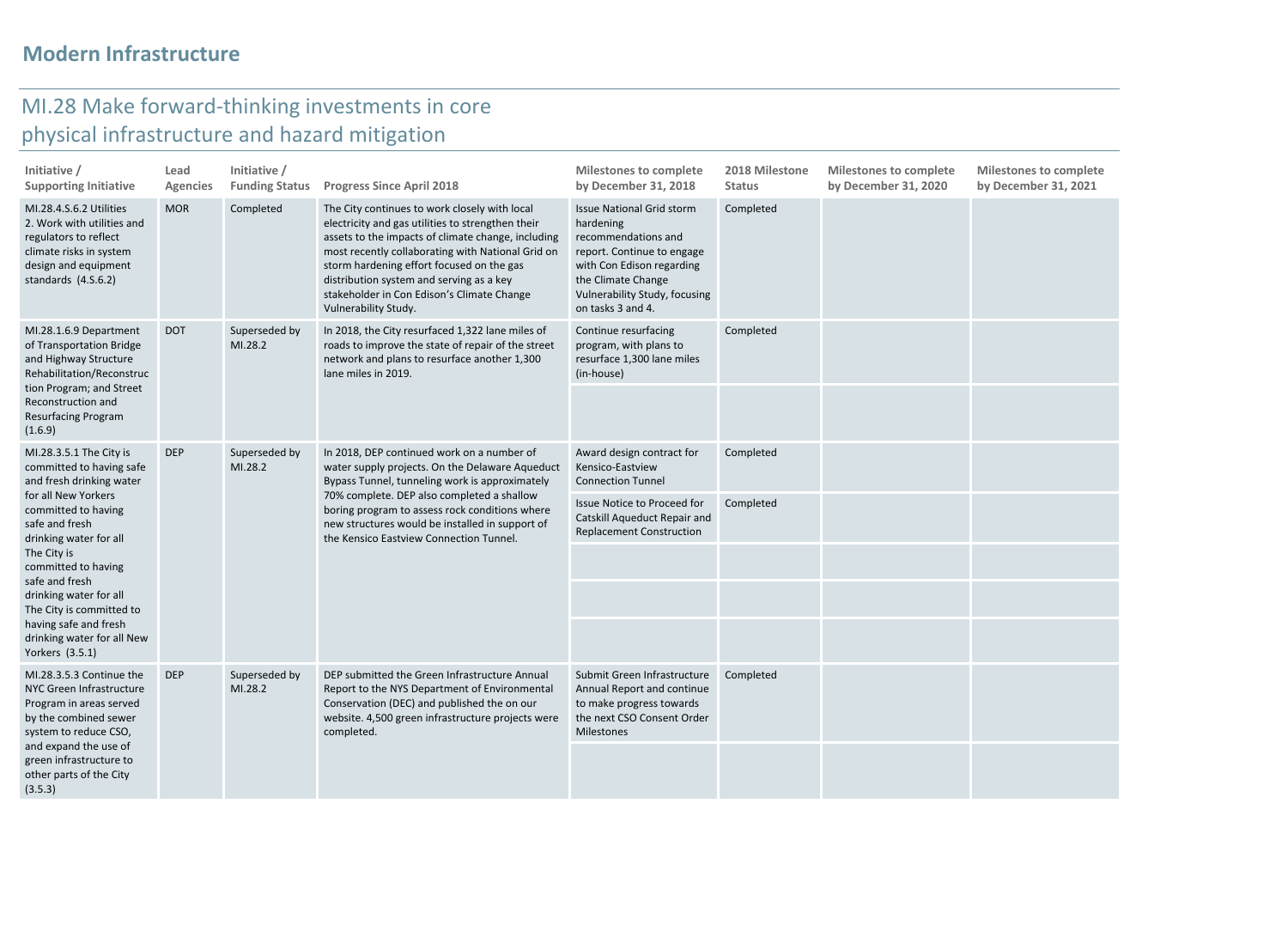| Initiative /<br><b>Supporting Initiative</b>                                                                                                                                                        | Lead<br><b>Agencies</b> | Initiative /<br><b>Funding Status</b> | <b>Progress Since April 2018</b>                                                                                                                                                                                                                                                                                                                                             | <b>Milestones to complete</b><br>by December 31, 2018                                                                                                                                                       | 2018 Milestone<br><b>Status</b> | <b>Milestones to complete</b><br>by December 31, 2020 | <b>Milestones to complete</b><br>by December 31, 2021 |
|-----------------------------------------------------------------------------------------------------------------------------------------------------------------------------------------------------|-------------------------|---------------------------------------|------------------------------------------------------------------------------------------------------------------------------------------------------------------------------------------------------------------------------------------------------------------------------------------------------------------------------------------------------------------------------|-------------------------------------------------------------------------------------------------------------------------------------------------------------------------------------------------------------|---------------------------------|-------------------------------------------------------|-------------------------------------------------------|
| MI.28.4.S.6.2 Utilities<br>2. Work with utilities and<br>regulators to reflect<br>climate risks in system<br>design and equipment<br>standards (4.S.6.2)                                            | <b>MOR</b>              | Completed                             | The City continues to work closely with local<br>electricity and gas utilities to strengthen their<br>assets to the impacts of climate change, including<br>most recently collaborating with National Grid on<br>storm hardening effort focused on the gas<br>distribution system and serving as a key<br>stakeholder in Con Edison's Climate Change<br>Vulnerability Study. | <b>Issue National Grid storm</b><br>hardening<br>recommendations and<br>report. Continue to engage<br>with Con Edison regarding<br>the Climate Change<br>Vulnerability Study, focusing<br>on tasks 3 and 4. | Completed                       |                                                       |                                                       |
| MI.28.1.6.9 Department<br>of Transportation Bridge<br>and Highway Structure<br>Rehabilitation/Reconstruc<br>tion Program; and Street<br>Reconstruction and<br><b>Resurfacing Program</b><br>(1.6.9) | <b>DOT</b>              | Superseded by<br>MI.28.2              | In 2018, the City resurfaced 1,322 lane miles of<br>roads to improve the state of repair of the street<br>network and plans to resurface another 1,300<br>lane miles in 2019.                                                                                                                                                                                                | Continue resurfacing<br>program, with plans to<br>resurface 1,300 lane miles<br>(in-house)                                                                                                                  | Completed                       |                                                       |                                                       |
| MI.28.3.5.1 The City is<br>committed to having safe<br>and fresh drinking water<br>for all New Yorkers<br>committed to having<br>safe and fresh<br>drinking water for all                           | <b>DEP</b>              | Superseded by<br>MI.28.2              | In 2018, DEP continued work on a number of<br>water supply projects. On the Delaware Aqueduct<br>Bypass Tunnel, tunneling work is approximately<br>70% complete. DEP also completed a shallow<br>boring program to assess rock conditions where<br>new structures would be installed in support of<br>the Kensico Eastview Connection Tunnel.                                | Award design contract for<br>Kensico-Eastview<br><b>Connection Tunnel</b>                                                                                                                                   | Completed                       |                                                       |                                                       |
|                                                                                                                                                                                                     |                         |                                       |                                                                                                                                                                                                                                                                                                                                                                              | Issue Notice to Proceed for<br>Catskill Aqueduct Repair and<br><b>Replacement Construction</b>                                                                                                              | Completed                       |                                                       |                                                       |
| The City is<br>committed to having<br>safe and fresh<br>drinking water for all                                                                                                                      |                         |                                       |                                                                                                                                                                                                                                                                                                                                                                              |                                                                                                                                                                                                             |                                 |                                                       |                                                       |
| The City is committed to<br>having safe and fresh<br>drinking water for all New<br>Yorkers (3.5.1)                                                                                                  |                         |                                       |                                                                                                                                                                                                                                                                                                                                                                              |                                                                                                                                                                                                             |                                 |                                                       |                                                       |
| MI.28.3.5.3 Continue the<br>NYC Green Infrastructure<br>Program in areas served<br>by the combined sewer<br>system to reduce CSO,                                                                   | <b>DEP</b>              | Superseded by<br>MI.28.2              | DEP submitted the Green Infrastructure Annual<br>Report to the NYS Department of Environmental<br>Conservation (DEC) and published the on our<br>website. 4,500 green infrastructure projects were<br>completed.                                                                                                                                                             | Submit Green Infrastructure<br>Annual Report and continue<br>to make progress towards<br>the next CSO Consent Order<br>Milestones                                                                           | Completed                       |                                                       |                                                       |
| and expand the use of<br>green infrastructure to<br>other parts of the City<br>(3.5.3)                                                                                                              |                         |                                       |                                                                                                                                                                                                                                                                                                                                                                              |                                                                                                                                                                                                             |                                 |                                                       |                                                       |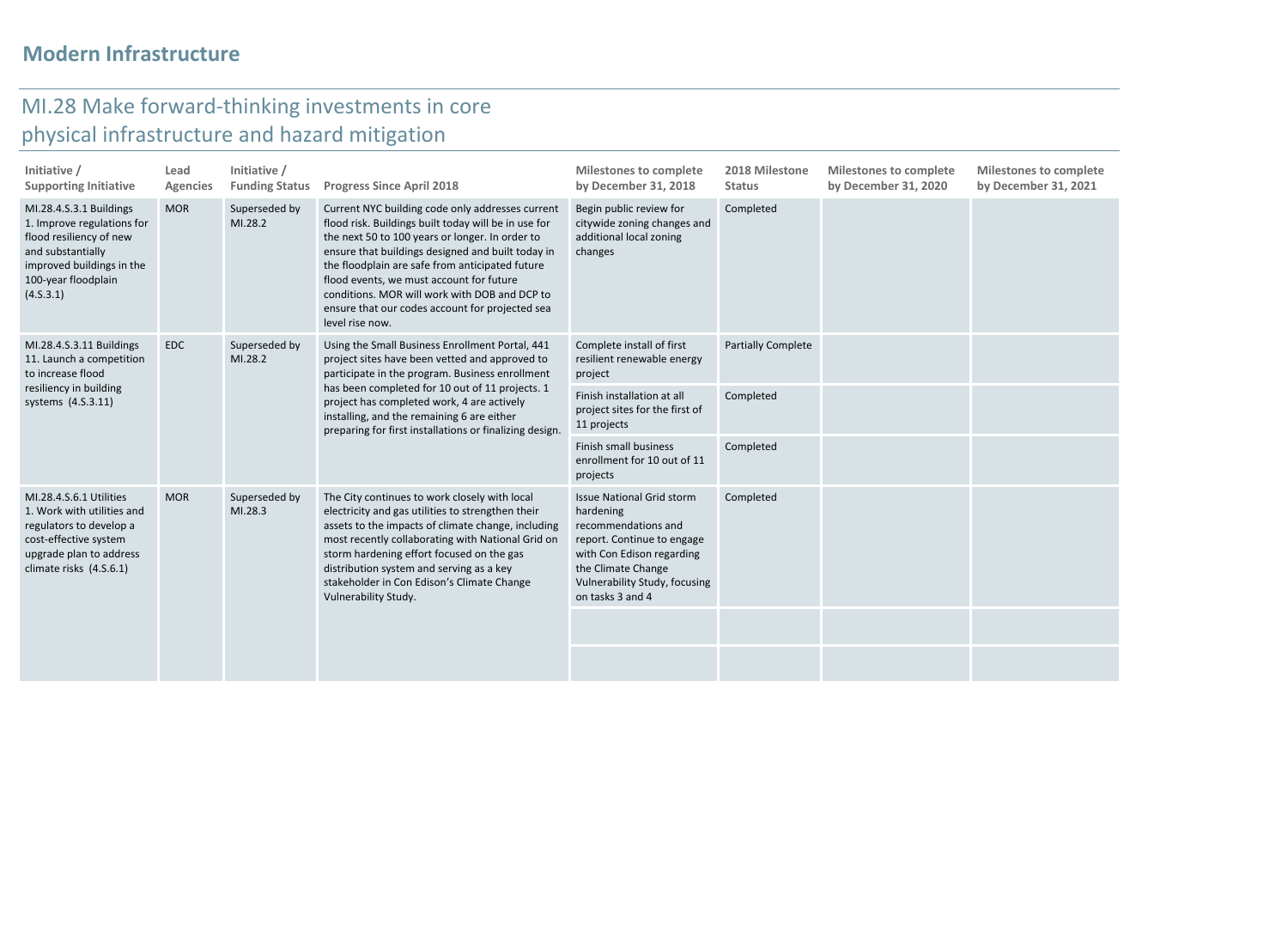| Initiative /<br><b>Supporting Initiative</b>                                                                                                                           | Lead<br><b>Agencies</b> | Initiative /<br><b>Funding Status</b> | <b>Progress Since April 2018</b>                                                                                                                                                                                                                                                                                                                                                                                                       | <b>Milestones to complete</b><br>by December 31, 2018                                                                                                                                                      | 2018 Milestone<br><b>Status</b> | <b>Milestones to complete</b><br>by December 31, 2020 | <b>Milestones to complete</b><br>by December 31, 2021 |
|------------------------------------------------------------------------------------------------------------------------------------------------------------------------|-------------------------|---------------------------------------|----------------------------------------------------------------------------------------------------------------------------------------------------------------------------------------------------------------------------------------------------------------------------------------------------------------------------------------------------------------------------------------------------------------------------------------|------------------------------------------------------------------------------------------------------------------------------------------------------------------------------------------------------------|---------------------------------|-------------------------------------------------------|-------------------------------------------------------|
| MI.28.4.S.3.1 Buildings<br>1. Improve regulations for<br>flood resiliency of new<br>and substantially<br>improved buildings in the<br>100-year floodplain<br>(4.5.3.1) | <b>MOR</b>              | Superseded by<br>MI.28.2              | Current NYC building code only addresses current<br>flood risk. Buildings built today will be in use for<br>the next 50 to 100 years or longer. In order to<br>ensure that buildings designed and built today in<br>the floodplain are safe from anticipated future<br>flood events, we must account for future<br>conditions. MOR will work with DOB and DCP to<br>ensure that our codes account for projected sea<br>level rise now. | Begin public review for<br>citywide zoning changes and<br>additional local zoning<br>changes                                                                                                               | Completed                       |                                                       |                                                       |
| MI.28.4.S.3.11 Buildings<br>11. Launch a competition<br>to increase flood                                                                                              | EDC                     | Superseded by<br>MI.28.2              | Using the Small Business Enrollment Portal, 441<br>project sites have been vetted and approved to<br>participate in the program. Business enrollment                                                                                                                                                                                                                                                                                   | Complete install of first<br>resilient renewable energy<br>project                                                                                                                                         | <b>Partially Complete</b>       |                                                       |                                                       |
| resiliency in building<br>systems (4.S.3.11)                                                                                                                           |                         |                                       | has been completed for 10 out of 11 projects. 1<br>project has completed work, 4 are actively<br>installing, and the remaining 6 are either<br>preparing for first installations or finalizing design.                                                                                                                                                                                                                                 | Finish installation at all<br>project sites for the first of<br>11 projects                                                                                                                                | Completed                       |                                                       |                                                       |
|                                                                                                                                                                        |                         |                                       |                                                                                                                                                                                                                                                                                                                                                                                                                                        | <b>Finish small business</b><br>enrollment for 10 out of 11<br>projects                                                                                                                                    | Completed                       |                                                       |                                                       |
| MI.28.4.S.6.1 Utilities<br>1. Work with utilities and<br>regulators to develop a<br>cost-effective system<br>upgrade plan to address<br>climate risks (4.S.6.1)        | <b>MOR</b>              | Superseded by<br>MI.28.3              | The City continues to work closely with local<br>electricity and gas utilities to strengthen their<br>assets to the impacts of climate change, including<br>most recently collaborating with National Grid on<br>storm hardening effort focused on the gas<br>distribution system and serving as a key<br>stakeholder in Con Edison's Climate Change<br>Vulnerability Study.                                                           | <b>Issue National Grid storm</b><br>hardening<br>recommendations and<br>report. Continue to engage<br>with Con Edison regarding<br>the Climate Change<br>Vulnerability Study, focusing<br>on tasks 3 and 4 | Completed                       |                                                       |                                                       |
|                                                                                                                                                                        |                         |                                       |                                                                                                                                                                                                                                                                                                                                                                                                                                        |                                                                                                                                                                                                            |                                 |                                                       |                                                       |
|                                                                                                                                                                        |                         |                                       |                                                                                                                                                                                                                                                                                                                                                                                                                                        |                                                                                                                                                                                                            |                                 |                                                       |                                                       |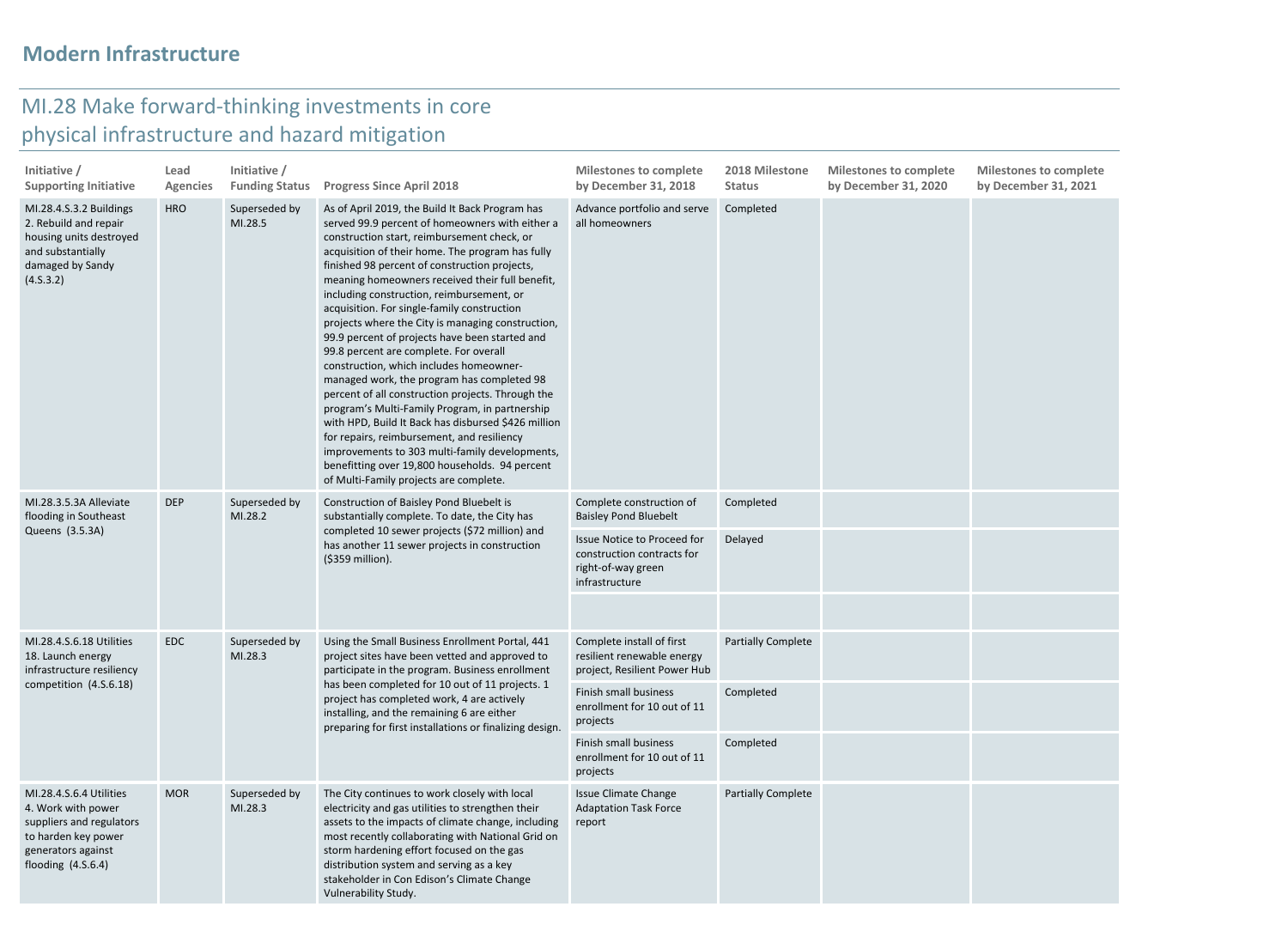| Initiative /<br><b>Supporting Initiative</b>                                                                                                 | Lead<br><b>Agencies</b> | Initiative /<br><b>Funding Status</b> | <b>Progress Since April 2018</b>                                                                                                                                                                                                                                                                                                                                                                                                                                                                                                                                                                                                                                                                                                                                                                                                                                                                                                                                                                          | <b>Milestones to complete</b><br>by December 31, 2018                                             | 2018 Milestone<br><b>Status</b> | <b>Milestones to complete</b><br>by December 31, 2020 | <b>Milestones to complete</b><br>by December 31, 2021 |
|----------------------------------------------------------------------------------------------------------------------------------------------|-------------------------|---------------------------------------|-----------------------------------------------------------------------------------------------------------------------------------------------------------------------------------------------------------------------------------------------------------------------------------------------------------------------------------------------------------------------------------------------------------------------------------------------------------------------------------------------------------------------------------------------------------------------------------------------------------------------------------------------------------------------------------------------------------------------------------------------------------------------------------------------------------------------------------------------------------------------------------------------------------------------------------------------------------------------------------------------------------|---------------------------------------------------------------------------------------------------|---------------------------------|-------------------------------------------------------|-------------------------------------------------------|
| MI.28.4.S.3.2 Buildings<br>2. Rebuild and repair<br>housing units destroyed<br>and substantially<br>damaged by Sandy<br>(4.5.3.2)            | <b>HRO</b>              | Superseded by<br>MI.28.5              | As of April 2019, the Build It Back Program has<br>served 99.9 percent of homeowners with either a<br>construction start, reimbursement check, or<br>acquisition of their home. The program has fully<br>finished 98 percent of construction projects,<br>meaning homeowners received their full benefit,<br>including construction, reimbursement, or<br>acquisition. For single-family construction<br>projects where the City is managing construction,<br>99.9 percent of projects have been started and<br>99.8 percent are complete. For overall<br>construction, which includes homeowner-<br>managed work, the program has completed 98<br>percent of all construction projects. Through the<br>program's Multi-Family Program, in partnership<br>with HPD, Build It Back has disbursed \$426 million<br>for repairs, reimbursement, and resiliency<br>improvements to 303 multi-family developments,<br>benefitting over 19,800 households. 94 percent<br>of Multi-Family projects are complete. | Advance portfolio and serve<br>all homeowners                                                     | Completed                       |                                                       |                                                       |
| MI.28.3.5.3A Alleviate<br>flooding in Southeast<br>Queens (3.5.3A)                                                                           | <b>DEP</b>              | Superseded by<br>MI.28.2              | Construction of Baisley Pond Bluebelt is<br>substantially complete. To date, the City has<br>completed 10 sewer projects (\$72 million) and<br>has another 11 sewer projects in construction<br>(\$359 million).                                                                                                                                                                                                                                                                                                                                                                                                                                                                                                                                                                                                                                                                                                                                                                                          | Complete construction of<br><b>Baisley Pond Bluebelt</b>                                          | Completed                       |                                                       |                                                       |
|                                                                                                                                              |                         |                                       |                                                                                                                                                                                                                                                                                                                                                                                                                                                                                                                                                                                                                                                                                                                                                                                                                                                                                                                                                                                                           | Issue Notice to Proceed for<br>construction contracts for<br>right-of-way green<br>infrastructure | Delayed                         |                                                       |                                                       |
|                                                                                                                                              |                         |                                       |                                                                                                                                                                                                                                                                                                                                                                                                                                                                                                                                                                                                                                                                                                                                                                                                                                                                                                                                                                                                           |                                                                                                   |                                 |                                                       |                                                       |
| MI.28.4.S.6.18 Utilities<br>18. Launch energy<br>infrastructure resiliency                                                                   | EDC                     | Superseded by<br>MI.28.3              | Using the Small Business Enrollment Portal, 441<br>project sites have been vetted and approved to<br>participate in the program. Business enrollment                                                                                                                                                                                                                                                                                                                                                                                                                                                                                                                                                                                                                                                                                                                                                                                                                                                      | Complete install of first<br>resilient renewable energy<br>project, Resilient Power Hub           | <b>Partially Complete</b>       |                                                       |                                                       |
| competition (4.S.6.18)                                                                                                                       |                         |                                       | has been completed for 10 out of 11 projects. 1<br>project has completed work, 4 are actively<br>installing, and the remaining 6 are either<br>preparing for first installations or finalizing design.                                                                                                                                                                                                                                                                                                                                                                                                                                                                                                                                                                                                                                                                                                                                                                                                    | Finish small business<br>enrollment for 10 out of 11<br>projects                                  | Completed                       |                                                       |                                                       |
|                                                                                                                                              |                         |                                       |                                                                                                                                                                                                                                                                                                                                                                                                                                                                                                                                                                                                                                                                                                                                                                                                                                                                                                                                                                                                           | Finish small business<br>enrollment for 10 out of 11<br>projects                                  | Completed                       |                                                       |                                                       |
| MI.28.4.S.6.4 Utilities<br>4. Work with power<br>suppliers and regulators<br>to harden key power<br>generators against<br>flooding (4.S.6.4) | <b>MOR</b>              | Superseded by<br>MI.28.3              | The City continues to work closely with local<br>electricity and gas utilities to strengthen their<br>assets to the impacts of climate change, including<br>most recently collaborating with National Grid on<br>storm hardening effort focused on the gas<br>distribution system and serving as a key<br>stakeholder in Con Edison's Climate Change<br>Vulnerability Study.                                                                                                                                                                                                                                                                                                                                                                                                                                                                                                                                                                                                                              | Issue Climate Change<br><b>Adaptation Task Force</b><br>report                                    | <b>Partially Complete</b>       |                                                       |                                                       |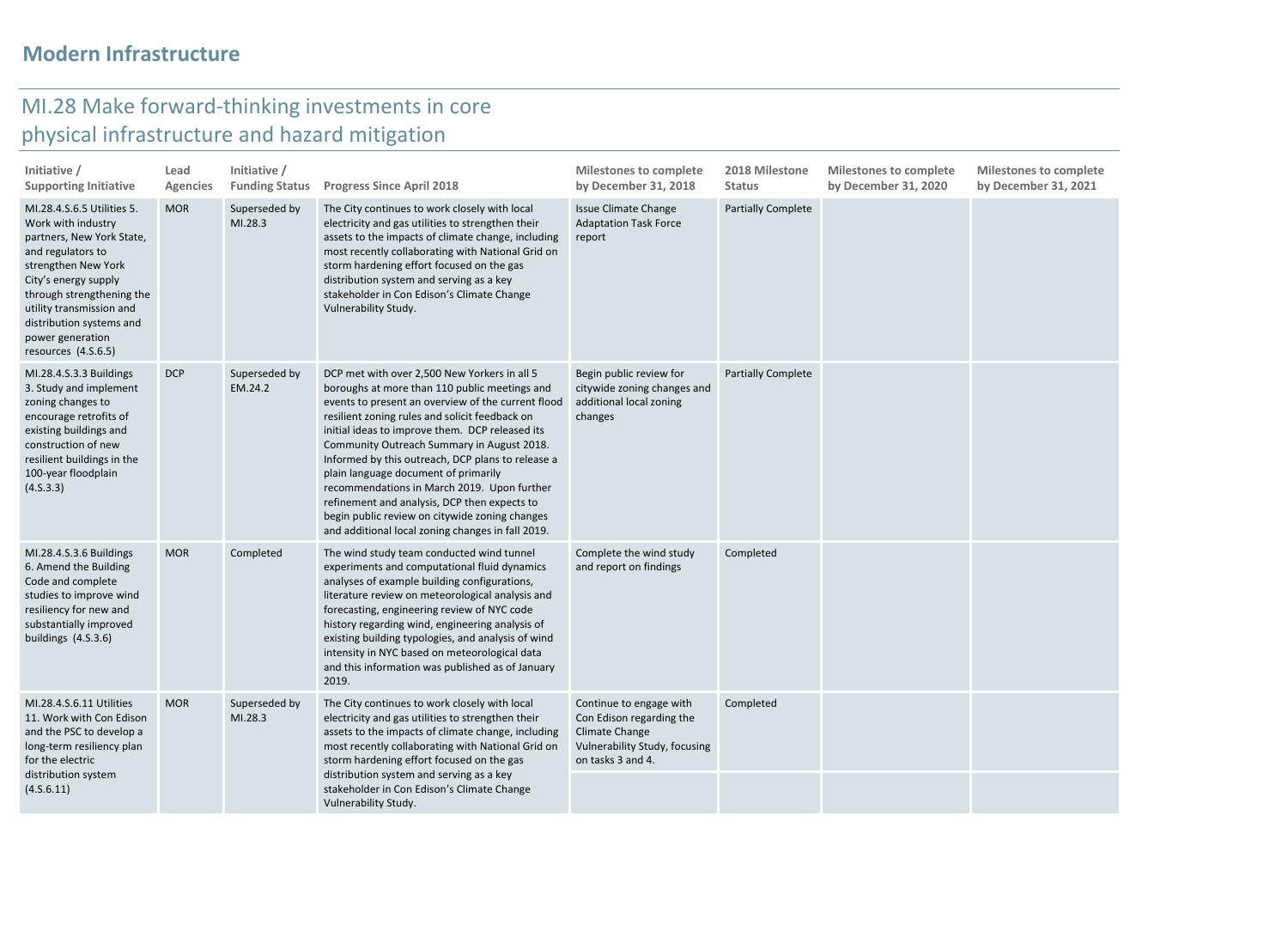| Initiative /<br><b>Supporting Initiative</b>                                                                                                                                                                                                                                        | Lead<br><b>Agencies</b> | Initiative /<br><b>Funding Status</b> | <b>Progress Since April 2018</b>                                                                                                                                                                                                                                                                                                                                                                                                                                                                                                                                                                          | <b>Milestones to complete</b><br>by December 31, 2018                                                                       | 2018 Milestone<br><b>Status</b> | <b>Milestones to complete</b><br>by December 31, 2020 | <b>Milestones to complete</b><br>by December 31, 2021 |
|-------------------------------------------------------------------------------------------------------------------------------------------------------------------------------------------------------------------------------------------------------------------------------------|-------------------------|---------------------------------------|-----------------------------------------------------------------------------------------------------------------------------------------------------------------------------------------------------------------------------------------------------------------------------------------------------------------------------------------------------------------------------------------------------------------------------------------------------------------------------------------------------------------------------------------------------------------------------------------------------------|-----------------------------------------------------------------------------------------------------------------------------|---------------------------------|-------------------------------------------------------|-------------------------------------------------------|
| MI.28.4.S.6.5 Utilities 5.<br>Work with industry<br>partners, New York State,<br>and regulators to<br>strengthen New York<br>City's energy supply<br>through strengthening the<br>utility transmission and<br>distribution systems and<br>power generation<br>resources $(4.5.6.5)$ | <b>MOR</b>              | Superseded by<br>MI.28.3              | The City continues to work closely with local<br>electricity and gas utilities to strengthen their<br>assets to the impacts of climate change, including<br>most recently collaborating with National Grid on<br>storm hardening effort focused on the gas<br>distribution system and serving as a key<br>stakeholder in Con Edison's Climate Change<br>Vulnerability Study.                                                                                                                                                                                                                              | <b>Issue Climate Change</b><br><b>Adaptation Task Force</b><br>report                                                       | <b>Partially Complete</b>       |                                                       |                                                       |
| MI.28.4.S.3.3 Buildings<br>3. Study and implement<br>zoning changes to<br>encourage retrofits of<br>existing buildings and<br>construction of new<br>resilient buildings in the<br>100-year floodplain<br>(4.5.3.3)                                                                 | <b>DCP</b>              | Superseded by<br>EM.24.2              | DCP met with over 2,500 New Yorkers in all 5<br>boroughs at more than 110 public meetings and<br>events to present an overview of the current flood<br>resilient zoning rules and solicit feedback on<br>initial ideas to improve them. DCP released its<br>Community Outreach Summary in August 2018.<br>Informed by this outreach, DCP plans to release a<br>plain language document of primarily<br>recommendations in March 2019. Upon further<br>refinement and analysis, DCP then expects to<br>begin public review on citywide zoning changes<br>and additional local zoning changes in fall 2019. | Begin public review for<br>citywide zoning changes and<br>additional local zoning<br>changes                                | <b>Partially Complete</b>       |                                                       |                                                       |
| MI.28.4.S.3.6 Buildings<br>6. Amend the Building<br>Code and complete<br>studies to improve wind<br>resiliency for new and<br>substantially improved<br>buildings (4.S.3.6)                                                                                                         | <b>MOR</b>              | Completed                             | The wind study team conducted wind tunnel<br>experiments and computational fluid dynamics<br>analyses of example building configurations,<br>literature review on meteorological analysis and<br>forecasting, engineering review of NYC code<br>history regarding wind, engineering analysis of<br>existing building typologies, and analysis of wind<br>intensity in NYC based on meteorological data<br>and this information was published as of January<br>2019.                                                                                                                                       | Complete the wind study<br>and report on findings                                                                           | Completed                       |                                                       |                                                       |
| MI.28.4.S.6.11 Utilities<br>11. Work with Con Edison<br>and the PSC to develop a<br>long-term resiliency plan<br>for the electric                                                                                                                                                   | <b>MOR</b>              | Superseded by<br>MI.28.3              | The City continues to work closely with local<br>electricity and gas utilities to strengthen their<br>assets to the impacts of climate change, including<br>most recently collaborating with National Grid on<br>storm hardening effort focused on the gas                                                                                                                                                                                                                                                                                                                                                | Continue to engage with<br>Con Edison regarding the<br>Climate Change<br>Vulnerability Study, focusing<br>on tasks 3 and 4. | Completed                       |                                                       |                                                       |
| distribution system<br>(4.5.6.11)                                                                                                                                                                                                                                                   |                         |                                       | distribution system and serving as a key<br>stakeholder in Con Edison's Climate Change<br>Vulnerability Study.                                                                                                                                                                                                                                                                                                                                                                                                                                                                                            |                                                                                                                             |                                 |                                                       |                                                       |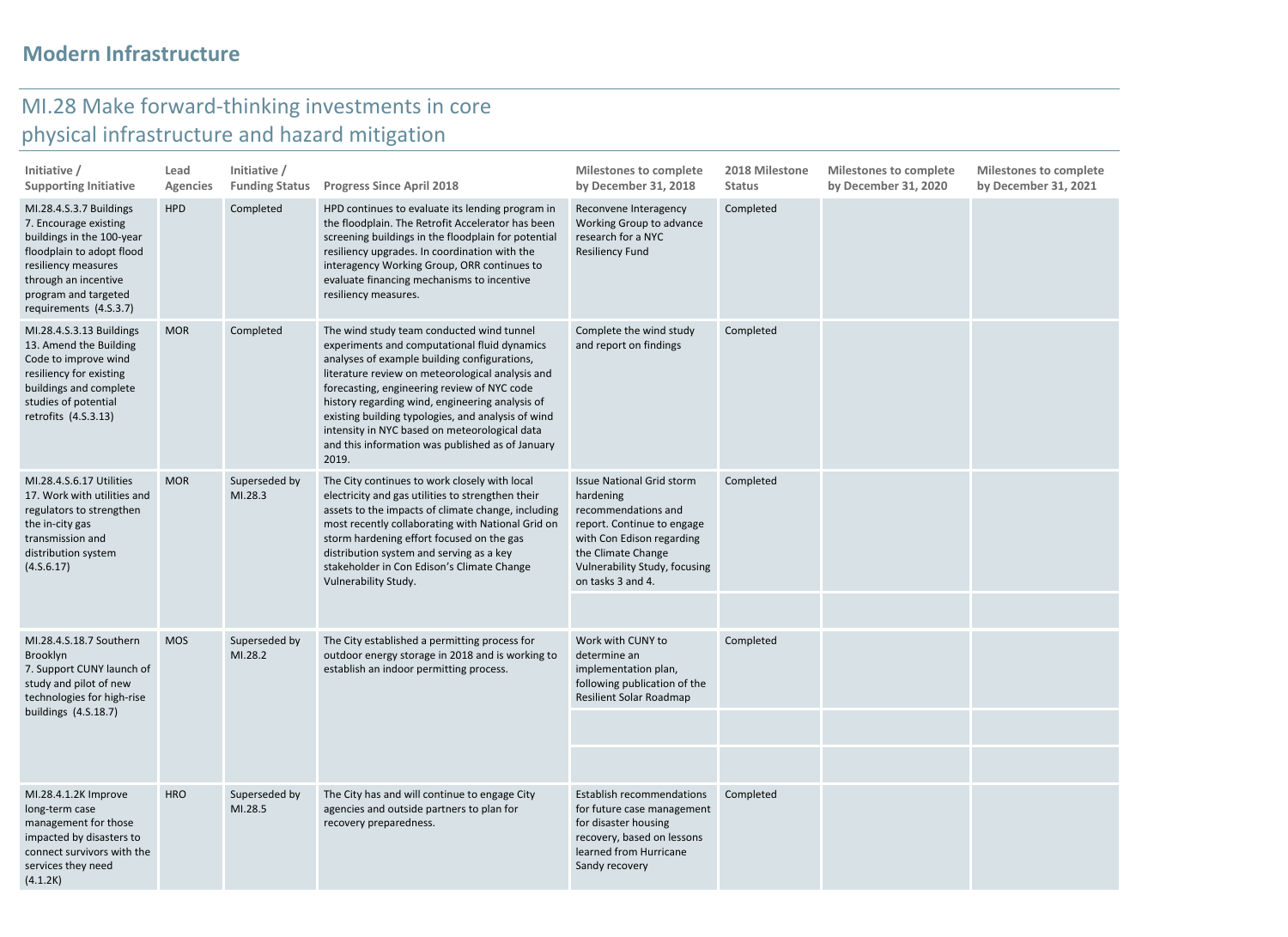| Initiative /<br><b>Supporting Initiative</b>                                                                                                                                                                | Lead<br><b>Agencies</b> | Initiative /<br><b>Funding Status</b> | <b>Progress Since April 2018</b>                                                                                                                                                                                                                                                                                                                                                                                                                                    | <b>Milestones to complete</b><br>by December 31, 2018                                                                                                                                                | 2018 Milestone<br><b>Status</b> | <b>Milestones to complete</b><br>by December 31, 2020 | <b>Milestones to complete</b><br>by December 31, 2021 |
|-------------------------------------------------------------------------------------------------------------------------------------------------------------------------------------------------------------|-------------------------|---------------------------------------|---------------------------------------------------------------------------------------------------------------------------------------------------------------------------------------------------------------------------------------------------------------------------------------------------------------------------------------------------------------------------------------------------------------------------------------------------------------------|------------------------------------------------------------------------------------------------------------------------------------------------------------------------------------------------------|---------------------------------|-------------------------------------------------------|-------------------------------------------------------|
| MI.28.4.S.3.7 Buildings<br>7. Encourage existing<br>buildings in the 100-year<br>floodplain to adopt flood<br>resiliency measures<br>through an incentive<br>program and targeted<br>requirements (4.S.3.7) | HPD                     | Completed                             | HPD continues to evaluate its lending program in<br>the floodplain. The Retrofit Accelerator has been<br>screening buildings in the floodplain for potential<br>resiliency upgrades. In coordination with the<br>interagency Working Group, ORR continues to<br>evaluate financing mechanisms to incentive<br>resiliency measures.                                                                                                                                  | Reconvene Interagency<br>Working Group to advance<br>research for a NYC<br><b>Resiliency Fund</b>                                                                                                    | Completed                       |                                                       |                                                       |
| MI.28.4.S.3.13 Buildings<br>13. Amend the Building<br>Code to improve wind<br>resiliency for existing<br>buildings and complete<br>studies of potential<br>retrofits (4.S.3.13)                             | <b>MOR</b>              | Completed                             | The wind study team conducted wind tunnel<br>experiments and computational fluid dynamics<br>analyses of example building configurations,<br>literature review on meteorological analysis and<br>forecasting, engineering review of NYC code<br>history regarding wind, engineering analysis of<br>existing building typologies, and analysis of wind<br>intensity in NYC based on meteorological data<br>and this information was published as of January<br>2019. | Complete the wind study<br>and report on findings                                                                                                                                                    | Completed                       |                                                       |                                                       |
| MI.28.4.S.6.17 Utilities<br>17. Work with utilities and<br>regulators to strengthen<br>the in-city gas<br>transmission and<br>distribution system<br>(4.5.6.17)                                             | <b>MOR</b>              | Superseded by<br>MI.28.3              | The City continues to work closely with local<br>electricity and gas utilities to strengthen their<br>assets to the impacts of climate change, including<br>most recently collaborating with National Grid on<br>storm hardening effort focused on the gas<br>distribution system and serving as a key<br>stakeholder in Con Edison's Climate Change<br>Vulnerability Study.                                                                                        | Issue National Grid storm<br>hardening<br>recommendations and<br>report. Continue to engage<br>with Con Edison regarding<br>the Climate Change<br>Vulnerability Study, focusing<br>on tasks 3 and 4. | Completed                       |                                                       |                                                       |
| MI.28.4.S.18.7 Southern<br>Brooklyn<br>7. Support CUNY launch of<br>study and pilot of new<br>technologies for high-rise<br>buildings (4.S.18.7)                                                            | <b>MOS</b>              | Superseded by<br>MI.28.2              | The City established a permitting process for<br>outdoor energy storage in 2018 and is working to<br>establish an indoor permitting process.                                                                                                                                                                                                                                                                                                                        | Work with CUNY to<br>determine an<br>implementation plan,<br>following publication of the<br>Resilient Solar Roadmap                                                                                 | Completed                       |                                                       |                                                       |
|                                                                                                                                                                                                             |                         |                                       |                                                                                                                                                                                                                                                                                                                                                                                                                                                                     |                                                                                                                                                                                                      |                                 |                                                       |                                                       |
| MI.28.4.1.2K Improve<br>long-term case<br>management for those<br>impacted by disasters to<br>connect survivors with the<br>services they need<br>(4.1.2K)                                                  | <b>HRO</b>              | Superseded by<br>MI.28.5              | The City has and will continue to engage City<br>agencies and outside partners to plan for<br>recovery preparedness.                                                                                                                                                                                                                                                                                                                                                | <b>Establish recommendations</b><br>for future case management<br>for disaster housing<br>recovery, based on lessons<br>learned from Hurricane<br>Sandy recovery                                     | Completed                       |                                                       |                                                       |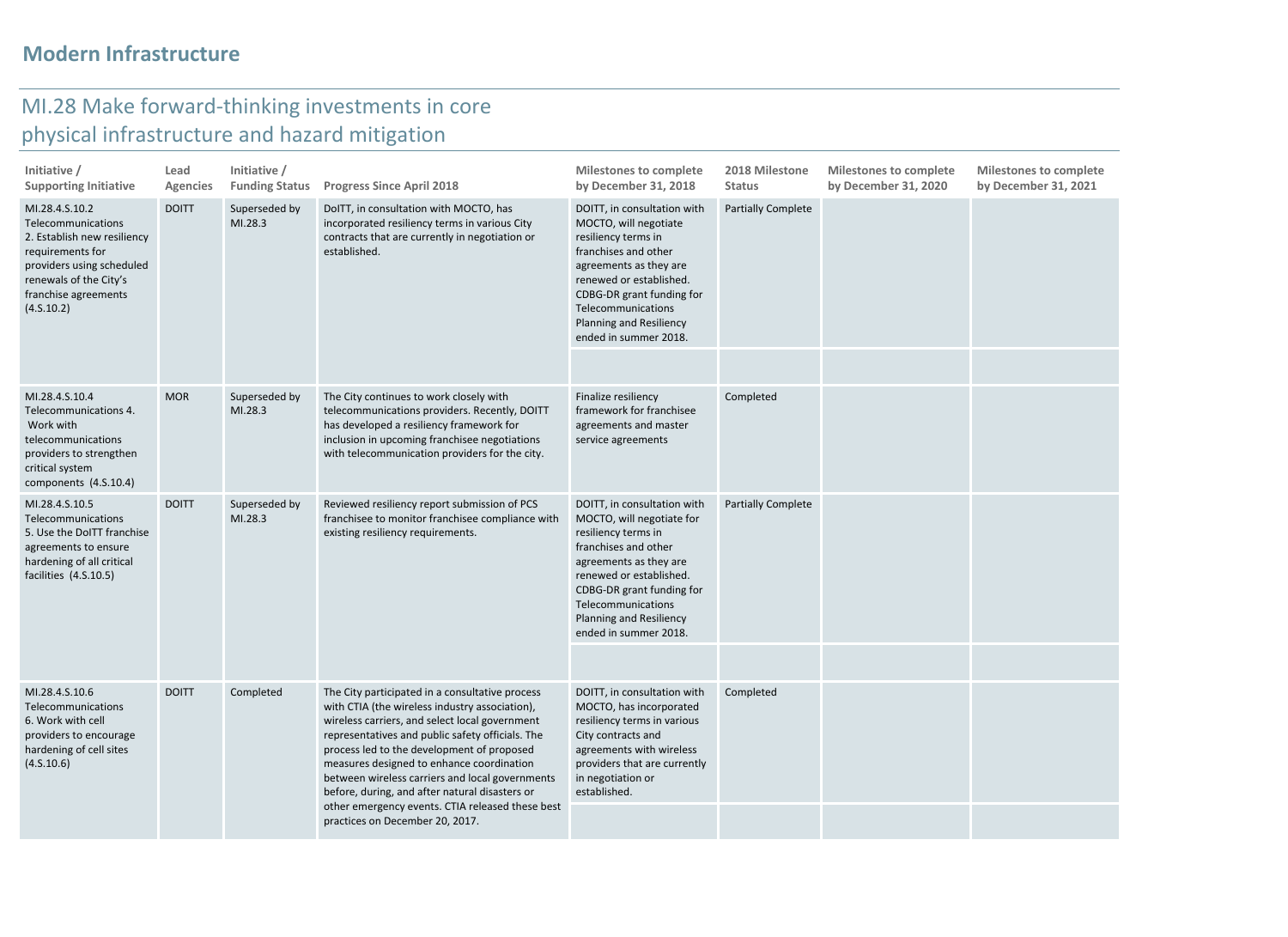| Initiative /<br><b>Supporting Initiative</b>                                                                                                                                         | Lead<br><b>Agencies</b> | Initiative /<br><b>Funding Status</b> | <b>Progress Since April 2018</b>                                                                                                                                                                                                                                                                                                                                                                                                                                                               | <b>Milestones to complete</b><br>by December 31, 2018                                                                                                                                                                                                                      | 2018 Milestone<br><b>Status</b> | <b>Milestones to complete</b><br>by December 31, 2020 | <b>Milestones to complete</b><br>by December 31, 2021 |
|--------------------------------------------------------------------------------------------------------------------------------------------------------------------------------------|-------------------------|---------------------------------------|------------------------------------------------------------------------------------------------------------------------------------------------------------------------------------------------------------------------------------------------------------------------------------------------------------------------------------------------------------------------------------------------------------------------------------------------------------------------------------------------|----------------------------------------------------------------------------------------------------------------------------------------------------------------------------------------------------------------------------------------------------------------------------|---------------------------------|-------------------------------------------------------|-------------------------------------------------------|
| MI.28.4.S.10.2<br>Telecommunications<br>2. Establish new resiliency<br>requirements for<br>providers using scheduled<br>renewals of the City's<br>franchise agreements<br>(4.5.10.2) | <b>DOITT</b>            | Superseded by<br>MI.28.3              | DoITT, in consultation with MOCTO, has<br>incorporated resiliency terms in various City<br>contracts that are currently in negotiation or<br>established.                                                                                                                                                                                                                                                                                                                                      | DOITT, in consultation with<br>MOCTO, will negotiate<br>resiliency terms in<br>franchises and other<br>agreements as they are<br>renewed or established.<br>CDBG-DR grant funding for<br>Telecommunications<br><b>Planning and Resiliency</b><br>ended in summer 2018.     | <b>Partially Complete</b>       |                                                       |                                                       |
| MI.28.4.S.10.4<br>Telecommunications 4.<br>Work with<br>telecommunications<br>providers to strengthen<br>critical system<br>components (4.S.10.4)                                    | <b>MOR</b>              | Superseded by<br>MI.28.3              | The City continues to work closely with<br>telecommunications providers. Recently, DOITT<br>has developed a resiliency framework for<br>inclusion in upcoming franchisee negotiations<br>with telecommunication providers for the city.                                                                                                                                                                                                                                                        | Finalize resiliency<br>framework for franchisee<br>agreements and master<br>service agreements                                                                                                                                                                             | Completed                       |                                                       |                                                       |
| MI.28.4.S.10.5<br>Telecommunications<br>5. Use the DoITT franchise<br>agreements to ensure<br>hardening of all critical<br>facilities $(4.5.10.5)$                                   | <b>DOITT</b>            | Superseded by<br>MI.28.3              | Reviewed resiliency report submission of PCS<br>franchisee to monitor franchisee compliance with<br>existing resiliency requirements.                                                                                                                                                                                                                                                                                                                                                          | DOITT, in consultation with<br>MOCTO, will negotiate for<br>resiliency terms in<br>franchises and other<br>agreements as they are<br>renewed or established.<br>CDBG-DR grant funding for<br>Telecommunications<br><b>Planning and Resiliency</b><br>ended in summer 2018. | <b>Partially Complete</b>       |                                                       |                                                       |
|                                                                                                                                                                                      |                         |                                       |                                                                                                                                                                                                                                                                                                                                                                                                                                                                                                |                                                                                                                                                                                                                                                                            |                                 |                                                       |                                                       |
| MI.28.4.S.10.6<br>Telecommunications<br>6. Work with cell<br>providers to encourage<br>hardening of cell sites<br>(4.5.10.6)                                                         | <b>DOITT</b>            | Completed                             | The City participated in a consultative process<br>with CTIA (the wireless industry association),<br>wireless carriers, and select local government<br>representatives and public safety officials. The<br>process led to the development of proposed<br>measures designed to enhance coordination<br>between wireless carriers and local governments<br>before, during, and after natural disasters or<br>other emergency events. CTIA released these best<br>practices on December 20, 2017. | DOITT, in consultation with<br>MOCTO, has incorporated<br>resiliency terms in various<br>City contracts and<br>agreements with wireless<br>providers that are currently<br>in negotiation or<br>established.                                                               | Completed                       |                                                       |                                                       |
|                                                                                                                                                                                      |                         |                                       |                                                                                                                                                                                                                                                                                                                                                                                                                                                                                                |                                                                                                                                                                                                                                                                            |                                 |                                                       |                                                       |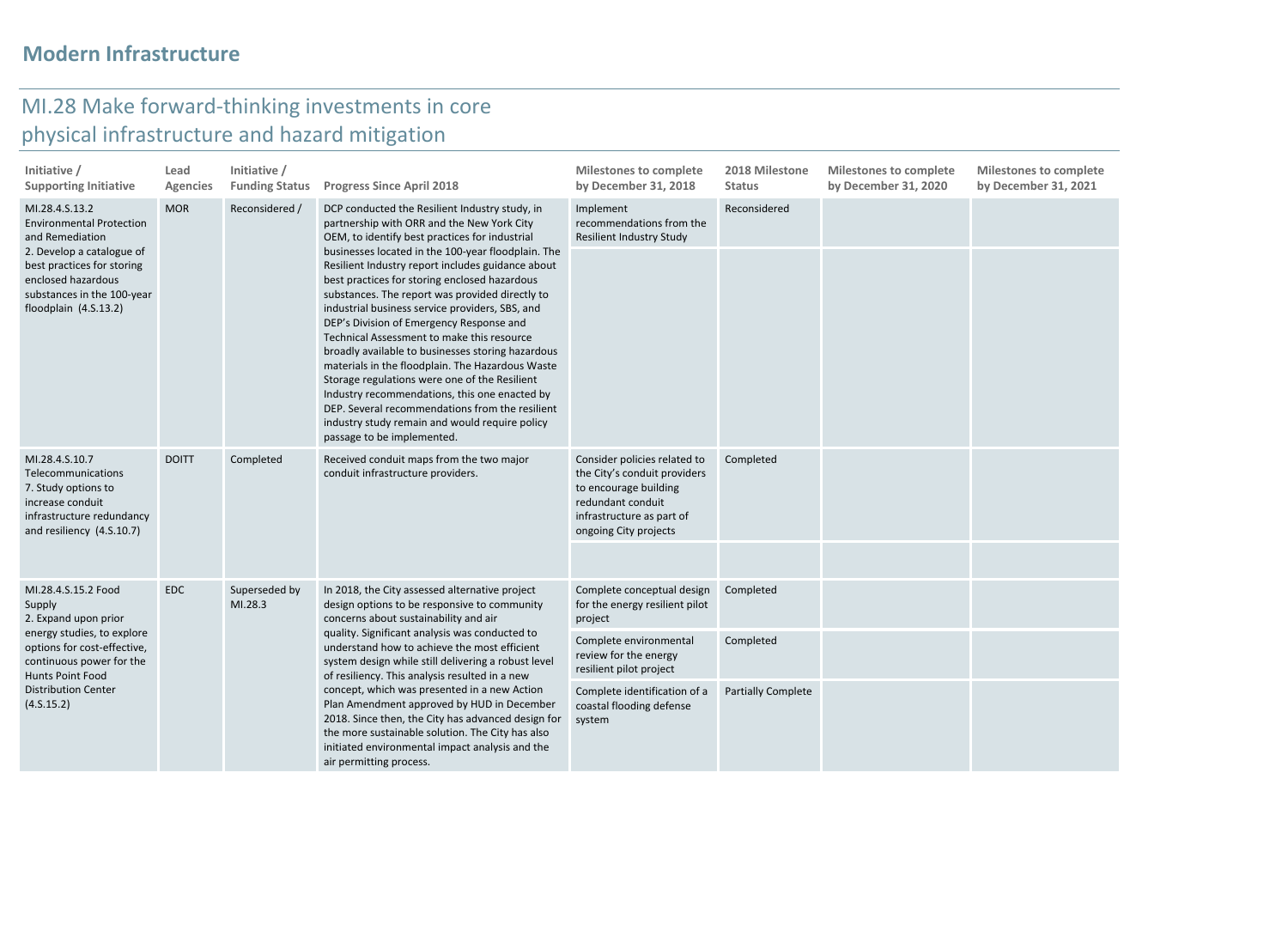| Initiative /<br><b>Supporting Initiative</b>                                                                                                                                                                          | Lead<br><b>Agencies</b> | Initiative /<br><b>Funding Status</b> | <b>Progress Since April 2018</b>                                                                                                                                                                                                                                                                                                                                                                                                                                                                                                                                                                                                                                                                                                                                                                                                                         | <b>Milestones to complete</b><br>by December 31, 2018                                                                                                            | 2018 Milestone<br><b>Status</b> | <b>Milestones to complete</b><br>by December 31, 2020 | <b>Milestones to complete</b><br>by December 31, 2021 |
|-----------------------------------------------------------------------------------------------------------------------------------------------------------------------------------------------------------------------|-------------------------|---------------------------------------|----------------------------------------------------------------------------------------------------------------------------------------------------------------------------------------------------------------------------------------------------------------------------------------------------------------------------------------------------------------------------------------------------------------------------------------------------------------------------------------------------------------------------------------------------------------------------------------------------------------------------------------------------------------------------------------------------------------------------------------------------------------------------------------------------------------------------------------------------------|------------------------------------------------------------------------------------------------------------------------------------------------------------------|---------------------------------|-------------------------------------------------------|-------------------------------------------------------|
| MI.28.4.S.13.2<br><b>Environmental Protection</b><br>and Remediation<br>2. Develop a catalogue of<br>best practices for storing<br>enclosed hazardous<br>substances in the 100-year<br>floodplain (4.S.13.2)          | <b>MOR</b>              | Reconsidered /                        | DCP conducted the Resilient Industry study, in<br>partnership with ORR and the New York City<br>OEM, to identify best practices for industrial<br>businesses located in the 100-year floodplain. The<br>Resilient Industry report includes guidance about<br>best practices for storing enclosed hazardous<br>substances. The report was provided directly to<br>industrial business service providers, SBS, and<br>DEP's Division of Emergency Response and<br>Technical Assessment to make this resource<br>broadly available to businesses storing hazardous<br>materials in the floodplain. The Hazardous Waste<br>Storage regulations were one of the Resilient<br>Industry recommendations, this one enacted by<br>DEP. Several recommendations from the resilient<br>industry study remain and would require policy<br>passage to be implemented. | Implement<br>recommendations from the<br><b>Resilient Industry Study</b>                                                                                         | Reconsidered                    |                                                       |                                                       |
|                                                                                                                                                                                                                       |                         |                                       |                                                                                                                                                                                                                                                                                                                                                                                                                                                                                                                                                                                                                                                                                                                                                                                                                                                          |                                                                                                                                                                  |                                 |                                                       |                                                       |
| MI.28.4.S.10.7<br><b>Telecommunications</b><br>7. Study options to<br>increase conduit<br>infrastructure redundancy<br>and resiliency (4.S.10.7)                                                                      | <b>DOITT</b>            | Completed                             | Received conduit maps from the two major<br>conduit infrastructure providers.                                                                                                                                                                                                                                                                                                                                                                                                                                                                                                                                                                                                                                                                                                                                                                            | Consider policies related to<br>the City's conduit providers<br>to encourage building<br>redundant conduit<br>infrastructure as part of<br>ongoing City projects | Completed                       |                                                       |                                                       |
|                                                                                                                                                                                                                       |                         |                                       |                                                                                                                                                                                                                                                                                                                                                                                                                                                                                                                                                                                                                                                                                                                                                                                                                                                          |                                                                                                                                                                  |                                 |                                                       |                                                       |
| MI.28.4.S.15.2 Food<br>Supply<br>2. Expand upon prior<br>energy studies, to explore<br>options for cost-effective,<br>continuous power for the<br><b>Hunts Point Food</b><br><b>Distribution Center</b><br>(4.5.15.2) | <b>EDC</b>              | Superseded by<br>MI.28.3              | In 2018, the City assessed alternative project<br>design options to be responsive to community<br>concerns about sustainability and air<br>quality. Significant analysis was conducted to<br>understand how to achieve the most efficient<br>system design while still delivering a robust level<br>of resiliency. This analysis resulted in a new<br>concept, which was presented in a new Action<br>Plan Amendment approved by HUD in December<br>2018. Since then, the City has advanced design for<br>the more sustainable solution. The City has also<br>initiated environmental impact analysis and the<br>air permitting process.                                                                                                                                                                                                                 | Complete conceptual design<br>for the energy resilient pilot<br>project                                                                                          | Completed                       |                                                       |                                                       |
|                                                                                                                                                                                                                       |                         |                                       |                                                                                                                                                                                                                                                                                                                                                                                                                                                                                                                                                                                                                                                                                                                                                                                                                                                          | Complete environmental<br>review for the energy<br>resilient pilot project                                                                                       | Completed                       |                                                       |                                                       |
|                                                                                                                                                                                                                       |                         |                                       |                                                                                                                                                                                                                                                                                                                                                                                                                                                                                                                                                                                                                                                                                                                                                                                                                                                          | Complete identification of a<br>coastal flooding defense<br>system                                                                                               | <b>Partially Complete</b>       |                                                       |                                                       |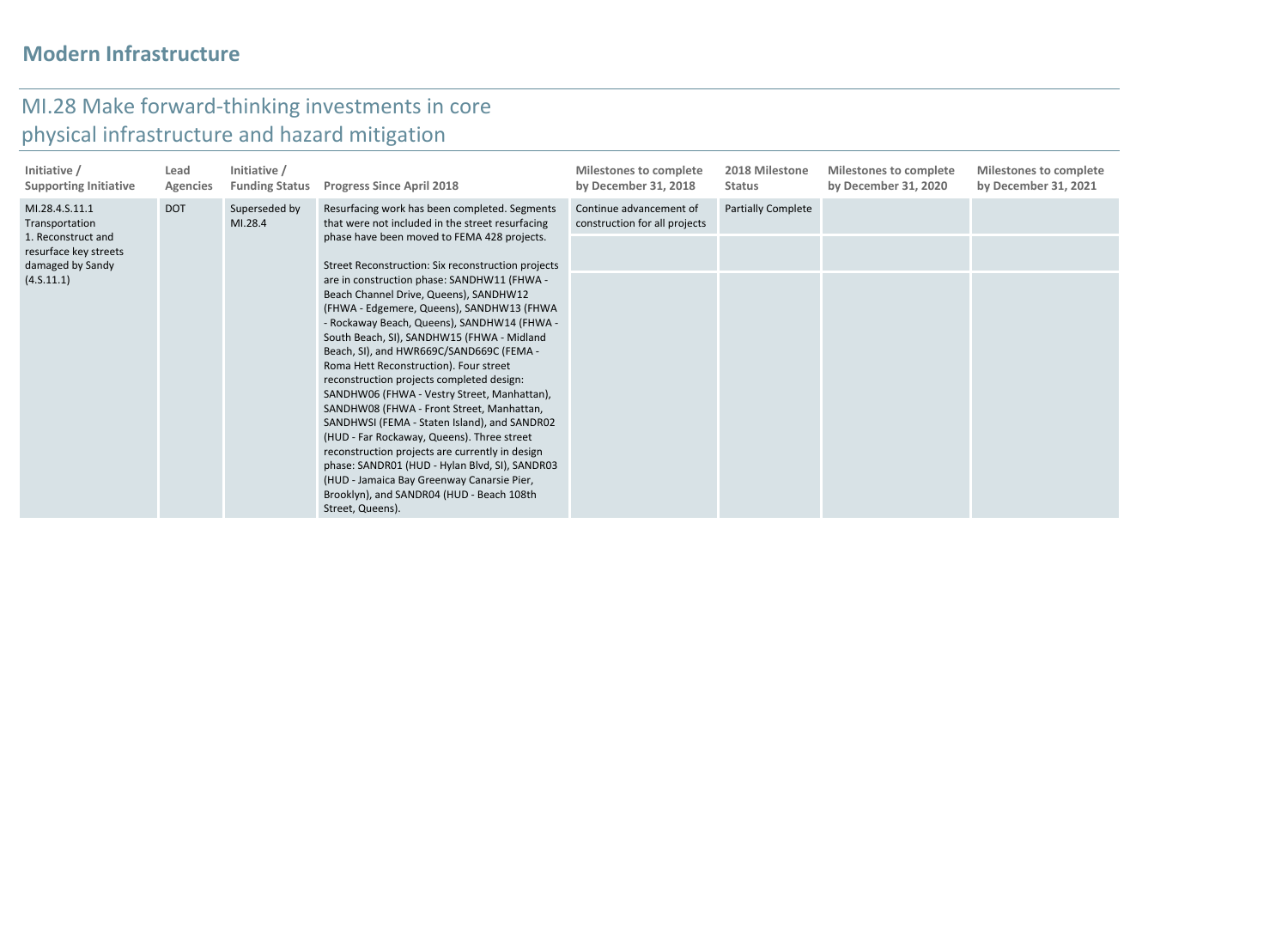| Initiative /                                                                                                      | Lead            | Initiative /             | <b>Progress Since April 2018</b>                                                                                                                                                                                                                                                                                                                                                                                                                                                                                                                                                                                                                                                                                                                                                                                                                                                                                                                                                           | <b>Milestones to complete</b>                            | 2018 Milestone     | Milestones to complete | <b>Milestones to complete</b> |
|-------------------------------------------------------------------------------------------------------------------|-----------------|--------------------------|--------------------------------------------------------------------------------------------------------------------------------------------------------------------------------------------------------------------------------------------------------------------------------------------------------------------------------------------------------------------------------------------------------------------------------------------------------------------------------------------------------------------------------------------------------------------------------------------------------------------------------------------------------------------------------------------------------------------------------------------------------------------------------------------------------------------------------------------------------------------------------------------------------------------------------------------------------------------------------------------|----------------------------------------------------------|--------------------|------------------------|-------------------------------|
| <b>Supporting Initiative</b>                                                                                      | <b>Agencies</b> | <b>Funding Status</b>    |                                                                                                                                                                                                                                                                                                                                                                                                                                                                                                                                                                                                                                                                                                                                                                                                                                                                                                                                                                                            | by December 31, 2018                                     | <b>Status</b>      | by December 31, 2020   | by December 31, 2021          |
| MI.28.4.S.11.1<br>Transportation<br>1. Reconstruct and<br>resurface key streets<br>damaged by Sandy<br>(4.5.11.1) | <b>DOT</b>      | Superseded by<br>MI.28.4 | Resurfacing work has been completed. Segments<br>that were not included in the street resurfacing<br>phase have been moved to FEMA 428 projects.<br>Street Reconstruction: Six reconstruction projects<br>are in construction phase: SANDHW11 (FHWA -<br>Beach Channel Drive, Queens), SANDHW12<br>(FHWA - Edgemere, Queens), SANDHW13 (FHWA<br>- Rockaway Beach, Queens), SANDHW14 (FHWA -<br>South Beach, SI), SANDHW15 (FHWA - Midland<br>Beach, SI), and HWR669C/SAND669C (FEMA -<br>Roma Hett Reconstruction). Four street<br>reconstruction projects completed design:<br>SANDHW06 (FHWA - Vestry Street, Manhattan),<br>SANDHW08 (FHWA - Front Street, Manhattan,<br>SANDHWSI (FEMA - Staten Island), and SANDR02<br>(HUD - Far Rockaway, Queens). Three street<br>reconstruction projects are currently in design<br>phase: SANDR01 (HUD - Hylan Blvd, SI), SANDR03<br>(HUD - Jamaica Bay Greenway Canarsie Pier,<br>Brooklyn), and SANDR04 (HUD - Beach 108th<br>Street, Queens). | Continue advancement of<br>construction for all projects | Partially Complete |                        |                               |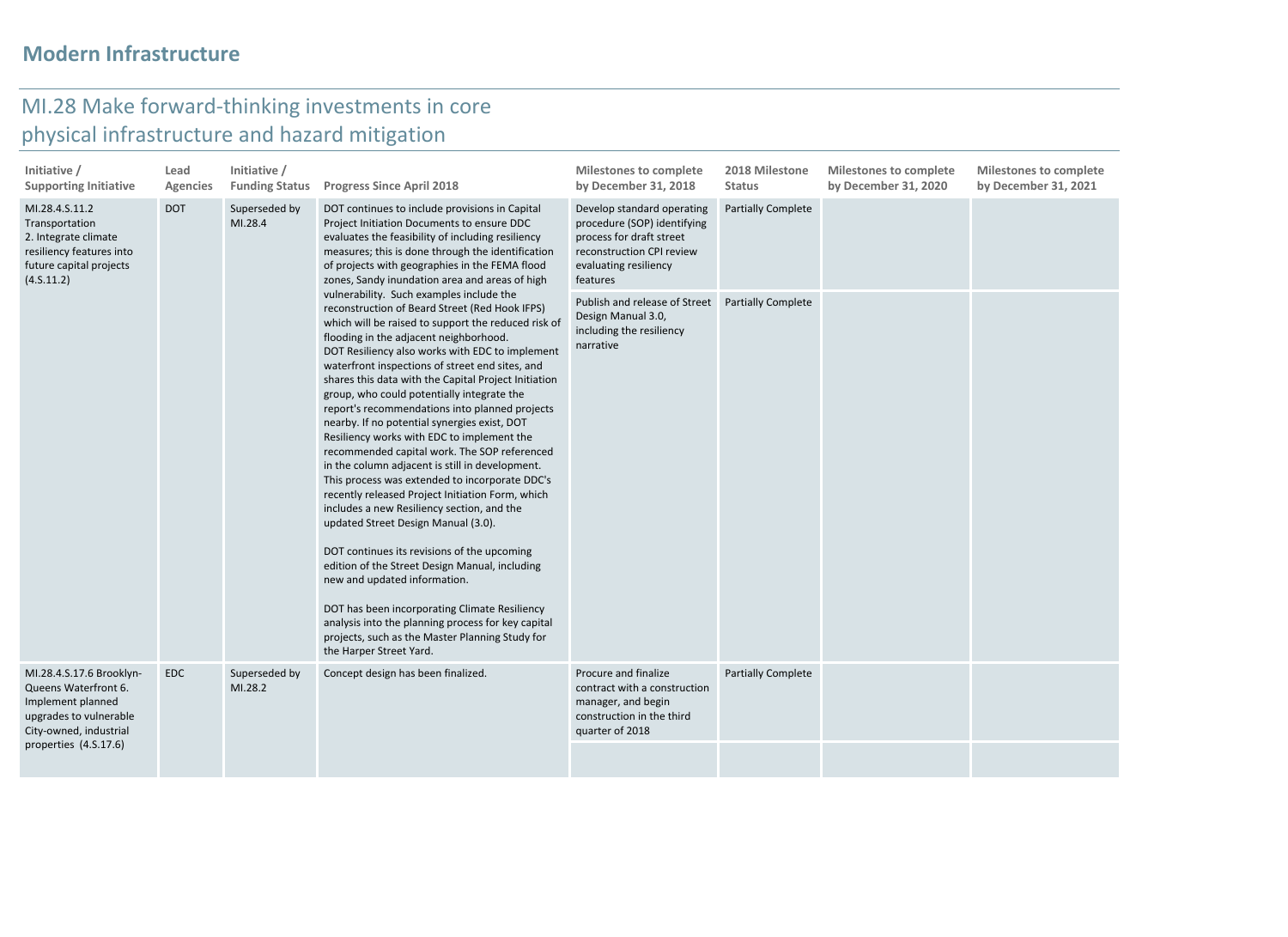| Initiative /<br><b>Supporting Initiative</b>                                                                                  | Lead<br><b>Agencies</b> | Initiative /<br><b>Funding Status</b> | <b>Progress Since April 2018</b>                                                                                                                                                                                                                                                                                                                                                                                                                                                                                                                                                                                                                                                                                                                                                                                                                                                                                                                                                                                                                                                                                                | <b>Milestones to complete</b><br>by December 31, 2018                                                                                                                                    | 2018 Milestone<br><b>Status</b>                        | <b>Milestones to complete</b><br>by December 31, 2020 | <b>Milestones to complete</b><br>by December 31, 2021 |
|-------------------------------------------------------------------------------------------------------------------------------|-------------------------|---------------------------------------|---------------------------------------------------------------------------------------------------------------------------------------------------------------------------------------------------------------------------------------------------------------------------------------------------------------------------------------------------------------------------------------------------------------------------------------------------------------------------------------------------------------------------------------------------------------------------------------------------------------------------------------------------------------------------------------------------------------------------------------------------------------------------------------------------------------------------------------------------------------------------------------------------------------------------------------------------------------------------------------------------------------------------------------------------------------------------------------------------------------------------------|------------------------------------------------------------------------------------------------------------------------------------------------------------------------------------------|--------------------------------------------------------|-------------------------------------------------------|-------------------------------------------------------|
| MI.28.4.S.11.2<br>Transportation<br>2. Integrate climate<br>resiliency features into<br>future capital projects<br>(4.5.11.2) | <b>DOT</b>              | Superseded by<br>MI.28.4              | DOT continues to include provisions in Capital<br>Project Initiation Documents to ensure DDC<br>evaluates the feasibility of including resiliency<br>measures; this is done through the identification<br>of projects with geographies in the FEMA flood<br>zones, Sandy inundation area and areas of high<br>vulnerability. Such examples include the                                                                                                                                                                                                                                                                                                                                                                                                                                                                                                                                                                                                                                                                                                                                                                          | Develop standard operating<br>procedure (SOP) identifying<br>process for draft street<br>reconstruction CPI review<br>evaluating resiliency<br>features<br>Publish and release of Street | <b>Partially Complete</b><br><b>Partially Complete</b> |                                                       |                                                       |
|                                                                                                                               |                         |                                       | reconstruction of Beard Street (Red Hook IFPS)<br>which will be raised to support the reduced risk of<br>flooding in the adjacent neighborhood.<br>DOT Resiliency also works with EDC to implement<br>waterfront inspections of street end sites, and<br>shares this data with the Capital Project Initiation<br>group, who could potentially integrate the<br>report's recommendations into planned projects<br>nearby. If no potential synergies exist, DOT<br>Resiliency works with EDC to implement the<br>recommended capital work. The SOP referenced<br>in the column adjacent is still in development.<br>This process was extended to incorporate DDC's<br>recently released Project Initiation Form, which<br>includes a new Resiliency section, and the<br>updated Street Design Manual (3.0).<br>DOT continues its revisions of the upcoming<br>edition of the Street Design Manual, including<br>new and updated information.<br>DOT has been incorporating Climate Resiliency<br>analysis into the planning process for key capital<br>projects, such as the Master Planning Study for<br>the Harper Street Yard. | Design Manual 3.0,<br>including the resiliency<br>narrative                                                                                                                              |                                                        |                                                       |                                                       |
| MI.28.4.S.17.6 Brooklyn-<br>Queens Waterfront 6.<br>Implement planned<br>upgrades to vulnerable<br>City-owned, industrial     | EDC                     | Superseded by<br>MI.28.2              | Concept design has been finalized.                                                                                                                                                                                                                                                                                                                                                                                                                                                                                                                                                                                                                                                                                                                                                                                                                                                                                                                                                                                                                                                                                              | Procure and finalize<br>contract with a construction<br>manager, and begin<br>construction in the third<br>quarter of 2018                                                               | <b>Partially Complete</b>                              |                                                       |                                                       |
| properties (4.S.17.6)                                                                                                         |                         |                                       |                                                                                                                                                                                                                                                                                                                                                                                                                                                                                                                                                                                                                                                                                                                                                                                                                                                                                                                                                                                                                                                                                                                                 |                                                                                                                                                                                          |                                                        |                                                       |                                                       |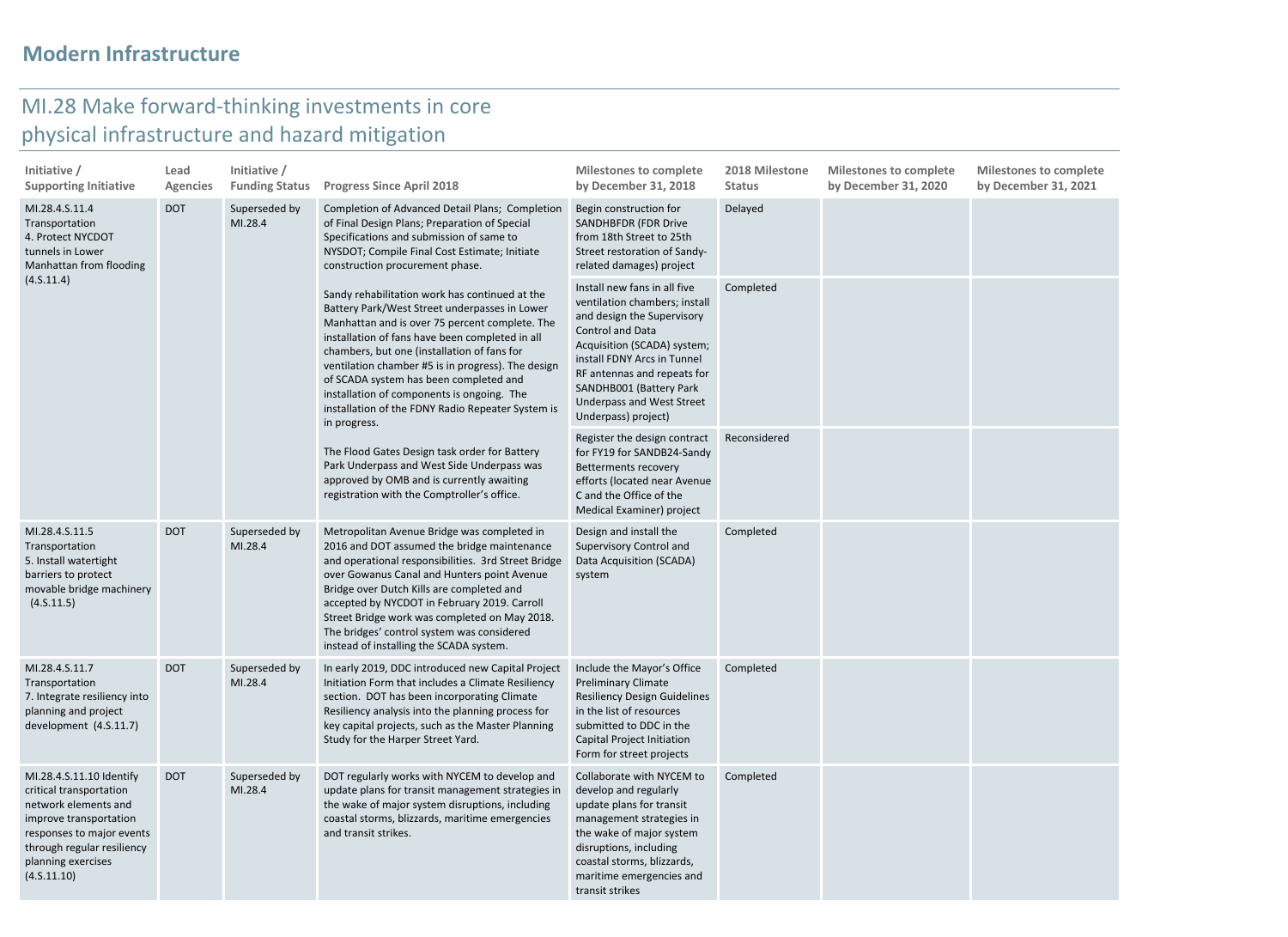| Initiative $/$<br><b>Supporting Initiative</b>                                                                                                                                                        | Lead<br><b>Agencies</b> | Initiative /<br><b>Funding Status</b> | <b>Progress Since April 2018</b>                                                                                                                                                                                                                                                                                                                                                                                                                                                                                                                                                                                                                                                                           | <b>Milestones to complete</b><br>by December 31, 2018                                                                                                                                                                                                                                              | 2018 Milestone<br><b>Status</b> | <b>Milestones to complete</b><br>by December 31, 2020 | <b>Milestones to complete</b><br>by December 31, 2021 |
|-------------------------------------------------------------------------------------------------------------------------------------------------------------------------------------------------------|-------------------------|---------------------------------------|------------------------------------------------------------------------------------------------------------------------------------------------------------------------------------------------------------------------------------------------------------------------------------------------------------------------------------------------------------------------------------------------------------------------------------------------------------------------------------------------------------------------------------------------------------------------------------------------------------------------------------------------------------------------------------------------------------|----------------------------------------------------------------------------------------------------------------------------------------------------------------------------------------------------------------------------------------------------------------------------------------------------|---------------------------------|-------------------------------------------------------|-------------------------------------------------------|
| MI.28.4.S.11.4<br>Transportation<br>4. Protect NYCDOT<br>tunnels in Lower<br>Manhattan from flooding<br>(4.5.11.4)                                                                                    | <b>DOT</b>              | Superseded by<br>MI.28.4              | Completion of Advanced Detail Plans; Completion<br>of Final Design Plans; Preparation of Special<br>Specifications and submission of same to<br>NYSDOT; Compile Final Cost Estimate; Initiate<br>construction procurement phase.<br>Sandy rehabilitation work has continued at the<br>Battery Park/West Street underpasses in Lower<br>Manhattan and is over 75 percent complete. The<br>installation of fans have been completed in all<br>chambers, but one (installation of fans for<br>ventilation chamber #5 is in progress). The design<br>of SCADA system has been completed and<br>installation of components is ongoing. The<br>installation of the FDNY Radio Repeater System is<br>in progress. | Begin construction for<br><b>SANDHBFDR (FDR Drive</b><br>from 18th Street to 25th<br>Street restoration of Sandy-<br>related damages) project                                                                                                                                                      | Delayed                         |                                                       |                                                       |
|                                                                                                                                                                                                       |                         |                                       |                                                                                                                                                                                                                                                                                                                                                                                                                                                                                                                                                                                                                                                                                                            | Install new fans in all five<br>ventilation chambers; install<br>and design the Supervisory<br>Control and Data<br>Acquisition (SCADA) system;<br>install FDNY Arcs in Tunnel<br>RF antennas and repeats for<br>SANDHB001 (Battery Park<br><b>Underpass and West Street</b><br>Underpass) project) | Completed                       |                                                       |                                                       |
|                                                                                                                                                                                                       |                         |                                       | The Flood Gates Design task order for Battery<br>Park Underpass and West Side Underpass was<br>approved by OMB and is currently awaiting<br>registration with the Comptroller's office.                                                                                                                                                                                                                                                                                                                                                                                                                                                                                                                    | Register the design contract<br>for FY19 for SANDB24-Sandy<br>Betterments recovery<br>efforts (located near Avenue<br>C and the Office of the<br>Medical Examiner) project                                                                                                                         | Reconsidered                    |                                                       |                                                       |
| MI.28.4.S.11.5<br>Transportation<br>5. Install watertight<br>barriers to protect<br>movable bridge machinery<br>(4.5.11.5)                                                                            | <b>DOT</b>              | Superseded by<br>MI.28.4              | Metropolitan Avenue Bridge was completed in<br>2016 and DOT assumed the bridge maintenance<br>and operational responsibilities. 3rd Street Bridge<br>over Gowanus Canal and Hunters point Avenue<br>Bridge over Dutch Kills are completed and<br>accepted by NYCDOT in February 2019. Carroll<br>Street Bridge work was completed on May 2018.<br>The bridges' control system was considered<br>instead of installing the SCADA system.                                                                                                                                                                                                                                                                    | Design and install the<br>Supervisory Control and<br>Data Acquisition (SCADA)<br>system                                                                                                                                                                                                            | Completed                       |                                                       |                                                       |
| MI.28.4.S.11.7<br>Transportation<br>7. Integrate resiliency into<br>planning and project<br>development (4.S.11.7)                                                                                    | <b>DOT</b>              | Superseded by<br>MI.28.4              | In early 2019, DDC introduced new Capital Project<br>Initiation Form that includes a Climate Resiliency<br>section. DOT has been incorporating Climate<br>Resiliency analysis into the planning process for<br>key capital projects, such as the Master Planning<br>Study for the Harper Street Yard.                                                                                                                                                                                                                                                                                                                                                                                                      | Include the Mayor's Office<br><b>Preliminary Climate</b><br><b>Resiliency Design Guidelines</b><br>in the list of resources<br>submitted to DDC in the<br>Capital Project Initiation<br>Form for street projects                                                                                   | Completed                       |                                                       |                                                       |
| MI.28.4.S.11.10 Identify<br>critical transportation<br>network elements and<br>improve transportation<br>responses to major events<br>through regular resiliency<br>planning exercises<br>(4.5.11.10) | <b>DOT</b>              | Superseded by<br>MI.28.4              | DOT regularly works with NYCEM to develop and<br>update plans for transit management strategies in<br>the wake of major system disruptions, including<br>coastal storms, blizzards, maritime emergencies<br>and transit strikes.                                                                                                                                                                                                                                                                                                                                                                                                                                                                           | Collaborate with NYCEM to<br>develop and regularly<br>update plans for transit<br>management strategies in<br>the wake of major system<br>disruptions, including<br>coastal storms, blizzards,<br>maritime emergencies and<br>transit strikes                                                      | Completed                       |                                                       |                                                       |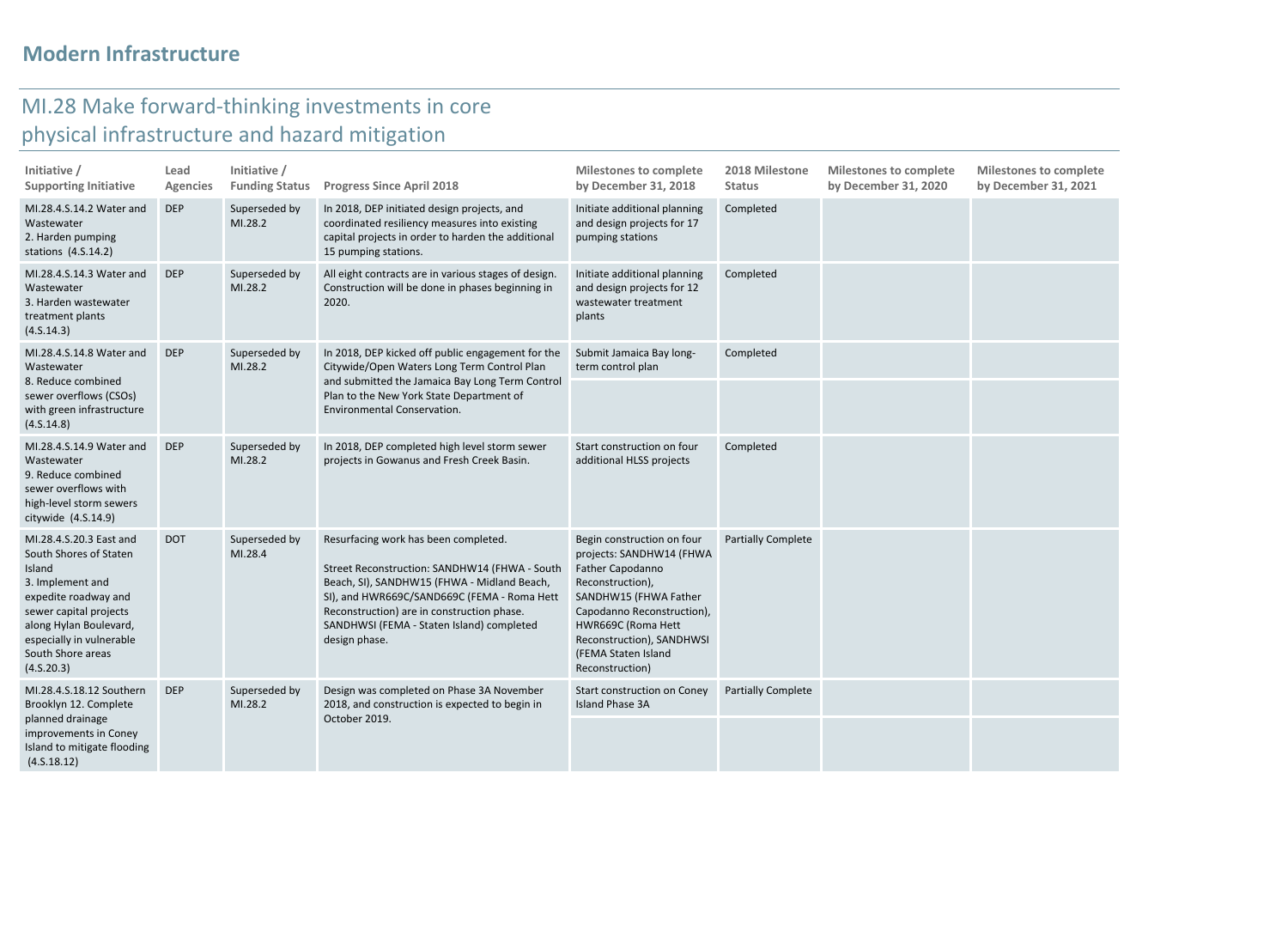| Initiative /<br><b>Supporting Initiative</b>                                                                                                                                                                               | Lead<br><b>Agencies</b> | Initiative /<br><b>Funding Status</b> | <b>Progress Since April 2018</b>                                                                                                                                                                                                                                                                | <b>Milestones to complete</b><br>by December 31, 2018                                                                                                                                                                                              | 2018 Milestone<br><b>Status</b> | <b>Milestones to complete</b><br>by December 31, 2020 | <b>Milestones to complete</b><br>by December 31, 2021 |
|----------------------------------------------------------------------------------------------------------------------------------------------------------------------------------------------------------------------------|-------------------------|---------------------------------------|-------------------------------------------------------------------------------------------------------------------------------------------------------------------------------------------------------------------------------------------------------------------------------------------------|----------------------------------------------------------------------------------------------------------------------------------------------------------------------------------------------------------------------------------------------------|---------------------------------|-------------------------------------------------------|-------------------------------------------------------|
| MI.28.4.S.14.2 Water and<br>Wastewater<br>2. Harden pumping<br>stations (4.S.14.2)                                                                                                                                         | <b>DEP</b>              | Superseded by<br>MI.28.2              | In 2018, DEP initiated design projects, and<br>coordinated resiliency measures into existing<br>capital projects in order to harden the additional<br>15 pumping stations.                                                                                                                      | Initiate additional planning<br>and design projects for 17<br>pumping stations                                                                                                                                                                     | Completed                       |                                                       |                                                       |
| MI.28.4.S.14.3 Water and<br>Wastewater<br>3. Harden wastewater<br>treatment plants<br>(4.5.14.3)                                                                                                                           | <b>DEP</b>              | Superseded by<br>MI.28.2              | All eight contracts are in various stages of design.<br>Construction will be done in phases beginning in<br>2020.                                                                                                                                                                               | Initiate additional planning<br>and design projects for 12<br>wastewater treatment<br>plants                                                                                                                                                       | Completed                       |                                                       |                                                       |
| MI.28.4.S.14.8 Water and<br>Wastewater                                                                                                                                                                                     | <b>DEP</b>              | Superseded by<br>MI.28.2              | In 2018, DEP kicked off public engagement for the<br>Citywide/Open Waters Long Term Control Plan                                                                                                                                                                                                | Submit Jamaica Bay long-<br>term control plan                                                                                                                                                                                                      | Completed                       |                                                       |                                                       |
| 8. Reduce combined<br>sewer overflows (CSOs)<br>with green infrastructure<br>(4.5.14.8)                                                                                                                                    |                         |                                       | and submitted the Jamaica Bay Long Term Control<br>Plan to the New York State Department of<br>Environmental Conservation.                                                                                                                                                                      |                                                                                                                                                                                                                                                    |                                 |                                                       |                                                       |
| MI.28.4.S.14.9 Water and<br>Wastewater<br>9. Reduce combined<br>sewer overflows with<br>high-level storm sewers<br>citywide (4.S.14.9)                                                                                     | DEP                     | Superseded by<br>MI.28.2              | In 2018, DEP completed high level storm sewer<br>projects in Gowanus and Fresh Creek Basin.                                                                                                                                                                                                     | Start construction on four<br>additional HLSS projects                                                                                                                                                                                             | Completed                       |                                                       |                                                       |
| MI.28.4.S.20.3 East and<br>South Shores of Staten<br>Island<br>3. Implement and<br>expedite roadway and<br>sewer capital projects<br>along Hylan Boulevard,<br>especially in vulnerable<br>South Shore areas<br>(4.5.20.3) | <b>DOT</b>              | Superseded by<br>MI.28.4              | Resurfacing work has been completed.<br>Street Reconstruction: SANDHW14 (FHWA - South<br>Beach, SI), SANDHW15 (FHWA - Midland Beach,<br>SI), and HWR669C/SAND669C (FEMA - Roma Hett<br>Reconstruction) are in construction phase.<br>SANDHWSI (FEMA - Staten Island) completed<br>design phase. | Begin construction on four<br>projects: SANDHW14 (FHWA<br>Father Capodanno<br>Reconstruction),<br>SANDHW15 (FHWA Father<br>Capodanno Reconstruction),<br>HWR669C (Roma Hett<br>Reconstruction), SANDHWSI<br>(FEMA Staten Island<br>Reconstruction) | <b>Partially Complete</b>       |                                                       |                                                       |
| MI.28.4.S.18.12 Southern<br>Brooklyn 12. Complete                                                                                                                                                                          | <b>DEP</b>              | Superseded by<br>MI.28.2              | Design was completed on Phase 3A November<br>2018, and construction is expected to begin in<br>October 2019.                                                                                                                                                                                    | Start construction on Coney<br><b>Island Phase 3A</b>                                                                                                                                                                                              | <b>Partially Complete</b>       |                                                       |                                                       |
| planned drainage<br>improvements in Coney<br>Island to mitigate flooding<br>(4.5.18.12)                                                                                                                                    |                         |                                       |                                                                                                                                                                                                                                                                                                 |                                                                                                                                                                                                                                                    |                                 |                                                       |                                                       |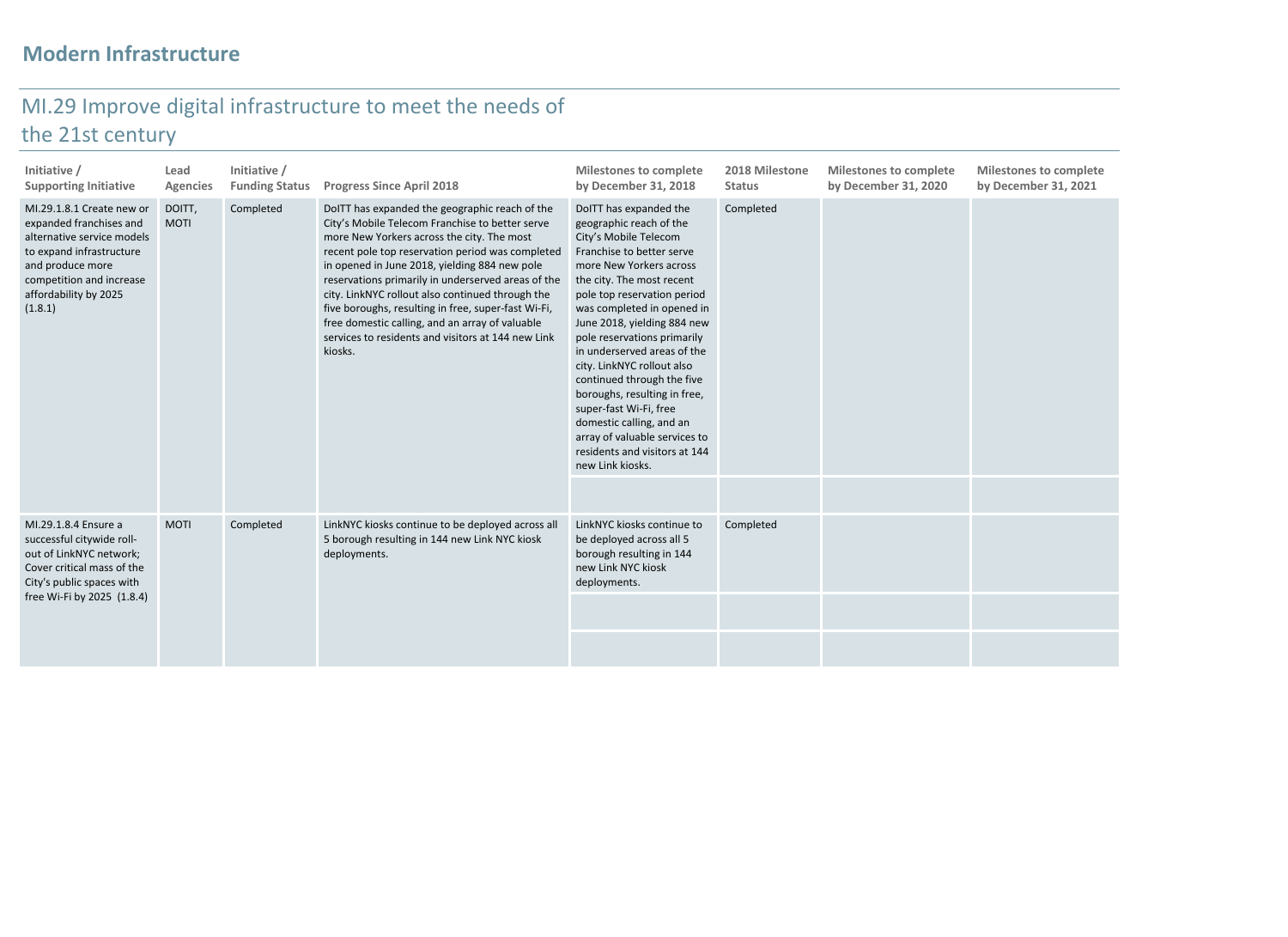# MI.29 Improve digital infrastructure to meet the needs of the 21st century

| Initiative /<br><b>Supporting Initiative</b>                                                                                                                                                       | Lead<br><b>Agencies</b> | Initiative /<br><b>Funding Status</b> | <b>Progress Since April 2018</b>                                                                                                                                                                                                                                                                                                                                                                                                                                                                                                          | <b>Milestones to complete</b><br>by December 31, 2018                                                                                                                                                                                                                                                                                                                                                                                                                                                                                                             | 2018 Milestone<br><b>Status</b> | <b>Milestones to complete</b><br>by December 31, 2020 | <b>Milestones to complete</b><br>by December 31, 2021 |
|----------------------------------------------------------------------------------------------------------------------------------------------------------------------------------------------------|-------------------------|---------------------------------------|-------------------------------------------------------------------------------------------------------------------------------------------------------------------------------------------------------------------------------------------------------------------------------------------------------------------------------------------------------------------------------------------------------------------------------------------------------------------------------------------------------------------------------------------|-------------------------------------------------------------------------------------------------------------------------------------------------------------------------------------------------------------------------------------------------------------------------------------------------------------------------------------------------------------------------------------------------------------------------------------------------------------------------------------------------------------------------------------------------------------------|---------------------------------|-------------------------------------------------------|-------------------------------------------------------|
| MI.29.1.8.1 Create new or<br>expanded franchises and<br>alternative service models<br>to expand infrastructure<br>and produce more<br>competition and increase<br>affordability by 2025<br>(1.8.1) | DOITT,<br><b>MOTI</b>   | Completed                             | DoITT has expanded the geographic reach of the<br>City's Mobile Telecom Franchise to better serve<br>more New Yorkers across the city. The most<br>recent pole top reservation period was completed<br>in opened in June 2018, yielding 884 new pole<br>reservations primarily in underserved areas of the<br>city. LinkNYC rollout also continued through the<br>five boroughs, resulting in free, super-fast Wi-Fi,<br>free domestic calling, and an array of valuable<br>services to residents and visitors at 144 new Link<br>kiosks. | DoITT has expanded the<br>geographic reach of the<br>City's Mobile Telecom<br>Franchise to better serve<br>more New Yorkers across<br>the city. The most recent<br>pole top reservation period<br>was completed in opened in<br>June 2018, yielding 884 new<br>pole reservations primarily<br>in underserved areas of the<br>city. LinkNYC rollout also<br>continued through the five<br>boroughs, resulting in free,<br>super-fast Wi-Fi, free<br>domestic calling, and an<br>array of valuable services to<br>residents and visitors at 144<br>new Link kiosks. | Completed                       |                                                       |                                                       |
|                                                                                                                                                                                                    |                         |                                       |                                                                                                                                                                                                                                                                                                                                                                                                                                                                                                                                           |                                                                                                                                                                                                                                                                                                                                                                                                                                                                                                                                                                   |                                 |                                                       |                                                       |
| MI.29.1.8.4 Ensure a<br>successful citywide roll-<br>out of LinkNYC network;<br>Cover critical mass of the<br>City's public spaces with<br>free Wi-Fi by 2025 (1.8.4)                              | <b>MOTI</b>             | Completed                             | LinkNYC kiosks continue to be deployed across all<br>5 borough resulting in 144 new Link NYC kiosk<br>deployments.                                                                                                                                                                                                                                                                                                                                                                                                                        | LinkNYC kiosks continue to<br>be deployed across all 5<br>borough resulting in 144<br>new Link NYC kiosk<br>deployments.                                                                                                                                                                                                                                                                                                                                                                                                                                          | Completed                       |                                                       |                                                       |
|                                                                                                                                                                                                    |                         |                                       |                                                                                                                                                                                                                                                                                                                                                                                                                                                                                                                                           |                                                                                                                                                                                                                                                                                                                                                                                                                                                                                                                                                                   |                                 |                                                       |                                                       |
|                                                                                                                                                                                                    |                         |                                       |                                                                                                                                                                                                                                                                                                                                                                                                                                                                                                                                           |                                                                                                                                                                                                                                                                                                                                                                                                                                                                                                                                                                   |                                 |                                                       |                                                       |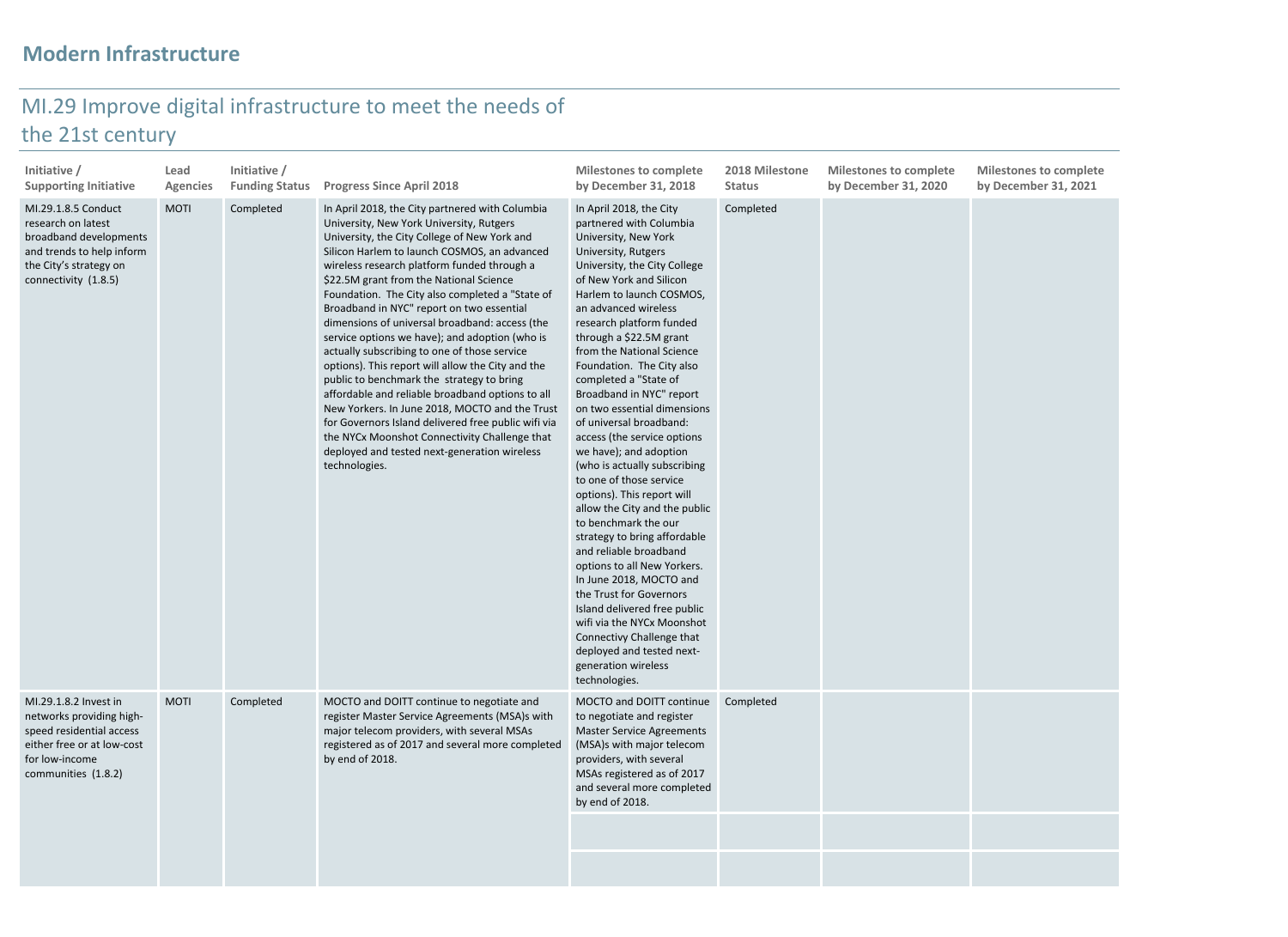# MI.29 Improve digital infrastructure to meet the needs of the 21st century

| Initiative /<br><b>Supporting Initiative</b>                                                                                                         | Lead<br><b>Agencies</b> | Initiative /<br><b>Funding Status</b> | <b>Progress Since April 2018</b>                                                                                                                                                                                                                                                                                                                                                                                                                                                                                                                                                                                                                                                                                                                                                                                                                                                                                           | <b>Milestones to complete</b><br>by December 31, 2018                                                                                                                                                                                                                                                                                                                                                                                                                                                                                                                                                                                                                                                                                                                                                                                                                                                                                                                      | 2018 Milestone<br><b>Status</b> | <b>Milestones to complete</b><br>by December 31, 2020 | <b>Milestones to complete</b><br>by December 31, 2021 |
|------------------------------------------------------------------------------------------------------------------------------------------------------|-------------------------|---------------------------------------|----------------------------------------------------------------------------------------------------------------------------------------------------------------------------------------------------------------------------------------------------------------------------------------------------------------------------------------------------------------------------------------------------------------------------------------------------------------------------------------------------------------------------------------------------------------------------------------------------------------------------------------------------------------------------------------------------------------------------------------------------------------------------------------------------------------------------------------------------------------------------------------------------------------------------|----------------------------------------------------------------------------------------------------------------------------------------------------------------------------------------------------------------------------------------------------------------------------------------------------------------------------------------------------------------------------------------------------------------------------------------------------------------------------------------------------------------------------------------------------------------------------------------------------------------------------------------------------------------------------------------------------------------------------------------------------------------------------------------------------------------------------------------------------------------------------------------------------------------------------------------------------------------------------|---------------------------------|-------------------------------------------------------|-------------------------------------------------------|
| MI.29.1.8.5 Conduct<br>research on latest<br>broadband developments<br>and trends to help inform<br>the City's strategy on<br>connectivity (1.8.5)   | <b>MOTI</b>             | Completed                             | In April 2018, the City partnered with Columbia<br>University, New York University, Rutgers<br>University, the City College of New York and<br>Silicon Harlem to launch COSMOS, an advanced<br>wireless research platform funded through a<br>\$22.5M grant from the National Science<br>Foundation. The City also completed a "State of<br>Broadband in NYC" report on two essential<br>dimensions of universal broadband: access (the<br>service options we have); and adoption (who is<br>actually subscribing to one of those service<br>options). This report will allow the City and the<br>public to benchmark the strategy to bring<br>affordable and reliable broadband options to all<br>New Yorkers. In June 2018, MOCTO and the Trust<br>for Governors Island delivered free public wifi via<br>the NYCx Moonshot Connectivity Challenge that<br>deployed and tested next-generation wireless<br>technologies. | In April 2018, the City<br>partnered with Columbia<br>University, New York<br>University, Rutgers<br>University, the City College<br>of New York and Silicon<br>Harlem to launch COSMOS,<br>an advanced wireless<br>research platform funded<br>through a \$22.5M grant<br>from the National Science<br>Foundation. The City also<br>completed a "State of<br>Broadband in NYC" report<br>on two essential dimensions<br>of universal broadband:<br>access (the service options<br>we have); and adoption<br>(who is actually subscribing<br>to one of those service<br>options). This report will<br>allow the City and the public<br>to benchmark the our<br>strategy to bring affordable<br>and reliable broadband<br>options to all New Yorkers.<br>In June 2018, MOCTO and<br>the Trust for Governors<br>Island delivered free public<br>wifi via the NYCx Moonshot<br>Connectivy Challenge that<br>deployed and tested next-<br>generation wireless<br>technologies. | Completed                       |                                                       |                                                       |
| MI.29.1.8.2 Invest in<br>networks providing high-<br>speed residential access<br>either free or at low-cost<br>for low-income<br>communities (1.8.2) | <b>MOTI</b>             | Completed                             | MOCTO and DOITT continue to negotiate and<br>register Master Service Agreements (MSA)s with<br>major telecom providers, with several MSAs<br>registered as of 2017 and several more completed (MSA)s with major telecom<br>by end of 2018.                                                                                                                                                                                                                                                                                                                                                                                                                                                                                                                                                                                                                                                                                 | MOCTO and DOITT continue<br>to negotiate and register<br><b>Master Service Agreements</b><br>providers, with several<br>MSAs registered as of 2017<br>and several more completed<br>by end of 2018.                                                                                                                                                                                                                                                                                                                                                                                                                                                                                                                                                                                                                                                                                                                                                                        | Completed                       |                                                       |                                                       |
|                                                                                                                                                      |                         |                                       |                                                                                                                                                                                                                                                                                                                                                                                                                                                                                                                                                                                                                                                                                                                                                                                                                                                                                                                            |                                                                                                                                                                                                                                                                                                                                                                                                                                                                                                                                                                                                                                                                                                                                                                                                                                                                                                                                                                            |                                 |                                                       |                                                       |
|                                                                                                                                                      |                         |                                       |                                                                                                                                                                                                                                                                                                                                                                                                                                                                                                                                                                                                                                                                                                                                                                                                                                                                                                                            |                                                                                                                                                                                                                                                                                                                                                                                                                                                                                                                                                                                                                                                                                                                                                                                                                                                                                                                                                                            |                                 |                                                       |                                                       |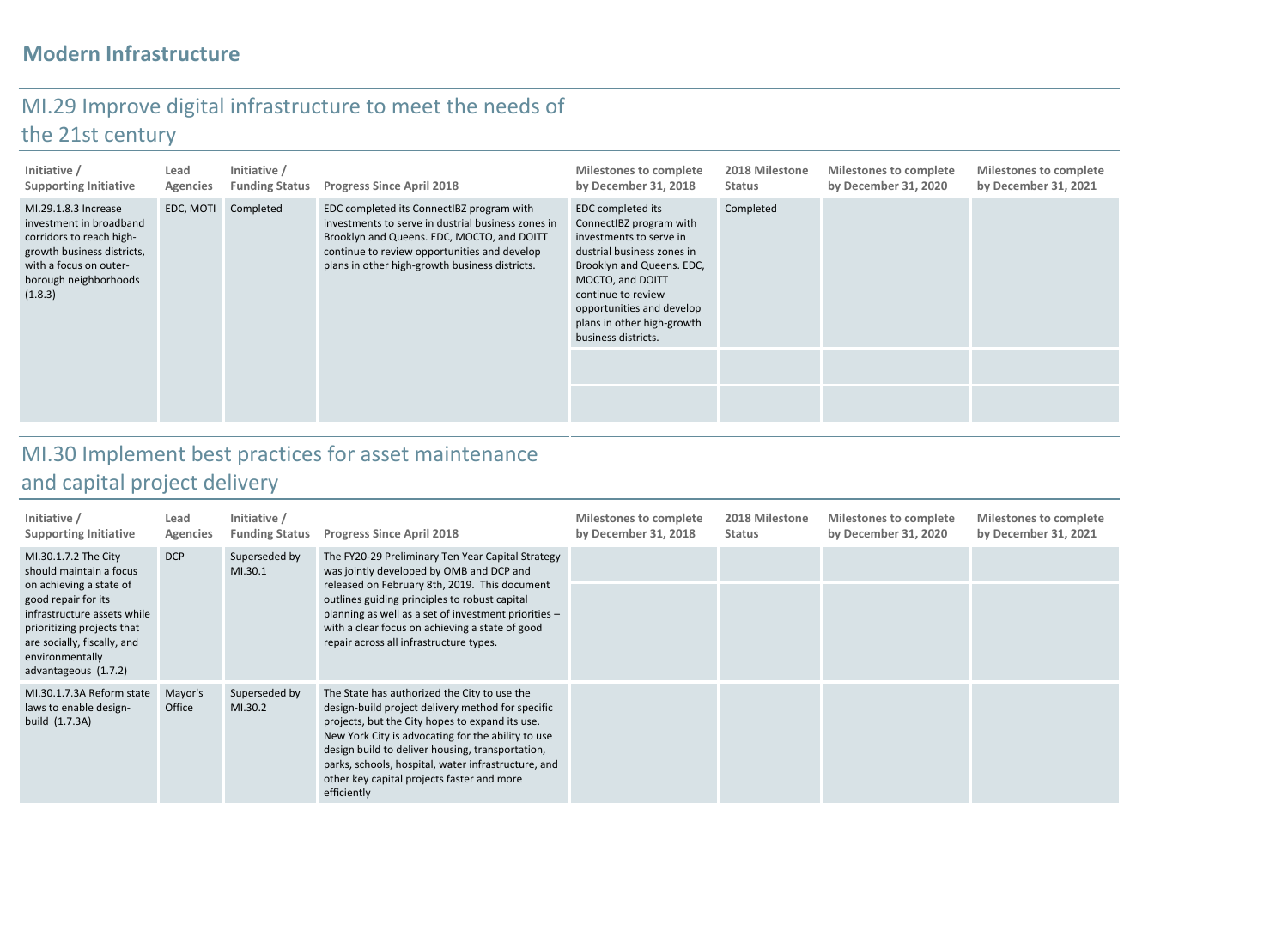# MI.29 Improve digital infrastructure to meet the needs of the 21st century

| Initiative /<br><b>Supporting Initiative</b>                                                                                                                            | Lead<br>Agencies | Initiative /<br><b>Funding Status</b> | <b>Progress Since April 2018</b>                                                                                                                                                                                                                | <b>Milestones to complete</b><br>by December 31, 2018                                                                                                                                                                                                          | 2018 Milestone<br><b>Status</b> | <b>Milestones to complete</b><br>by December 31, 2020 | <b>Milestones to complete</b><br>by December 31, 2021 |
|-------------------------------------------------------------------------------------------------------------------------------------------------------------------------|------------------|---------------------------------------|-------------------------------------------------------------------------------------------------------------------------------------------------------------------------------------------------------------------------------------------------|----------------------------------------------------------------------------------------------------------------------------------------------------------------------------------------------------------------------------------------------------------------|---------------------------------|-------------------------------------------------------|-------------------------------------------------------|
| MI.29.1.8.3 Increase<br>investment in broadband<br>corridors to reach high-<br>growth business districts,<br>with a focus on outer-<br>borough neighborhoods<br>(1.8.3) | EDC, MOTI        | Completed                             | EDC completed its ConnectIBZ program with<br>investments to serve in dustrial business zones in<br>Brooklyn and Queens. EDC, MOCTO, and DOITT<br>continue to review opportunities and develop<br>plans in other high-growth business districts. | EDC completed its<br>ConnectIBZ program with<br>investments to serve in<br>dustrial business zones in<br>Brooklyn and Queens. EDC,<br>MOCTO, and DOITT<br>continue to review<br>opportunities and develop<br>plans in other high-growth<br>business districts. | Completed                       |                                                       |                                                       |
|                                                                                                                                                                         |                  |                                       |                                                                                                                                                                                                                                                 |                                                                                                                                                                                                                                                                |                                 |                                                       |                                                       |

### MI.30 Implement best practices for asset maintenance and capital project delivery

| Initiative /<br><b>Supporting Initiative</b>                                                                                                                                                                                             | Lead<br><b>Agencies</b> | Initiative /<br><b>Funding Status</b> | <b>Progress Since April 2018</b>                                                                                                                                                                                                                                                                                                                                                   | <b>Milestones to complete</b><br>by December 31, 2018 | 2018 Milestone<br><b>Status</b> | <b>Milestones to complete</b><br>by December 31, 2020 | <b>Milestones to complete</b><br>by December 31, 2021 |
|------------------------------------------------------------------------------------------------------------------------------------------------------------------------------------------------------------------------------------------|-------------------------|---------------------------------------|------------------------------------------------------------------------------------------------------------------------------------------------------------------------------------------------------------------------------------------------------------------------------------------------------------------------------------------------------------------------------------|-------------------------------------------------------|---------------------------------|-------------------------------------------------------|-------------------------------------------------------|
| MI.30.1.7.2 The City<br>should maintain a focus<br>on achieving a state of<br>good repair for its<br>infrastructure assets while<br>prioritizing projects that<br>are socially, fiscally, and<br>environmentally<br>advantageous (1.7.2) | <b>DCP</b>              | Superseded by<br>MI.30.1              | The FY20-29 Preliminary Ten Year Capital Strategy<br>was jointly developed by OMB and DCP and<br>released on February 8th, 2019. This document<br>outlines guiding principles to robust capital<br>planning as well as a set of investment priorities -<br>with a clear focus on achieving a state of good<br>repair across all infrastructure types.                              |                                                       |                                 |                                                       |                                                       |
| MI.30.1.7.3A Reform state<br>laws to enable design-<br>build (1.7.3A)                                                                                                                                                                    | Mayor's<br>Office       | Superseded by<br>MI.30.2              | The State has authorized the City to use the<br>design-build project delivery method for specific<br>projects, but the City hopes to expand its use.<br>New York City is advocating for the ability to use<br>design build to deliver housing, transportation,<br>parks, schools, hospital, water infrastructure, and<br>other key capital projects faster and more<br>efficiently |                                                       |                                 |                                                       |                                                       |